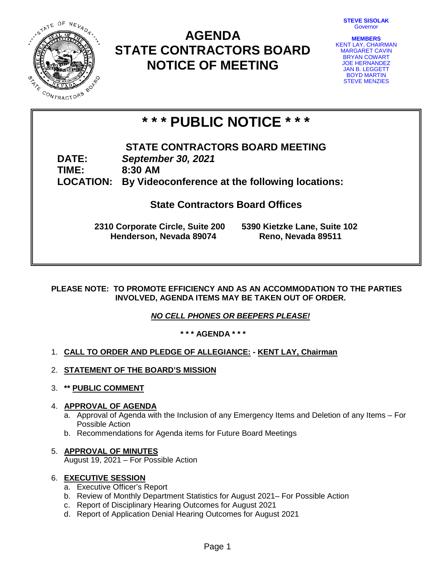**STEVE SISOLAK** Governor



# **AGENDA STATE CONTRACTORS BOARD NOTICE OF MEETING**



# **\* \* \* PUBLIC NOTICE \* \* \***

**STATE CONTRACTORS BOARD MEETING DATE:** *September 30, 2021* **TIME: 8:30 AM LOCATION: By Videoconference at the following locations:**

## **State Contractors Board Offices**

**2310 Corporate Circle, Suite 200 5390 Kietzke Lane, Suite 102 Henderson, Nevada 89074** 

## **PLEASE NOTE: TO PROMOTE EFFICIENCY AND AS AN ACCOMMODATION TO THE PARTIES INVOLVED, AGENDA ITEMS MAY BE TAKEN OUT OF ORDER.**

*NO CELL PHONES OR BEEPERS PLEASE!* 

**\* \* \* AGENDA \* \* \***

## 1. **CALL TO ORDER AND PLEDGE OF ALLEGIANCE: - KENT LAY, Chairman**

- 2. **STATEMENT OF THE BOARD'S MISSION**
- 3. **\*\* PUBLIC COMMENT**

## 4. **APPROVAL OF AGENDA**

- a. Approval of Agenda with the Inclusion of any Emergency Items and Deletion of any Items For Possible Action
- b. Recommendations for Agenda items for Future Board Meetings

## 5. **APPROVAL OF MINUTES**

August 19, 2021 – For Possible Action

## 6. **EXECUTIVE SESSION**

- a. Executive Officer's Report
- b. Review of Monthly Department Statistics for August 2021– For Possible Action
- c. Report of Disciplinary Hearing Outcomes for August 2021
- d. Report of Application Denial Hearing Outcomes for August 2021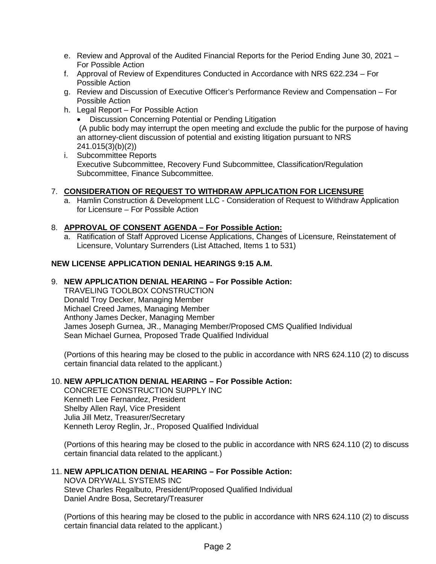- e. Review and Approval of the Audited Financial Reports for the Period Ending June 30, 2021 For Possible Action
- f. Approval of Review of Expenditures Conducted in Accordance with NRS 622.234 For Possible Action
- g. Review and Discussion of Executive Officer's Performance Review and Compensation For Possible Action
- h. Legal Report For Possible Action
	- Discussion Concerning Potential or Pending Litigation (A public body may interrupt the open meeting and exclude the public for the purpose of having an attorney-client discussion of potential and existing litigation pursuant to NRS 241.015(3)(b)(2))
- i. Subcommittee Reports Executive Subcommittee, Recovery Fund Subcommittee, Classification/Regulation Subcommittee, Finance Subcommittee.

## 7. **CONSIDERATION OF REQUEST TO WITHDRAW APPLICATION FOR LICENSURE**

a. Hamlin Construction & Development LLC - Consideration of Request to Withdraw Application for Licensure – For Possible Action

## 8. **APPROVAL OF CONSENT AGENDA – For Possible Action:**

a. Ratification of Staff Approved License Applications, Changes of Licensure, Reinstatement of Licensure, Voluntary Surrenders (List Attached, Items 1 to 531)

## **NEW LICENSE APPLICATION DENIAL HEARINGS 9:15 A.M.**

## 9. **NEW APPLICATION DENIAL HEARING – For Possible Action:**

TRAVELING TOOLBOX CONSTRUCTION Donald Troy Decker, Managing Member Michael Creed James, Managing Member Anthony James Decker, Managing Member James Joseph Gurnea, JR., Managing Member/Proposed CMS Qualified Individual Sean Michael Gurnea, Proposed Trade Qualified Individual

(Portions of this hearing may be closed to the public in accordance with NRS 624.110 (2) to discuss certain financial data related to the applicant.)

## 10. **NEW APPLICATION DENIAL HEARING – For Possible Action:**

CONCRETE CONSTRUCTION SUPPLY INC Kenneth Lee Fernandez, President Shelby Allen Rayl, Vice President Julia Jill Metz, Treasurer/Secretary Kenneth Leroy Reglin, Jr., Proposed Qualified Individual

(Portions of this hearing may be closed to the public in accordance with NRS 624.110 (2) to discuss certain financial data related to the applicant.)

## 11. **NEW APPLICATION DENIAL HEARING – For Possible Action:**

NOVA DRYWALL SYSTEMS INC Steve Charles Regalbuto, President/Proposed Qualified Individual Daniel Andre Bosa, Secretary/Treasurer

(Portions of this hearing may be closed to the public in accordance with NRS 624.110 (2) to discuss certain financial data related to the applicant.)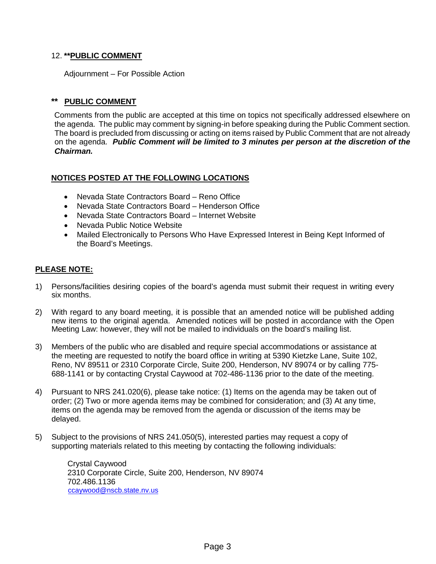## 12. **\*\*PUBLIC COMMENT**

Adjournment – For Possible Action

## **\*\* PUBLIC COMMENT**

Comments from the public are accepted at this time on topics not specifically addressed elsewhere on the agenda. The public may comment by signing-in before speaking during the Public Comment section. The board is precluded from discussing or acting on items raised by Public Comment that are not already on the agenda. *Public Comment will be limited to 3 minutes per person at the discretion of the Chairman.*

## **NOTICES POSTED AT THE FOLLOWING LOCATIONS**

- Nevada State Contractors Board Reno Office
- Nevada State Contractors Board Henderson Office
- Nevada State Contractors Board Internet Website
- Nevada Public Notice Website
- Mailed Electronically to Persons Who Have Expressed Interest in Being Kept Informed of the Board's Meetings.

## **PLEASE NOTE:**

- 1) Persons/facilities desiring copies of the board's agenda must submit their request in writing every six months.
- 2) With regard to any board meeting, it is possible that an amended notice will be published adding new items to the original agenda. Amended notices will be posted in accordance with the Open Meeting Law: however, they will not be mailed to individuals on the board's mailing list.
- 3) Members of the public who are disabled and require special accommodations or assistance at the meeting are requested to notify the board office in writing at 5390 Kietzke Lane, Suite 102, Reno, NV 89511 or 2310 Corporate Circle, Suite 200, Henderson, NV 89074 or by calling 775- 688-1141 or by contacting Crystal Caywood at 702-486-1136 prior to the date of the meeting.
- 4) Pursuant to NRS 241.020(6), please take notice: (1) Items on the agenda may be taken out of order; (2) Two or more agenda items may be combined for consideration; and (3) At any time, items on the agenda may be removed from the agenda or discussion of the items may be delayed.
- 5) Subject to the provisions of NRS 241.050(5), interested parties may request a copy of supporting materials related to this meeting by contacting the following individuals:

Crystal Caywood 2310 Corporate Circle, Suite 200, Henderson, NV 89074 702.486.1136 [ccaywood@nscb.state.nv.us](mailto:ccaywood@nscb.state.nv.us)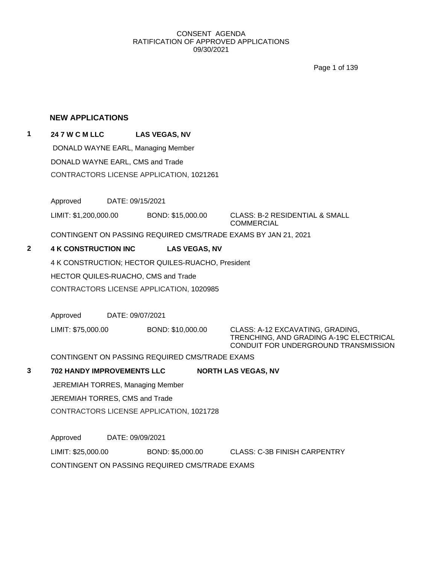Page 1 of 139

### **NEW APPLICATIONS**

## **1 24 7 W C M LLC LAS VEGAS, NV** DONALD WAYNE EARL, Managing Member

DONALD WAYNE EARL, CMS and Trade CONTRACTORS LICENSE APPLICATION, 1021261

Approved DATE: 09/15/2021

LIMIT: \$1,200,000.00 BOND: \$15,000.00 CLASS: B-2 RESIDENTIAL & SMALL

COMMERCIAL

CONTINGENT ON PASSING REQUIRED CMS/TRADE EXAMS BY JAN 21, 2021

## **2 4 K CONSTRUCTION INC LAS VEGAS, NV**

4 K CONSTRUCTION; HECTOR QUILES-RUACHO, President HECTOR QUILES-RUACHO, CMS and Trade CONTRACTORS LICENSE APPLICATION, 1020985

Approved DATE: 09/07/2021

LIMIT: \$75,000.00 BOND: \$10,000.00 CLASS: A-12 EXCAVATING, GRADING,

TRENCHING, AND GRADING A-19C ELECTRICAL CONDUIT FOR UNDERGROUND TRANSMISSION

CONTINGENT ON PASSING REQUIRED CMS/TRADE EXAMS

## **3 702 HANDY IMPROVEMENTS LLC NORTH LAS VEGAS, NV**

JEREMIAH TORRES, Managing Member

JEREMIAH TORRES, CMS and Trade

CONTRACTORS LICENSE APPLICATION, 1021728

Approved DATE: 09/09/2021

LIMIT: \$25,000.00 BOND: \$5,000.00 CLASS: C-3B FINISH CARPENTRY

CONTINGENT ON PASSING REQUIRED CMS/TRADE EXAMS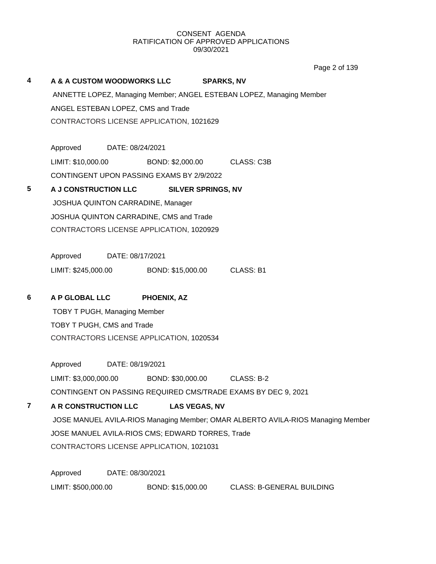Page 2 of 139

|   |                                           |                  |                                                  |                           |                                                                                 | Page 2 or 139 |
|---|-------------------------------------------|------------------|--------------------------------------------------|---------------------------|---------------------------------------------------------------------------------|---------------|
| 4 | A & A CUSTOM WOODWORKS LLC                |                  |                                                  | <b>SPARKS, NV</b>         |                                                                                 |               |
|   |                                           |                  |                                                  |                           | ANNETTE LOPEZ, Managing Member; ANGEL ESTEBAN LOPEZ, Managing Member            |               |
|   | ANGEL ESTEBAN LOPEZ, CMS and Trade        |                  |                                                  |                           |                                                                                 |               |
|   |                                           |                  | CONTRACTORS LICENSE APPLICATION, 1021629         |                           |                                                                                 |               |
|   |                                           |                  |                                                  |                           |                                                                                 |               |
|   | Approved DATE: 08/24/2021                 |                  |                                                  |                           |                                                                                 |               |
|   | LIMIT: \$10,000.00                        |                  | BOND: \$2,000.00                                 |                           | <b>CLASS: C3B</b>                                                               |               |
|   | CONTINGENT UPON PASSING EXAMS BY 2/9/2022 |                  |                                                  |                           |                                                                                 |               |
| 5 | A J CONSTRUCTION LLC                      |                  |                                                  | <b>SILVER SPRINGS, NV</b> |                                                                                 |               |
|   |                                           |                  | JOSHUA QUINTON CARRADINE, Manager                |                           |                                                                                 |               |
|   |                                           |                  | JOSHUA QUINTON CARRADINE, CMS and Trade          |                           |                                                                                 |               |
|   |                                           |                  | CONTRACTORS LICENSE APPLICATION, 1020929         |                           |                                                                                 |               |
|   |                                           |                  |                                                  |                           |                                                                                 |               |
|   | Approved                                  | DATE: 08/17/2021 |                                                  |                           |                                                                                 |               |
|   | LIMIT: \$245,000.00                       |                  | BOND: \$15,000.00                                |                           | CLASS: B1                                                                       |               |
| 6 | A P GLOBAL LLC                            |                  | <b>PHOENIX, AZ</b>                               |                           |                                                                                 |               |
|   | <b>TOBY T PUGH, Managing Member</b>       |                  |                                                  |                           |                                                                                 |               |
|   | TOBY T PUGH, CMS and Trade                |                  |                                                  |                           |                                                                                 |               |
|   |                                           |                  | CONTRACTORS LICENSE APPLICATION, 1020534         |                           |                                                                                 |               |
|   |                                           |                  |                                                  |                           |                                                                                 |               |
|   | Approved                                  | DATE: 08/19/2021 |                                                  |                           |                                                                                 |               |
|   |                                           |                  | LIMIT: \$3,000,000.00 BOND: \$30,000.00          |                           | CLASS: B-2                                                                      |               |
|   |                                           |                  |                                                  |                           | CONTINGENT ON PASSING REQUIRED CMS/TRADE EXAMS BY DEC 9, 2021                   |               |
| 7 | A R CONSTRUCTION LLC                      |                  |                                                  | <b>LAS VEGAS, NV</b>      |                                                                                 |               |
|   |                                           |                  |                                                  |                           | JOSE MANUEL AVILA-RIOS Managing Member; OMAR ALBERTO AVILA-RIOS Managing Member |               |
|   |                                           |                  | JOSE MANUEL AVILA-RIOS CMS; EDWARD TORRES, Trade |                           |                                                                                 |               |
|   |                                           |                  | CONTRACTORS LICENSE APPLICATION, 1021031         |                           |                                                                                 |               |
|   |                                           |                  |                                                  |                           |                                                                                 |               |
|   | Approved                                  | DATE: 08/30/2021 |                                                  |                           |                                                                                 |               |

LIMIT: \$500,000.00 BOND: \$15,000.00 CLASS: B-GENERAL BUILDING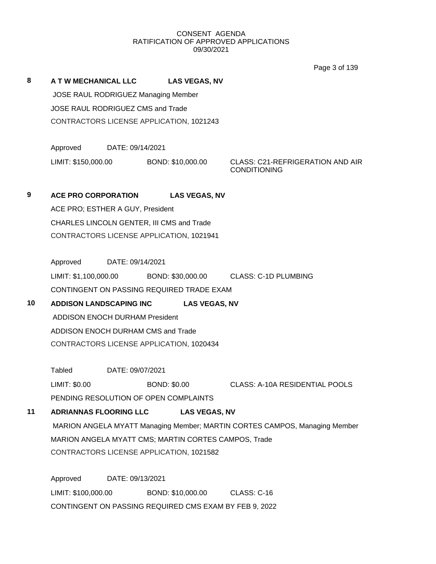Page 3 of 139

**8 A T W MECHANICAL LLC LAS VEGAS, NV** JOSE RAUL RODRIGUEZ Managing Member JOSE RAUL RODRIGUEZ CMS and Trade CONTRACTORS LICENSE APPLICATION, 1021243

> Approved DATE: 09/14/2021 LIMIT: \$150,000.00 BOND: \$10,000.00 CLASS: C21-REFRIGERATION AND AIR

CONDITIONING

**9 ACE PRO CORPORATION LAS VEGAS, NV** ACE PRO; ESTHER A GUY, President CHARLES LINCOLN GENTER, III CMS and Trade CONTRACTORS LICENSE APPLICATION, 1021941

Approved DATE: 09/14/2021 LIMIT: \$1,100,000.00 BOND: \$30,000.00 CLASS: C-1D PLUMBING CONTINGENT ON PASSING REQUIRED TRADE EXAM

## **10 ADDISON LANDSCAPING INC LAS VEGAS, NV** ADDISON ENOCH DURHAM President ADDISON ENOCH DURHAM CMS and Trade CONTRACTORS LICENSE APPLICATION, 1020434

Tabled DATE: 09/07/2021

LIMIT: \$0.00 BOND: \$0.00 CLASS: A-10A RESIDENTIAL POOLS PENDING RESOLUTION OF OPEN COMPLAINTS

## **11 ADRIANNAS FLOORING LLC LAS VEGAS, NV**

MARION ANGELA MYATT Managing Member; MARTIN CORTES CAMPOS, Managing Member MARION ANGELA MYATT CMS; MARTIN CORTES CAMPOS, Trade CONTRACTORS LICENSE APPLICATION, 1021582

Approved DATE: 09/13/2021 LIMIT: \$100,000.00 BOND: \$10,000.00 CLASS: C-16 CONTINGENT ON PASSING REQUIRED CMS EXAM BY FEB 9, 2022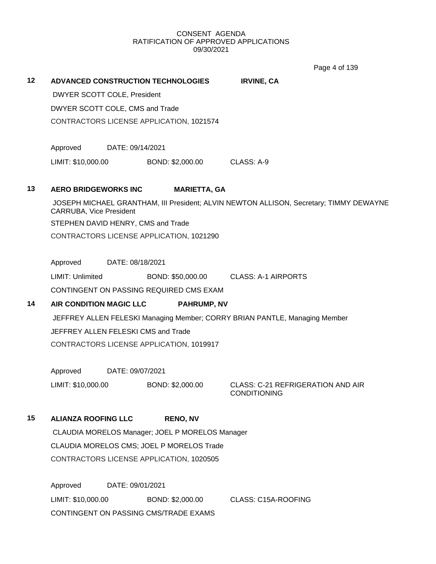Page 4 of 139

|    |                                 |                  |                                                 |                                                                                        | Page 4 or 139 |
|----|---------------------------------|------------------|-------------------------------------------------|----------------------------------------------------------------------------------------|---------------|
| 12 |                                 |                  | <b>ADVANCED CONSTRUCTION TECHNOLOGIES</b>       | <b>IRVINE, CA</b>                                                                      |               |
|    | DWYER SCOTT COLE, President     |                  |                                                 |                                                                                        |               |
|    | DWYER SCOTT COLE, CMS and Trade |                  |                                                 |                                                                                        |               |
|    |                                 |                  | CONTRACTORS LICENSE APPLICATION, 1021574        |                                                                                        |               |
|    |                                 |                  |                                                 |                                                                                        |               |
|    | Approved                        | DATE: 09/14/2021 |                                                 |                                                                                        |               |
|    | LIMIT: \$10,000.00              |                  | BOND: \$2,000.00                                | CLASS: A-9                                                                             |               |
| 13 | <b>AERO BRIDGEWORKS INC</b>     |                  | <b>MARIETTA, GA</b>                             |                                                                                        |               |
|    | <b>CARRUBA, Vice President</b>  |                  |                                                 | JOSEPH MICHAEL GRANTHAM, III President; ALVIN NEWTON ALLISON, Secretary; TIMMY DEWAYNE |               |
|    |                                 |                  | STEPHEN DAVID HENRY, CMS and Trade              |                                                                                        |               |
|    |                                 |                  | CONTRACTORS LICENSE APPLICATION, 1021290        |                                                                                        |               |
|    | Approved                        | DATE: 08/18/2021 |                                                 |                                                                                        |               |
|    | LIMIT: Unlimited                |                  | BOND: \$50,000.00                               | <b>CLASS: A-1 AIRPORTS</b>                                                             |               |
|    |                                 |                  | CONTINGENT ON PASSING REQUIRED CMS EXAM         |                                                                                        |               |
| 14 | <b>AIR CONDITION MAGIC LLC</b>  |                  | <b>PAHRUMP, NV</b>                              |                                                                                        |               |
|    |                                 |                  |                                                 | JEFFREY ALLEN FELESKI Managing Member; CORRY BRIAN PANTLE, Managing Member             |               |
|    |                                 |                  | JEFFREY ALLEN FELESKI CMS and Trade             |                                                                                        |               |
|    |                                 |                  | CONTRACTORS LICENSE APPLICATION, 1019917        |                                                                                        |               |
|    | Approved                        | DATE: 09/07/2021 |                                                 |                                                                                        |               |
|    | LIMIT: \$10,000.00              |                  | BOND: \$2,000.00                                | CLASS: C-21 REFRIGERATION AND AIR<br><b>CONDITIONING</b>                               |               |
| 15 | <b>ALIANZA ROOFING LLC</b>      |                  | <b>RENO, NV</b>                                 |                                                                                        |               |
|    |                                 |                  | CLAUDIA MORELOS Manager; JOEL P MORELOS Manager |                                                                                        |               |
|    |                                 |                  | CLAUDIA MORELOS CMS; JOEL P MORELOS Trade       |                                                                                        |               |
|    |                                 |                  | CONTRACTORS LICENSE APPLICATION, 1020505        |                                                                                        |               |
|    | Approved                        | DATE: 09/01/2021 |                                                 |                                                                                        |               |

LIMIT: \$10,000.00 BOND: \$2,000.00 CLASS: C15A-ROOFING CONTINGENT ON PASSING CMS/TRADE EXAMS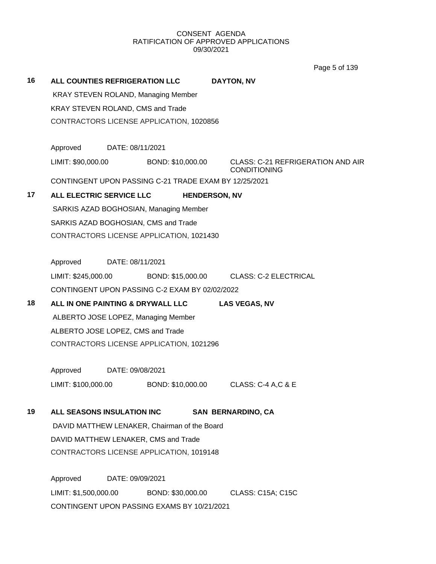Page 5 of 139

| 16 |                                   |                  | ALL COUNTIES REFRIGERATION LLC                        | <b>DAYTON, NV</b>                                               |
|----|-----------------------------------|------------------|-------------------------------------------------------|-----------------------------------------------------------------|
|    |                                   |                  | <b>KRAY STEVEN ROLAND, Managing Member</b>            |                                                                 |
|    | KRAY STEVEN ROLAND, CMS and Trade |                  |                                                       |                                                                 |
|    |                                   |                  | CONTRACTORS LICENSE APPLICATION, 1020856              |                                                                 |
|    |                                   |                  |                                                       |                                                                 |
|    | Approved                          | DATE: 08/11/2021 |                                                       |                                                                 |
|    |                                   |                  | LIMIT: \$90,000.00 BOND: \$10,000.00                  | <b>CLASS: C-21 REFRIGERATION AND AIR</b><br><b>CONDITIONING</b> |
|    |                                   |                  | CONTINGENT UPON PASSING C-21 TRADE EXAM BY 12/25/2021 |                                                                 |
| 17 | <b>ALL ELECTRIC SERVICE LLC</b>   |                  |                                                       | <b>HENDERSON, NV</b>                                            |
|    |                                   |                  | SARKIS AZAD BOGHOSIAN, Managing Member                |                                                                 |
|    |                                   |                  | SARKIS AZAD BOGHOSIAN, CMS and Trade                  |                                                                 |
|    |                                   |                  | CONTRACTORS LICENSE APPLICATION, 1021430              |                                                                 |
|    |                                   |                  |                                                       |                                                                 |
|    | Approved                          | DATE: 08/11/2021 |                                                       |                                                                 |
|    |                                   |                  |                                                       | LIMIT: \$245,000.00 BOND: \$15,000.00 CLASS: C-2 ELECTRICAL     |
|    |                                   |                  | CONTINGENT UPON PASSING C-2 EXAM BY 02/02/2022        |                                                                 |
| 18 |                                   |                  | ALL IN ONE PAINTING & DRYWALL LLC                     | <b>LAS VEGAS, NV</b>                                            |
|    |                                   |                  | ALBERTO JOSE LOPEZ, Managing Member                   |                                                                 |
|    | ALBERTO JOSE LOPEZ, CMS and Trade |                  |                                                       |                                                                 |
|    |                                   |                  | CONTRACTORS LICENSE APPLICATION, 1021296              |                                                                 |
|    | Approved                          | DATE: 09/08/2021 |                                                       |                                                                 |
|    |                                   |                  | LIMIT: \$100,000.00 BOND: \$10,000.00                 | <b>CLASS: C-4 A,C &amp; E</b>                                   |
| 19 | ALL SEASONS INSULATION INC        |                  |                                                       | <b>SAN BERNARDINO, CA</b>                                       |
|    |                                   |                  | DAVID MATTHEW LENAKER, Chairman of the Board          |                                                                 |
|    |                                   |                  | DAVID MATTHEW LENAKER, CMS and Trade                  |                                                                 |
|    |                                   |                  | CONTRACTORS LICENSE APPLICATION, 1019148              |                                                                 |
|    |                                   |                  |                                                       |                                                                 |
|    | Approved                          | DATE: 09/09/2021 |                                                       |                                                                 |
|    | LIMIT: \$1,500,000.00             |                  | BOND: \$30,000.00                                     | CLASS: C15A; C15C                                               |
|    |                                   |                  | CONTINGENT UPON PASSING EXAMS BY 10/21/2021           |                                                                 |
|    |                                   |                  |                                                       |                                                                 |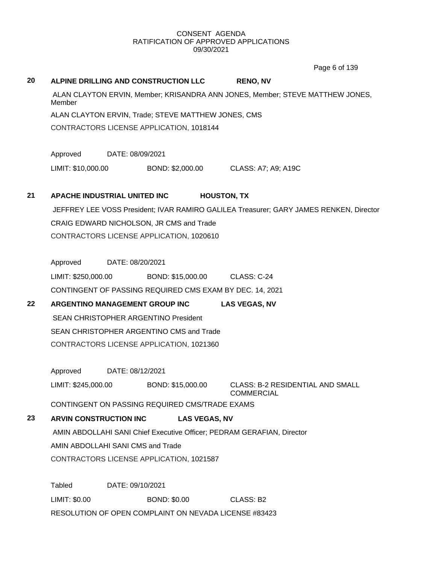Page 6 of 139

# **20 ALPINE DRILLING AND CONSTRUCTION LLC RENO, NV** ALAN CLAYTON ERVIN, Member; KRISANDRA ANN JONES, Member; STEVE MATTHEW JONES, Member ALAN CLAYTON ERVIN, Trade; STEVE MATTHEW JONES, CMS CONTRACTORS LICENSE APPLICATION, 1018144 Approved DATE: 08/09/2021 LIMIT: \$10,000.00 BOND: \$2,000.00 CLASS: A7; A9; A19C **21 APACHE INDUSTRIAL UNITED INC HOUSTON, TX** JEFFREY LEE VOSS President; IVAR RAMIRO GALILEA Treasurer; GARY JAMES RENKEN, Director CRAIG EDWARD NICHOLSON, JR CMS and Trade CONTRACTORS LICENSE APPLICATION, 1020610 Approved DATE: 08/20/2021 LIMIT: \$250,000.00 BOND: \$15,000.00 CLASS: C-24 CONTINGENT OF PASSING REQUIRED CMS EXAM BY DEC. 14, 2021 **22 ARGENTINO MANAGEMENT GROUP INC LAS VEGAS, NV** SEAN CHRISTOPHER ARGENTINO President SEAN CHRISTOPHER ARGENTINO CMS and Trade CONTRACTORS LICENSE APPLICATION, 1021360 Approved DATE: 08/12/2021 LIMIT: \$245,000.00 BOND: \$15,000.00 CLASS: B-2 RESIDENTIAL AND SMALL **COMMERCIAL** CONTINGENT ON PASSING REQUIRED CMS/TRADE EXAMS **23 ARVIN CONSTRUCTION INC LAS VEGAS, NV** AMIN ABDOLLAHI SANI Chief Executive Officer; PEDRAM GERAFIAN, Director AMIN ABDOLLAHI SANI CMS and Trade CONTRACTORS LICENSE APPLICATION, 1021587 Tabled DATE: 09/10/2021 LIMIT: \$0.00 BOND: \$0.00 CLASS: B2 RESOLUTION OF OPEN COMPLAINT ON NEVADA LICENSE #83423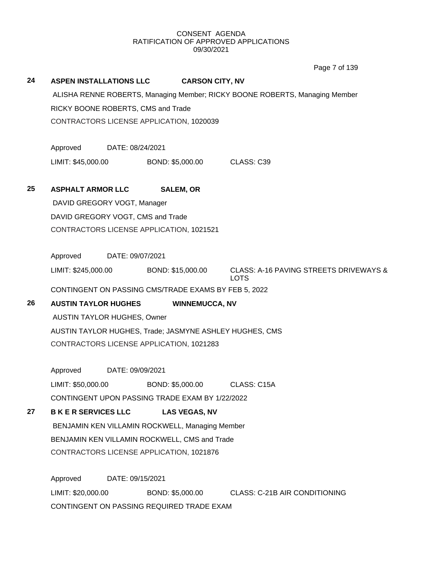Page 7 of 139

#### **24 ASPEN INSTALLATIONS LLC CARSON CITY, NV**

ALISHA RENNE ROBERTS, Managing Member; RICKY BOONE ROBERTS, Managing Member RICKY BOONE ROBERTS, CMS and Trade CONTRACTORS LICENSE APPLICATION, 1020039

Approved DATE: 08/24/2021

LIMIT: \$45,000.00 BOND: \$5,000.00 CLASS: C39

## **25 ASPHALT ARMOR LLC SALEM, OR**

DAVID GREGORY VOGT, Manager DAVID GREGORY VOGT, CMS and Trade CONTRACTORS LICENSE APPLICATION, 1021521

Approved DATE: 09/07/2021

LIMIT: \$245,000.00 BOND: \$15,000.00 CLASS: A-16 PAVING STREETS DRIVEWAYS & LOTS

CONTINGENT ON PASSING CMS/TRADE EXAMS BY FEB 5, 2022

## **26 AUSTIN TAYLOR HUGHES WINNEMUCCA, NV**

AUSTIN TAYLOR HUGHES, Owner AUSTIN TAYLOR HUGHES, Trade; JASMYNE ASHLEY HUGHES, CMS CONTRACTORS LICENSE APPLICATION, 1021283

Approved DATE: 09/09/2021 LIMIT: \$50,000.00 BOND: \$5,000.00 CLASS: C15A CONTINGENT UPON PASSING TRADE EXAM BY 1/22/2022

## **27 B K E R SERVICES LLC LAS VEGAS, NV**

BENJAMIN KEN VILLAMIN ROCKWELL, Managing Member BENJAMIN KEN VILLAMIN ROCKWELL, CMS and Trade CONTRACTORS LICENSE APPLICATION, 1021876

Approved DATE: 09/15/2021 LIMIT: \$20,000.00 BOND: \$5,000.00 CLASS: C-21B AIR CONDITIONING CONTINGENT ON PASSING REQUIRED TRADE EXAM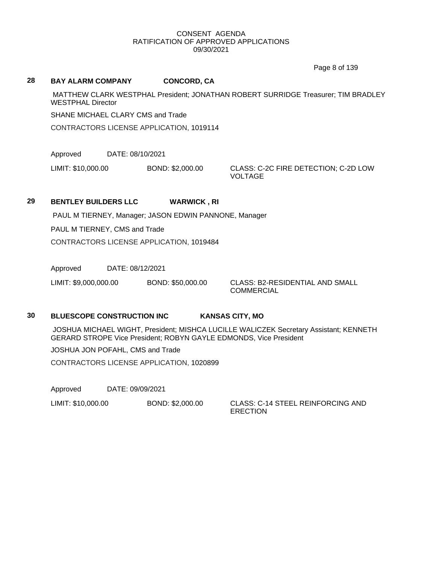Page 8 of 139

#### **28 BAY ALARM COMPANY CONCORD, CA**

MATTHEW CLARK WESTPHAL President; JONATHAN ROBERT SURRIDGE Treasurer; TIM BRADLEY WESTPHAL Director

SHANE MICHAEL CLARY CMS and Trade

CONTRACTORS LICENSE APPLICATION, 1019114

Approved DATE: 08/10/2021

LIMIT: \$10,000.00 BOND: \$2,000.00 CLASS: C-2C FIRE DETECTION; C-2D LOW

VOLTAGE

## **29 BENTLEY BUILDERS LLC WARWICK , RI**

PAUL M TIERNEY, Manager; JASON EDWIN PANNONE, Manager

PAUL M TIERNEY, CMS and Trade

CONTRACTORS LICENSE APPLICATION, 1019484

Approved DATE: 08/12/2021

LIMIT: \$9,000,000.00 BOND: \$50,000.00 CLASS: B2-RESIDENTIAL AND SMALL

**COMMERCIAL** 

### **30 BLUESCOPE CONSTRUCTION INC KANSAS CITY, MO**

JOSHUA MICHAEL WIGHT, President; MISHCA LUCILLE WALICZEK Secretary Assistant; KENNETH GERARD STROPE Vice President; ROBYN GAYLE EDMONDS, Vice President

JOSHUA JON POFAHL, CMS and Trade

CONTRACTORS LICENSE APPLICATION, 1020899

Approved DATE: 09/09/2021

LIMIT: \$10,000.00 BOND: \$2,000.00 CLASS: C-14 STEEL REINFORCING AND

**ERECTION**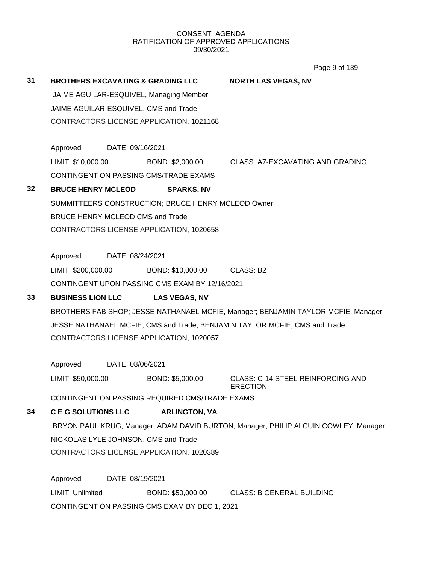Page 9 of 139

| 31 | <b>BROTHERS EXCAVATING &amp; GRADING LLC</b> |                  |                                                    | <b>NORTH LAS VEGAS, NV</b>                                                          |
|----|----------------------------------------------|------------------|----------------------------------------------------|-------------------------------------------------------------------------------------|
|    |                                              |                  | JAIME AGUILAR-ESQUIVEL, Managing Member            |                                                                                     |
|    |                                              |                  | JAIME AGUILAR-ESQUIVEL, CMS and Trade              |                                                                                     |
|    |                                              |                  | CONTRACTORS LICENSE APPLICATION, 1021168           |                                                                                     |
|    | Approved                                     | DATE: 09/16/2021 |                                                    |                                                                                     |
|    | LIMIT: \$10,000.00                           |                  |                                                    | BOND: \$2,000.00 CLASS: A7-EXCAVATING AND GRADING                                   |
|    |                                              |                  | CONTINGENT ON PASSING CMS/TRADE EXAMS              |                                                                                     |
| 32 | <b>BRUCE HENRY MCLEOD</b>                    |                  | <b>SPARKS, NV</b>                                  |                                                                                     |
|    |                                              |                  | SUMMITTEERS CONSTRUCTION; BRUCE HENRY MCLEOD Owner |                                                                                     |
|    | <b>BRUCE HENRY MCLEOD CMS and Trade</b>      |                  |                                                    |                                                                                     |
|    |                                              |                  | CONTRACTORS LICENSE APPLICATION, 1020658           |                                                                                     |
|    | Approved                                     | DATE: 08/24/2021 |                                                    |                                                                                     |
|    | LIMIT: \$200,000.00                          |                  | BOND: \$10,000.00                                  | CLASS: B2                                                                           |
|    |                                              |                  | CONTINGENT UPON PASSING CMS EXAM BY 12/16/2021     |                                                                                     |
| 33 | <b>BUSINESS LION LLC</b>                     |                  | <b>LAS VEGAS, NV</b>                               |                                                                                     |
|    |                                              |                  |                                                    |                                                                                     |
|    |                                              |                  |                                                    |                                                                                     |
|    |                                              |                  |                                                    | BROTHERS FAB SHOP; JESSE NATHANAEL MCFIE, Manager; BENJAMIN TAYLOR MCFIE, Manager   |
|    |                                              |                  |                                                    | JESSE NATHANAEL MCFIE, CMS and Trade; BENJAMIN TAYLOR MCFIE, CMS and Trade          |
|    |                                              |                  | CONTRACTORS LICENSE APPLICATION, 1020057           |                                                                                     |
|    | Approved                                     | DATE: 08/06/2021 |                                                    |                                                                                     |
|    | LIMIT: \$50,000.00                           |                  | BOND: \$5,000.00                                   | <b>CLASS: C-14 STEEL REINFORCING AND</b><br><b>ERECTION</b>                         |
|    |                                              |                  | CONTINGENT ON PASSING REQUIRED CMS/TRADE EXAMS     |                                                                                     |
| 34 | <b>C E G SOLUTIONS LLC</b>                   |                  | <b>ARLINGTON, VA</b>                               |                                                                                     |
|    |                                              |                  |                                                    | BRYON PAUL KRUG, Manager; ADAM DAVID BURTON, Manager; PHILIP ALCUIN COWLEY, Manager |
|    |                                              |                  | NICKOLAS LYLE JOHNSON, CMS and Trade               |                                                                                     |
|    |                                              |                  | CONTRACTORS LICENSE APPLICATION, 1020389           |                                                                                     |
|    | Approved                                     | DATE: 08/19/2021 |                                                    |                                                                                     |
|    | LIMIT: Unlimited                             |                  | BOND: \$50,000.00                                  | <b>CLASS: B GENERAL BUILDING</b>                                                    |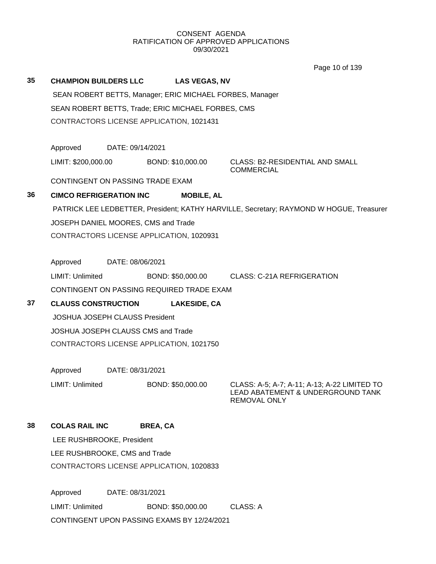Page 10 of 139

|    |                                       |                  |                                                          | Page 10 of 139                                                                          |
|----|---------------------------------------|------------------|----------------------------------------------------------|-----------------------------------------------------------------------------------------|
| 35 | <b>CHAMPION BUILDERS LLC</b>          |                  | <b>LAS VEGAS, NV</b>                                     |                                                                                         |
|    |                                       |                  | SEAN ROBERT BETTS, Manager; ERIC MICHAEL FORBES, Manager |                                                                                         |
|    |                                       |                  | SEAN ROBERT BETTS, Trade; ERIC MICHAEL FORBES, CMS       |                                                                                         |
|    |                                       |                  | CONTRACTORS LICENSE APPLICATION, 1021431                 |                                                                                         |
|    |                                       |                  |                                                          |                                                                                         |
|    | Approved                              | DATE: 09/14/2021 |                                                          |                                                                                         |
|    | LIMIT: \$200,000.00                   |                  | BOND: \$10,000.00                                        | <b>CLASS: B2-RESIDENTIAL AND SMALL</b><br><b>COMMERCIAL</b>                             |
|    | CONTINGENT ON PASSING TRADE EXAM      |                  |                                                          |                                                                                         |
| 36 | <b>CIMCO REFRIGERATION INC</b>        |                  | <b>MOBILE, AL</b>                                        |                                                                                         |
|    |                                       |                  |                                                          | PATRICK LEE LEDBETTER, President; KATHY HARVILLE, Secretary; RAYMOND W HOGUE, Treasurer |
|    | JOSEPH DANIEL MOORES, CMS and Trade   |                  |                                                          |                                                                                         |
|    |                                       |                  | CONTRACTORS LICENSE APPLICATION, 1020931                 |                                                                                         |
|    |                                       |                  |                                                          |                                                                                         |
|    | Approved                              | DATE: 08/06/2021 |                                                          |                                                                                         |
|    | LIMIT: Unlimited                      |                  | BOND: \$50,000.00                                        | <b>CLASS: C-21A REFRIGERATION</b>                                                       |
|    |                                       |                  | CONTINGENT ON PASSING REQUIRED TRADE EXAM                |                                                                                         |
| 37 | <b>CLAUSS CONSTRUCTION</b>            |                  | <b>LAKESIDE, CA</b>                                      |                                                                                         |
|    | <b>JOSHUA JOSEPH CLAUSS President</b> |                  |                                                          |                                                                                         |
|    | JOSHUA JOSEPH CLAUSS CMS and Trade    |                  |                                                          |                                                                                         |
|    |                                       |                  | CONTRACTORS LICENSE APPLICATION, 1021750                 |                                                                                         |
|    |                                       |                  |                                                          |                                                                                         |
|    | Approved                              | DATE: 08/31/2021 |                                                          |                                                                                         |
|    | LIMIT: Unlimited                      |                  | BOND: \$50,000.00                                        | CLASS: A-5; A-7; A-11; A-13; A-22 LIMITED TO<br>LEAD ABATEMENT & UNDERGROUND TANK       |
|    |                                       |                  |                                                          | <b>REMOVAL ONLY</b>                                                                     |
| 38 | <b>COLAS RAIL INC</b>                 |                  | <b>BREA, CA</b>                                          |                                                                                         |
|    | LEE RUSHBROOKE, President             |                  |                                                          |                                                                                         |
|    | LEE RUSHBROOKE, CMS and Trade         |                  |                                                          |                                                                                         |
|    |                                       |                  | CONTRACTORS LICENSE APPLICATION, 1020833                 |                                                                                         |

Approved DATE: 08/31/2021 LIMIT: Unlimited BOND: \$50,000.00 CLASS: A CONTINGENT UPON PASSING EXAMS BY 12/24/2021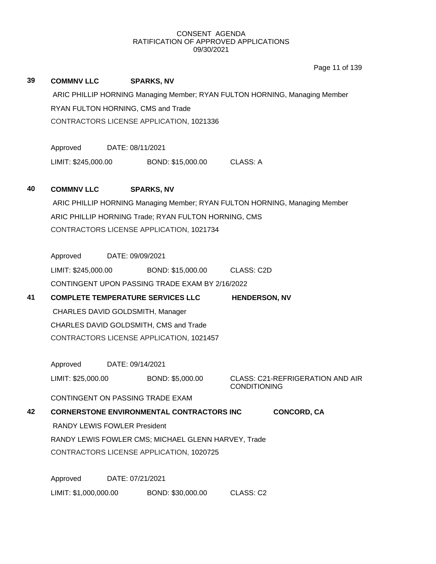Page 11 of 139

| 39 | <b>COMMNV LLC</b>                   |                                                                            | <b>SPARKS, NV</b>                                                                               |                      |                                         |  |
|----|-------------------------------------|----------------------------------------------------------------------------|-------------------------------------------------------------------------------------------------|----------------------|-----------------------------------------|--|
|    |                                     | ARIC PHILLIP HORNING Managing Member; RYAN FULTON HORNING, Managing Member |                                                                                                 |                      |                                         |  |
|    | RYAN FULTON HORNING, CMS and Trade  |                                                                            |                                                                                                 |                      |                                         |  |
|    |                                     |                                                                            | CONTRACTORS LICENSE APPLICATION, 1021336                                                        |                      |                                         |  |
|    |                                     |                                                                            |                                                                                                 |                      |                                         |  |
|    | Approved                            | DATE: 08/11/2021                                                           |                                                                                                 |                      |                                         |  |
|    |                                     |                                                                            | LIMIT: \$245,000.00 BOND: \$15,000.00                                                           | CLASS: A             |                                         |  |
|    |                                     |                                                                            |                                                                                                 |                      |                                         |  |
| 40 | <b>COMMNV LLC</b>                   |                                                                            | <b>SPARKS, NV</b>                                                                               |                      |                                         |  |
|    |                                     |                                                                            | ARIC PHILLIP HORNING Managing Member; RYAN FULTON HORNING, Managing Member                      |                      |                                         |  |
|    |                                     |                                                                            | ARIC PHILLIP HORNING Trade; RYAN FULTON HORNING, CMS                                            |                      |                                         |  |
|    |                                     |                                                                            | CONTRACTORS LICENSE APPLICATION, 1021734                                                        |                      |                                         |  |
|    |                                     |                                                                            |                                                                                                 |                      |                                         |  |
|    | Approved                            | DATE: 09/09/2021                                                           |                                                                                                 |                      |                                         |  |
|    |                                     |                                                                            | LIMIT: \$245,000.00 BOND: \$15,000.00                                                           | CLASS: C2D           |                                         |  |
|    |                                     |                                                                            | CONTINGENT UPON PASSING TRADE EXAM BY 2/16/2022                                                 |                      |                                         |  |
| 41 |                                     |                                                                            | <b>COMPLETE TEMPERATURE SERVICES LLC</b>                                                        | <b>HENDERSON, NV</b> |                                         |  |
|    | CHARLES DAVID GOLDSMITH, Manager    |                                                                            |                                                                                                 |                      |                                         |  |
|    |                                     |                                                                            | CHARLES DAVID GOLDSMITH, CMS and Trade                                                          |                      |                                         |  |
|    |                                     |                                                                            | CONTRACTORS LICENSE APPLICATION, 1021457                                                        |                      |                                         |  |
|    |                                     |                                                                            |                                                                                                 |                      |                                         |  |
|    | Approved                            | DATE: 09/14/2021                                                           |                                                                                                 |                      |                                         |  |
|    | LIMIT: \$25,000.00                  |                                                                            | BOND: \$5,000.00                                                                                |                      | <b>CLASS: C21-REFRIGERATION AND AIR</b> |  |
|    | CONTINGENT ON PASSING TRADE EXAM    |                                                                            |                                                                                                 | <b>CONDITIONING</b>  |                                         |  |
| 42 |                                     |                                                                            | <b>CORNERSTONE ENVIRONMENTAL CONTRACTORS INC</b>                                                |                      | <b>CONCORD, CA</b>                      |  |
|    | <b>RANDY LEWIS FOWLER President</b> |                                                                            |                                                                                                 |                      |                                         |  |
|    |                                     |                                                                            |                                                                                                 |                      |                                         |  |
|    |                                     |                                                                            | RANDY LEWIS FOWLER CMS; MICHAEL GLENN HARVEY, Trade<br>CONTRACTORS LICENSE APPLICATION, 1020725 |                      |                                         |  |
|    |                                     |                                                                            |                                                                                                 |                      |                                         |  |
|    | Approved                            | DATE: 07/21/2021                                                           |                                                                                                 |                      |                                         |  |
|    |                                     |                                                                            |                                                                                                 |                      |                                         |  |

LIMIT: \$1,000,000.00 BOND: \$30,000.00 CLASS: C2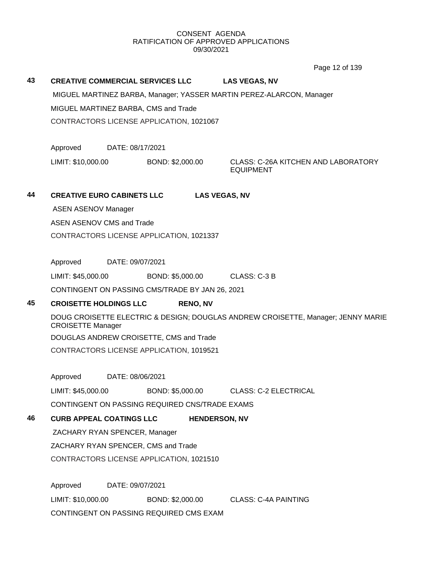Page 12 of 139

# **43 CREATIVE COMMERCIAL SERVICES LLC LAS VEGAS, NV** MIGUEL MARTINEZ BARBA, Manager; YASSER MARTIN PEREZ-ALARCON, Manager MIGUEL MARTINEZ BARBA, CMS and Trade CONTRACTORS LICENSE APPLICATION, 1021067 Approved DATE: 08/17/2021 LIMIT: \$10,000.00 BOND: \$2,000.00 CLASS: C-26A KITCHEN AND LABORATORY EQUIPMENT **44 CREATIVE EURO CABINETS LLC LAS VEGAS, NV** ASEN ASENOV Manager ASEN ASENOV CMS and Trade CONTRACTORS LICENSE APPLICATION, 1021337 Approved DATE: 09/07/2021 LIMIT: \$45,000.00 BOND: \$5,000.00 CLASS: C-3 B CONTINGENT ON PASSING CMS/TRADE BY JAN 26, 2021 **45 CROISETTE HOLDINGS LLC RENO, NV** DOUG CROISETTE ELECTRIC & DESIGN; DOUGLAS ANDREW CROISETTE, Manager; JENNY MARIE CROISETTE Manager DOUGLAS ANDREW CROISETTE, CMS and Trade CONTRACTORS LICENSE APPLICATION, 1019521 Approved DATE: 08/06/2021 LIMIT: \$45,000.00 BOND: \$5,000.00 CLASS: C-2 ELECTRICAL CONTINGENT ON PASSING REQUIRED CNS/TRADE EXAMS **46 CURB APPEAL COATINGS LLC HENDERSON, NV** ZACHARY RYAN SPENCER, Manager ZACHARY RYAN SPENCER, CMS and Trade CONTRACTORS LICENSE APPLICATION, 1021510

Approved DATE: 09/07/2021 LIMIT: \$10,000.00 BOND: \$2,000.00 CLASS: C-4A PAINTING CONTINGENT ON PASSING REQUIRED CMS EXAM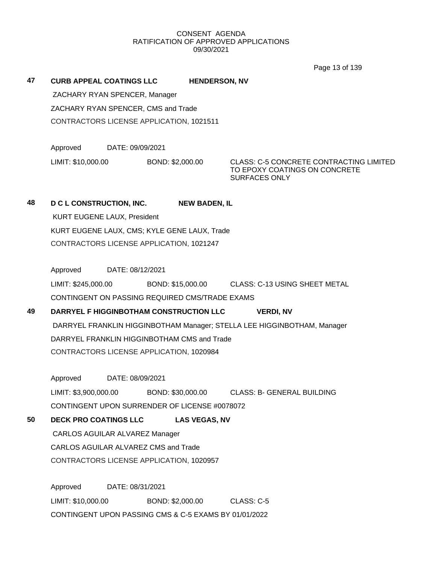Page 13 of 139

**47 CURB APPEAL COATINGS LLC HENDERSON, NV**

ZACHARY RYAN SPENCER, Manager ZACHARY RYAN SPENCER, CMS and Trade CONTRACTORS LICENSE APPLICATION, 1021511

Approved DATE: 09/09/2021

LIMIT: \$10,000.00 BOND: \$2,000.00 CLASS: C-5 CONCRETE CONTRACTING LIMITED TO EPOXY COATINGS ON CONCRETE SURFACES ONLY

## **48 D C L CONSTRUCTION, INC. NEW BADEN, IL**

KURT EUGENE LAUX, President KURT EUGENE LAUX, CMS; KYLE GENE LAUX, Trade CONTRACTORS LICENSE APPLICATION, 1021247

Approved DATE: 08/12/2021

LIMIT: \$245,000.00 BOND: \$15,000.00 CLASS: C-13 USING SHEET METAL CONTINGENT ON PASSING REQUIRED CMS/TRADE EXAMS

# **49 DARRYEL F HIGGINBOTHAM CONSTRUCTION LLC VERDI, NV**

DARRYEL FRANKLIN HIGGINBOTHAM Manager; STELLA LEE HIGGINBOTHAM, Manager DARRYEL FRANKLIN HIGGINBOTHAM CMS and Trade CONTRACTORS LICENSE APPLICATION, 1020984

Approved DATE: 08/09/2021 LIMIT: \$3,900,000.00 BOND: \$30,000.00 CLASS: B- GENERAL BUILDING CONTINGENT UPON SURRENDER OF LICENSE #0078072

**50 DECK PRO COATINGS LLC LAS VEGAS, NV**

CARLOS AGUILAR ALVAREZ Manager CARLOS AGUILAR ALVAREZ CMS and Trade CONTRACTORS LICENSE APPLICATION, 1020957

Approved DATE: 08/31/2021 LIMIT: \$10,000.00 BOND: \$2,000.00 CLASS: C-5 CONTINGENT UPON PASSING CMS & C-5 EXAMS BY 01/01/2022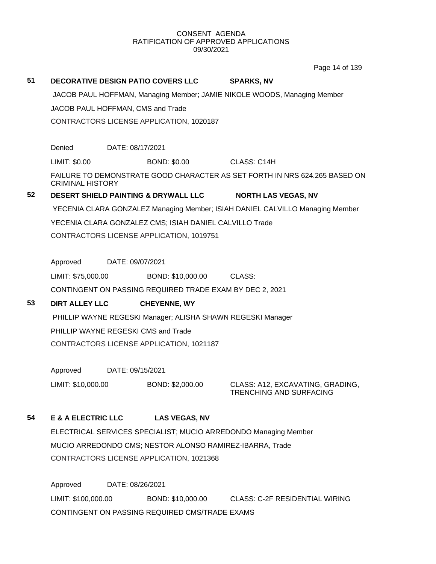Page 14 of 139

# **51 DECORATIVE DESIGN PATIO COVERS LLC SPARKS, NV** JACOB PAUL HOFFMAN, Managing Member; JAMIE NIKOLE WOODS, Managing Member JACOB PAUL HOFFMAN, CMS and Trade CONTRACTORS LICENSE APPLICATION, 1020187 Denied DATE: 08/17/2021 LIMIT: \$0.00 BOND: \$0.00 CLASS: C14H FAILURE TO DEMONSTRATE GOOD CHARACTER AS SET FORTH IN NRS 624.265 BASED ON CRIMINAL HISTORY **52 DESERT SHIELD PAINTING & DRYWALL LLC NORTH LAS VEGAS, NV** YECENIA CLARA GONZALEZ Managing Member; ISIAH DANIEL CALVILLO Managing Member YECENIA CLARA GONZALEZ CMS; ISIAH DANIEL CALVILLO Trade CONTRACTORS LICENSE APPLICATION, 1019751 Approved DATE: 09/07/2021 LIMIT: \$75,000.00 BOND: \$10,000.00 CLASS: CONTINGENT ON PASSING REQUIRED TRADE EXAM BY DEC 2, 2021 **53 DIRT ALLEY LLC CHEYENNE, WY** PHILLIP WAYNE REGESKI Manager; ALISHA SHAWN REGESKI Manager PHILLIP WAYNE REGESKI CMS and Trade CONTRACTORS LICENSE APPLICATION, 1021187 Approved DATE: 09/15/2021 LIMIT: \$10,000.00 BOND: \$2,000.00 CLASS: A12, EXCAVATING, GRADING, TRENCHING AND SURFACING **54 E & A ELECTRIC LLC LAS VEGAS, NV** ELECTRICAL SERVICES SPECIALIST; MUCIO ARREDONDO Managing Member

MUCIO ARREDONDO CMS; NESTOR ALONSO RAMIREZ-IBARRA, Trade CONTRACTORS LICENSE APPLICATION, 1021368

Approved DATE: 08/26/2021 LIMIT: \$100,000.00 BOND: \$10,000.00 CLASS: C-2F RESIDENTIAL WIRING CONTINGENT ON PASSING REQUIRED CMS/TRADE EXAMS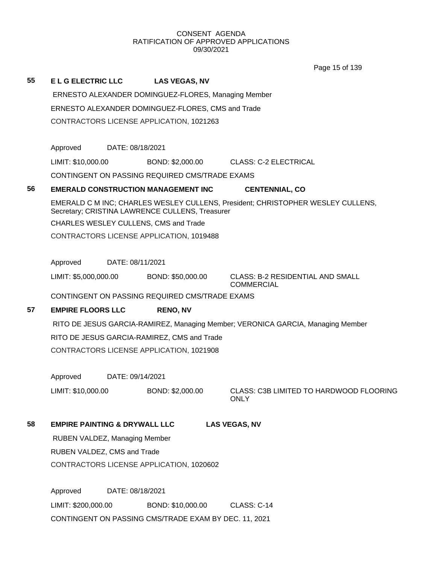Page 15 of 139

| 55 | <b>ELGELECTRICLLC</b>                    |                  | <b>LAS VEGAS, NV</b>                                |                                                                                 |
|----|------------------------------------------|------------------|-----------------------------------------------------|---------------------------------------------------------------------------------|
|    |                                          |                  | ERNESTO ALEXANDER DOMINGUEZ-FLORES, Managing Member |                                                                                 |
|    |                                          |                  | ERNESTO ALEXANDER DOMINGUEZ-FLORES, CMS and Trade   |                                                                                 |
|    |                                          |                  | CONTRACTORS LICENSE APPLICATION, 1021263            |                                                                                 |
|    | Approved                                 | DATE: 08/18/2021 |                                                     |                                                                                 |
|    | LIMIT: \$10,000.00                       |                  | BOND: \$2,000.00                                    | CLASS: C-2 ELECTRICAL                                                           |
|    |                                          |                  | CONTINGENT ON PASSING REQUIRED CMS/TRADE EXAMS      |                                                                                 |
| 56 |                                          |                  | <b>EMERALD CONSTRUCTION MANAGEMENT INC</b>          | <b>CENTENNIAL, CO</b>                                                           |
|    |                                          |                  | Secretary; CRISTINA LAWRENCE CULLENS, Treasurer     | EMERALD C M INC; CHARLES WESLEY CULLENS, President; CHRISTOPHER WESLEY CULLENS, |
|    |                                          |                  | CHARLES WESLEY CULLENS, CMS and Trade               |                                                                                 |
|    |                                          |                  | CONTRACTORS LICENSE APPLICATION, 1019488            |                                                                                 |
|    |                                          |                  |                                                     |                                                                                 |
|    | Approved                                 | DATE: 08/11/2021 |                                                     |                                                                                 |
|    | LIMIT: \$5,000,000.00                    |                  | BOND: \$50,000.00                                   | <b>CLASS: B-2 RESIDENTIAL AND SMALL</b><br><b>COMMERCIAL</b>                    |
|    |                                          |                  | CONTINGENT ON PASSING REQUIRED CMS/TRADE EXAMS      |                                                                                 |
| 57 | <b>EMPIRE FLOORS LLC</b>                 |                  | <b>RENO, NV</b>                                     |                                                                                 |
|    |                                          |                  |                                                     | RITO DE JESUS GARCIA-RAMIREZ, Managing Member; VERONICA GARCIA, Managing Member |
|    |                                          |                  | RITO DE JESUS GARCIA-RAMIREZ, CMS and Trade         |                                                                                 |
|    |                                          |                  | CONTRACTORS LICENSE APPLICATION, 1021908            |                                                                                 |
|    | Approved                                 | DATE: 09/14/2021 |                                                     |                                                                                 |
|    | LIMIT: \$10,000.00                       |                  | BOND: \$2,000.00                                    | CLASS: C3B LIMITED TO HARDWOOD FLOORING<br><b>ONLY</b>                          |
| 58 | <b>EMPIRE PAINTING &amp; DRYWALL LLC</b> |                  |                                                     | <b>LAS VEGAS, NV</b>                                                            |
|    | RUBEN VALDEZ, Managing Member            |                  |                                                     |                                                                                 |
|    | RUBEN VALDEZ, CMS and Trade              |                  |                                                     |                                                                                 |
|    |                                          |                  | CONTRACTORS LICENSE APPLICATION, 1020602            |                                                                                 |
|    | Approved                                 | DATE: 08/18/2021 |                                                     |                                                                                 |

LIMIT: \$200,000.00 BOND: \$10,000.00 CLASS: C-14 CONTINGENT ON PASSING CMS/TRADE EXAM BY DEC. 11, 2021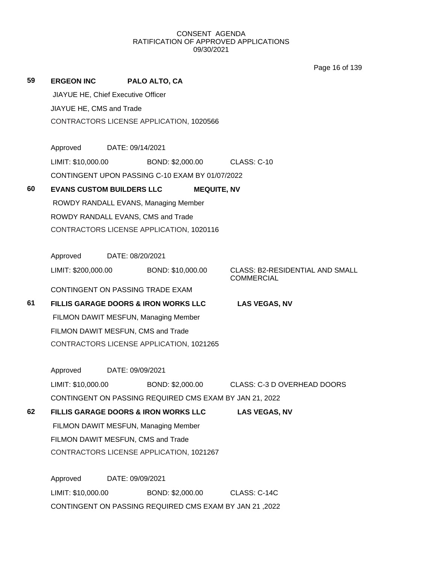Page 16 of 139

| 59 | <b>ERGEON INC</b>                  |                  | PALO ALTO, CA                                           |                                                             |
|----|------------------------------------|------------------|---------------------------------------------------------|-------------------------------------------------------------|
|    | JIAYUE HE, Chief Executive Officer |                  |                                                         |                                                             |
|    | JIAYUE HE, CMS and Trade           |                  |                                                         |                                                             |
|    |                                    |                  | CONTRACTORS LICENSE APPLICATION, 1020566                |                                                             |
|    | Approved                           | DATE: 09/14/2021 |                                                         |                                                             |
|    | LIMIT: \$10,000.00                 |                  | BOND: \$2,000.00                                        | <b>CLASS: C-10</b>                                          |
|    |                                    |                  | CONTINGENT UPON PASSING C-10 EXAM BY 01/07/2022         |                                                             |
|    |                                    |                  |                                                         |                                                             |
| 60 | <b>EVANS CUSTOM BUILDERS LLC</b>   |                  |                                                         | <b>MEQUITE, NV</b>                                          |
|    |                                    |                  | ROWDY RANDALL EVANS, Managing Member                    |                                                             |
|    |                                    |                  | ROWDY RANDALL EVANS, CMS and Trade                      |                                                             |
|    |                                    |                  | CONTRACTORS LICENSE APPLICATION, 1020116                |                                                             |
|    | Approved                           | DATE: 08/20/2021 |                                                         |                                                             |
|    | LIMIT: \$200,000.00                |                  | BOND: \$10,000.00                                       | <b>CLASS: B2-RESIDENTIAL AND SMALL</b><br><b>COMMERCIAL</b> |
|    |                                    |                  | CONTINGENT ON PASSING TRADE EXAM                        |                                                             |
| 61 |                                    |                  | FILLIS GARAGE DOORS & IRON WORKS LLC                    | <b>LAS VEGAS, NV</b>                                        |
|    |                                    |                  | FILMON DAWIT MESFUN, Managing Member                    |                                                             |
|    |                                    |                  | FILMON DAWIT MESFUN, CMS and Trade                      |                                                             |
|    |                                    |                  | CONTRACTORS LICENSE APPLICATION, 1021265                |                                                             |
|    | Approved                           | DATE: 09/09/2021 |                                                         |                                                             |
|    | LIMIT: \$10,000.00                 |                  | BOND: \$2,000.00                                        | CLASS: C-3 D OVERHEAD DOORS                                 |
|    |                                    |                  | CONTINGENT ON PASSING REQUIRED CMS EXAM BY JAN 21, 2022 |                                                             |
| 62 |                                    |                  | <b>FILLIS GARAGE DOORS &amp; IRON WORKS LLC</b>         | <b>LAS VEGAS, NV</b>                                        |
|    |                                    |                  | FILMON DAWIT MESFUN, Managing Member                    |                                                             |
|    |                                    |                  | FILMON DAWIT MESFUN, CMS and Trade                      |                                                             |
|    |                                    |                  | CONTRACTORS LICENSE APPLICATION, 1021267                |                                                             |
|    |                                    |                  |                                                         |                                                             |
|    | Approved                           | DATE: 09/09/2021 |                                                         |                                                             |
|    | LIMIT: \$10,000.00                 |                  | BOND: \$2,000.00                                        | CLASS: C-14C                                                |
|    |                                    |                  | CONTINGENT ON PASSING REQUIRED CMS EXAM BY JAN 21, 2022 |                                                             |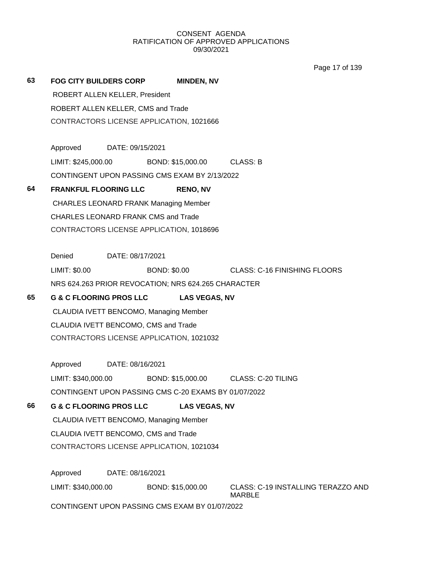Page 17 of 139

| 63 | <b>FOG CITY BUILDERS CORP</b>                |                  |  | <b>MINDEN, NV</b>                                    |                                                     |  |  |
|----|----------------------------------------------|------------------|--|------------------------------------------------------|-----------------------------------------------------|--|--|
|    | ROBERT ALLEN KELLER, President               |                  |  |                                                      |                                                     |  |  |
|    | ROBERT ALLEN KELLER, CMS and Trade           |                  |  |                                                      |                                                     |  |  |
|    | CONTRACTORS LICENSE APPLICATION, 1021666     |                  |  |                                                      |                                                     |  |  |
|    |                                              |                  |  |                                                      |                                                     |  |  |
|    | Approved DATE: 09/15/2021                    |                  |  |                                                      |                                                     |  |  |
|    | LIMIT: \$245,000.00                          |                  |  | BOND: \$15,000.00 CLASS: B                           |                                                     |  |  |
|    |                                              |                  |  | CONTINGENT UPON PASSING CMS EXAM BY 2/13/2022        |                                                     |  |  |
| 64 | <b>FRANKFUL FLOORING LLC</b>                 |                  |  | <b>RENO, NV</b>                                      |                                                     |  |  |
|    | <b>CHARLES LEONARD FRANK Managing Member</b> |                  |  |                                                      |                                                     |  |  |
|    | <b>CHARLES LEONARD FRANK CMS and Trade</b>   |                  |  |                                                      |                                                     |  |  |
|    | CONTRACTORS LICENSE APPLICATION, 1018696     |                  |  |                                                      |                                                     |  |  |
|    |                                              |                  |  |                                                      |                                                     |  |  |
|    | Denied                                       | DATE: 08/17/2021 |  |                                                      |                                                     |  |  |
|    | LIMIT: \$0.00                                |                  |  |                                                      | BOND: \$0.00 CLASS: C-16 FINISHING FLOORS           |  |  |
|    |                                              |                  |  | NRS 624.263 PRIOR REVOCATION; NRS 624.265 CHARACTER  |                                                     |  |  |
| 65 | <b>G &amp; C FLOORING PROS LLC</b>           |                  |  | <b>LAS VEGAS, NV</b>                                 |                                                     |  |  |
|    | CLAUDIA IVETT BENCOMO, Managing Member       |                  |  |                                                      |                                                     |  |  |
|    | CLAUDIA IVETT BENCOMO, CMS and Trade         |                  |  |                                                      |                                                     |  |  |
|    | CONTRACTORS LICENSE APPLICATION, 1021032     |                  |  |                                                      |                                                     |  |  |
|    | Approved DATE: 08/16/2021                    |                  |  |                                                      |                                                     |  |  |
|    | LIMIT: \$340,000.00                          |                  |  |                                                      | BOND: \$15,000.00 CLASS: C-20 TILING                |  |  |
|    |                                              |                  |  | CONTINGENT UPON PASSING CMS C-20 EXAMS BY 01/07/2022 |                                                     |  |  |
| 66 | <b>G &amp; C FLOORING PROS LLC</b>           |                  |  | <b>LAS VEGAS, NV</b>                                 |                                                     |  |  |
|    | CLAUDIA IVETT BENCOMO, Managing Member       |                  |  |                                                      |                                                     |  |  |
|    | CLAUDIA IVETT BENCOMO, CMS and Trade         |                  |  |                                                      |                                                     |  |  |
|    | CONTRACTORS LICENSE APPLICATION, 1021034     |                  |  |                                                      |                                                     |  |  |
|    |                                              |                  |  |                                                      |                                                     |  |  |
|    | Approved                                     | DATE: 08/16/2021 |  |                                                      |                                                     |  |  |
|    | LIMIT: \$340,000.00                          |                  |  | BOND: \$15,000.00                                    | CLASS: C-19 INSTALLING TERAZZO AND<br><b>MARBLE</b> |  |  |
|    |                                              |                  |  | CONTINGENT UPON PASSING CMS EXAM BY 01/07/2022       |                                                     |  |  |
|    |                                              |                  |  |                                                      |                                                     |  |  |
|    |                                              |                  |  |                                                      |                                                     |  |  |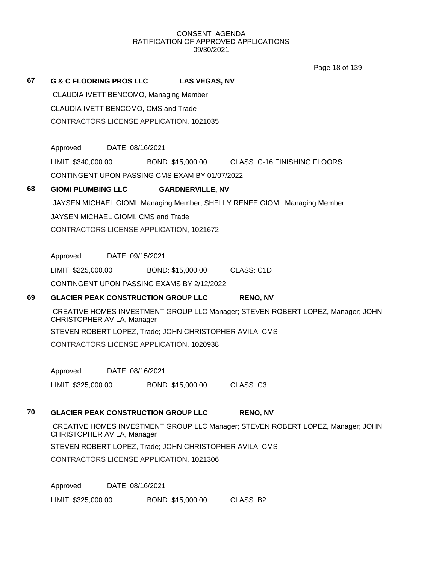Page 18 of 139

# **67 G & C FLOORING PROS LLC LAS VEGAS, NV** CLAUDIA IVETT BENCOMO, Managing Member CLAUDIA IVETT BENCOMO, CMS and Trade CONTRACTORS LICENSE APPLICATION, 1021035 Approved DATE: 08/16/2021 LIMIT: \$340,000.00 BOND: \$15,000.00 CLASS: C-16 FINISHING FLOORS CONTINGENT UPON PASSING CMS EXAM BY 01/07/2022 **68 GIOMI PLUMBING LLC GARDNERVILLE, NV** JAYSEN MICHAEL GIOMI, Managing Member; SHELLY RENEE GIOMI, Managing Member JAYSEN MICHAEL GIOMI, CMS and Trade CONTRACTORS LICENSE APPLICATION, 1021672 Approved DATE: 09/15/2021 LIMIT: \$225,000.00 BOND: \$15,000.00 CLASS: C1D CONTINGENT UPON PASSING EXAMS BY 2/12/2022 **69 GLACIER PEAK CONSTRUCTION GROUP LLC RENO, NV** CREATIVE HOMES INVESTMENT GROUP LLC Manager; STEVEN ROBERT LOPEZ, Manager; JOHN CHRISTOPHER AVILA, Manager STEVEN ROBERT LOPEZ, Trade; JOHN CHRISTOPHER AVILA, CMS CONTRACTORS LICENSE APPLICATION, 1020938 Approved DATE: 08/16/2021 LIMIT: \$325,000.00 BOND: \$15,000.00 CLASS: C3 **70 GLACIER PEAK CONSTRUCTION GROUP LLC RENO, NV** CREATIVE HOMES INVESTMENT GROUP LLC Manager; STEVEN ROBERT LOPEZ, Manager; JOHN CHRISTOPHER AVILA, Manager STEVEN ROBERT LOPEZ, Trade; JOHN CHRISTOPHER AVILA, CMS CONTRACTORS LICENSE APPLICATION, 1021306 Approved DATE: 08/16/2021 LIMIT: \$325,000.00 BOND: \$15,000.00 CLASS: B2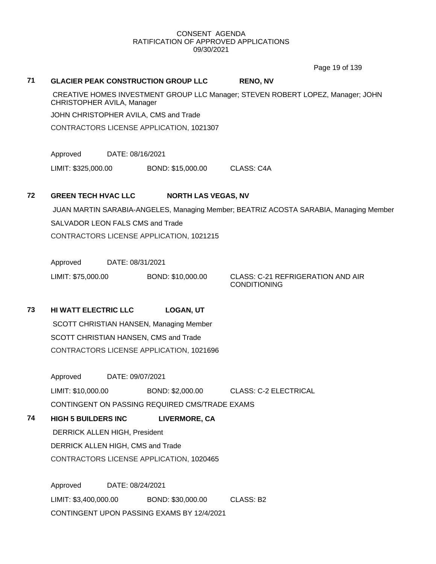Page 19 of 139

#### **71 GLACIER PEAK CONSTRUCTION GROUP LLC RENO, NV**

CREATIVE HOMES INVESTMENT GROUP LLC Manager; STEVEN ROBERT LOPEZ, Manager; JOHN CHRISTOPHER AVILA, Manager

JOHN CHRISTOPHER AVILA, CMS and Trade

CONTRACTORS LICENSE APPLICATION, 1021307

Approved DATE: 08/16/2021

LIMIT: \$325,000.00 BOND: \$15,000.00 CLASS: C4A

## **72 GREEN TECH HVAC LLC NORTH LAS VEGAS, NV**

JUAN MARTIN SARABIA-ANGELES, Managing Member; BEATRIZ ACOSTA SARABIA, Managing Member SALVADOR LEON FALS CMS and Trade CONTRACTORS LICENSE APPLICATION, 1021215

Approved DATE: 08/31/2021

LIMIT: \$75,000.00 BOND: \$10,000.00 CLASS: C-21 REFRIGERATION AND AIR

CONDITIONING

**73 HI WATT ELECTRIC LLC LOGAN, UT** SCOTT CHRISTIAN HANSEN, Managing Member SCOTT CHRISTIAN HANSEN, CMS and Trade CONTRACTORS LICENSE APPLICATION, 1021696

> Approved DATE: 09/07/2021 LIMIT: \$10,000.00 BOND: \$2,000.00 CLASS: C-2 ELECTRICAL CONTINGENT ON PASSING REQUIRED CMS/TRADE EXAMS

**74 HIGH 5 BUILDERS INC LIVERMORE, CA**

DERRICK ALLEN HIGH, President

DERRICK ALLEN HIGH, CMS and Trade

CONTRACTORS LICENSE APPLICATION, 1020465

Approved DATE: 08/24/2021 LIMIT: \$3,400,000.00 BOND: \$30,000.00 CLASS: B2 CONTINGENT UPON PASSING EXAMS BY 12/4/2021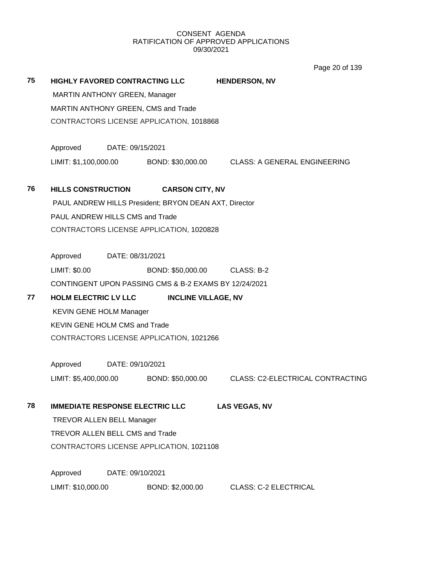Page 20 of 139

| 75 | <b>HIGHLY FAVORED CONTRACTING LLC</b> |                                 |                                                       | <b>HENDERSON, NV</b>                           |  |  |  |  |
|----|---------------------------------------|---------------------------------|-------------------------------------------------------|------------------------------------------------|--|--|--|--|
|    | <b>MARTIN ANTHONY GREEN, Manager</b>  |                                 |                                                       |                                                |  |  |  |  |
|    |                                       |                                 | MARTIN ANTHONY GREEN, CMS and Trade                   |                                                |  |  |  |  |
|    |                                       |                                 | CONTRACTORS LICENSE APPLICATION, 1018868              |                                                |  |  |  |  |
|    | Approved                              | DATE: 09/15/2021                |                                                       |                                                |  |  |  |  |
|    | LIMIT: \$1,100,000.00                 |                                 |                                                       | BOND: \$30,000.00 CLASS: A GENERAL ENGINEERING |  |  |  |  |
| 76 | <b>HILLS CONSTRUCTION</b>             |                                 | <b>CARSON CITY, NV</b>                                |                                                |  |  |  |  |
|    |                                       |                                 | PAUL ANDREW HILLS President; BRYON DEAN AXT, Director |                                                |  |  |  |  |
|    | PAUL ANDREW HILLS CMS and Trade       |                                 |                                                       |                                                |  |  |  |  |
|    |                                       |                                 | CONTRACTORS LICENSE APPLICATION, 1020828              |                                                |  |  |  |  |
|    | Approved                              | DATE: 08/31/2021                |                                                       |                                                |  |  |  |  |
|    | LIMIT: \$0.00                         |                                 | BOND: \$50,000.00 CLASS: B-2                          |                                                |  |  |  |  |
|    |                                       |                                 | CONTINGENT UPON PASSING CMS & B-2 EXAMS BY 12/24/2021 |                                                |  |  |  |  |
| 77 | <b>HOLM ELECTRIC LV LLC</b>           |                                 | <b>INCLINE VILLAGE, NV</b>                            |                                                |  |  |  |  |
|    | <b>KEVIN GENE HOLM Manager</b>        |                                 |                                                       |                                                |  |  |  |  |
|    | <b>KEVIN GENE HOLM CMS and Trade</b>  |                                 |                                                       |                                                |  |  |  |  |
|    |                                       |                                 | CONTRACTORS LICENSE APPLICATION, 1021266              |                                                |  |  |  |  |
|    | Approved                              | DATE: 09/10/2021                |                                                       |                                                |  |  |  |  |
|    | LIMIT: \$5,400,000.00                 |                                 | BOND: \$50,000.00                                     | <b>CLASS: C2-ELECTRICAL CONTRACTING</b>        |  |  |  |  |
| 78 |                                       |                                 | <b>IMMEDIATE RESPONSE ELECTRIC LLC</b>                | <b>LAS VEGAS, NV</b>                           |  |  |  |  |
|    | <b>TREVOR ALLEN BELL Manager</b>      |                                 |                                                       |                                                |  |  |  |  |
|    |                                       | TREVOR ALLEN BELL CMS and Trade |                                                       |                                                |  |  |  |  |
|    |                                       |                                 | CONTRACTORS LICENSE APPLICATION, 1021108              |                                                |  |  |  |  |
|    | Approved                              | DATE: 09/10/2021                |                                                       |                                                |  |  |  |  |
|    | LIMIT: \$10,000.00                    |                                 | BOND: \$2,000.00                                      | <b>CLASS: C-2 ELECTRICAL</b>                   |  |  |  |  |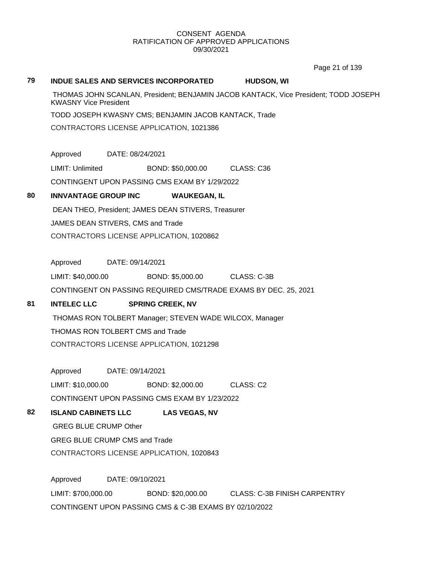Page 21 of 139

#### **79 INDUE SALES AND SERVICES INCORPORATED HUDSON, WI**

THOMAS JOHN SCANLAN, President; BENJAMIN JACOB KANTACK, Vice President; TODD JOSEPH KWASNY Vice President

TODD JOSEPH KWASNY CMS; BENJAMIN JACOB KANTACK, Trade

CONTRACTORS LICENSE APPLICATION, 1021386

Approved DATE: 08/24/2021

LIMIT: Unlimited BOND: \$50,000.00 CLASS: C36

CONTINGENT UPON PASSING CMS EXAM BY 1/29/2022

## **80 INNVANTAGE GROUP INC WAUKEGAN, IL**

DEAN THEO, President; JAMES DEAN STIVERS, Treasurer JAMES DEAN STIVERS, CMS and Trade CONTRACTORS LICENSE APPLICATION, 1020862

Approved DATE: 09/14/2021

LIMIT: \$40,000.00 BOND: \$5,000.00 CLASS: C-3B

CONTINGENT ON PASSING REQUIRED CMS/TRADE EXAMS BY DEC. 25, 2021

## **81 INTELEC LLC SPRING CREEK, NV**

THOMAS RON TOLBERT Manager; STEVEN WADE WILCOX, Manager THOMAS RON TOLBERT CMS and Trade CONTRACTORS LICENSE APPLICATION, 1021298

Approved DATE: 09/14/2021 LIMIT: \$10,000.00 BOND: \$2,000.00 CLASS: C2 CONTINGENT UPON PASSING CMS EXAM BY 1/23/2022

## **82 ISLAND CABINETS LLC LAS VEGAS, NV**

GREG BLUE CRUMP Other GREG BLUE CRUMP CMS and Trade

CONTRACTORS LICENSE APPLICATION, 1020843

Approved DATE: 09/10/2021 LIMIT: \$700,000.00 BOND: \$20,000.00 CLASS: C-3B FINISH CARPENTRY CONTINGENT UPON PASSING CMS & C-3B EXAMS BY 02/10/2022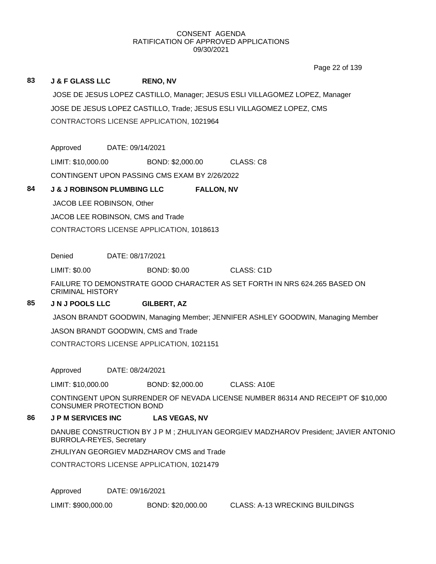Page 22 of 139

## **83 J & F GLASS LLC RENO, NV** JOSE DE JESUS LOPEZ CASTILLO, Manager; JESUS ESLI VILLAGOMEZ LOPEZ, Manager JOSE DE JESUS LOPEZ CASTILLO, Trade; JESUS ESLI VILLAGOMEZ LOPEZ, CMS CONTRACTORS LICENSE APPLICATION, 1021964 Approved DATE: 09/14/2021 LIMIT: \$10,000.00 BOND: \$2,000.00 CLASS: C8 CONTINGENT UPON PASSING CMS EXAM BY 2/26/2022 **84 J & J ROBINSON PLUMBING LLC FALLON, NV** JACOB LEE ROBINSON, Other JACOB LEE ROBINSON, CMS and Trade CONTRACTORS LICENSE APPLICATION, 1018613 Denied DATE: 08/17/2021 LIMIT: \$0.00 BOND: \$0.00 CLASS: C1D FAILURE TO DEMONSTRATE GOOD CHARACTER AS SET FORTH IN NRS 624.265 BASED ON CRIMINAL HISTORY **85 J N J POOLS LLC GILBERT, AZ** JASON BRANDT GOODWIN, Managing Member; JENNIFER ASHLEY GOODWIN, Managing Member JASON BRANDT GOODWIN, CMS and Trade CONTRACTORS LICENSE APPLICATION, 1021151 Approved DATE: 08/24/2021 LIMIT: \$10,000.00 BOND: \$2,000.00 CLASS: A10E CONTINGENT UPON SURRENDER OF NEVADA LICENSE NUMBER 86314 AND RECEIPT OF \$10,000 CONSUMER PROTECTION BOND **86 J P M SERVICES INC LAS VEGAS, NV** DANUBE CONSTRUCTION BY J P M ; ZHULIYAN GEORGIEV MADZHAROV President; JAVIER ANTONIO BURROLA-REYES, Secretary ZHULIYAN GEORGIEV MADZHAROV CMS and Trade

CONTRACTORS LICENSE APPLICATION, 1021479

Approved DATE: 09/16/2021

LIMIT: \$900,000.00 BOND: \$20,000.00 CLASS: A-13 WRECKING BUILDINGS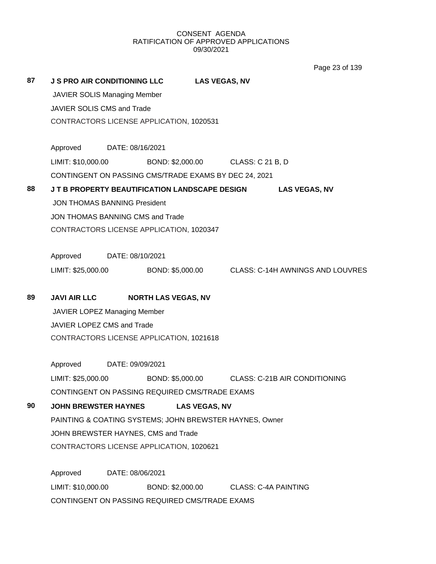Page 23 of 139

| 87 | <b>J S PRO AIR CONDITIONING LLC</b>                                  |                  |                  | <b>LAS VEGAS, NV</b> |                             |                      |  |
|----|----------------------------------------------------------------------|------------------|------------------|----------------------|-----------------------------|----------------------|--|
|    | JAVIER SOLIS Managing Member                                         |                  |                  |                      |                             |                      |  |
|    | JAVIER SOLIS CMS and Trade                                           |                  |                  |                      |                             |                      |  |
|    | CONTRACTORS LICENSE APPLICATION, 1020531                             |                  |                  |                      |                             |                      |  |
|    | Approved DATE: 08/16/2021                                            |                  |                  |                      |                             |                      |  |
|    |                                                                      |                  |                  |                      |                             |                      |  |
|    | LIMIT: \$10,000.00 BOND: \$2,000.00 CLASS: C 21 B, D                 |                  |                  |                      |                             |                      |  |
|    | CONTINGENT ON PASSING CMS/TRADE EXAMS BY DEC 24, 2021                |                  |                  |                      |                             |                      |  |
| 88 | J T B PROPERTY BEAUTIFICATION LANDSCAPE DESIGN                       |                  |                  |                      |                             | <b>LAS VEGAS, NV</b> |  |
|    | <b>JON THOMAS BANNING President</b>                                  |                  |                  |                      |                             |                      |  |
|    | JON THOMAS BANNING CMS and Trade                                     |                  |                  |                      |                             |                      |  |
|    | CONTRACTORS LICENSE APPLICATION, 1020347                             |                  |                  |                      |                             |                      |  |
|    | Approved DATE: 08/10/2021                                            |                  |                  |                      |                             |                      |  |
|    | LIMIT: \$25,000.00 BOND: \$5,000.00 CLASS: C-14H AWNINGS AND LOUVRES |                  |                  |                      |                             |                      |  |
| 89 |                                                                      |                  |                  |                      |                             |                      |  |
|    | JAVI AIR LLC NORTH LAS VEGAS, NV                                     |                  |                  |                      |                             |                      |  |
|    | JAVIER LOPEZ Managing Member                                         |                  |                  |                      |                             |                      |  |
|    | JAVIER LOPEZ CMS and Trade                                           |                  |                  |                      |                             |                      |  |
|    | CONTRACTORS LICENSE APPLICATION, 1021618                             |                  |                  |                      |                             |                      |  |
|    | Approved                                                             | DATE: 09/09/2021 |                  |                      |                             |                      |  |
|    | LIMIT: \$25,000.00 BOND: \$5,000.00 CLASS: C-21B AIR CONDITIONING    |                  |                  |                      |                             |                      |  |
|    | CONTINGENT ON PASSING REQUIRED CMS/TRADE EXAMS                       |                  |                  |                      |                             |                      |  |
| 90 | <b>JOHN BREWSTER HAYNES</b>                                          |                  |                  | <b>LAS VEGAS, NV</b> |                             |                      |  |
|    | PAINTING & COATING SYSTEMS; JOHN BREWSTER HAYNES, Owner              |                  |                  |                      |                             |                      |  |
|    | JOHN BREWSTER HAYNES, CMS and Trade                                  |                  |                  |                      |                             |                      |  |
|    | CONTRACTORS LICENSE APPLICATION, 1020621                             |                  |                  |                      |                             |                      |  |
|    | Approved                                                             | DATE: 08/06/2021 |                  |                      |                             |                      |  |
|    | LIMIT: \$10,000.00                                                   |                  | BOND: \$2,000.00 |                      | <b>CLASS: C-4A PAINTING</b> |                      |  |
|    | CONTINGENT ON PASSING REQUIRED CMS/TRADE EXAMS                       |                  |                  |                      |                             |                      |  |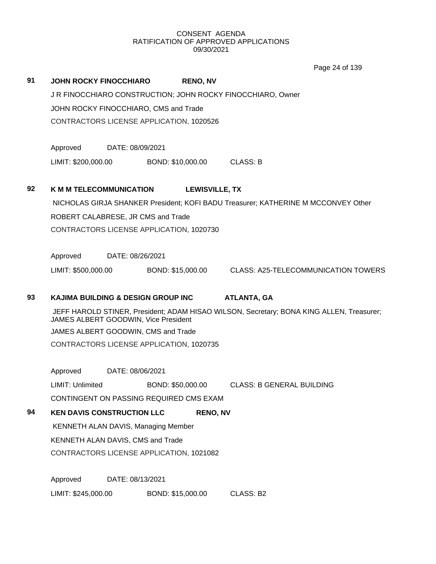Page 24 of 139

|    |                                               |                  |                   |                       | Page 24 of 139                                                                           |
|----|-----------------------------------------------|------------------|-------------------|-----------------------|------------------------------------------------------------------------------------------|
| 91 | <b>JOHN ROCKY FINOCCHIARO</b>                 |                  |                   | <b>RENO, NV</b>       |                                                                                          |
|    |                                               |                  |                   |                       | J R FINOCCHIARO CONSTRUCTION; JOHN ROCKY FINOCCHIARO, Owner                              |
|    | JOHN ROCKY FINOCCHIARO, CMS and Trade         |                  |                   |                       |                                                                                          |
|    | CONTRACTORS LICENSE APPLICATION, 1020526      |                  |                   |                       |                                                                                          |
|    |                                               |                  |                   |                       |                                                                                          |
|    | Approved                                      | DATE: 08/09/2021 |                   |                       |                                                                                          |
|    | LIMIT: \$200,000.00                           |                  | BOND: \$10,000.00 |                       | <b>CLASS: B</b>                                                                          |
|    |                                               |                  |                   |                       |                                                                                          |
| 92 | <b>K M M TELECOMMUNICATION</b>                |                  |                   | <b>LEWISVILLE, TX</b> |                                                                                          |
|    |                                               |                  |                   |                       | NICHOLAS GIRJA SHANKER President; KOFI BADU Treasurer; KATHERINE M MCCONVEY Other        |
|    | ROBERT CALABRESE, JR CMS and Trade            |                  |                   |                       |                                                                                          |
|    | CONTRACTORS LICENSE APPLICATION, 1020730      |                  |                   |                       |                                                                                          |
|    |                                               |                  |                   |                       |                                                                                          |
|    | Approved                                      | DATE: 08/26/2021 |                   |                       |                                                                                          |
|    | LIMIT: \$500,000.00                           |                  | BOND: \$15,000.00 |                       | <b>CLASS: A25-TELECOMMUNICATION TOWERS</b>                                               |
|    |                                               |                  |                   |                       |                                                                                          |
| 93 | <b>KAJIMA BUILDING &amp; DESIGN GROUP INC</b> |                  |                   |                       | <b>ATLANTA, GA</b>                                                                       |
|    | JAMES ALBERT GOODWIN, Vice President          |                  |                   |                       | JEFF HAROLD STINER, President; ADAM HISAO WILSON, Secretary; BONA KING ALLEN, Treasurer; |
|    | JAMES ALBERT GOODWIN, CMS and Trade           |                  |                   |                       |                                                                                          |
|    | CONTRACTORS LICENSE APPLICATION, 1020735      |                  |                   |                       |                                                                                          |
|    |                                               |                  |                   |                       |                                                                                          |
|    | Approved                                      | DATE: 08/06/2021 |                   |                       |                                                                                          |
|    | LIMIT: Unlimited                              |                  | BOND: \$50,000.00 |                       | <b>CLASS: B GENERAL BUILDING</b>                                                         |
|    | CONTINGENT ON PASSING REQUIRED CMS EXAM       |                  |                   |                       |                                                                                          |
| 94 | <b>KEN DAVIS CONSTRUCTION LLC</b>             |                  |                   | <b>RENO, NV</b>       |                                                                                          |
|    | KENNETH ALAN DAVIS, Managing Member           |                  |                   |                       |                                                                                          |
|    | KENNETH ALAN DAVIS, CMS and Trade             |                  |                   |                       |                                                                                          |
|    | CONTRACTORS LICENSE APPLICATION, 1021082      |                  |                   |                       |                                                                                          |
|    |                                               |                  |                   |                       |                                                                                          |
|    | Approved                                      | DATE: 08/13/2021 |                   |                       |                                                                                          |
|    |                                               |                  |                   |                       |                                                                                          |

LIMIT: \$245,000.00 BOND: \$15,000.00 CLASS: B2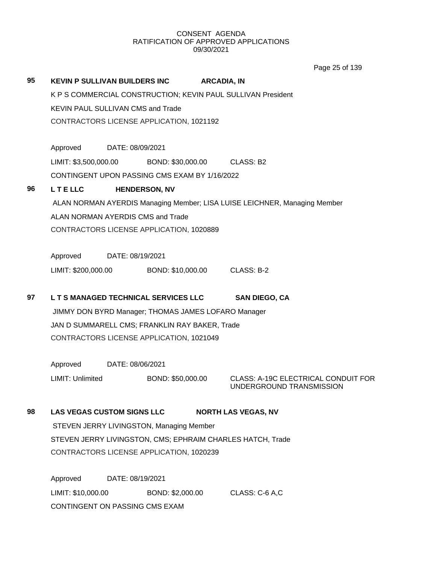|    |                                                                                                             |                  |                                                   | Page 25 of 139                             |  |  |  |
|----|-------------------------------------------------------------------------------------------------------------|------------------|---------------------------------------------------|--------------------------------------------|--|--|--|
| 95 | <b>KEVIN P SULLIVAN BUILDERS INC</b><br><b>ARCADIA, IN</b>                                                  |                  |                                                   |                                            |  |  |  |
|    | K P S COMMERCIAL CONSTRUCTION; KEVIN PAUL SULLIVAN President                                                |                  |                                                   |                                            |  |  |  |
|    | <b>KEVIN PAUL SULLIVAN CMS and Trade</b>                                                                    |                  |                                                   |                                            |  |  |  |
|    | CONTRACTORS LICENSE APPLICATION, 1021192                                                                    |                  |                                                   |                                            |  |  |  |
|    |                                                                                                             |                  |                                                   |                                            |  |  |  |
|    | Approved                                                                                                    | DATE: 08/09/2021 |                                                   |                                            |  |  |  |
|    |                                                                                                             |                  | LIMIT: \$3,500,000.00 BOND: \$30,000.00 CLASS: B2 |                                            |  |  |  |
|    | CONTINGENT UPON PASSING CMS EXAM BY 1/16/2022                                                               |                  |                                                   |                                            |  |  |  |
| 96 | <b>LTELLC</b>                                                                                               |                  | <b>HENDERSON, NV</b>                              |                                            |  |  |  |
|    | ALAN NORMAN AYERDIS Managing Member; LISA LUISE LEICHNER, Managing Member                                   |                  |                                                   |                                            |  |  |  |
|    | ALAN NORMAN AYERDIS CMS and Trade                                                                           |                  |                                                   |                                            |  |  |  |
|    | CONTRACTORS LICENSE APPLICATION, 1020889                                                                    |                  |                                                   |                                            |  |  |  |
|    |                                                                                                             |                  |                                                   |                                            |  |  |  |
|    | Approved                                                                                                    | DATE: 08/19/2021 |                                                   |                                            |  |  |  |
|    |                                                                                                             |                  | LIMIT: \$200,000.00 BOND: \$10,000.00             | CLASS: B-2                                 |  |  |  |
| 97 |                                                                                                             |                  |                                                   | <b>SAN DIEGO, CA</b>                       |  |  |  |
|    | L T S MANAGED TECHNICAL SERVICES LLC<br>JIMMY DON BYRD Manager; THOMAS JAMES LOFARO Manager                 |                  |                                                   |                                            |  |  |  |
|    | JAN D SUMMARELL CMS; FRANKLIN RAY BAKER, Trade                                                              |                  |                                                   |                                            |  |  |  |
|    | CONTRACTORS LICENSE APPLICATION, 1021049                                                                    |                  |                                                   |                                            |  |  |  |
|    |                                                                                                             |                  |                                                   |                                            |  |  |  |
|    | Approved                                                                                                    | DATE: 08/06/2021 |                                                   |                                            |  |  |  |
|    | <b>LIMIT: Unlimited</b>                                                                                     |                  | BOND: \$50,000.00                                 | <b>CLASS: A-19C ELECTRICAL CONDUIT FOR</b> |  |  |  |
|    |                                                                                                             |                  |                                                   | UNDERGROUND TRANSMISSION                   |  |  |  |
| 98 |                                                                                                             |                  |                                                   |                                            |  |  |  |
|    | <b>LAS VEGAS CUSTOM SIGNS LLC</b><br><b>NORTH LAS VEGAS, NV</b><br>STEVEN JERRY LIVINGSTON, Managing Member |                  |                                                   |                                            |  |  |  |
|    | STEVEN JERRY LIVINGSTON, CMS; EPHRAIM CHARLES HATCH, Trade                                                  |                  |                                                   |                                            |  |  |  |
|    | CONTRACTORS LICENSE APPLICATION, 1020239                                                                    |                  |                                                   |                                            |  |  |  |
|    |                                                                                                             |                  |                                                   |                                            |  |  |  |
|    | Approved                                                                                                    |                  | DATE: 08/19/2021                                  |                                            |  |  |  |
|    | LIMIT: \$10,000.00                                                                                          |                  | BOND: \$2,000.00                                  | CLASS: C-6 A,C                             |  |  |  |

CONTINGENT ON PASSING CMS EXAM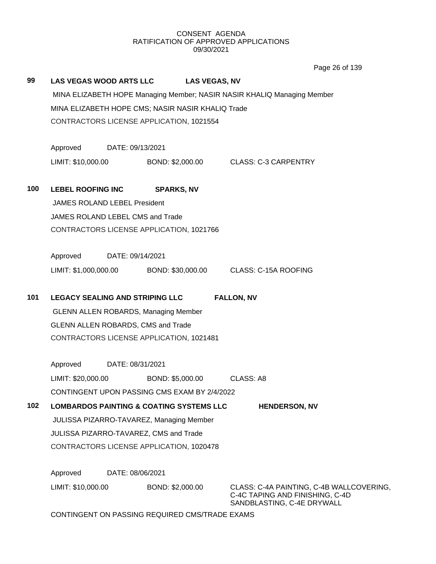Page 26 of 139

| 99  | <b>LAS VEGAS WOOD ARTS LLC</b>                                              | <b>LAS VEGAS, NV</b><br>MINA ELIZABETH HOPE CMS; NASIR NASIR KHALIQ Trade<br>CONTRACTORS LICENSE APPLICATION, 1021554 | MINA ELIZABETH HOPE Managing Member; NASIR NASIR KHALIQ Managing Member                                   |  |  |  |  |
|-----|-----------------------------------------------------------------------------|-----------------------------------------------------------------------------------------------------------------------|-----------------------------------------------------------------------------------------------------------|--|--|--|--|
|     | Approved                                                                    | DATE: 09/13/2021                                                                                                      |                                                                                                           |  |  |  |  |
|     | LIMIT: \$10,000.00                                                          |                                                                                                                       | BOND: \$2,000.00 CLASS: C-3 CARPENTRY                                                                     |  |  |  |  |
| 100 | <b>LEBEL ROOFING INC</b><br><b>JAMES ROLAND LEBEL President</b>             | <b>SPARKS, NV</b>                                                                                                     |                                                                                                           |  |  |  |  |
|     | JAMES ROLAND LEBEL CMS and Trade                                            |                                                                                                                       |                                                                                                           |  |  |  |  |
|     | CONTRACTORS LICENSE APPLICATION, 1021766                                    |                                                                                                                       |                                                                                                           |  |  |  |  |
|     | Approved<br>DATE: 09/14/2021                                                |                                                                                                                       |                                                                                                           |  |  |  |  |
|     |                                                                             | LIMIT: \$1,000,000.00 BOND: \$30,000.00 CLASS: C-15A ROOFING                                                          |                                                                                                           |  |  |  |  |
|     |                                                                             |                                                                                                                       |                                                                                                           |  |  |  |  |
| 101 | <b>LEGACY SEALING AND STRIPING LLC</b>                                      | <b>FALLON, NV</b>                                                                                                     |                                                                                                           |  |  |  |  |
|     | <b>GLENN ALLEN ROBARDS, Managing Member</b>                                 |                                                                                                                       |                                                                                                           |  |  |  |  |
|     |                                                                             | GLENN ALLEN ROBARDS, CMS and Trade                                                                                    |                                                                                                           |  |  |  |  |
|     | CONTRACTORS LICENSE APPLICATION, 1021481                                    |                                                                                                                       |                                                                                                           |  |  |  |  |
|     | Approved                                                                    | DATE: 08/31/2021                                                                                                      |                                                                                                           |  |  |  |  |
|     | LIMIT: \$20,000.00                                                          | BOND: \$5,000.00                                                                                                      | CLASS: A8                                                                                                 |  |  |  |  |
|     | CONTINGENT UPON PASSING CMS EXAM BY 2/4/2022                                |                                                                                                                       |                                                                                                           |  |  |  |  |
| 102 | <b>LOMBARDOS PAINTING &amp; COATING SYSTEMS LLC</b><br><b>HENDERSON, NV</b> |                                                                                                                       |                                                                                                           |  |  |  |  |
|     | JULISSA PIZARRO-TAVAREZ, Managing Member                                    |                                                                                                                       |                                                                                                           |  |  |  |  |
|     | JULISSA PIZARRO-TAVAREZ, CMS and Trade                                      |                                                                                                                       |                                                                                                           |  |  |  |  |
|     | CONTRACTORS LICENSE APPLICATION, 1020478                                    |                                                                                                                       |                                                                                                           |  |  |  |  |
|     | Approved                                                                    | DATE: 08/06/2021                                                                                                      |                                                                                                           |  |  |  |  |
|     | LIMIT: \$10,000.00                                                          | BOND: \$2,000.00                                                                                                      | CLASS: C-4A PAINTING, C-4B WALLCOVERING,<br>C-4C TAPING AND FINISHING, C-4D<br>SANDBLASTING, C-4E DRYWALL |  |  |  |  |

CONTINGENT ON PASSING REQUIRED CMS/TRADE EXAMS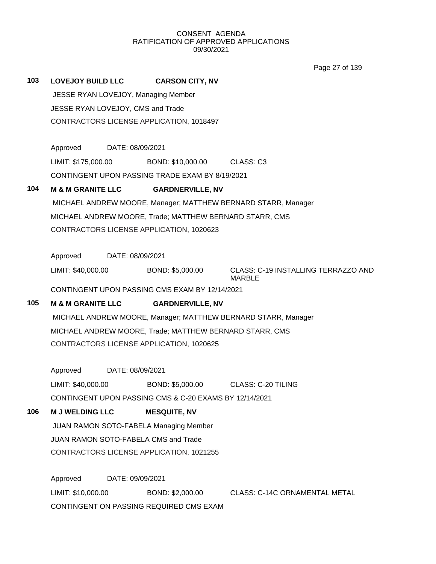Page 27 of 139

**103 LOVEJOY BUILD LLC CARSON CITY, NV** JESSE RYAN LOVEJOY, Managing Member

> JESSE RYAN LOVEJOY, CMS and Trade CONTRACTORS LICENSE APPLICATION, 1018497

Approved DATE: 08/09/2021

LIMIT: \$175,000.00 BOND: \$10,000.00 CLASS: C3

CONTINGENT UPON PASSING TRADE EXAM BY 8/19/2021

## **104 M & M GRANITE LLC GARDNERVILLE, NV**

MICHAEL ANDREW MOORE, Manager; MATTHEW BERNARD STARR, Manager MICHAEL ANDREW MOORE, Trade; MATTHEW BERNARD STARR, CMS CONTRACTORS LICENSE APPLICATION, 1020623

Approved DATE: 08/09/2021

LIMIT: \$40,000.00 BOND: \$5,000.00 CLASS: C-19 INSTALLING TERRAZZO AND

MARBLE

CONTINGENT UPON PASSING CMS EXAM BY 12/14/2021

## **105 M & M GRANITE LLC GARDNERVILLE, NV**

MICHAEL ANDREW MOORE, Manager; MATTHEW BERNARD STARR, Manager MICHAEL ANDREW MOORE, Trade; MATTHEW BERNARD STARR, CMS CONTRACTORS LICENSE APPLICATION, 1020625

Approved DATE: 08/09/2021

LIMIT: \$40,000.00 BOND: \$5,000.00 CLASS: C-20 TILING

CONTINGENT UPON PASSING CMS & C-20 EXAMS BY 12/14/2021

## **106 M J WELDING LLC MESQUITE, NV**

JUAN RAMON SOTO-FABELA Managing Member

JUAN RAMON SOTO-FABELA CMS and Trade

CONTRACTORS LICENSE APPLICATION, 1021255

Approved DATE: 09/09/2021 LIMIT: \$10,000.00 BOND: \$2,000.00 CLASS: C-14C ORNAMENTAL METAL CONTINGENT ON PASSING REQUIRED CMS EXAM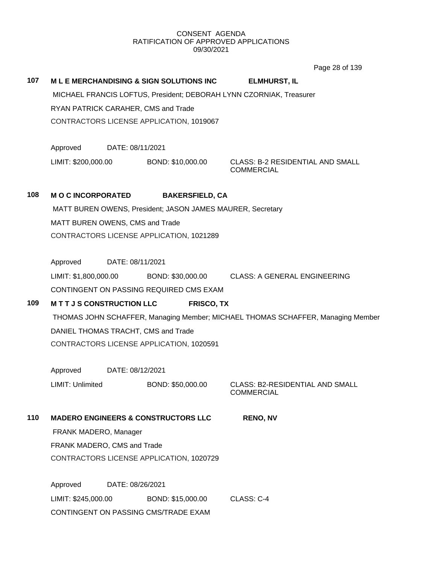Page 28 of 139

**107 M L E MERCHANDISING & SIGN SOLUTIONS INC ELMHURST, IL** MICHAEL FRANCIS LOFTUS, President; DEBORAH LYNN CZORNIAK, Treasurer RYAN PATRICK CARAHER, CMS and Trade CONTRACTORS LICENSE APPLICATION, 1019067 Approved DATE: 08/11/2021 LIMIT: \$200,000.00 BOND: \$10,000.00 CLASS: B-2 RESIDENTIAL AND SMALL **COMMERCIAL 108 M O C INCORPORATED BAKERSFIELD, CA** MATT BUREN OWENS, President; JASON JAMES MAURER, Secretary MATT BUREN OWENS, CMS and Trade CONTRACTORS LICENSE APPLICATION, 1021289 Approved DATE: 08/11/2021 LIMIT: \$1,800,000.00 BOND: \$30,000.00 CLASS: A GENERAL ENGINEERING CONTINGENT ON PASSING REQUIRED CMS EXAM **109 M T T J S CONSTRUCTION LLC FRISCO, TX** THOMAS JOHN SCHAFFER, Managing Member; MICHAEL THOMAS SCHAFFER, Managing Member DANIEL THOMAS TRACHT, CMS and Trade CONTRACTORS LICENSE APPLICATION, 1020591 Approved DATE: 08/12/2021 LIMIT: Unlimited BOND: \$50,000.00 CLASS: B2-RESIDENTIAL AND SMALL COMMERCIAL **110 MADERO ENGINEERS & CONSTRUCTORS LLC RENO, NV** FRANK MADERO, Manager FRANK MADERO, CMS and Trade CONTRACTORS LICENSE APPLICATION, 1020729 Approved DATE: 08/26/2021

LIMIT: \$245,000.00 BOND: \$15,000.00 CLASS: C-4 CONTINGENT ON PASSING CMS/TRADE EXAM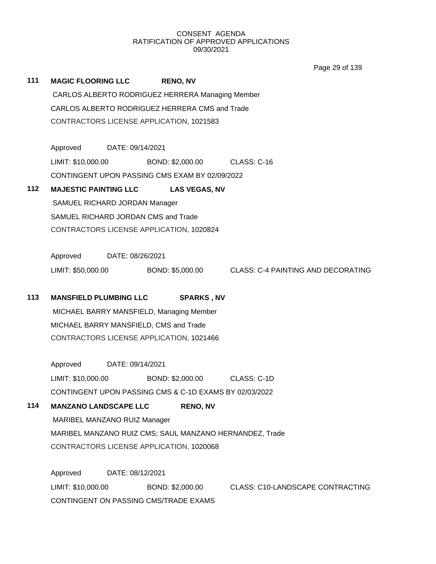Page 29 of 139

| 111 | <b>MAGIC FLOORING LLC</b>                               |                  | <b>RENO, NV</b>  |                                           |  |  |  |
|-----|---------------------------------------------------------|------------------|------------------|-------------------------------------------|--|--|--|
|     | CARLOS ALBERTO RODRIGUEZ HERRERA Managing Member        |                  |                  |                                           |  |  |  |
|     | CARLOS ALBERTO RODRIGUEZ HERRERA CMS and Trade          |                  |                  |                                           |  |  |  |
|     | CONTRACTORS LICENSE APPLICATION, 1021583                |                  |                  |                                           |  |  |  |
|     |                                                         |                  |                  |                                           |  |  |  |
|     | Approved                                                | DATE: 09/14/2021 |                  |                                           |  |  |  |
|     | LIMIT: \$10,000.00                                      |                  | BOND: \$2,000.00 | <b>CLASS: C-16</b>                        |  |  |  |
|     | CONTINGENT UPON PASSING CMS EXAM BY 02/09/2022          |                  |                  |                                           |  |  |  |
| 112 | <b>MAJESTIC PAINTING LLC</b><br><b>LAS VEGAS, NV</b>    |                  |                  |                                           |  |  |  |
|     | SAMUEL RICHARD JORDAN Manager                           |                  |                  |                                           |  |  |  |
|     | SAMUEL RICHARD JORDAN CMS and Trade                     |                  |                  |                                           |  |  |  |
|     | CONTRACTORS LICENSE APPLICATION, 1020824                |                  |                  |                                           |  |  |  |
|     | Approved<br>DATE: 08/26/2021                            |                  |                  |                                           |  |  |  |
|     | LIMIT: \$50,000.00                                      |                  | BOND: \$5,000.00 | <b>CLASS: C-4 PAINTING AND DECORATING</b> |  |  |  |
|     |                                                         |                  |                  |                                           |  |  |  |
| 113 | <b>MANSFIELD PLUMBING LLC</b><br><b>SPARKS, NV</b>      |                  |                  |                                           |  |  |  |
|     | MICHAEL BARRY MANSFIELD, Managing Member                |                  |                  |                                           |  |  |  |
|     | MICHAEL BARRY MANSFIELD, CMS and Trade                  |                  |                  |                                           |  |  |  |
|     | CONTRACTORS LICENSE APPLICATION, 1021466                |                  |                  |                                           |  |  |  |
|     | Approved                                                | DATE: 09/14/2021 |                  |                                           |  |  |  |
|     | LIMIT: \$10,000.00                                      |                  | BOND: \$2,000.00 | CLASS: C-1D                               |  |  |  |
|     | CONTINGENT UPON PASSING CMS & C-1D EXAMS BY 02/03/2022  |                  |                  |                                           |  |  |  |
| 114 | <b>MANZANO LANDSCAPE LLC</b><br><b>RENO, NV</b>         |                  |                  |                                           |  |  |  |
|     | MARIBEL MANZANO RUIZ Manager                            |                  |                  |                                           |  |  |  |
|     | MARIBEL MANZANO RUIZ CMS; SAUL MANZANO HERNANDEZ, Trade |                  |                  |                                           |  |  |  |
|     | CONTRACTORS LICENSE APPLICATION, 1020068                |                  |                  |                                           |  |  |  |
|     | Approved                                                |                  | DATE: 08/12/2021 |                                           |  |  |  |
|     | LIMIT: \$10,000.00                                      |                  | BOND: \$2,000.00 | <b>CLASS: C10-LANDSCAPE CONTRACTING</b>   |  |  |  |
|     | CONTINGENT ON PASSING CMS/TRADE EXAMS                   |                  |                  |                                           |  |  |  |
|     |                                                         |                  |                  |                                           |  |  |  |
|     |                                                         |                  |                  |                                           |  |  |  |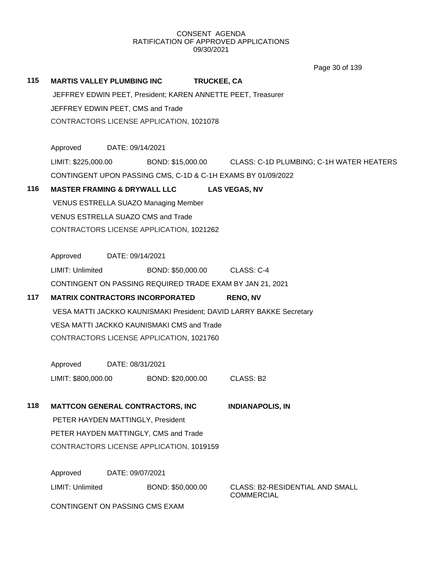**115 MARTIS VALLEY PLUMBING INC TRUCKEE, CA** JEFFREY EDWIN PEET, President; KAREN ANNETTE PEET, Treasurer JEFFREY EDWIN PEET, CMS and Trade CONTRACTORS LICENSE APPLICATION, 1021078 Approved DATE: 09/14/2021 LIMIT: \$225,000.00 BOND: \$15,000.00 CLASS: C-1D PLUMBING; C-1H WATER HEATERS CONTINGENT UPON PASSING CMS, C-1D & C-1H EXAMS BY 01/09/2022 **116 MASTER FRAMING & DRYWALL LLC LAS VEGAS, NV** VENUS ESTRELLA SUAZO Managing Member VENUS ESTRELLA SUAZO CMS and Trade CONTRACTORS LICENSE APPLICATION, 1021262 Approved DATE: 09/14/2021 LIMIT: Unlimited BOND: \$50,000.00 CLASS: C-4 CONTINGENT ON PASSING REQUIRED TRADE EXAM BY JAN 21, 2021 **117 MATRIX CONTRACTORS INCORPORATED RENO, NV** VESA MATTI JACKKO KAUNISMAKI President; DAVID LARRY BAKKE Secretary VESA MATTI JACKKO KAUNISMAKI CMS and Trade CONTRACTORS LICENSE APPLICATION, 1021760 Approved DATE: 08/31/2021 LIMIT: \$800,000.00 BOND: \$20,000.00 CLASS: B2 **118 MATTCON GENERAL CONTRACTORS, INC INDIANAPOLIS, IN** PETER HAYDEN MATTINGLY, President PETER HAYDEN MATTINGLY, CMS and Trade CONTRACTORS LICENSE APPLICATION, 1019159 Approved DATE: 09/07/2021 LIMIT: Unlimited BOND: \$50,000.00 CLASS: B2-RESIDENTIAL AND SMALL **COMMERCIAL** Page 30 of 139

CONTINGENT ON PASSING CMS EXAM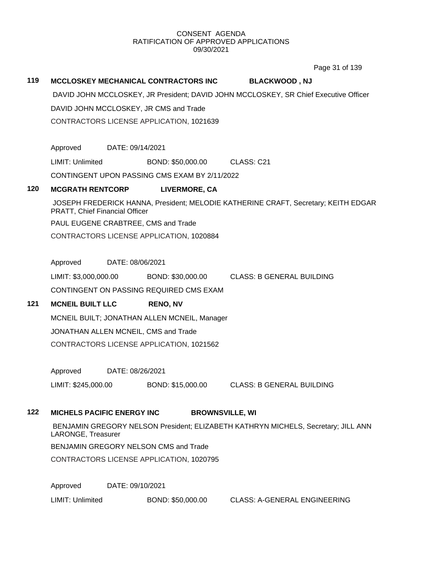Page 31 of 139

### **119 MCCLOSKEY MECHANICAL CONTRACTORS INC BLACKWOOD , NJ**

DAVID JOHN MCCLOSKEY, JR President; DAVID JOHN MCCLOSKEY, SR Chief Executive Officer

DAVID JOHN MCCLOSKEY, JR CMS and Trade

CONTRACTORS LICENSE APPLICATION, 1021639

Approved DATE: 09/14/2021

LIMIT: Unlimited BOND: \$50,000.00 CLASS: C21

CONTINGENT UPON PASSING CMS EXAM BY 2/11/2022

### **120 MCGRATH RENTCORP LIVERMORE, CA**

JOSEPH FREDERICK HANNA, President; MELODIE KATHERINE CRAFT, Secretary; KEITH EDGAR PRATT, Chief Financial Officer

PAUL EUGENE CRABTREE, CMS and Trade

CONTRACTORS LICENSE APPLICATION, 1020884

Approved DATE: 08/06/2021

LIMIT: \$3,000,000.00 BOND: \$30,000.00 CLASS: B GENERAL BUILDING CONTINGENT ON PASSING REQUIRED CMS EXAM

## **121 MCNEIL BUILT LLC RENO, NV**

MCNEIL BUILT; JONATHAN ALLEN MCNEIL, Manager JONATHAN ALLEN MCNEIL, CMS and Trade CONTRACTORS LICENSE APPLICATION, 1021562

Approved DATE: 08/26/2021

LIMIT: \$245,000.00 BOND: \$15,000.00 CLASS: B GENERAL BUILDING

### **122 MICHELS PACIFIC ENERGY INC BROWNSVILLE, WI**

BENJAMIN GREGORY NELSON President; ELIZABETH KATHRYN MICHELS, Secretary; JILL ANN LARONGE, Treasurer

BENJAMIN GREGORY NELSON CMS and Trade

CONTRACTORS LICENSE APPLICATION, 1020795

Approved DATE: 09/10/2021

LIMIT: Unlimited BOND: \$50,000.00 CLASS: A-GENERAL ENGINEERING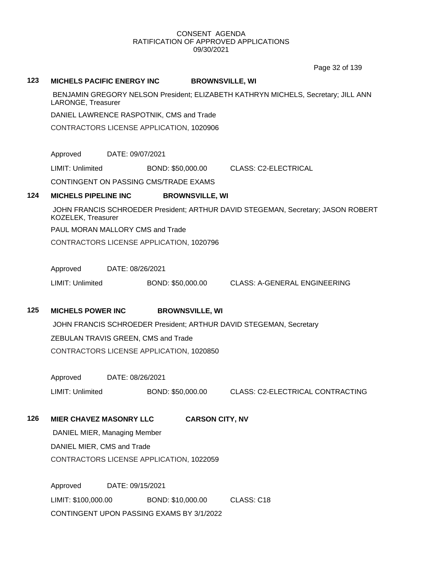Page 32 of 139

#### **123 MICHELS PACIFIC ENERGY INC BROWNSVILLE, WI**

BENJAMIN GREGORY NELSON President; ELIZABETH KATHRYN MICHELS, Secretary; JILL ANN LARONGE, Treasurer

DANIEL LAWRENCE RASPOTNIK, CMS and Trade

CONTRACTORS LICENSE APPLICATION, 1020906

Approved DATE: 09/07/2021

LIMIT: Unlimited BOND: \$50,000.00 CLASS: C2-ELECTRICAL

CONTINGENT ON PASSING CMS/TRADE EXAMS

#### **124 MICHELS PIPELINE INC BROWNSVILLE, WI**

JOHN FRANCIS SCHROEDER President; ARTHUR DAVID STEGEMAN, Secretary; JASON ROBERT KOZELEK, Treasurer

PAUL MORAN MALLORY CMS and Trade

CONTRACTORS LICENSE APPLICATION, 1020796

Approved DATE: 08/26/2021

LIMIT: Unlimited BOND: \$50,000.00 CLASS: A-GENERAL ENGINEERING

## **125 MICHELS POWER INC BROWNSVILLE, WI**

JOHN FRANCIS SCHROEDER President; ARTHUR DAVID STEGEMAN, Secretary ZEBULAN TRAVIS GREEN, CMS and Trade

CONTRACTORS LICENSE APPLICATION, 1020850

Approved DATE: 08/26/2021

LIMIT: Unlimited BOND: \$50,000.00 CLASS: C2-ELECTRICAL CONTRACTING

## **126 MIER CHAVEZ MASONRY LLC CARSON CITY, NV**

DANIEL MIER, Managing Member DANIEL MIER, CMS and Trade CONTRACTORS LICENSE APPLICATION, 1022059

Approved DATE: 09/15/2021 LIMIT: \$100,000.00 BOND: \$10,000.00 CLASS: C18 CONTINGENT UPON PASSING EXAMS BY 3/1/2022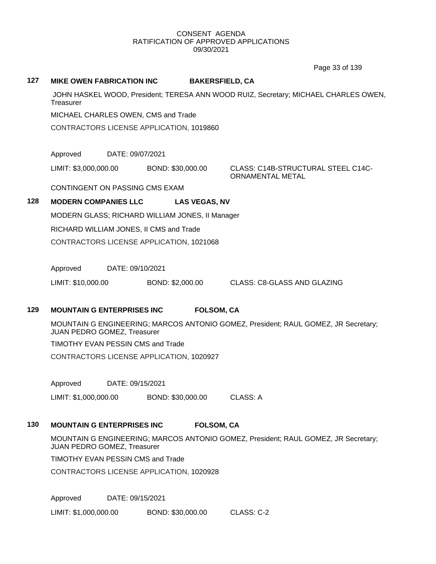Page 33 of 139

#### **127 MIKE OWEN FABRICATION INC BAKERSFIELD, CA**

JOHN HASKEL WOOD, President; TERESA ANN WOOD RUIZ, Secretary; MICHAEL CHARLES OWEN, **Treasurer** 

MICHAEL CHARLES OWEN, CMS and Trade

CONTRACTORS LICENSE APPLICATION, 1019860

Approved DATE: 09/07/2021

LIMIT: \$3,000,000.00 BOND: \$30,000.00 CLASS: C14B-STRUCTURAL STEEL C14C-

ORNAMENTAL METAL

CONTINGENT ON PASSING CMS EXAM

## **128 MODERN COMPANIES LLC LAS VEGAS, NV**

MODERN GLASS; RICHARD WILLIAM JONES, II Manager

RICHARD WILLIAM JONES, II CMS and Trade

CONTRACTORS LICENSE APPLICATION, 1021068

Approved DATE: 09/10/2021

LIMIT: \$10,000.00 BOND: \$2,000.00 CLASS: C8-GLASS AND GLAZING

### **129 MOUNTAIN G ENTERPRISES INC FOLSOM, CA**

MOUNTAIN G ENGINEERING; MARCOS ANTONIO GOMEZ, President; RAUL GOMEZ, JR Secretary; JUAN PEDRO GOMEZ, Treasurer

TIMOTHY EVAN PESSIN CMS and Trade

CONTRACTORS LICENSE APPLICATION, 1020927

Approved DATE: 09/15/2021

LIMIT: \$1,000,000.00 BOND: \$30,000.00 CLASS: A

## **130 MOUNTAIN G ENTERPRISES INC FOLSOM, CA**

MOUNTAIN G ENGINEERING; MARCOS ANTONIO GOMEZ, President; RAUL GOMEZ, JR Secretary; JUAN PEDRO GOMEZ, Treasurer

TIMOTHY EVAN PESSIN CMS and Trade

CONTRACTORS LICENSE APPLICATION, 1020928

Approved DATE: 09/15/2021

LIMIT: \$1,000,000.00 BOND: \$30,000.00 CLASS: C-2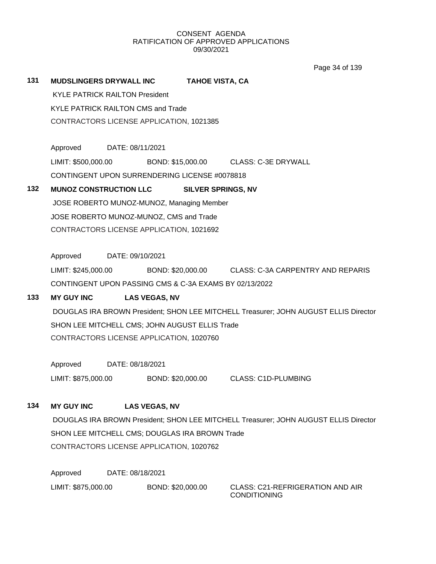Page 34 of 139

# **131 MUDSLINGERS DRYWALL INC TAHOE VISTA, CA**

KYLE PATRICK RAILTON President KYLE PATRICK RAILTON CMS and Trade CONTRACTORS LICENSE APPLICATION, 1021385

Approved DATE: 08/11/2021 LIMIT: \$500,000.00 BOND: \$15,000.00 CLASS: C-3E DRYWALL CONTINGENT UPON SURRENDERING LICENSE #0078818

# 132 **MUNOZ CONSTRUCTION LLC** SILVER SPRINGS, NV

JOSE ROBERTO MUNOZ-MUNOZ, Managing Member JOSE ROBERTO MUNOZ-MUNOZ, CMS and Trade CONTRACTORS LICENSE APPLICATION, 1021692

Approved DATE: 09/10/2021

LIMIT: \$245,000.00 BOND: \$20,000.00 CLASS: C-3A CARPENTRY AND REPARIS CONTINGENT UPON PASSING CMS & C-3A EXAMS BY 02/13/2022

# **133 MY GUY INC LAS VEGAS, NV**

DOUGLAS IRA BROWN President; SHON LEE MITCHELL Treasurer; JOHN AUGUST ELLIS Director SHON LEE MITCHELL CMS; JOHN AUGUST ELLIS Trade CONTRACTORS LICENSE APPLICATION, 1020760

Approved DATE: 08/18/2021

LIMIT: \$875,000.00 BOND: \$20,000.00 CLASS: C1D-PLUMBING

# **134 MY GUY INC LAS VEGAS, NV**

DOUGLAS IRA BROWN President; SHON LEE MITCHELL Treasurer; JOHN AUGUST ELLIS Director SHON LEE MITCHELL CMS; DOUGLAS IRA BROWN Trade CONTRACTORS LICENSE APPLICATION, 1020762

Approved DATE: 08/18/2021 LIMIT: \$875,000.00 BOND: \$20,000.00 CLASS: C21-REFRIGERATION AND AIR

CONDITIONING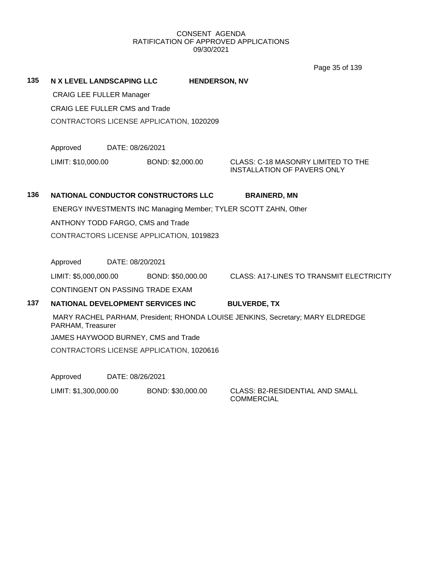Page 35 of 139

**135 N X LEVEL LANDSCAPING LLC HENDERSON, NV** CRAIG LEE FULLER Manager CRAIG LEE FULLER CMS and Trade CONTRACTORS LICENSE APPLICATION, 1020209 Approved DATE: 08/26/2021 LIMIT: \$10,000.00 BOND: \$2,000.00 CLASS: C-18 MASONRY LIMITED TO THE INSTALLATION OF PAVERS ONLY **136 NATIONAL CONDUCTOR CONSTRUCTORS LLC BRAINERD, MN** ENERGY INVESTMENTS INC Managing Member; TYLER SCOTT ZAHN, Other ANTHONY TODD FARGO, CMS and Trade CONTRACTORS LICENSE APPLICATION, 1019823 Approved DATE: 08/20/2021 LIMIT: \$5,000,000.00 BOND: \$50,000.00 CLASS: A17-LINES TO TRANSMIT ELECTRICITY CONTINGENT ON PASSING TRADE EXAM **137 NATIONAL DEVELOPMENT SERVICES INC BULVERDE, TX** MARY RACHEL PARHAM, President; RHONDA LOUISE JENKINS, Secretary; MARY ELDREDGE PARHAM, Treasurer JAMES HAYWOOD BURNEY, CMS and Trade CONTRACTORS LICENSE APPLICATION, 1020616 Approved DATE: 08/26/2021

LIMIT: \$1,300,000.00 BOND: \$30,000.00 CLASS: B2-RESIDENTIAL AND SMALL

COMMERCIAL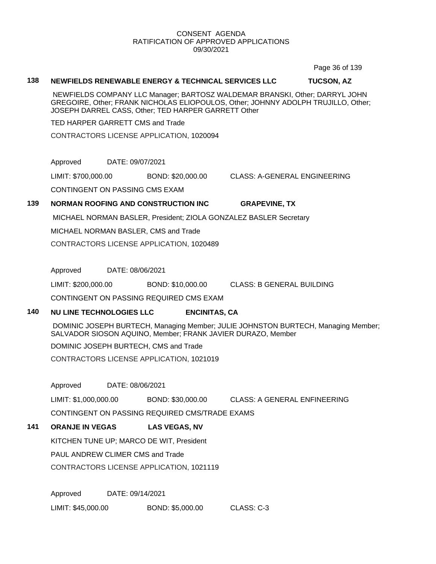Page 36 of 139

#### **138 NEWFIELDS RENEWABLE ENERGY & TECHNICAL SERVICES LLC TUCSON, AZ**

NEWFIELDS COMPANY LLC Manager; BARTOSZ WALDEMAR BRANSKI, Other; DARRYL JOHN GREGOIRE, Other; FRANK NICHOLAS ELIOPOULOS, Other; JOHNNY ADOLPH TRUJILLO, Other; JOSEPH DARREL CASS, Other; TED HARPER GARRETT Other

TED HARPER GARRETT CMS and Trade

CONTRACTORS LICENSE APPLICATION, 1020094

Approved DATE: 09/07/2021

LIMIT: \$700,000.00 BOND: \$20,000.00 CLASS: A-GENERAL ENGINEERING

CONTINGENT ON PASSING CMS EXAM

# **139 NORMAN ROOFING AND CONSTRUCTION INC GRAPEVINE, TX**

MICHAEL NORMAN BASLER, President; ZIOLA GONZALEZ BASLER Secretary

MICHAEL NORMAN BASLER, CMS and Trade

CONTRACTORS LICENSE APPLICATION, 1020489

Approved DATE: 08/06/2021

LIMIT: \$200,000.00 BOND: \$10,000.00 CLASS: B GENERAL BUILDING

CONTINGENT ON PASSING REQUIRED CMS EXAM

# **140 NU LINE TECHNOLOGIES LLC ENCINITAS, CA**

DOMINIC JOSEPH BURTECH, Managing Member; JULIE JOHNSTON BURTECH, Managing Member; SALVADOR SIOSON AQUINO, Member; FRANK JAVIER DURAZO, Member

DOMINIC JOSEPH BURTECH, CMS and Trade

CONTRACTORS LICENSE APPLICATION, 1021019

Approved DATE: 08/06/2021

LIMIT: \$1,000,000.00 BOND: \$30,000.00 CLASS: A GENERAL ENFINEERING

CONTINGENT ON PASSING REQUIRED CMS/TRADE EXAMS

# **141 ORANJE IN VEGAS LAS VEGAS, NV**

KITCHEN TUNE UP; MARCO DE WIT, President

PAUL ANDREW CLIMER CMS and Trade

CONTRACTORS LICENSE APPLICATION, 1021119

Approved DATE: 09/14/2021

LIMIT: \$45,000.00 BOND: \$5,000.00 CLASS: C-3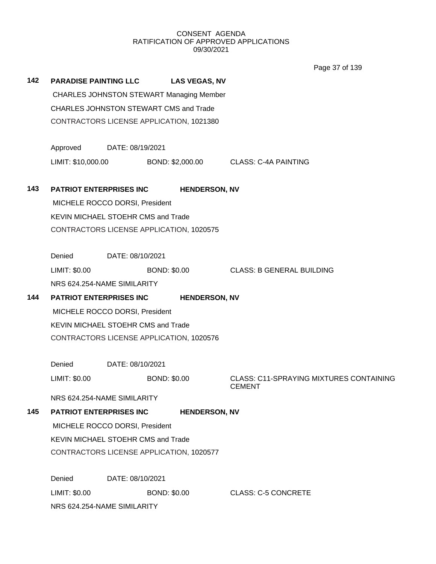Page 37 of 139

| 142 |                                               | <b>PARADISE PAINTING LLC</b>                    | <b>LAS VEGAS, NV</b> |                                                                 |  |
|-----|-----------------------------------------------|-------------------------------------------------|----------------------|-----------------------------------------------------------------|--|
|     |                                               | <b>CHARLES JOHNSTON STEWART Managing Member</b> |                      |                                                                 |  |
|     | <b>CHARLES JOHNSTON STEWART CMS and Trade</b> |                                                 |                      |                                                                 |  |
|     |                                               | CONTRACTORS LICENSE APPLICATION, 1021380        |                      |                                                                 |  |
|     | Approved                                      | DATE: 08/19/2021                                |                      |                                                                 |  |
|     | LIMIT: \$10,000.00                            |                                                 |                      | BOND: \$2,000.00 CLASS: C-4A PAINTING                           |  |
| 143 |                                               | <b>PATRIOT ENTERPRISES INC</b>                  | <b>HENDERSON, NV</b> |                                                                 |  |
|     |                                               | MICHELE ROCCO DORSI, President                  |                      |                                                                 |  |
|     |                                               | <b>KEVIN MICHAEL STOEHR CMS and Trade</b>       |                      |                                                                 |  |
|     |                                               | CONTRACTORS LICENSE APPLICATION, 1020575        |                      |                                                                 |  |
|     | Denied                                        | DATE: 08/10/2021                                |                      |                                                                 |  |
|     | LIMIT: \$0.00                                 |                                                 | <b>BOND: \$0.00</b>  | <b>CLASS: B GENERAL BUILDING</b>                                |  |
|     |                                               | NRS 624.254-NAME SIMILARITY                     |                      |                                                                 |  |
| 144 |                                               | <b>PATRIOT ENTERPRISES INC</b>                  | <b>HENDERSON, NV</b> |                                                                 |  |
|     | MICHELE ROCCO DORSI, President                |                                                 |                      |                                                                 |  |
|     |                                               | KEVIN MICHAEL STOEHR CMS and Trade              |                      |                                                                 |  |
|     | CONTRACTORS LICENSE APPLICATION, 1020576      |                                                 |                      |                                                                 |  |
|     | Denied                                        | DATE: 08/10/2021                                |                      |                                                                 |  |
|     | LIMIT: \$0.00                                 |                                                 | <b>BOND: \$0.00</b>  | <b>CLASS: C11-SPRAYING MIXTURES CONTAINING</b><br><b>CEMENT</b> |  |
|     |                                               | NRS 624.254-NAME SIMILARITY                     |                      |                                                                 |  |
| 145 |                                               | <b>PATRIOT ENTERPRISES INC</b>                  | <b>HENDERSON, NV</b> |                                                                 |  |
|     | MICHELE ROCCO DORSI, President                |                                                 |                      |                                                                 |  |
|     | KEVIN MICHAEL STOEHR CMS and Trade            |                                                 |                      |                                                                 |  |
|     | CONTRACTORS LICENSE APPLICATION, 1020577      |                                                 |                      |                                                                 |  |
|     | Denied                                        | DATE: 08/10/2021                                |                      |                                                                 |  |
|     | LIMIT: \$0.00                                 |                                                 | <b>BOND: \$0.00</b>  | <b>CLASS: C-5 CONCRETE</b>                                      |  |
|     | NRS 624.254-NAME SIMILARITY                   |                                                 |                      |                                                                 |  |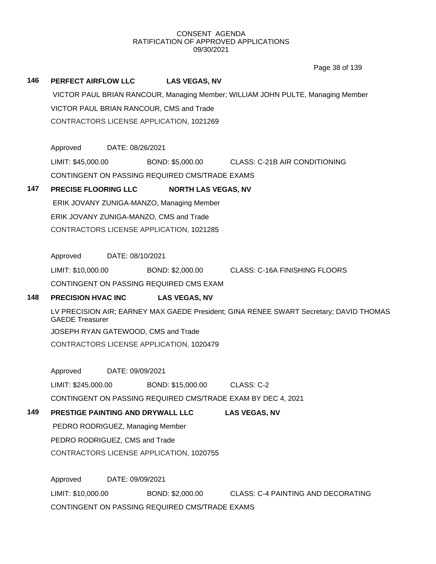Page 38 of 139

#### **146 PERFECT AIRFLOW LLC LAS VEGAS, NV**

VICTOR PAUL BRIAN RANCOUR, Managing Member; WILLIAM JOHN PULTE, Managing Member VICTOR PAUL BRIAN RANCOUR, CMS and Trade CONTRACTORS LICENSE APPLICATION, 1021269

Approved DATE: 08/26/2021

LIMIT: \$45,000.00 BOND: \$5,000.00 CLASS: C-21B AIR CONDITIONING CONTINGENT ON PASSING REQUIRED CMS/TRADE EXAMS

# **147 PRECISE FLOORING LLC NORTH LAS VEGAS, NV**

ERIK JOVANY ZUNIGA-MANZO, Managing Member ERIK JOVANY ZUNIGA-MANZO, CMS and Trade CONTRACTORS LICENSE APPLICATION, 1021285

Approved DATE: 08/10/2021

LIMIT: \$10,000.00 BOND: \$2,000.00 CLASS: C-16A FINISHING FLOORS

CONTINGENT ON PASSING REQUIRED CMS EXAM

## **148 PRECISION HVAC INC LAS VEGAS, NV**

LV PRECISION AIR; EARNEY MAX GAEDE President; GINA RENEE SWART Secretary; DAVID THOMAS GAEDE Treasurer JOSEPH RYAN GATEWOOD, CMS and Trade CONTRACTORS LICENSE APPLICATION, 1020479

Approved DATE: 09/09/2021

LIMIT: \$245,000.00 BOND: \$15,000.00 CLASS: C-2

CONTINGENT ON PASSING REQUIRED CMS/TRADE EXAM BY DEC 4, 2021

# **149 PRESTIGE PAINTING AND DRYWALL LLC LAS VEGAS, NV**

PEDRO RODRIGUEZ, Managing Member PEDRO RODRIGUEZ, CMS and Trade CONTRACTORS LICENSE APPLICATION, 1020755

Approved DATE: 09/09/2021 LIMIT: \$10,000.00 BOND: \$2,000.00 CLASS: C-4 PAINTING AND DECORATING CONTINGENT ON PASSING REQUIRED CMS/TRADE EXAMS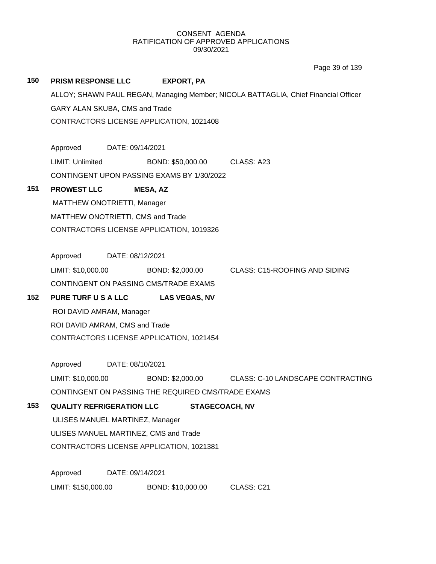# **150 PRISM RESPONSE LLC EXPORT, PA** ALLOY; SHAWN PAUL REGAN, Managing Member; NICOLA BATTAGLIA, Chief Financial Officer GARY ALAN SKUBA, CMS and Trade CONTRACTORS LICENSE APPLICATION, 1021408 Approved DATE: 09/14/2021 LIMIT: Unlimited BOND: \$50,000.00 CLASS: A23 CONTINGENT UPON PASSING EXAMS BY 1/30/2022 **151 PROWEST LLC MESA, AZ** MATTHEW ONOTRIETTI, Manager MATTHEW ONOTRIETTI, CMS and Trade CONTRACTORS LICENSE APPLICATION, 1019326 Approved DATE: 08/12/2021 LIMIT: \$10,000.00 BOND: \$2,000.00 CLASS: C15-ROOFING AND SIDING CONTINGENT ON PASSING CMS/TRADE EXAMS **152 PURE TURF U S A LLC LAS VEGAS, NV** ROI DAVID AMRAM, Manager ROI DAVID AMRAM, CMS and Trade CONTRACTORS LICENSE APPLICATION, 1021454 Approved DATE: 08/10/2021 LIMIT: \$10,000.00 BOND: \$2,000.00 CLASS: C-10 LANDSCAPE CONTRACTING CONTINGENT ON PASSING THE REQUIRED CMS/TRADE EXAMS **153 QUALITY REFRIGERATION LLC STAGECOACH, NV** ULISES MANUEL MARTINEZ, Manager ULISES MANUEL MARTINEZ, CMS and Trade CONTRACTORS LICENSE APPLICATION, 1021381 Approved DATE: 09/14/2021 Page 39 of 139

LIMIT: \$150,000.00 BOND: \$10,000.00 CLASS: C21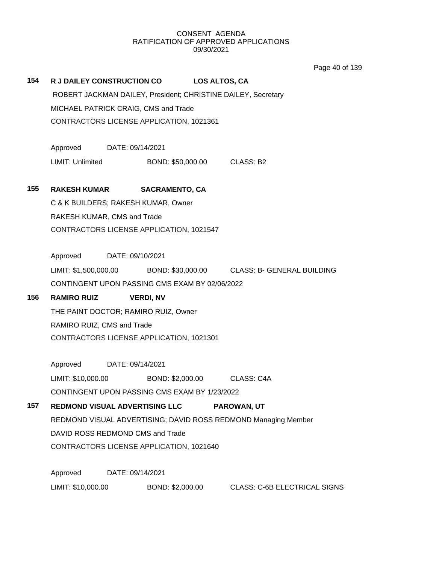Page 40 of 139

# **154 R J DAILEY CONSTRUCTION CO LOS ALTOS, CA** ROBERT JACKMAN DAILEY, President; CHRISTINE DAILEY, Secretary MICHAEL PATRICK CRAIG, CMS and Trade CONTRACTORS LICENSE APPLICATION, 1021361 Approved DATE: 09/14/2021 LIMIT: Unlimited BOND: \$50,000.00 CLASS: B2 **155 RAKESH KUMAR SACRAMENTO, CA** C & K BUILDERS; RAKESH KUMAR, Owner RAKESH KUMAR, CMS and Trade CONTRACTORS LICENSE APPLICATION, 1021547 Approved DATE: 09/10/2021 LIMIT: \$1,500,000.00 BOND: \$30,000.00 CLASS: B- GENERAL BUILDING CONTINGENT UPON PASSING CMS EXAM BY 02/06/2022 **156 RAMIRO RUIZ VERDI, NV** THE PAINT DOCTOR; RAMIRO RUIZ, Owner RAMIRO RUIZ, CMS and Trade CONTRACTORS LICENSE APPLICATION, 1021301 Approved DATE: 09/14/2021 LIMIT: \$10,000.00 BOND: \$2,000.00 CLASS: C4A CONTINGENT UPON PASSING CMS EXAM BY 1/23/2022 **157 REDMOND VISUAL ADVERTISING LLC PAROWAN, UT** REDMOND VISUAL ADVERTISING; DAVID ROSS REDMOND Managing Member DAVID ROSS REDMOND CMS and Trade CONTRACTORS LICENSE APPLICATION, 1021640 Approved DATE: 09/14/2021 LIMIT: \$10,000.00 BOND: \$2,000.00 CLASS: C-6B ELECTRICAL SIGNS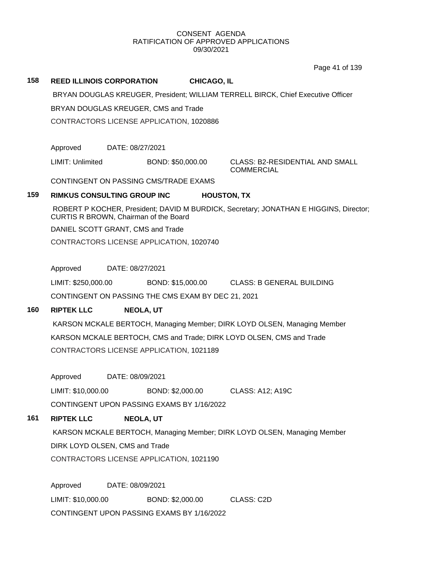Page 41 of 139

# **158 REED ILLINOIS CORPORATION CHICAGO, IL**

BRYAN DOUGLAS KREUGER, President; WILLIAM TERRELL BIRCK, Chief Executive Officer

BRYAN DOUGLAS KREUGER, CMS and Trade

CONTRACTORS LICENSE APPLICATION, 1020886

Approved DATE: 08/27/2021

LIMIT: Unlimited BOND: \$50,000.00 CLASS: B2-RESIDENTIAL AND SMALL

**COMMERCIAL** 

CONTINGENT ON PASSING CMS/TRADE EXAMS

# **159 RIMKUS CONSULTING GROUP INC HOUSTON, TX**

ROBERT P KOCHER, President; DAVID M BURDICK, Secretary; JONATHAN E HIGGINS, Director; CURTIS R BROWN, Chairman of the Board

DANIEL SCOTT GRANT, CMS and Trade

CONTRACTORS LICENSE APPLICATION, 1020740

Approved DATE: 08/27/2021

LIMIT: \$250,000.00 BOND: \$15,000.00 CLASS: B GENERAL BUILDING

CONTINGENT ON PASSING THE CMS EXAM BY DEC 21, 2021

# **160 RIPTEK LLC NEOLA, UT**

KARSON MCKALE BERTOCH, Managing Member; DIRK LOYD OLSEN, Managing Member KARSON MCKALE BERTOCH, CMS and Trade; DIRK LOYD OLSEN, CMS and Trade CONTRACTORS LICENSE APPLICATION, 1021189

Approved DATE: 08/09/2021

LIMIT: \$10,000.00 BOND: \$2,000.00 CLASS: A12; A19C

CONTINGENT UPON PASSING EXAMS BY 1/16/2022

# **161 RIPTEK LLC NEOLA, UT**

KARSON MCKALE BERTOCH, Managing Member; DIRK LOYD OLSEN, Managing Member DIRK LOYD OLSEN, CMS and Trade CONTRACTORS LICENSE APPLICATION, 1021190

Approved DATE: 08/09/2021 LIMIT: \$10,000.00 BOND: \$2,000.00 CLASS: C2D CONTINGENT UPON PASSING EXAMS BY 1/16/2022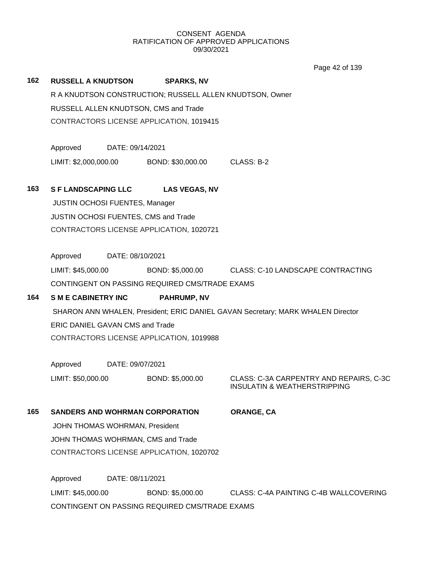Page 42 of 139

| 162 | <b>RUSSELL A KNUDTSON</b>                                                                                        |                  | <b>SPARKS, NV</b>                              |                                                                         |  |
|-----|------------------------------------------------------------------------------------------------------------------|------------------|------------------------------------------------|-------------------------------------------------------------------------|--|
|     | R A KNUDTSON CONSTRUCTION; RUSSELL ALLEN KNUDTSON, Owner                                                         |                  |                                                |                                                                         |  |
|     |                                                                                                                  |                  | RUSSELL ALLEN KNUDTSON, CMS and Trade          |                                                                         |  |
|     |                                                                                                                  |                  | CONTRACTORS LICENSE APPLICATION, 1019415       |                                                                         |  |
|     |                                                                                                                  |                  |                                                |                                                                         |  |
|     | Approved                                                                                                         | DATE: 09/14/2021 |                                                |                                                                         |  |
|     | LIMIT: \$2,000,000.00                                                                                            |                  | BOND: \$30,000.00                              | CLASS: B-2                                                              |  |
|     |                                                                                                                  |                  |                                                |                                                                         |  |
| 163 | <b>S F LANDSCAPING LLC</b>                                                                                       |                  | <b>LAS VEGAS, NV</b>                           |                                                                         |  |
|     | <b>JUSTIN OCHOSI FUENTES, Manager</b>                                                                            |                  |                                                |                                                                         |  |
|     | JUSTIN OCHOSI FUENTES, CMS and Trade                                                                             |                  |                                                |                                                                         |  |
|     |                                                                                                                  |                  | CONTRACTORS LICENSE APPLICATION, 1020721       |                                                                         |  |
|     |                                                                                                                  |                  |                                                |                                                                         |  |
|     | Approved                                                                                                         | DATE: 08/10/2021 |                                                |                                                                         |  |
|     | LIMIT: \$45,000.00                                                                                               |                  |                                                | BOND: \$5,000.00 CLASS: C-10 LANDSCAPE CONTRACTING                      |  |
|     |                                                                                                                  |                  | CONTINGENT ON PASSING REQUIRED CMS/TRADE EXAMS |                                                                         |  |
| 164 | <b>SME CABINETRY INC</b>                                                                                         |                  | <b>PAHRUMP, NV</b>                             |                                                                         |  |
|     | SHARON ANN WHALEN, President; ERIC DANIEL GAVAN Secretary; MARK WHALEN Director                                  |                  |                                                |                                                                         |  |
|     | ERIC DANIEL GAVAN CMS and Trade                                                                                  |                  |                                                |                                                                         |  |
|     | CONTRACTORS LICENSE APPLICATION, 1019988                                                                         |                  |                                                |                                                                         |  |
|     |                                                                                                                  |                  |                                                |                                                                         |  |
|     | Approved                                                                                                         | DATE: 09/07/2021 |                                                |                                                                         |  |
|     | LIMIT: \$50,000.00                                                                                               |                  | BOND: \$5,000.00                               | CLASS: C-3A CARPENTRY AND REPAIRS, C-3C<br>INSULATIN & WEATHERSTRIPPING |  |
|     |                                                                                                                  |                  |                                                |                                                                         |  |
| 165 |                                                                                                                  |                  | <b>SANDERS AND WOHRMAN CORPORATION</b>         | ORANGE, CA                                                              |  |
|     | JOHN THOMAS WOHRMAN, President<br>JOHN THOMAS WOHRMAN, CMS and Trade<br>CONTRACTORS LICENSE APPLICATION, 1020702 |                  |                                                |                                                                         |  |
|     |                                                                                                                  |                  |                                                |                                                                         |  |
|     |                                                                                                                  |                  |                                                |                                                                         |  |
|     |                                                                                                                  |                  |                                                |                                                                         |  |
|     | Approved<br>DATE: 08/11/2021                                                                                     |                  |                                                |                                                                         |  |
|     | LIMIT: \$45,000.00                                                                                               |                  | BOND: \$5,000.00                               | CLASS: C-4A PAINTING C-4B WALLCOVERING                                  |  |

CONTINGENT ON PASSING REQUIRED CMS/TRADE EXAMS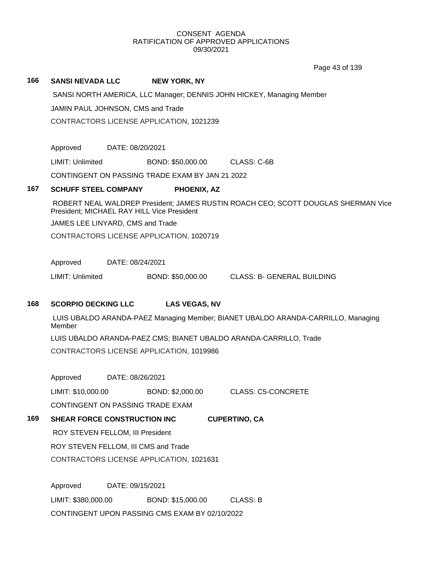Page 43 of 139

# **166 SANSI NEVADA LLC NEW YORK, NY**

SANSI NORTH AMERICA, LLC Manager; DENNIS JOHN HICKEY, Managing Member

JAMIN PAUL JOHNSON, CMS and Trade

CONTRACTORS LICENSE APPLICATION, 1021239

Approved DATE: 08/20/2021

LIMIT: Unlimited BOND: \$50,000.00 CLASS: C-6B

CONTINGENT ON PASSING TRADE EXAM BY JAN 21 2022

#### **167 SCHUFF STEEL COMPANY PHOENIX, AZ**

ROBERT NEAL WALDREP President; JAMES RUSTIN ROACH CEO; SCOTT DOUGLAS SHERMAN Vice President; MICHAEL RAY HILL Vice President

JAMES LEE LINYARD, CMS and Trade

CONTRACTORS LICENSE APPLICATION, 1020719

Approved DATE: 08/24/2021

LIMIT: Unlimited BOND: \$50,000.00 CLASS: B- GENERAL BUILDING

# **168 SCORPIO DECKING LLC LAS VEGAS, NV**

LUIS UBALDO ARANDA-PAEZ Managing Member; BIANET UBALDO ARANDA-CARRILLO, Managing Member LUIS UBALDO ARANDA-PAEZ CMS; BIANET UBALDO ARANDA-CARRILLO, Trade CONTRACTORS LICENSE APPLICATION, 1019986

Approved DATE: 08/26/2021

LIMIT: \$10,000.00 BOND: \$2,000.00 CLASS: C5-CONCRETE CONTINGENT ON PASSING TRADE EXAM

# **169 SHEAR FORCE CONSTRUCTION INC CUPERTINO, CA** ROY STEVEN FELLOM, III President ROY STEVEN FELLOM, III CMS and Trade

CONTRACTORS LICENSE APPLICATION, 1021631

Approved DATE: 09/15/2021 LIMIT: \$380,000.00 BOND: \$15,000.00 CLASS: B CONTINGENT UPON PASSING CMS EXAM BY 02/10/2022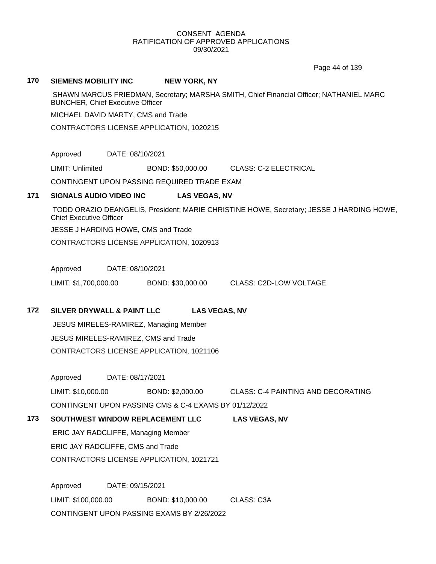Page 44 of 139

#### **170 SIEMENS MOBILITY INC NEW YORK, NY**

SHAWN MARCUS FRIEDMAN, Secretary; MARSHA SMITH, Chief Financial Officer; NATHANIEL MARC BUNCHER, Chief Executive Officer

MICHAEL DAVID MARTY, CMS and Trade

CONTRACTORS LICENSE APPLICATION, 1020215

Approved DATE: 08/10/2021

LIMIT: Unlimited BOND: \$50,000.00 CLASS: C-2 ELECTRICAL

CONTINGENT UPON PASSING REQUIRED TRADE EXAM

# **171 SIGNALS AUDIO VIDEO INC LAS VEGAS, NV**

TODD ORAZIO DEANGELIS, President; MARIE CHRISTINE HOWE, Secretary; JESSE J HARDING HOWE, Chief Executive Officer

JESSE J HARDING HOWE, CMS and Trade

CONTRACTORS LICENSE APPLICATION, 1020913

Approved DATE: 08/10/2021

LIMIT: \$1,700,000.00 BOND: \$30,000.00 CLASS: C2D-LOW VOLTAGE

# **172 SILVER DRYWALL & PAINT LLC LAS VEGAS, NV**

JESUS MIRELES-RAMIREZ, Managing Member JESUS MIRELES-RAMIREZ, CMS and Trade CONTRACTORS LICENSE APPLICATION, 1021106

Approved DATE: 08/17/2021

LIMIT: \$10,000.00 BOND: \$2,000.00 CLASS: C-4 PAINTING AND DECORATING CONTINGENT UPON PASSING CMS & C-4 EXAMS BY 01/12/2022

# **173 SOUTHWEST WINDOW REPLACEMENT LLC LAS VEGAS, NV**

ERIC JAY RADCLIFFE, Managing Member

ERIC JAY RADCLIFFE, CMS and Trade

CONTRACTORS LICENSE APPLICATION, 1021721

Approved DATE: 09/15/2021 LIMIT: \$100,000.00 BOND: \$10,000.00 CLASS: C3A CONTINGENT UPON PASSING EXAMS BY 2/26/2022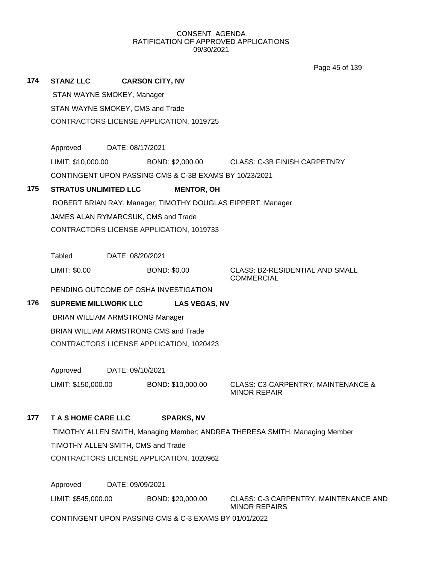Page 45 of 139

| 174                              | <b>STANZ LLC</b>                                                                  | <b>CARSON CITY, NV</b>                   |                                                        |                                                             |  |  |
|----------------------------------|-----------------------------------------------------------------------------------|------------------------------------------|--------------------------------------------------------|-------------------------------------------------------------|--|--|
|                                  | STAN WAYNE SMOKEY, Manager                                                        |                                          |                                                        |                                                             |  |  |
| STAN WAYNE SMOKEY, CMS and Trade |                                                                                   |                                          |                                                        |                                                             |  |  |
|                                  | CONTRACTORS LICENSE APPLICATION, 1019725                                          |                                          |                                                        |                                                             |  |  |
|                                  |                                                                                   |                                          |                                                        |                                                             |  |  |
|                                  | Approved                                                                          | DATE: 08/17/2021                         |                                                        |                                                             |  |  |
|                                  | LIMIT: \$10,000.00                                                                |                                          |                                                        | BOND: \$2,000.00 CLASS: C-3B FINISH CARPETNRY               |  |  |
|                                  |                                                                                   |                                          | CONTINGENT UPON PASSING CMS & C-3B EXAMS BY 10/23/2021 |                                                             |  |  |
| 175                              | <b>STRATUS UNLIMITED LLC</b>                                                      |                                          | <b>MENTOR, OH</b>                                      |                                                             |  |  |
|                                  |                                                                                   |                                          |                                                        | ROBERT BRIAN RAY, Manager; TIMOTHY DOUGLAS EIPPERT, Manager |  |  |
|                                  |                                                                                   | JAMES ALAN RYMARCSUK, CMS and Trade      |                                                        |                                                             |  |  |
|                                  |                                                                                   | CONTRACTORS LICENSE APPLICATION, 1019733 |                                                        |                                                             |  |  |
|                                  |                                                                                   |                                          |                                                        |                                                             |  |  |
|                                  | Tabled                                                                            | DATE: 08/20/2021                         |                                                        |                                                             |  |  |
|                                  | LIMIT: \$0.00                                                                     |                                          | <b>BOND: \$0.00</b>                                    | <b>CLASS: B2-RESIDENTIAL AND SMALL</b><br><b>COMMERCIAL</b> |  |  |
|                                  |                                                                                   | PENDING OUTCOME OF OSHA INVESTIGATION    |                                                        |                                                             |  |  |
| 176                              |                                                                                   | <b>SUPREME MILLWORK LLC</b>              | <b>LAS VEGAS, NV</b>                                   |                                                             |  |  |
|                                  | <b>BRIAN WILLIAM ARMSTRONG Manager</b>                                            |                                          |                                                        |                                                             |  |  |
|                                  | BRIAN WILLIAM ARMSTRONG CMS and Trade<br>CONTRACTORS LICENSE APPLICATION, 1020423 |                                          |                                                        |                                                             |  |  |
|                                  |                                                                                   |                                          |                                                        |                                                             |  |  |
|                                  |                                                                                   |                                          |                                                        |                                                             |  |  |
|                                  | Approved                                                                          | DATE: 09/10/2021                         |                                                        |                                                             |  |  |
|                                  | LIMIT: \$150,000.00                                                               |                                          | BOND: \$10,000.00                                      | CLASS: C3-CARPENTRY, MAINTENANCE &<br><b>MINOR REPAIR</b>   |  |  |
| 177                              | T A S HOME CARE LLC                                                               |                                          | <b>SPARKS, NV</b>                                      |                                                             |  |  |
|                                  | TIMOTHY ALLEN SMITH, Managing Member; ANDREA THERESA SMITH, Managing Member       |                                          |                                                        |                                                             |  |  |
|                                  | TIMOTHY ALLEN SMITH, CMS and Trade                                                |                                          |                                                        |                                                             |  |  |
|                                  |                                                                                   | CONTRACTORS LICENSE APPLICATION, 1020962 |                                                        |                                                             |  |  |
|                                  |                                                                                   |                                          |                                                        |                                                             |  |  |
|                                  | Approved<br>DATE: 09/09/2021                                                      |                                          |                                                        |                                                             |  |  |

LIMIT: \$545,000.00 BOND: \$20,000.00 CLASS: C-3 CARPENTRY, MAINTENANCE AND

MINOR REPAIRS

CONTINGENT UPON PASSING CMS & C-3 EXAMS BY 01/01/2022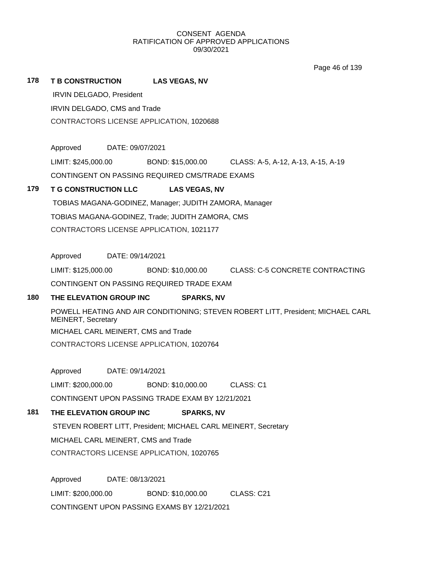Page 46 of 139

#### **178 T B CONSTRUCTION LAS VEGAS, NV**

IRVIN DELGADO, President

IRVIN DELGADO, CMS and Trade

CONTRACTORS LICENSE APPLICATION, 1020688

Approved DATE: 09/07/2021

LIMIT: \$245,000.00 BOND: \$15,000.00 CLASS: A-5, A-12, A-13, A-15, A-19

CONTINGENT ON PASSING REQUIRED CMS/TRADE EXAMS

# **179 T G CONSTRUCTION LLC LAS VEGAS, NV**

TOBIAS MAGANA-GODINEZ, Manager; JUDITH ZAMORA, Manager TOBIAS MAGANA-GODINEZ, Trade; JUDITH ZAMORA, CMS CONTRACTORS LICENSE APPLICATION, 1021177

Approved DATE: 09/14/2021

LIMIT: \$125,000.00 BOND: \$10,000.00 CLASS: C-5 CONCRETE CONTRACTING CONTINGENT ON PASSING REQUIRED TRADE EXAM

# **180 THE ELEVATION GROUP INC SPARKS, NV**

POWELL HEATING AND AIR CONDITIONING; STEVEN ROBERT LITT, President; MICHAEL CARL MEINERT, Secretary MICHAEL CARL MEINERT, CMS and Trade CONTRACTORS LICENSE APPLICATION, 1020764

Approved DATE: 09/14/2021

LIMIT: \$200,000.00 BOND: \$10,000.00 CLASS: C1

CONTINGENT UPON PASSING TRADE EXAM BY 12/21/2021

# **181 THE ELEVATION GROUP INC SPARKS, NV**

STEVEN ROBERT LITT, President; MICHAEL CARL MEINERT, Secretary MICHAEL CARL MEINERT, CMS and Trade CONTRACTORS LICENSE APPLICATION, 1020765

Approved DATE: 08/13/2021 LIMIT: \$200,000.00 BOND: \$10,000.00 CLASS: C21 CONTINGENT UPON PASSING EXAMS BY 12/21/2021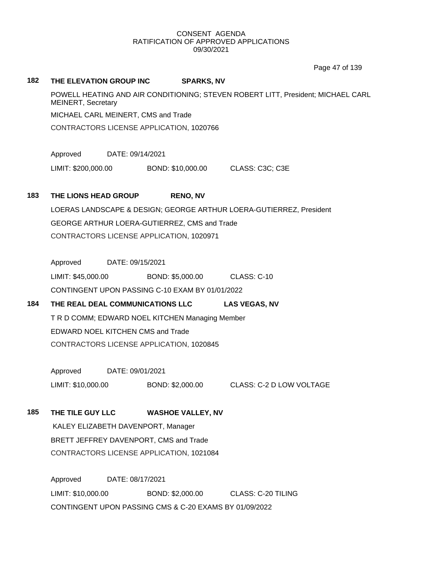Page 47 of 139

#### **182 THE ELEVATION GROUP INC SPARKS, NV**

POWELL HEATING AND AIR CONDITIONING; STEVEN ROBERT LITT, President; MICHAEL CARL MEINERT, Secretary MICHAEL CARL MEINERT, CMS and Trade CONTRACTORS LICENSE APPLICATION, 1020766

Approved DATE: 09/14/2021

LIMIT: \$200,000.00 BOND: \$10,000.00 CLASS: C3C; C3E

# **183 THE LIONS HEAD GROUP RENO, NV**

LOERAS LANDSCAPE & DESIGN; GEORGE ARTHUR LOERA-GUTIERREZ, President GEORGE ARTHUR LOERA-GUTIERREZ, CMS and Trade CONTRACTORS LICENSE APPLICATION, 1020971

Approved DATE: 09/15/2021

LIMIT: \$45,000.00 BOND: \$5,000.00 CLASS: C-10 CONTINGENT UPON PASSING C-10 EXAM BY 01/01/2022

# **184 THE REAL DEAL COMMUNICATIONS LLC LAS VEGAS, NV**

T R D COMM; EDWARD NOEL KITCHEN Managing Member EDWARD NOEL KITCHEN CMS and Trade CONTRACTORS LICENSE APPLICATION, 1020845

Approved DATE: 09/01/2021 LIMIT: \$10,000.00 BOND: \$2,000.00 CLASS: C-2 D LOW VOLTAGE

**185 THE TILE GUY LLC WASHOE VALLEY, NV**

KALEY ELIZABETH DAVENPORT, Manager BRETT JEFFREY DAVENPORT, CMS and Trade CONTRACTORS LICENSE APPLICATION, 1021084

Approved DATE: 08/17/2021 LIMIT: \$10,000.00 BOND: \$2,000.00 CLASS: C-20 TILING CONTINGENT UPON PASSING CMS & C-20 EXAMS BY 01/09/2022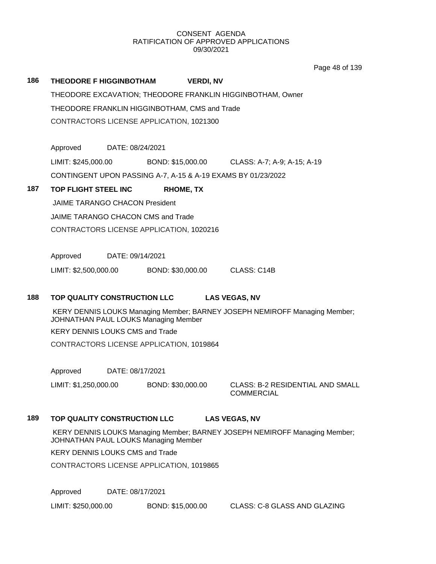Page 48 of 139

# **186 THEODORE F HIGGINBOTHAM VERDI, NV** THEODORE EXCAVATION; THEODORE FRANKLIN HIGGINBOTHAM, Owner THEODORE FRANKLIN HIGGINBOTHAM, CMS and Trade CONTRACTORS LICENSE APPLICATION, 1021300

Approved DATE: 08/24/2021 LIMIT: \$245,000.00 BOND: \$15,000.00 CLASS: A-7; A-9; A-15; A-19 CONTINGENT UPON PASSING A-7, A-15 & A-19 EXAMS BY 01/23/2022

# **187 TOP FLIGHT STEEL INC RHOME, TX**

JAIME TARANGO CHACON President JAIME TARANGO CHACON CMS and Trade CONTRACTORS LICENSE APPLICATION, 1020216

Approved DATE: 09/14/2021

LIMIT: \$2,500,000.00 BOND: \$30,000.00 CLASS: C14B

# **188 TOP QUALITY CONSTRUCTION LLC LAS VEGAS, NV**

KERY DENNIS LOUKS Managing Member; BARNEY JOSEPH NEMIROFF Managing Member; JOHNATHAN PAUL LOUKS Managing Member

KERY DENNIS LOUKS CMS and Trade

CONTRACTORS LICENSE APPLICATION, 1019864

Approved DATE: 08/17/2021

LIMIT: \$1,250,000.00 BOND: \$30,000.00 CLASS: B-2 RESIDENTIAL AND SMALL

**COMMERCIAL** 

# **189 TOP QUALITY CONSTRUCTION LLC LAS VEGAS, NV**

KERY DENNIS LOUKS Managing Member; BARNEY JOSEPH NEMIROFF Managing Member; JOHNATHAN PAUL LOUKS Managing Member

KERY DENNIS LOUKS CMS and Trade

CONTRACTORS LICENSE APPLICATION, 1019865

Approved DATE: 08/17/2021

LIMIT: \$250,000.00 BOND: \$15,000.00 CLASS: C-8 GLASS AND GLAZING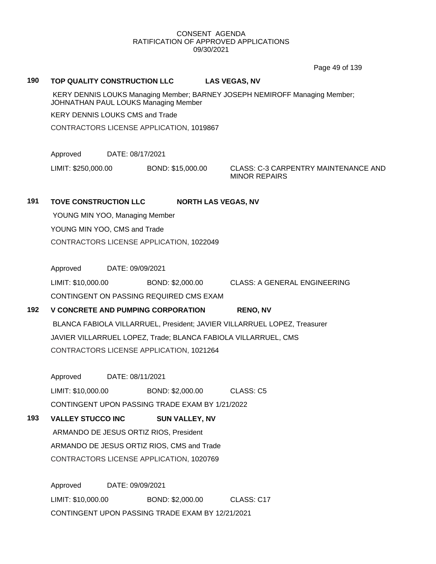Page 49 of 139

#### **190 TOP QUALITY CONSTRUCTION LLC LAS VEGAS, NV**

KERY DENNIS LOUKS Managing Member; BARNEY JOSEPH NEMIROFF Managing Member; JOHNATHAN PAUL LOUKS Managing Member

KERY DENNIS LOUKS CMS and Trade

CONTRACTORS LICENSE APPLICATION, 1019867

Approved DATE: 08/17/2021

LIMIT: \$250,000.00 BOND: \$15,000.00 CLASS: C-3 CARPENTRY MAINTENANCE AND

MINOR REPAIRS

# **191 TOVE CONSTRUCTION LLC NORTH LAS VEGAS, NV**

YOUNG MIN YOO, Managing Member YOUNG MIN YOO, CMS and Trade CONTRACTORS LICENSE APPLICATION, 1022049

Approved DATE: 09/09/2021

LIMIT: \$10,000.00 BOND: \$2,000.00 CLASS: A GENERAL ENGINEERING

CONTINGENT ON PASSING REQUIRED CMS EXAM

# **192 V CONCRETE AND PUMPING CORPORATION RENO, NV**

BLANCA FABIOLA VILLARRUEL, President; JAVIER VILLARRUEL LOPEZ, Treasurer JAVIER VILLARRUEL LOPEZ, Trade; BLANCA FABIOLA VILLARRUEL, CMS CONTRACTORS LICENSE APPLICATION, 1021264

Approved DATE: 08/11/2021

LIMIT: \$10,000.00 BOND: \$2,000.00 CLASS: C5 CONTINGENT UPON PASSING TRADE EXAM BY 1/21/2022

**193 VALLEY STUCCO INC SUN VALLEY, NV**

ARMANDO DE JESUS ORTIZ RIOS, President ARMANDO DE JESUS ORTIZ RIOS, CMS and Trade CONTRACTORS LICENSE APPLICATION, 1020769

Approved DATE: 09/09/2021 LIMIT: \$10,000.00 BOND: \$2,000.00 CLASS: C17 CONTINGENT UPON PASSING TRADE EXAM BY 12/21/2021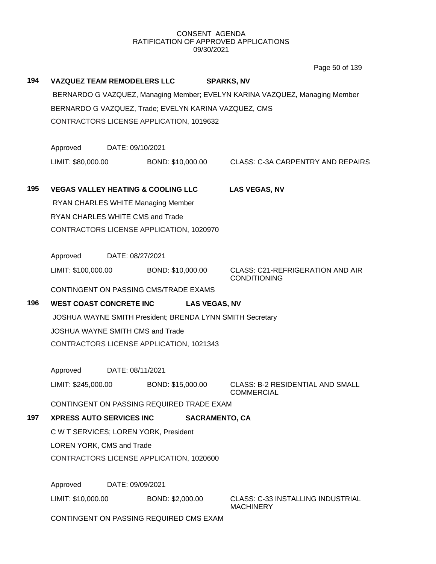Page 50 of 139

| 194                 | <b>VAZQUEZ TEAM REMODELERS LLC</b><br><b>SPARKS, NV</b>                                                        |                   |                                                       |                      |                                                                |  |
|---------------------|----------------------------------------------------------------------------------------------------------------|-------------------|-------------------------------------------------------|----------------------|----------------------------------------------------------------|--|
|                     | BERNARDO G VAZQUEZ, Managing Member; EVELYN KARINA VAZQUEZ, Managing Member                                    |                   |                                                       |                      |                                                                |  |
|                     |                                                                                                                |                   | BERNARDO G VAZQUEZ, Trade; EVELYN KARINA VAZQUEZ, CMS |                      |                                                                |  |
|                     |                                                                                                                |                   | CONTRACTORS LICENSE APPLICATION, 1019632              |                      |                                                                |  |
|                     |                                                                                                                |                   |                                                       |                      |                                                                |  |
|                     | Approved                                                                                                       | DATE: 09/10/2021  |                                                       |                      |                                                                |  |
|                     | LIMIT: \$80,000.00                                                                                             |                   | BOND: \$10,000.00                                     |                      | <b>CLASS: C-3A CARPENTRY AND REPAIRS</b>                       |  |
|                     |                                                                                                                |                   |                                                       |                      |                                                                |  |
| 195                 | <b>VEGAS VALLEY HEATING &amp; COOLING LLC</b>                                                                  |                   |                                                       | <b>LAS VEGAS, NV</b> |                                                                |  |
|                     |                                                                                                                |                   | RYAN CHARLES WHITE Managing Member                    |                      |                                                                |  |
|                     | RYAN CHARLES WHITE CMS and Trade                                                                               |                   |                                                       |                      |                                                                |  |
|                     |                                                                                                                |                   | CONTRACTORS LICENSE APPLICATION, 1020970              |                      |                                                                |  |
|                     | Approved                                                                                                       | DATE: 08/27/2021  |                                                       |                      |                                                                |  |
|                     | LIMIT: \$100,000.00                                                                                            |                   | BOND: \$10,000.00                                     |                      | <b>CLASS: C21-REFRIGERATION AND AIR</b><br><b>CONDITIONING</b> |  |
|                     |                                                                                                                |                   | CONTINGENT ON PASSING CMS/TRADE EXAMS                 |                      |                                                                |  |
| 196                 | <b>WEST COAST CONCRETE INC</b>                                                                                 |                   | <b>LAS VEGAS, NV</b>                                  |                      |                                                                |  |
|                     | JOSHUA WAYNE SMITH President; BRENDA LYNN SMITH Secretary                                                      |                   |                                                       |                      |                                                                |  |
|                     | JOSHUA WAYNE SMITH CMS and Trade                                                                               |                   |                                                       |                      |                                                                |  |
|                     | CONTRACTORS LICENSE APPLICATION, 1021343                                                                       |                   |                                                       |                      |                                                                |  |
|                     |                                                                                                                |                   |                                                       |                      |                                                                |  |
|                     | Approved<br>DATE: 08/11/2021                                                                                   |                   |                                                       |                      |                                                                |  |
| LIMIT: \$245,000.00 |                                                                                                                | BOND: \$15,000.00 | <b>CLASS: B-2 RESIDENTIAL AND SMALL</b><br>COMMERCIAL |                      |                                                                |  |
|                     | CONTINGENT ON PASSING REQUIRED TRADE EXAM                                                                      |                   |                                                       |                      |                                                                |  |
| 197                 | <b>XPRESS AUTO SERVICES INC</b>                                                                                |                   |                                                       |                      | <b>SACRAMENTO, CA</b>                                          |  |
|                     | C W T SERVICES; LOREN YORK, President<br>LOREN YORK, CMS and Trade<br>CONTRACTORS LICENSE APPLICATION, 1020600 |                   |                                                       |                      |                                                                |  |
|                     |                                                                                                                |                   |                                                       |                      |                                                                |  |
|                     |                                                                                                                |                   |                                                       |                      |                                                                |  |
|                     | Approved<br>DATE: 09/09/2021                                                                                   |                   |                                                       |                      |                                                                |  |
|                     | LIMIT: \$10,000.00                                                                                             |                   | BOND: \$2,000.00                                      |                      | <b>CLASS: C-33 INSTALLING INDUSTRIAL</b><br><b>MACHINERY</b>   |  |
|                     | CONTINGENT ON PASSING REQUIRED CMS EXAM                                                                        |                   |                                                       |                      |                                                                |  |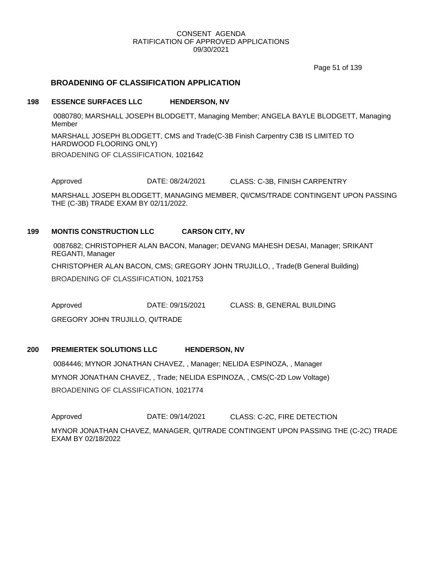Page 51 of 139

# **BROADENING OF CLASSIFICATION APPLICATION**

#### **198 ESSENCE SURFACES LLC HENDERSON, NV**

0080780; MARSHALL JOSEPH BLODGETT, Managing Member; ANGELA BAYLE BLODGETT, Managing Member

MARSHALL JOSEPH BLODGETT, CMS and Trade(C-3B Finish Carpentry C3B IS LIMITED TO HARDWOOD FLOORING ONLY) BROADENING OF CLASSIFICATION, 1021642

Approved DATE: 08/24/2021 CLASS: C-3B, FINISH CARPENTRY

MARSHALL JOSEPH BLODGETT, MANAGING MEMBER, QI/CMS/TRADE CONTINGENT UPON PASSING THE (C-3B) TRADE EXAM BY 02/11/2022.

#### **199 MONTIS CONSTRUCTION LLC CARSON CITY, NV**

0087682; CHRISTOPHER ALAN BACON, Manager; DEVANG MAHESH DESAI, Manager; SRIKANT REGANTI, Manager

CHRISTOPHER ALAN BACON, CMS; GREGORY JOHN TRUJILLO, , Trade(B General Building)

BROADENING OF CLASSIFICATION, 1021753

Approved DATE: 09/15/2021 CLASS: B, GENERAL BUILDING

GREGORY JOHN TRUJILLO, QI/TRADE

#### **200 PREMIERTEK SOLUTIONS LLC HENDERSON, NV**

0084446; MYNOR JONATHAN CHAVEZ, , Manager; NELIDA ESPINOZA, , Manager MYNOR JONATHAN CHAVEZ, , Trade; NELIDA ESPINOZA, , CMS(C-2D Low Voltage) BROADENING OF CLASSIFICATION, 1021774

Approved **DATE: 09/14/2021** CLASS: C-2C, FIRE DETECTION

MYNOR JONATHAN CHAVEZ, MANAGER, QI/TRADE CONTINGENT UPON PASSING THE (C-2C) TRADE EXAM BY 02/18/2022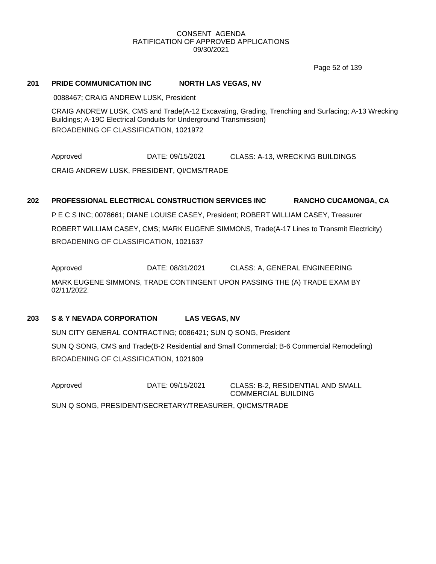Page 52 of 139

#### **201 PRIDE COMMUNICATION INC NORTH LAS VEGAS, NV**

0088467; CRAIG ANDREW LUSK, President

CRAIG ANDREW LUSK, CMS and Trade(A-12 Excavating, Grading, Trenching and Surfacing; A-13 Wrecking Buildings; A-19C Electrical Conduits for Underground Transmission) BROADENING OF CLASSIFICATION, 1021972

Approved DATE: 09/15/2021 CLASS: A-13, WRECKING BUILDINGS CRAIG ANDREW LUSK, PRESIDENT, QI/CMS/TRADE

#### **202 PROFESSIONAL ELECTRICAL CONSTRUCTION SERVICES INC RANCHO CUCAMONGA, CA**

P E C S INC; 0078661; DIANE LOUISE CASEY, President; ROBERT WILLIAM CASEY, Treasurer ROBERT WILLIAM CASEY, CMS; MARK EUGENE SIMMONS, Trade(A-17 Lines to Transmit Electricity) BROADENING OF CLASSIFICATION, 1021637

Approved **DATE: 08/31/2021** CLASS: A, GENERAL ENGINEERING

MARK EUGENE SIMMONS, TRADE CONTINGENT UPON PASSING THE (A) TRADE EXAM BY 02/11/2022.

# **203 S & Y NEVADA CORPORATION LAS VEGAS, NV**

SUN CITY GENERAL CONTRACTING; 0086421; SUN Q SONG, President SUN Q SONG, CMS and Trade(B-2 Residential and Small Commercial; B-6 Commercial Remodeling) BROADENING OF CLASSIFICATION, 1021609

Approved DATE: 09/15/2021 CLASS: B-2, RESIDENTIAL AND SMALL COMMERCIAL BUILDING SUN Q SONG, PRESIDENT/SECRETARY/TREASURER, QI/CMS/TRADE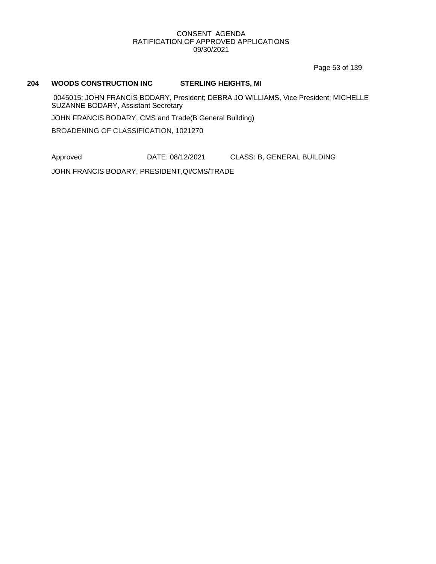Page 53 of 139

#### **204 WOODS CONSTRUCTION INC STERLING HEIGHTS, MI**

0045015; JOHN FRANCIS BODARY, President; DEBRA JO WILLIAMS, Vice President; MICHELLE SUZANNE BODARY, Assistant Secretary

JOHN FRANCIS BODARY, CMS and Trade(B General Building)

BROADENING OF CLASSIFICATION, 1021270

Approved DATE: 08/12/2021 CLASS: B, GENERAL BUILDING

JOHN FRANCIS BODARY, PRESIDENT,QI/CMS/TRADE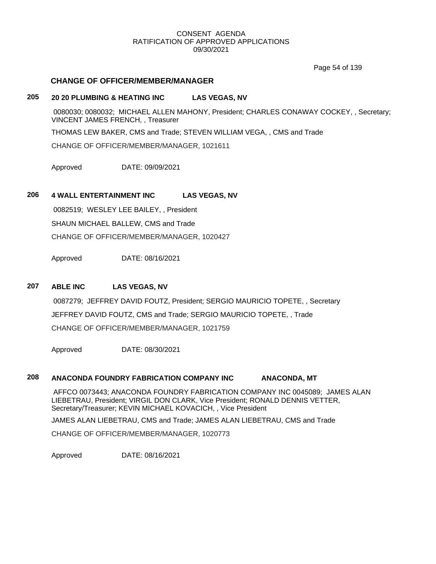Page 54 of 139

#### **CHANGE OF OFFICER/MEMBER/MANAGER**

# **205 20 20 PLUMBING & HEATING INC LAS VEGAS, NV**

0080030; 0080032; MICHAEL ALLEN MAHONY, President; CHARLES CONAWAY COCKEY, , Secretary; VINCENT JAMES FRENCH, , Treasurer THOMAS LEW BAKER, CMS and Trade; STEVEN WILLIAM VEGA, , CMS and Trade CHANGE OF OFFICER/MEMBER/MANAGER, 1021611

Approved DATE: 09/09/2021

# **206 4 WALL ENTERTAINMENT INC LAS VEGAS, NV**

0082519; WESLEY LEE BAILEY, , President SHAUN MICHAEL BALLEW, CMS and Trade CHANGE OF OFFICER/MEMBER/MANAGER, 1020427

Approved DATE: 08/16/2021

# **207 ABLE INC LAS VEGAS, NV**

0087279; JEFFREY DAVID FOUTZ, President; SERGIO MAURICIO TOPETE, , Secretary JEFFREY DAVID FOUTZ, CMS and Trade; SERGIO MAURICIO TOPETE, , Trade CHANGE OF OFFICER/MEMBER/MANAGER, 1021759

Approved DATE: 08/30/2021

# **208 ANACONDA FOUNDRY FABRICATION COMPANY INC ANACONDA, MT**

AFFCO 0073443; ANACONDA FOUNDRY FABRICATION COMPANY INC 0045089; JAMES ALAN LIEBETRAU, President; VIRGIL DON CLARK, Vice President; RONALD DENNIS VETTER, Secretary/Treasurer; KEVIN MICHAEL KOVACICH, , Vice President

JAMES ALAN LIEBETRAU, CMS and Trade; JAMES ALAN LIEBETRAU, CMS and Trade

CHANGE OF OFFICER/MEMBER/MANAGER, 1020773

Approved DATE: 08/16/2021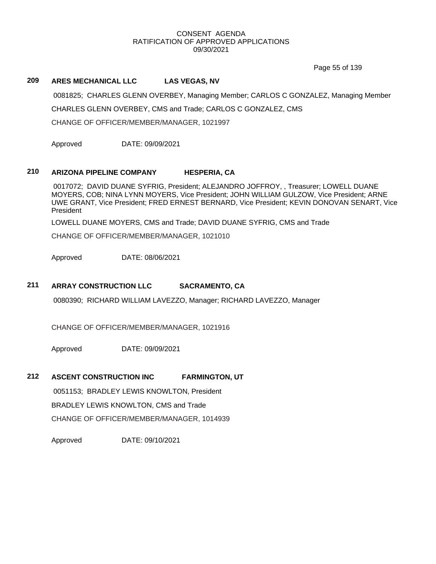Page 55 of 139

# **209 ARES MECHANICAL LLC LAS VEGAS, NV**

0081825; CHARLES GLENN OVERBEY, Managing Member; CARLOS C GONZALEZ, Managing Member CHARLES GLENN OVERBEY, CMS and Trade; CARLOS C GONZALEZ, CMS

CHANGE OF OFFICER/MEMBER/MANAGER, 1021997

Approved DATE: 09/09/2021

# **210 ARIZONA PIPELINE COMPANY HESPERIA, CA**

0017072; DAVID DUANE SYFRIG, President; ALEJANDRO JOFFROY, , Treasurer; LOWELL DUANE MOYERS, COB; NINA LYNN MOYERS, Vice President; JOHN WILLIAM GULZOW, Vice President; ARNE UWE GRANT, Vice President; FRED ERNEST BERNARD, Vice President; KEVIN DONOVAN SENART, Vice President

LOWELL DUANE MOYERS, CMS and Trade; DAVID DUANE SYFRIG, CMS and Trade

CHANGE OF OFFICER/MEMBER/MANAGER, 1021010

Approved DATE: 08/06/2021

# **211 ARRAY CONSTRUCTION LLC SACRAMENTO, CA**

0080390; RICHARD WILLIAM LAVEZZO, Manager; RICHARD LAVEZZO, Manager

CHANGE OF OFFICER/MEMBER/MANAGER, 1021916

Approved DATE: 09/09/2021

# **212 ASCENT CONSTRUCTION INC FARMINGTON, UT**

0051153; BRADLEY LEWIS KNOWLTON, President

BRADLEY LEWIS KNOWLTON, CMS and Trade

CHANGE OF OFFICER/MEMBER/MANAGER, 1014939

Approved DATE: 09/10/2021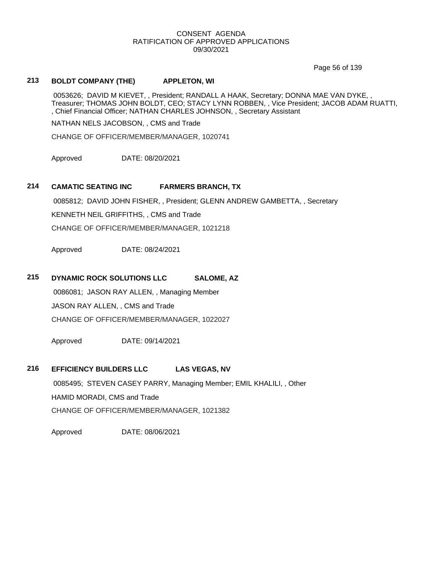Page 56 of 139

# **213 BOLDT COMPANY (THE) APPLETON, WI**

0053626; DAVID M KIEVET, , President; RANDALL A HAAK, Secretary; DONNA MAE VAN DYKE, , Treasurer; THOMAS JOHN BOLDT, CEO; STACY LYNN ROBBEN, , Vice President; JACOB ADAM RUATTI, , Chief Financial Officer; NATHAN CHARLES JOHNSON, , Secretary Assistant

NATHAN NELS JACOBSON, , CMS and Trade

CHANGE OF OFFICER/MEMBER/MANAGER, 1020741

Approved DATE: 08/20/2021

# **214 CAMATIC SEATING INC FARMERS BRANCH, TX**

0085812; DAVID JOHN FISHER, , President; GLENN ANDREW GAMBETTA, , Secretary KENNETH NEIL GRIFFITHS, , CMS and Trade

CHANGE OF OFFICER/MEMBER/MANAGER, 1021218

Approved DATE: 08/24/2021

# **215 DYNAMIC ROCK SOLUTIONS LLC SALOME, AZ**

0086081; JASON RAY ALLEN, , Managing Member JASON RAY ALLEN, , CMS and Trade CHANGE OF OFFICER/MEMBER/MANAGER, 1022027

Approved DATE: 09/14/2021

# **216 EFFICIENCY BUILDERS LLC LAS VEGAS, NV**

0085495; STEVEN CASEY PARRY, Managing Member; EMIL KHALILI, , Other HAMID MORADI, CMS and Trade CHANGE OF OFFICER/MEMBER/MANAGER, 1021382

Approved DATE: 08/06/2021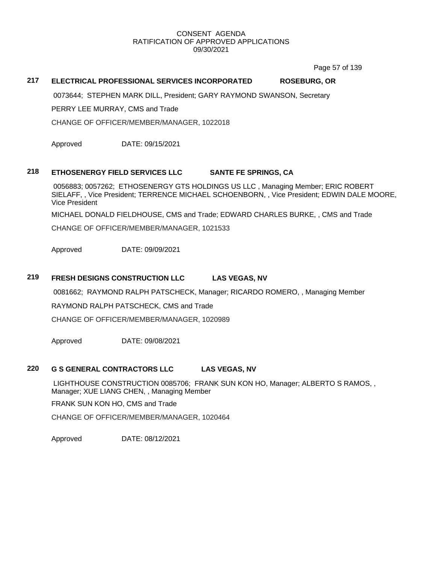Page 57 of 139

### **217 ELECTRICAL PROFESSIONAL SERVICES INCORPORATED ROSEBURG, OR**

0073644; STEPHEN MARK DILL, President; GARY RAYMOND SWANSON, Secretary

PERRY LEE MURRAY, CMS and Trade

CHANGE OF OFFICER/MEMBER/MANAGER, 1022018

Approved DATE: 09/15/2021

# **218 ETHOSENERGY FIELD SERVICES LLC SANTE FE SPRINGS, CA**

0056883; 0057262; ETHOSENERGY GTS HOLDINGS US LLC , Managing Member; ERIC ROBERT SIELAFF, , Vice President; TERRENCE MICHAEL SCHOENBORN, , Vice President; EDWIN DALE MOORE, Vice President

MICHAEL DONALD FIELDHOUSE, CMS and Trade; EDWARD CHARLES BURKE, , CMS and Trade

CHANGE OF OFFICER/MEMBER/MANAGER, 1021533

Approved DATE: 09/09/2021

#### **219 FRESH DESIGNS CONSTRUCTION LLC LAS VEGAS, NV**

0081662; RAYMOND RALPH PATSCHECK, Manager; RICARDO ROMERO, , Managing Member

RAYMOND RALPH PATSCHECK, CMS and Trade

CHANGE OF OFFICER/MEMBER/MANAGER, 1020989

Approved DATE: 09/08/2021

# **220 G S GENERAL CONTRACTORS LLC LAS VEGAS, NV**

LIGHTHOUSE CONSTRUCTION 0085706; FRANK SUN KON HO, Manager; ALBERTO S RAMOS, , Manager; XUE LIANG CHEN, , Managing Member

FRANK SUN KON HO, CMS and Trade

CHANGE OF OFFICER/MEMBER/MANAGER, 1020464

Approved DATE: 08/12/2021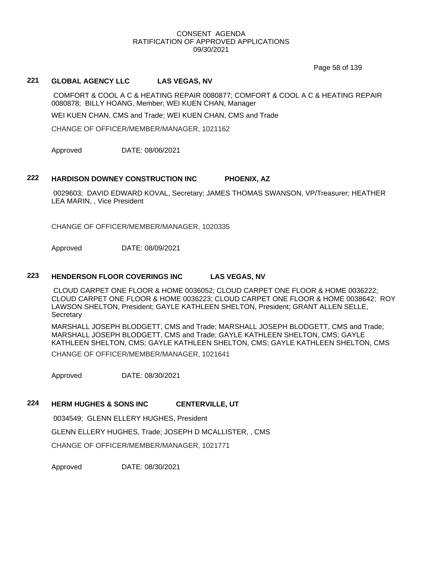Page 58 of 139

# **221 GLOBAL AGENCY LLC LAS VEGAS, NV**

COMFORT & COOL A C & HEATING REPAIR 0080877; COMFORT & COOL A C & HEATING REPAIR 0080878; BILLY HOANG, Member; WEI KUEN CHAN, Manager

WEI KUEN CHAN, CMS and Trade; WEI KUEN CHAN, CMS and Trade

CHANGE OF OFFICER/MEMBER/MANAGER, 1021162

Approved DATE: 08/06/2021

#### **222 HARDISON DOWNEY CONSTRUCTION INC PHOENIX, AZ**

0029603; DAVID EDWARD KOVAL, Secretary; JAMES THOMAS SWANSON, VP/Treasurer; HEATHER LEA MARIN, , Vice President

CHANGE OF OFFICER/MEMBER/MANAGER, 1020335

Approved DATE: 08/09/2021

#### **223 HENDERSON FLOOR COVERINGS INC LAS VEGAS, NV**

CLOUD CARPET ONE FLOOR & HOME 0036052; CLOUD CARPET ONE FLOOR & HOME 0036222; CLOUD CARPET ONE FLOOR & HOME 0036223; CLOUD CARPET ONE FLOOR & HOME 0038642; ROY LAWSON SHELTON, President; GAYLE KATHLEEN SHELTON, President; GRANT ALLEN SELLE, **Secretary** 

MARSHALL JOSEPH BLODGETT, CMS and Trade; MARSHALL JOSEPH BLODGETT, CMS and Trade; MARSHALL JOSEPH BLODGETT, CMS and Trade; GAYLE KATHLEEN SHELTON, CMS; GAYLE KATHLEEN SHELTON, CMS; GAYLE KATHLEEN SHELTON, CMS; GAYLE KATHLEEN SHELTON, CMS

CHANGE OF OFFICER/MEMBER/MANAGER, 1021641

Approved DATE: 08/30/2021

# **224 HERM HUGHES & SONS INC CENTERVILLE, UT**

0034549; GLENN ELLERY HUGHES, President

GLENN ELLERY HUGHES, Trade; JOSEPH D MCALLISTER, , CMS

CHANGE OF OFFICER/MEMBER/MANAGER, 1021771

Approved DATE: 08/30/2021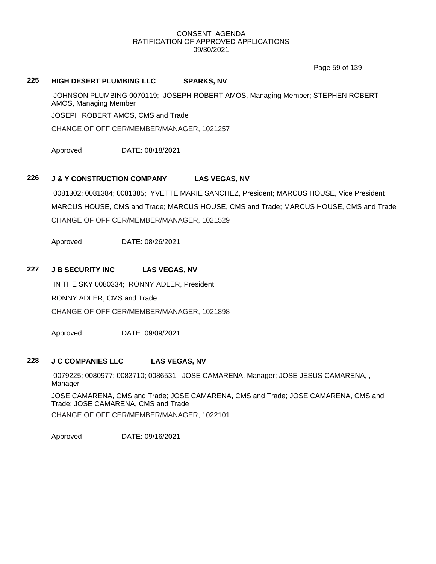Page 59 of 139

# **225 HIGH DESERT PLUMBING LLC SPARKS, NV**

JOHNSON PLUMBING 0070119; JOSEPH ROBERT AMOS, Managing Member; STEPHEN ROBERT AMOS, Managing Member

JOSEPH ROBERT AMOS, CMS and Trade

CHANGE OF OFFICER/MEMBER/MANAGER, 1021257

Approved DATE: 08/18/2021

# **226 J & Y CONSTRUCTION COMPANY LAS VEGAS, NV**

0081302; 0081384; 0081385; YVETTE MARIE SANCHEZ, President; MARCUS HOUSE, Vice President MARCUS HOUSE, CMS and Trade; MARCUS HOUSE, CMS and Trade; MARCUS HOUSE, CMS and Trade CHANGE OF OFFICER/MEMBER/MANAGER, 1021529

Approved DATE: 08/26/2021

# **227 J B SECURITY INC LAS VEGAS, NV**

IN THE SKY 0080334; RONNY ADLER, President RONNY ADLER, CMS and Trade CHANGE OF OFFICER/MEMBER/MANAGER, 1021898

Approved DATE: 09/09/2021

# **228 J C COMPANIES LLC LAS VEGAS, NV**

0079225; 0080977; 0083710; 0086531; JOSE CAMARENA, Manager; JOSE JESUS CAMARENA, , Manager

JOSE CAMARENA, CMS and Trade; JOSE CAMARENA, CMS and Trade; JOSE CAMARENA, CMS and Trade; JOSE CAMARENA, CMS and Trade

CHANGE OF OFFICER/MEMBER/MANAGER, 1022101

Approved DATE: 09/16/2021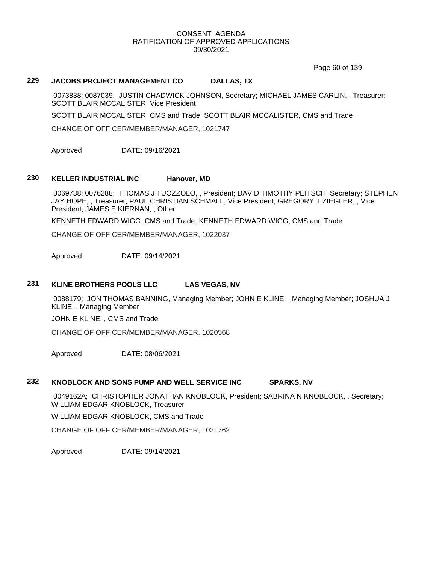Page 60 of 139

#### **229 JACOBS PROJECT MANAGEMENT CO DALLAS, TX**

0073838; 0087039; JUSTIN CHADWICK JOHNSON, Secretary; MICHAEL JAMES CARLIN, , Treasurer; SCOTT BLAIR MCCALISTER, Vice President

SCOTT BLAIR MCCALISTER, CMS and Trade; SCOTT BLAIR MCCALISTER, CMS and Trade

CHANGE OF OFFICER/MEMBER/MANAGER, 1021747

Approved DATE: 09/16/2021

# **230 KELLER INDUSTRIAL INC Hanover, MD**

0069738; 0076288; THOMAS J TUOZZOLO, , President; DAVID TIMOTHY PEITSCH, Secretary; STEPHEN JAY HOPE, , Treasurer; PAUL CHRISTIAN SCHMALL, Vice President; GREGORY T ZIEGLER, , Vice President; JAMES E KIERNAN, , Other

KENNETH EDWARD WIGG, CMS and Trade; KENNETH EDWARD WIGG, CMS and Trade

CHANGE OF OFFICER/MEMBER/MANAGER, 1022037

Approved DATE: 09/14/2021

#### **231 KLINE BROTHERS POOLS LLC LAS VEGAS, NV**

0088179; JON THOMAS BANNING, Managing Member; JOHN E KLINE, , Managing Member; JOSHUA J KLINE, , Managing Member

JOHN E KLINE, , CMS and Trade

CHANGE OF OFFICER/MEMBER/MANAGER, 1020568

Approved DATE: 08/06/2021

#### **232 KNOBLOCK AND SONS PUMP AND WELL SERVICE INC SPARKS, NV**

0049162A; CHRISTOPHER JONATHAN KNOBLOCK, President; SABRINA N KNOBLOCK, , Secretary; WILLIAM EDGAR KNOBLOCK, Treasurer

WILLIAM EDGAR KNOBLOCK, CMS and Trade

CHANGE OF OFFICER/MEMBER/MANAGER, 1021762

Approved DATE: 09/14/2021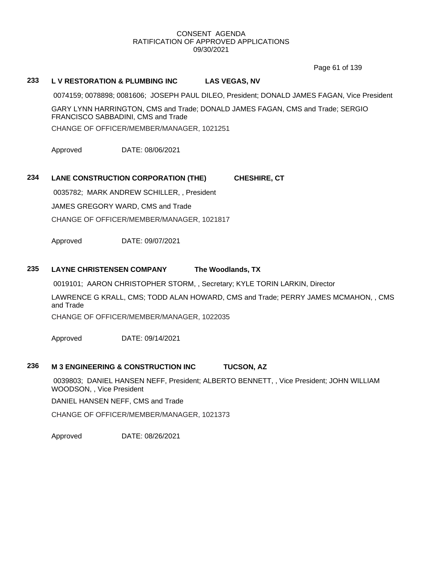Page 61 of 139

### **233 L V RESTORATION & PLUMBING INC LAS VEGAS, NV**

0074159; 0078898; 0081606; JOSEPH PAUL DILEO, President; DONALD JAMES FAGAN, Vice President

GARY LYNN HARRINGTON, CMS and Trade; DONALD JAMES FAGAN, CMS and Trade; SERGIO FRANCISCO SABBADINI, CMS and Trade CHANGE OF OFFICER/MEMBER/MANAGER, 1021251

Approved DATE: 08/06/2021

# **234 LANE CONSTRUCTION CORPORATION (THE) CHESHIRE, CT**

0035782; MARK ANDREW SCHILLER, , President JAMES GREGORY WARD, CMS and Trade CHANGE OF OFFICER/MEMBER/MANAGER, 1021817

Approved DATE: 09/07/2021

#### **235 LAYNE CHRISTENSEN COMPANY The Woodlands, TX**

0019101; AARON CHRISTOPHER STORM, , Secretary; KYLE TORIN LARKIN, Director

LAWRENCE G KRALL, CMS; TODD ALAN HOWARD, CMS and Trade; PERRY JAMES MCMAHON, , CMS and Trade

CHANGE OF OFFICER/MEMBER/MANAGER, 1022035

Approved DATE: 09/14/2021

#### **236 M 3 ENGINEERING & CONSTRUCTION INC TUCSON, AZ**

0039803; DANIEL HANSEN NEFF, President; ALBERTO BENNETT, , Vice President; JOHN WILLIAM WOODSON, , Vice President

DANIEL HANSEN NEFF, CMS and Trade

CHANGE OF OFFICER/MEMBER/MANAGER, 1021373

Approved DATE: 08/26/2021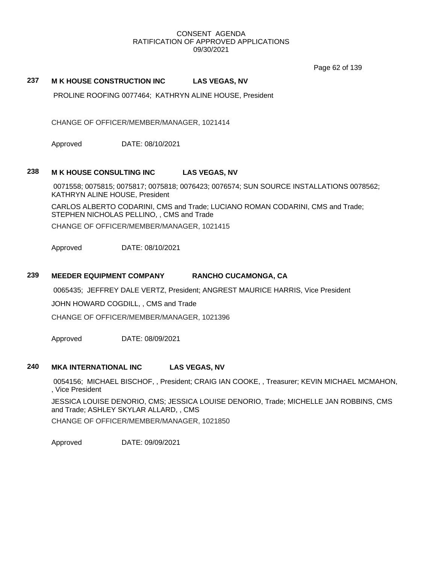Page 62 of 139

# **237 M K HOUSE CONSTRUCTION INC LAS VEGAS, NV**

PROLINE ROOFING 0077464; KATHRYN ALINE HOUSE, President

CHANGE OF OFFICER/MEMBER/MANAGER, 1021414

Approved DATE: 08/10/2021

#### **238 M K HOUSE CONSULTING INC LAS VEGAS, NV**

0071558; 0075815; 0075817; 0075818; 0076423; 0076574; SUN SOURCE INSTALLATIONS 0078562; KATHRYN ALINE HOUSE, President

CARLOS ALBERTO CODARINI, CMS and Trade; LUCIANO ROMAN CODARINI, CMS and Trade; STEPHEN NICHOLAS PELLINO, , CMS and Trade CHANGE OF OFFICER/MEMBER/MANAGER, 1021415

Approved DATE: 08/10/2021

## **239 MEEDER EQUIPMENT COMPANY RANCHO CUCAMONGA, CA**

0065435; JEFFREY DALE VERTZ, President; ANGREST MAURICE HARRIS, Vice President

JOHN HOWARD COGDILL, , CMS and Trade

CHANGE OF OFFICER/MEMBER/MANAGER, 1021396

Approved DATE: 08/09/2021

#### **240 MKA INTERNATIONAL INC LAS VEGAS, NV**

0054156; MICHAEL BISCHOF, , President; CRAIG IAN COOKE, , Treasurer; KEVIN MICHAEL MCMAHON, , Vice President

JESSICA LOUISE DENORIO, CMS; JESSICA LOUISE DENORIO, Trade; MICHELLE JAN ROBBINS, CMS and Trade; ASHLEY SKYLAR ALLARD, , CMS

CHANGE OF OFFICER/MEMBER/MANAGER, 1021850

Approved DATE: 09/09/2021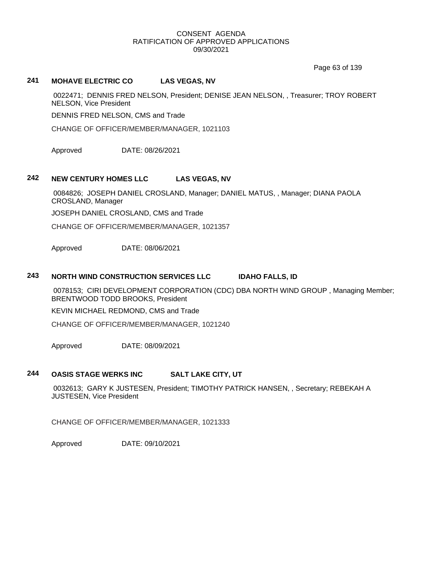Page 63 of 139

# **241 MOHAVE ELECTRIC CO LAS VEGAS, NV**

0022471; DENNIS FRED NELSON, President; DENISE JEAN NELSON, , Treasurer; TROY ROBERT NELSON, Vice President

DENNIS FRED NELSON, CMS and Trade

CHANGE OF OFFICER/MEMBER/MANAGER, 1021103

Approved DATE: 08/26/2021

#### **242 NEW CENTURY HOMES LLC LAS VEGAS, NV**

0084826; JOSEPH DANIEL CROSLAND, Manager; DANIEL MATUS, , Manager; DIANA PAOLA CROSLAND, Manager

JOSEPH DANIEL CROSLAND, CMS and Trade

CHANGE OF OFFICER/MEMBER/MANAGER, 1021357

Approved DATE: 08/06/2021

#### **243 NORTH WIND CONSTRUCTION SERVICES LLC IDAHO FALLS, ID**

0078153; CIRI DEVELOPMENT CORPORATION (CDC) DBA NORTH WIND GROUP , Managing Member; BRENTWOOD TODD BROOKS, President

KEVIN MICHAEL REDMOND, CMS and Trade

CHANGE OF OFFICER/MEMBER/MANAGER, 1021240

Approved DATE: 08/09/2021

# **244 OASIS STAGE WERKS INC SALT LAKE CITY, UT**

0032613; GARY K JUSTESEN, President; TIMOTHY PATRICK HANSEN, , Secretary; REBEKAH A JUSTESEN, Vice President

CHANGE OF OFFICER/MEMBER/MANAGER, 1021333

Approved DATE: 09/10/2021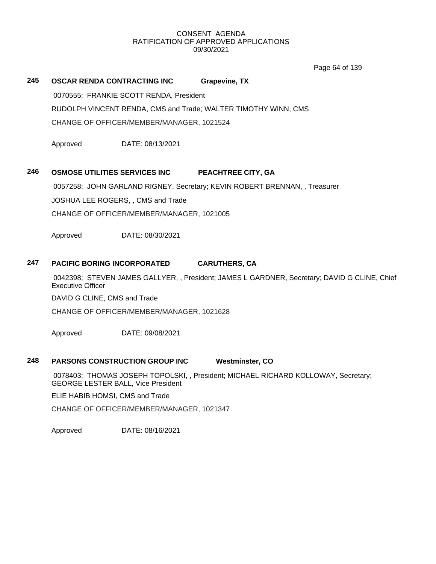Page 64 of 139

# **245 OSCAR RENDA CONTRACTING INC Grapevine, TX**

0070555; FRANKIE SCOTT RENDA, President

RUDOLPH VINCENT RENDA, CMS and Trade; WALTER TIMOTHY WINN, CMS

CHANGE OF OFFICER/MEMBER/MANAGER, 1021524

Approved DATE: 08/13/2021

# **246 OSMOSE UTILITIES SERVICES INC PEACHTREE CITY, GA**

0057258; JOHN GARLAND RIGNEY, Secretary; KEVIN ROBERT BRENNAN, , Treasurer

JOSHUA LEE ROGERS, , CMS and Trade

CHANGE OF OFFICER/MEMBER/MANAGER, 1021005

Approved DATE: 08/30/2021

# **247 PACIFIC BORING INCORPORATED CARUTHERS, CA**

0042398; STEVEN JAMES GALLYER, , President; JAMES L GARDNER, Secretary; DAVID G CLINE, Chief Executive Officer

DAVID G CLINE, CMS and Trade

CHANGE OF OFFICER/MEMBER/MANAGER, 1021628

Approved DATE: 09/08/2021

# **248 PARSONS CONSTRUCTION GROUP INC Westminster, CO**

0078403; THOMAS JOSEPH TOPOLSKI, , President; MICHAEL RICHARD KOLLOWAY, Secretary; GEORGE LESTER BALL, Vice President

ELIE HABIB HOMSI, CMS and Trade

CHANGE OF OFFICER/MEMBER/MANAGER, 1021347

Approved DATE: 08/16/2021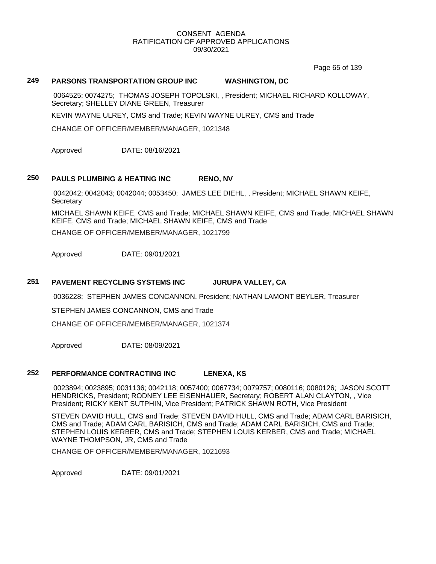Page 65 of 139

# **249 PARSONS TRANSPORTATION GROUP INC WASHINGTON, DC**

0064525; 0074275; THOMAS JOSEPH TOPOLSKI, , President; MICHAEL RICHARD KOLLOWAY, Secretary; SHELLEY DIANE GREEN, Treasurer

KEVIN WAYNE ULREY, CMS and Trade; KEVIN WAYNE ULREY, CMS and Trade

CHANGE OF OFFICER/MEMBER/MANAGER, 1021348

Approved DATE: 08/16/2021

#### **250 PAULS PLUMBING & HEATING INC RENO, NV**

0042042; 0042043; 0042044; 0053450; JAMES LEE DIEHL, , President; MICHAEL SHAWN KEIFE, **Secretary** 

MICHAEL SHAWN KEIFE, CMS and Trade; MICHAEL SHAWN KEIFE, CMS and Trade; MICHAEL SHAWN KEIFE, CMS and Trade; MICHAEL SHAWN KEIFE, CMS and Trade

CHANGE OF OFFICER/MEMBER/MANAGER, 1021799

Approved DATE: 09/01/2021

# **251 PAVEMENT RECYCLING SYSTEMS INC JURUPA VALLEY, CA**

0036228; STEPHEN JAMES CONCANNON, President; NATHAN LAMONT BEYLER, Treasurer

STEPHEN JAMES CONCANNON, CMS and Trade

CHANGE OF OFFICER/MEMBER/MANAGER, 1021374

Approved DATE: 08/09/2021

#### **252 PERFORMANCE CONTRACTING INC LENEXA, KS**

0023894; 0023895; 0031136; 0042118; 0057400; 0067734; 0079757; 0080116; 0080126; JASON SCOTT HENDRICKS, President; RODNEY LEE EISENHAUER, Secretary; ROBERT ALAN CLAYTON, , Vice President; RICKY KENT SUTPHIN, Vice President; PATRICK SHAWN ROTH, Vice President

STEVEN DAVID HULL, CMS and Trade; STEVEN DAVID HULL, CMS and Trade; ADAM CARL BARISICH, CMS and Trade; ADAM CARL BARISICH, CMS and Trade; ADAM CARL BARISICH, CMS and Trade; STEPHEN LOUIS KERBER, CMS and Trade; STEPHEN LOUIS KERBER, CMS and Trade; MICHAEL WAYNE THOMPSON, JR, CMS and Trade

CHANGE OF OFFICER/MEMBER/MANAGER, 1021693

Approved DATE: 09/01/2021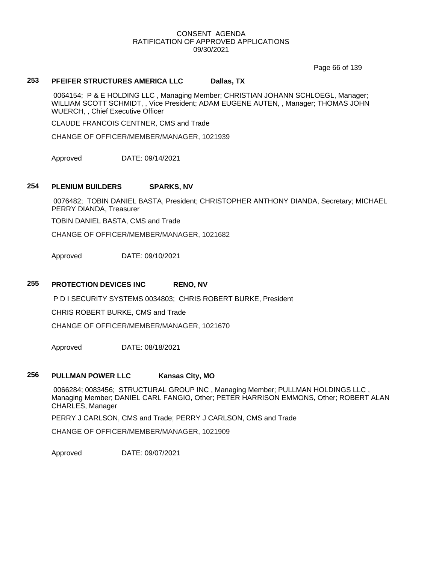Page 66 of 139

#### **253 PFEIFER STRUCTURES AMERICA LLC Dallas, TX**

0064154; P & E HOLDING LLC , Managing Member; CHRISTIAN JOHANN SCHLOEGL, Manager; WILLIAM SCOTT SCHMIDT, , Vice President; ADAM EUGENE AUTEN, , Manager; THOMAS JOHN WUERCH, , Chief Executive Officer

CLAUDE FRANCOIS CENTNER, CMS and Trade

CHANGE OF OFFICER/MEMBER/MANAGER, 1021939

Approved DATE: 09/14/2021

#### **254 PLENIUM BUILDERS SPARKS, NV**

0076482; TOBIN DANIEL BASTA, President; CHRISTOPHER ANTHONY DIANDA, Secretary; MICHAEL PERRY DIANDA, Treasurer

TOBIN DANIEL BASTA, CMS and Trade

CHANGE OF OFFICER/MEMBER/MANAGER, 1021682

Approved DATE: 09/10/2021

#### **255 PROTECTION DEVICES INC RENO, NV**

P D I SECURITY SYSTEMS 0034803; CHRIS ROBERT BURKE, President

CHRIS ROBERT BURKE, CMS and Trade

CHANGE OF OFFICER/MEMBER/MANAGER, 1021670

Approved DATE: 08/18/2021

#### **256 PULLMAN POWER LLC Kansas City, MO**

0066284; 0083456; STRUCTURAL GROUP INC , Managing Member; PULLMAN HOLDINGS LLC , Managing Member; DANIEL CARL FANGIO, Other; PETER HARRISON EMMONS, Other; ROBERT ALAN CHARLES, Manager

PERRY J CARLSON, CMS and Trade; PERRY J CARLSON, CMS and Trade

CHANGE OF OFFICER/MEMBER/MANAGER, 1021909

Approved DATE: 09/07/2021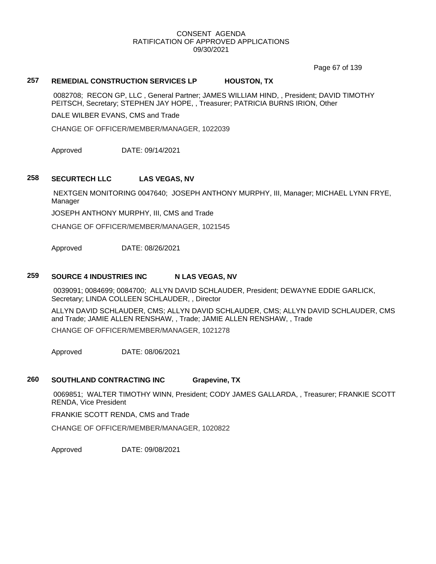Page 67 of 139

# **257 REMEDIAL CONSTRUCTION SERVICES LP HOUSTON, TX**

0082708; RECON GP, LLC , General Partner; JAMES WILLIAM HIND, , President; DAVID TIMOTHY PEITSCH, Secretary; STEPHEN JAY HOPE, , Treasurer; PATRICIA BURNS IRION, Other

DALE WILBER EVANS, CMS and Trade

CHANGE OF OFFICER/MEMBER/MANAGER, 1022039

Approved DATE: 09/14/2021

#### **258 SECURTECH LLC LAS VEGAS, NV**

NEXTGEN MONITORING 0047640; JOSEPH ANTHONY MURPHY, III, Manager; MICHAEL LYNN FRYE, Manager

JOSEPH ANTHONY MURPHY, III, CMS and Trade

CHANGE OF OFFICER/MEMBER/MANAGER, 1021545

Approved DATE: 08/26/2021

#### **259 SOURCE 4 INDUSTRIES INC N LAS VEGAS, NV**

0039091; 0084699; 0084700; ALLYN DAVID SCHLAUDER, President; DEWAYNE EDDIE GARLICK, Secretary; LINDA COLLEEN SCHLAUDER, , Director

ALLYN DAVID SCHLAUDER, CMS; ALLYN DAVID SCHLAUDER, CMS; ALLYN DAVID SCHLAUDER, CMS and Trade; JAMIE ALLEN RENSHAW, , Trade; JAMIE ALLEN RENSHAW, , Trade CHANGE OF OFFICER/MEMBER/MANAGER, 1021278

Approved DATE: 08/06/2021

# **260 SOUTHLAND CONTRACTING INC Grapevine, TX**

0069851; WALTER TIMOTHY WINN, President; CODY JAMES GALLARDA, , Treasurer; FRANKIE SCOTT RENDA, Vice President

FRANKIE SCOTT RENDA, CMS and Trade

CHANGE OF OFFICER/MEMBER/MANAGER, 1020822

Approved DATE: 09/08/2021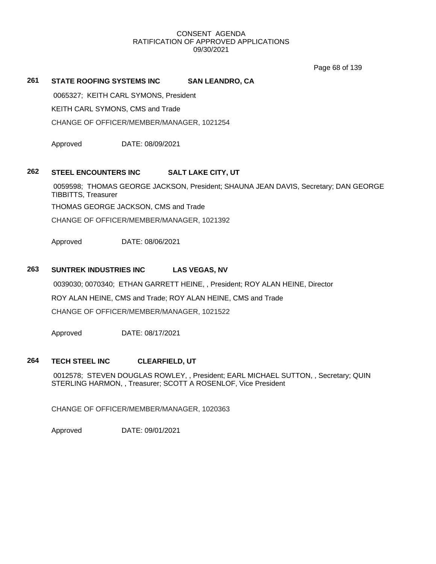Page 68 of 139

# **261 STATE ROOFING SYSTEMS INC SAN LEANDRO, CA**

0065327; KEITH CARL SYMONS, President

KEITH CARL SYMONS, CMS and Trade

CHANGE OF OFFICER/MEMBER/MANAGER, 1021254

Approved DATE: 08/09/2021

#### **262 STEEL ENCOUNTERS INC SALT LAKE CITY, UT**

0059598; THOMAS GEORGE JACKSON, President; SHAUNA JEAN DAVIS, Secretary; DAN GEORGE TIBBITTS, Treasurer

THOMAS GEORGE JACKSON, CMS and Trade

CHANGE OF OFFICER/MEMBER/MANAGER, 1021392

Approved DATE: 08/06/2021

# **263 SUNTREK INDUSTRIES INC LAS VEGAS, NV**

0039030; 0070340; ETHAN GARRETT HEINE, , President; ROY ALAN HEINE, Director ROY ALAN HEINE, CMS and Trade; ROY ALAN HEINE, CMS and Trade CHANGE OF OFFICER/MEMBER/MANAGER, 1021522

Approved DATE: 08/17/2021

#### **264 TECH STEEL INC CLEARFIELD, UT**

0012578; STEVEN DOUGLAS ROWLEY, , President; EARL MICHAEL SUTTON, , Secretary; QUIN STERLING HARMON, , Treasurer; SCOTT A ROSENLOF, Vice President

CHANGE OF OFFICER/MEMBER/MANAGER, 1020363

Approved DATE: 09/01/2021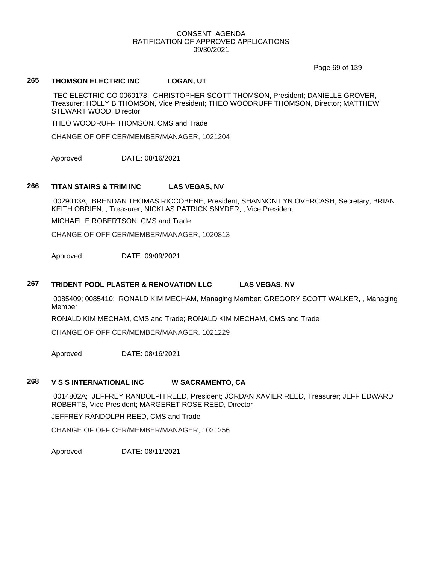Page 69 of 139

# **265 THOMSON ELECTRIC INC LOGAN, UT**

TEC ELECTRIC CO 0060178; CHRISTOPHER SCOTT THOMSON, President; DANIELLE GROVER, Treasurer; HOLLY B THOMSON, Vice President; THEO WOODRUFF THOMSON, Director; MATTHEW STEWART WOOD, Director

THEO WOODRUFF THOMSON, CMS and Trade

CHANGE OF OFFICER/MEMBER/MANAGER, 1021204

Approved DATE: 08/16/2021

#### **266 TITAN STAIRS & TRIM INC LAS VEGAS, NV**

0029013A; BRENDAN THOMAS RICCOBENE, President; SHANNON LYN OVERCASH, Secretary; BRIAN KEITH OBRIEN, , Treasurer; NICKLAS PATRICK SNYDER, , Vice President

MICHAEL E ROBERTSON, CMS and Trade

CHANGE OF OFFICER/MEMBER/MANAGER, 1020813

Approved DATE: 09/09/2021

#### **267 TRIDENT POOL PLASTER & RENOVATION LLC LAS VEGAS, NV**

0085409; 0085410; RONALD KIM MECHAM, Managing Member; GREGORY SCOTT WALKER, , Managing Member

RONALD KIM MECHAM, CMS and Trade; RONALD KIM MECHAM, CMS and Trade

CHANGE OF OFFICER/MEMBER/MANAGER, 1021229

Approved DATE: 08/16/2021

#### **268 V S S INTERNATIONAL INC W SACRAMENTO, CA**

0014802A; JEFFREY RANDOLPH REED, President; JORDAN XAVIER REED, Treasurer; JEFF EDWARD ROBERTS, Vice President; MARGERET ROSE REED, Director

JEFFREY RANDOLPH REED, CMS and Trade

CHANGE OF OFFICER/MEMBER/MANAGER, 1021256

Approved DATE: 08/11/2021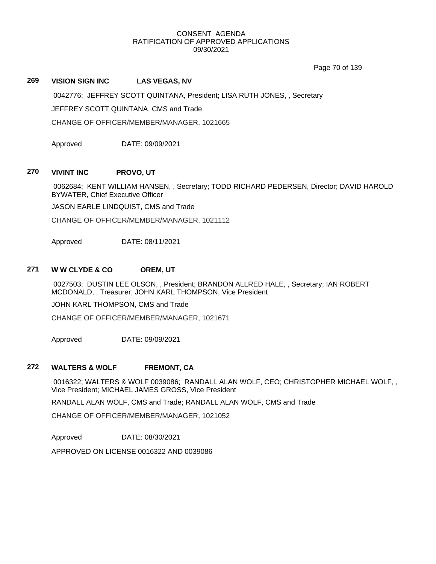Page 70 of 139

# **269 VISION SIGN INC LAS VEGAS, NV**

0042776; JEFFREY SCOTT QUINTANA, President; LISA RUTH JONES, , Secretary

JEFFREY SCOTT QUINTANA, CMS and Trade

CHANGE OF OFFICER/MEMBER/MANAGER, 1021665

Approved DATE: 09/09/2021

#### **270 VIVINT INC PROVO, UT**

0062684; KENT WILLIAM HANSEN, , Secretary; TODD RICHARD PEDERSEN, Director; DAVID HAROLD BYWATER, Chief Executive Officer

JASON EARLE LINDQUIST, CMS and Trade

CHANGE OF OFFICER/MEMBER/MANAGER, 1021112

Approved DATE: 08/11/2021

# **271 W W CLYDE & CO OREM, UT**

0027503; DUSTIN LEE OLSON, , President; BRANDON ALLRED HALE, , Secretary; IAN ROBERT MCDONALD, , Treasurer; JOHN KARL THOMPSON, Vice President

JOHN KARL THOMPSON, CMS and Trade

CHANGE OF OFFICER/MEMBER/MANAGER, 1021671

Approved DATE: 09/09/2021

#### **272 WALTERS & WOLF FREMONT, CA**

0016322; WALTERS & WOLF 0039086; RANDALL ALAN WOLF, CEO; CHRISTOPHER MICHAEL WOLF, , Vice President; MICHAEL JAMES GROSS, Vice President

RANDALL ALAN WOLF, CMS and Trade; RANDALL ALAN WOLF, CMS and Trade

CHANGE OF OFFICER/MEMBER/MANAGER, 1021052

Approved DATE: 08/30/2021

APPROVED ON LICENSE 0016322 AND 0039086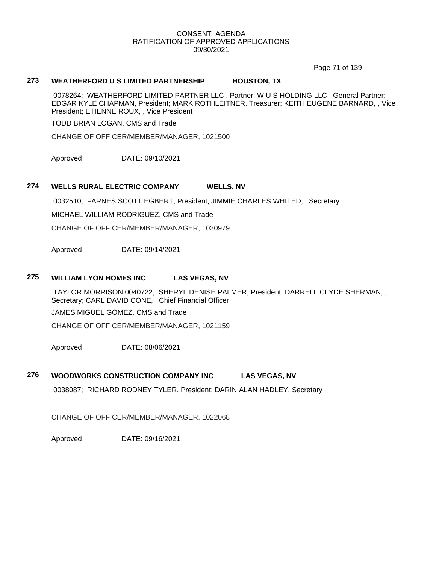Page 71 of 139

# **273 WEATHERFORD U S LIMITED PARTNERSHIP HOUSTON, TX**

0078264; WEATHERFORD LIMITED PARTNER LLC , Partner; W U S HOLDING LLC , General Partner; EDGAR KYLE CHAPMAN, President; MARK ROTHLEITNER, Treasurer; KEITH EUGENE BARNARD, , Vice President; ETIENNE ROUX, , Vice President

TODD BRIAN LOGAN, CMS and Trade

CHANGE OF OFFICER/MEMBER/MANAGER, 1021500

Approved DATE: 09/10/2021

#### **274 WELLS RURAL ELECTRIC COMPANY WELLS, NV**

0032510; FARNES SCOTT EGBERT, President; JIMMIE CHARLES WHITED, , Secretary

MICHAEL WILLIAM RODRIGUEZ, CMS and Trade

CHANGE OF OFFICER/MEMBER/MANAGER, 1020979

Approved DATE: 09/14/2021

#### **275 WILLIAM LYON HOMES INC LAS VEGAS, NV**

TAYLOR MORRISON 0040722; SHERYL DENISE PALMER, President; DARRELL CLYDE SHERMAN, , Secretary; CARL DAVID CONE, , Chief Financial Officer

JAMES MIGUEL GOMEZ, CMS and Trade

CHANGE OF OFFICER/MEMBER/MANAGER, 1021159

Approved DATE: 08/06/2021

#### **276 WOODWORKS CONSTRUCTION COMPANY INC LAS VEGAS, NV**

0038087; RICHARD RODNEY TYLER, President; DARIN ALAN HADLEY, Secretary

CHANGE OF OFFICER/MEMBER/MANAGER, 1022068

Approved DATE: 09/16/2021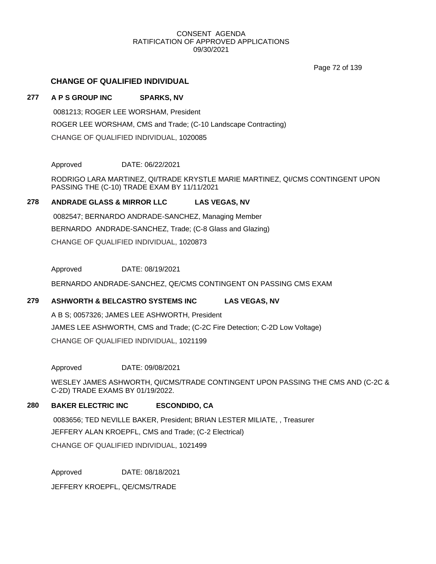Page 72 of 139

# **CHANGE OF QUALIFIED INDIVIDUAL**

# **277 A P S GROUP INC SPARKS, NV**

0081213; ROGER LEE WORSHAM, President ROGER LEE WORSHAM, CMS and Trade; (C-10 Landscape Contracting) CHANGE OF QUALIFIED INDIVIDUAL, 1020085

Approved DATE: 06/22/2021

RODRIGO LARA MARTINEZ, QI/TRADE KRYSTLE MARIE MARTINEZ, QI/CMS CONTINGENT UPON PASSING THE (C-10) TRADE EXAM BY 11/11/2021

# **278 ANDRADE GLASS & MIRROR LLC LAS VEGAS, NV**

0082547; BERNARDO ANDRADE-SANCHEZ, Managing Member BERNARDO ANDRADE-SANCHEZ, Trade; (C-8 Glass and Glazing) CHANGE OF QUALIFIED INDIVIDUAL, 1020873

Approved DATE: 08/19/2021

BERNARDO ANDRADE-SANCHEZ, QE/CMS CONTINGENT ON PASSING CMS EXAM

#### **279 ASHWORTH & BELCASTRO SYSTEMS INC LAS VEGAS, NV**

A B S; 0057326; JAMES LEE ASHWORTH, President JAMES LEE ASHWORTH, CMS and Trade; (C-2C Fire Detection; C-2D Low Voltage) CHANGE OF QUALIFIED INDIVIDUAL, 1021199

Approved DATE: 09/08/2021

WESLEY JAMES ASHWORTH, QI/CMS/TRADE CONTINGENT UPON PASSING THE CMS AND (C-2C & C-2D) TRADE EXAMS BY 01/19/2022.

### **280 BAKER ELECTRIC INC ESCONDIDO, CA**

0083656; TED NEVILLE BAKER, President; BRIAN LESTER MILIATE, , Treasurer JEFFERY ALAN KROEPFL, CMS and Trade; (C-2 Electrical)

CHANGE OF QUALIFIED INDIVIDUAL, 1021499

Approved DATE: 08/18/2021

JEFFERY KROEPFL, QE/CMS/TRADE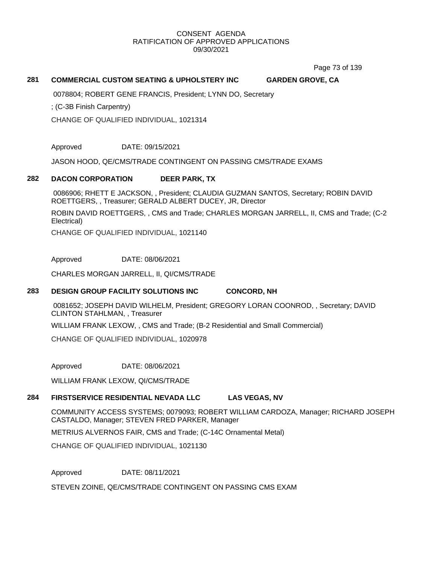Page 73 of 139

# **281 COMMERCIAL CUSTOM SEATING & UPHOLSTERY INC GARDEN GROVE, CA**

0078804; ROBERT GENE FRANCIS, President; LYNN DO, Secretary

; (C-3B Finish Carpentry)

CHANGE OF QUALIFIED INDIVIDUAL, 1021314

Approved DATE: 09/15/2021

JASON HOOD, QE/CMS/TRADE CONTINGENT ON PASSING CMS/TRADE EXAMS

#### **282 DACON CORPORATION DEER PARK, TX**

0086906; RHETT E JACKSON, , President; CLAUDIA GUZMAN SANTOS, Secretary; ROBIN DAVID ROETTGERS, , Treasurer; GERALD ALBERT DUCEY, JR, Director

ROBIN DAVID ROETTGERS, , CMS and Trade; CHARLES MORGAN JARRELL, II, CMS and Trade; (C-2 Electrical)

CHANGE OF QUALIFIED INDIVIDUAL, 1021140

Approved DATE: 08/06/2021

CHARLES MORGAN JARRELL, II, QI/CMS/TRADE

### **283 DESIGN GROUP FACILITY SOLUTIONS INC CONCORD, NH**

0081652; JOSEPH DAVID WILHELM, President; GREGORY LORAN COONROD, , Secretary; DAVID CLINTON STAHLMAN, , Treasurer

WILLIAM FRANK LEXOW, , CMS and Trade; (B-2 Residential and Small Commercial)

CHANGE OF QUALIFIED INDIVIDUAL, 1020978

Approved DATE: 08/06/2021

WILLIAM FRANK LEXOW, QI/CMS/TRADE

### **284 FIRSTSERVICE RESIDENTIAL NEVADA LLC LAS VEGAS, NV**

COMMUNITY ACCESS SYSTEMS; 0079093; ROBERT WILLIAM CARDOZA, Manager; RICHARD JOSEPH CASTALDO, Manager; STEVEN FRED PARKER, Manager

METRIUS ALVERNOS FAIR, CMS and Trade; (C-14C Ornamental Metal)

CHANGE OF QUALIFIED INDIVIDUAL, 1021130

Approved DATE: 08/11/2021

STEVEN ZOINE, QE/CMS/TRADE CONTINGENT ON PASSING CMS EXAM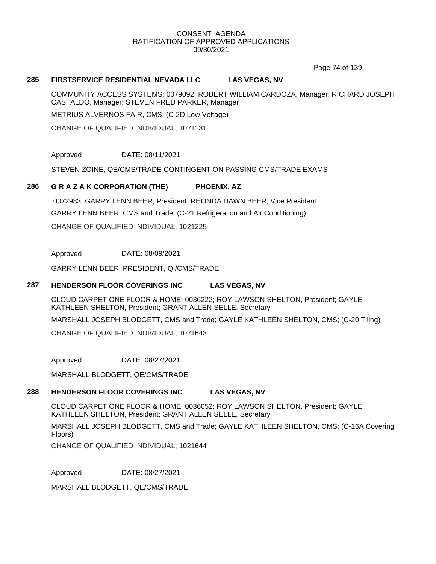Page 74 of 139

### **285 FIRSTSERVICE RESIDENTIAL NEVADA LLC LAS VEGAS, NV**

COMMUNITY ACCESS SYSTEMS; 0079092; ROBERT WILLIAM CARDOZA, Manager; RICHARD JOSEPH CASTALDO, Manager; STEVEN FRED PARKER, Manager

METRIUS ALVERNOS FAIR, CMS; (C-2D Low Voltage)

CHANGE OF QUALIFIED INDIVIDUAL, 1021131

Approved DATE: 08/11/2021

STEVEN ZOINE, QE/CMS/TRADE CONTINGENT ON PASSING CMS/TRADE EXAMS

### **286 G R A Z A K CORPORATION (THE) PHOENIX, AZ**

0072983; GARRY LENN BEER, President; RHONDA DAWN BEER, Vice President GARRY LENN BEER, CMS and Trade; (C-21 Refrigeration and Air Conditioning) CHANGE OF QUALIFIED INDIVIDUAL, 1021225

Approved DATE: 08/09/2021

GARRY LENN BEER, PRESIDENT, QI/CMS/TRADE

# **287 HENDERSON FLOOR COVERINGS INC LAS VEGAS, NV**

CLOUD CARPET ONE FLOOR & HOME; 0036222; ROY LAWSON SHELTON, President; GAYLE KATHLEEN SHELTON, President; GRANT ALLEN SELLE, Secretary MARSHALL JOSEPH BLODGETT, CMS and Trade; GAYLE KATHLEEN SHELTON, CMS; (C-20 Tiling)

CHANGE OF QUALIFIED INDIVIDUAL, 1021643

Approved DATE: 08/27/2021

MARSHALL BLODGETT, QE/CMS/TRADE

# **288 HENDERSON FLOOR COVERINGS INC LAS VEGAS, NV**

CLOUD CARPET ONE FLOOR & HOME; 0036052; ROY LAWSON SHELTON, President; GAYLE KATHLEEN SHELTON, President; GRANT ALLEN SELLE, Secretary

MARSHALL JOSEPH BLODGETT, CMS and Trade; GAYLE KATHLEEN SHELTON, CMS; (C-16A Covering Floors)

CHANGE OF QUALIFIED INDIVIDUAL, 1021644

Approved DATE: 08/27/2021

MARSHALL BLODGETT, QE/CMS/TRADE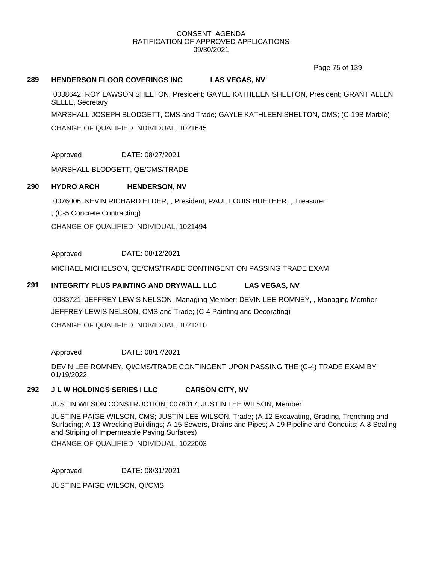Page 75 of 139

# **289 HENDERSON FLOOR COVERINGS INC LAS VEGAS, NV**

0038642; ROY LAWSON SHELTON, President; GAYLE KATHLEEN SHELTON, President; GRANT ALLEN SELLE, Secretary

MARSHALL JOSEPH BLODGETT, CMS and Trade; GAYLE KATHLEEN SHELTON, CMS; (C-19B Marble)

CHANGE OF QUALIFIED INDIVIDUAL, 1021645

Approved DATE: 08/27/2021

MARSHALL BLODGETT, QE/CMS/TRADE

# **290 HYDRO ARCH HENDERSON, NV**

0076006; KEVIN RICHARD ELDER, , President; PAUL LOUIS HUETHER, , Treasurer

; (C-5 Concrete Contracting)

CHANGE OF QUALIFIED INDIVIDUAL, 1021494

Approved DATE: 08/12/2021

MICHAEL MICHELSON, QE/CMS/TRADE CONTINGENT ON PASSING TRADE EXAM

# **291 INTEGRITY PLUS PAINTING AND DRYWALL LLC LAS VEGAS, NV**

0083721; JEFFREY LEWIS NELSON, Managing Member; DEVIN LEE ROMNEY, , Managing Member JEFFREY LEWIS NELSON, CMS and Trade; (C-4 Painting and Decorating) CHANGE OF QUALIFIED INDIVIDUAL, 1021210

Approved DATE: 08/17/2021

DEVIN LEE ROMNEY, QI/CMS/TRADE CONTINGENT UPON PASSING THE (C-4) TRADE EXAM BY 01/19/2022.

# **292 J L W HOLDINGS SERIES I LLC CARSON CITY, NV**

JUSTIN WILSON CONSTRUCTION; 0078017; JUSTIN LEE WILSON, Member

JUSTINE PAIGE WILSON, CMS; JUSTIN LEE WILSON, Trade; (A-12 Excavating, Grading, Trenching and Surfacing; A-13 Wrecking Buildings; A-15 Sewers, Drains and Pipes; A-19 Pipeline and Conduits; A-8 Sealing and Striping of Impermeable Paving Surfaces)

CHANGE OF QUALIFIED INDIVIDUAL, 1022003

Approved DATE: 08/31/2021

JUSTINE PAIGE WILSON, QI/CMS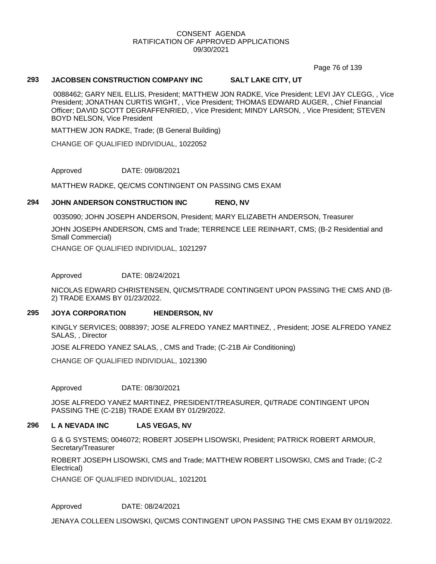Page 76 of 139

# **293 JACOBSEN CONSTRUCTION COMPANY INC SALT LAKE CITY, UT**

0088462; GARY NEIL ELLIS, President; MATTHEW JON RADKE, Vice President; LEVI JAY CLEGG, , Vice President; JONATHAN CURTIS WIGHT, , Vice President; THOMAS EDWARD AUGER, , Chief Financial Officer; DAVID SCOTT DEGRAFFENRIED, , Vice President; MINDY LARSON, , Vice President; STEVEN BOYD NELSON, Vice President

MATTHEW JON RADKE, Trade; (B General Building)

CHANGE OF QUALIFIED INDIVIDUAL, 1022052

Approved DATE: 09/08/2021

MATTHEW RADKE, QE/CMS CONTINGENT ON PASSING CMS EXAM

# **294 JOHN ANDERSON CONSTRUCTION INC RENO, NV**

0035090; JOHN JOSEPH ANDERSON, President; MARY ELIZABETH ANDERSON, Treasurer

JOHN JOSEPH ANDERSON, CMS and Trade; TERRENCE LEE REINHART, CMS; (B-2 Residential and Small Commercial)

CHANGE OF QUALIFIED INDIVIDUAL, 1021297

Approved DATE: 08/24/2021

NICOLAS EDWARD CHRISTENSEN, QI/CMS/TRADE CONTINGENT UPON PASSING THE CMS AND (B-2) TRADE EXAMS BY 01/23/2022.

# **295 JOYA CORPORATION HENDERSON, NV**

KINGLY SERVICES; 0088397; JOSE ALFREDO YANEZ MARTINEZ, , President; JOSE ALFREDO YANEZ SALAS, , Director

JOSE ALFREDO YANEZ SALAS, , CMS and Trade; (C-21B Air Conditioning)

CHANGE OF QUALIFIED INDIVIDUAL, 1021390

Approved DATE: 08/30/2021

JOSE ALFREDO YANEZ MARTINEZ, PRESIDENT/TREASURER, QI/TRADE CONTINGENT UPON PASSING THE (C-21B) TRADE EXAM BY 01/29/2022.

#### **296 L A NEVADA INC LAS VEGAS, NV**

G & G SYSTEMS; 0046072; ROBERT JOSEPH LISOWSKI, President; PATRICK ROBERT ARMOUR, Secretary/Treasurer

ROBERT JOSEPH LISOWSKI, CMS and Trade; MATTHEW ROBERT LISOWSKI, CMS and Trade; (C-2 Electrical)

CHANGE OF QUALIFIED INDIVIDUAL, 1021201

Approved DATE: 08/24/2021

JENAYA COLLEEN LISOWSKI, QI/CMS CONTINGENT UPON PASSING THE CMS EXAM BY 01/19/2022.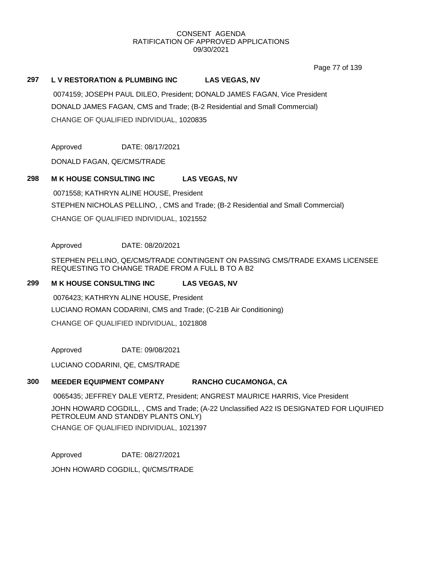Page 77 of 139

# **297 L V RESTORATION & PLUMBING INC LAS VEGAS, NV**

0074159; JOSEPH PAUL DILEO, President; DONALD JAMES FAGAN, Vice President DONALD JAMES FAGAN, CMS and Trade; (B-2 Residential and Small Commercial) CHANGE OF QUALIFIED INDIVIDUAL, 1020835

Approved DATE: 08/17/2021

DONALD FAGAN, QE/CMS/TRADE

# **298 M K HOUSE CONSULTING INC LAS VEGAS, NV**

0071558; KATHRYN ALINE HOUSE, President STEPHEN NICHOLAS PELLINO, , CMS and Trade; (B-2 Residential and Small Commercial) CHANGE OF QUALIFIED INDIVIDUAL, 1021552

Approved DATE: 08/20/2021

STEPHEN PELLINO, QE/CMS/TRADE CONTINGENT ON PASSING CMS/TRADE EXAMS LICENSEE REQUESTING TO CHANGE TRADE FROM A FULL B TO A B2

# **299 M K HOUSE CONSULTING INC LAS VEGAS, NV**

0076423; KATHRYN ALINE HOUSE, President LUCIANO ROMAN CODARINI, CMS and Trade; (C-21B Air Conditioning) CHANGE OF QUALIFIED INDIVIDUAL, 1021808

Approved DATE: 09/08/2021

LUCIANO CODARINI, QE, CMS/TRADE

# **300 MEEDER EQUIPMENT COMPANY RANCHO CUCAMONGA, CA**

0065435; JEFFREY DALE VERTZ, President; ANGREST MAURICE HARRIS, Vice President

JOHN HOWARD COGDILL, , CMS and Trade; (A-22 Unclassified A22 IS DESIGNATED FOR LIQUIFIED PETROLEUM AND STANDBY PLANTS ONLY) CHANGE OF QUALIFIED INDIVIDUAL, 1021397

Approved DATE: 08/27/2021

JOHN HOWARD COGDILL, QI/CMS/TRADE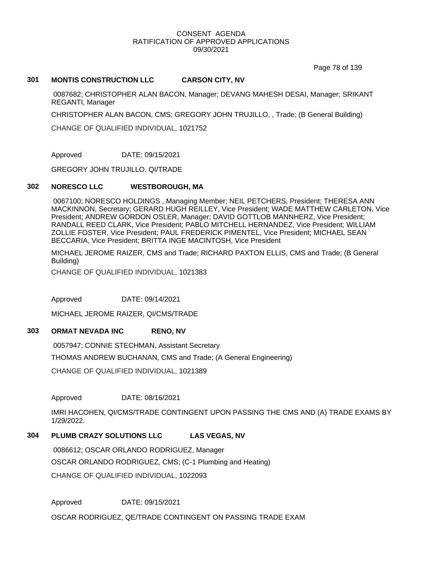Page 78 of 139

### **301 MONTIS CONSTRUCTION LLC CARSON CITY, NV**

0087682; CHRISTOPHER ALAN BACON, Manager; DEVANG MAHESH DESAI, Manager; SRIKANT REGANTI, Manager

CHRISTOPHER ALAN BACON, CMS; GREGORY JOHN TRUJILLO, , Trade; (B General Building)

CHANGE OF QUALIFIED INDIVIDUAL, 1021752

Approved DATE: 09/15/2021

GREGORY JOHN TRUJILLO, QI/TRADE

# **302 NORESCO LLC WESTBOROUGH, MA**

0067100; NORESCO HOLDINGS , Managing Member; NEIL PETCHERS, President; THERESA ANN MACKINNON, Secretary; GERARD HUGH REILLEY, Vice President; WADE MATTHEW CARLETON, Vice President; ANDREW GORDON OSLER, Manager; DAVID GOTTLOB MANNHERZ, Vice President; RANDALL REED CLARK, Vice President; PABLO MITCHELL HERNANDEZ, Vice President; WILLIAM ZOLLIE FOSTER, Vice President; PAUL FREDERICK PIMENTEL, Vice President; MICHAEL SEAN BECCARIA, Vice President; BRITTA INGE MACINTOSH, Vice President

MICHAEL JEROME RAIZER, CMS and Trade; RICHARD PAXTON ELLIS, CMS and Trade; (B General Building)

CHANGE OF QUALIFIED INDIVIDUAL, 1021383

Approved DATE: 09/14/2021

MICHAEL JEROME RAIZER, QI/CMS/TRADE

# **303 ORMAT NEVADA INC RENO, NV**

0057947; CONNIE STECHMAN, Assistant Secretary

THOMAS ANDREW BUCHANAN, CMS and Trade; (A General Engineering)

CHANGE OF QUALIFIED INDIVIDUAL, 1021389

Approved DATE: 08/16/2021

IMRI HACOHEN, QI/CMS/TRADE CONTINGENT UPON PASSING THE CMS AND (A) TRADE EXAMS BY 1/29/2022.

# **304 PLUMB CRAZY SOLUTIONS LLC LAS VEGAS, NV**

0086612; OSCAR ORLANDO RODRIGUEZ, Manager OSCAR ORLANDO RODRIGUEZ, CMS; (C-1 Plumbing and Heating) CHANGE OF QUALIFIED INDIVIDUAL, 1022093

Approved DATE: 09/15/2021 OSCAR RODRIGUEZ, QE/TRADE CONTINGENT ON PASSING TRADE EXAM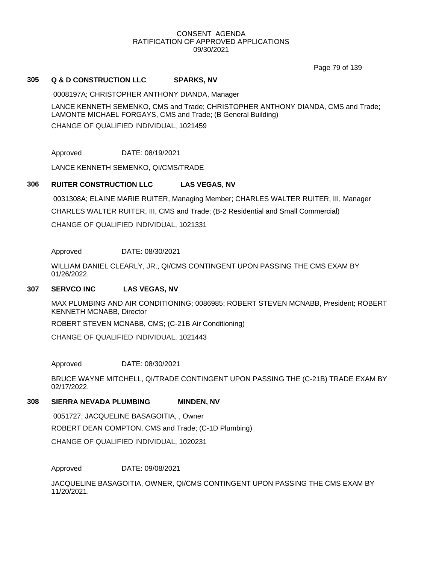Page 79 of 139

# **305 Q & D CONSTRUCTION LLC SPARKS, NV**

0008197A; CHRISTOPHER ANTHONY DIANDA, Manager

LANCE KENNETH SEMENKO, CMS and Trade; CHRISTOPHER ANTHONY DIANDA, CMS and Trade; LAMONTE MICHAEL FORGAYS, CMS and Trade; (B General Building)

CHANGE OF QUALIFIED INDIVIDUAL, 1021459

Approved DATE: 08/19/2021

LANCE KENNETH SEMENKO, QI/CMS/TRADE

# **306 RUITER CONSTRUCTION LLC LAS VEGAS, NV**

0031308A; ELAINE MARIE RUITER, Managing Member; CHARLES WALTER RUITER, III, Manager CHARLES WALTER RUITER, III, CMS and Trade; (B-2 Residential and Small Commercial) CHANGE OF QUALIFIED INDIVIDUAL, 1021331

# Approved DATE: 08/30/2021

WILLIAM DANIEL CLEARLY, JR., QI/CMS CONTINGENT UPON PASSING THE CMS EXAM BY 01/26/2022.

#### **307 SERVCO INC LAS VEGAS, NV**

MAX PLUMBING AND AIR CONDITIONING; 0086985; ROBERT STEVEN MCNABB, President; ROBERT KENNETH MCNABB, Director

ROBERT STEVEN MCNABB, CMS; (C-21B Air Conditioning)

CHANGE OF QUALIFIED INDIVIDUAL, 1021443

# Approved DATE: 08/30/2021

BRUCE WAYNE MITCHELL, QI/TRADE CONTINGENT UPON PASSING THE (C-21B) TRADE EXAM BY 02/17/2022.

# **308 SIERRA NEVADA PLUMBING MINDEN, NV**

0051727; JACQUELINE BASAGOITIA, , Owner ROBERT DEAN COMPTON, CMS and Trade; (C-1D Plumbing) CHANGE OF QUALIFIED INDIVIDUAL, 1020231

Approved DATE: 09/08/2021

JACQUELINE BASAGOITIA, OWNER, QI/CMS CONTINGENT UPON PASSING THE CMS EXAM BY 11/20/2021.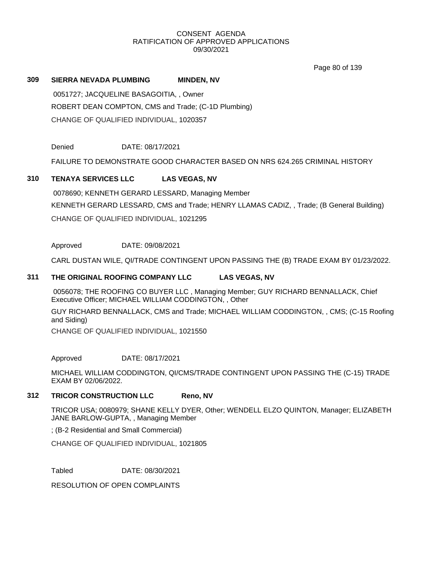Page 80 of 139

# **309 SIERRA NEVADA PLUMBING MINDEN, NV**

0051727; JACQUELINE BASAGOITIA, , Owner ROBERT DEAN COMPTON, CMS and Trade; (C-1D Plumbing) CHANGE OF QUALIFIED INDIVIDUAL, 1020357

Denied DATE: 08/17/2021

FAILURE TO DEMONSTRATE GOOD CHARACTER BASED ON NRS 624.265 CRIMINAL HISTORY

# **310 TENAYA SERVICES LLC LAS VEGAS, NV**

0078690; KENNETH GERARD LESSARD, Managing Member KENNETH GERARD LESSARD, CMS and Trade; HENRY LLAMAS CADIZ, , Trade; (B General Building) CHANGE OF QUALIFIED INDIVIDUAL, 1021295

Approved DATE: 09/08/2021

CARL DUSTAN WILE, QI/TRADE CONTINGENT UPON PASSING THE (B) TRADE EXAM BY 01/23/2022.

# **311 THE ORIGINAL ROOFING COMPANY LLC LAS VEGAS, NV**

0056078; THE ROOFING CO BUYER LLC , Managing Member; GUY RICHARD BENNALLACK, Chief Executive Officer; MICHAEL WILLIAM CODDINGTON, , Other

GUY RICHARD BENNALLACK, CMS and Trade; MICHAEL WILLIAM CODDINGTON, , CMS; (C-15 Roofing and Siding)

CHANGE OF QUALIFIED INDIVIDUAL, 1021550

Approved DATE: 08/17/2021

MICHAEL WILLIAM CODDINGTON, QI/CMS/TRADE CONTINGENT UPON PASSING THE (C-15) TRADE EXAM BY 02/06/2022.

# **312 TRICOR CONSTRUCTION LLC Reno, NV**

TRICOR USA; 0080979; SHANE KELLY DYER, Other; WENDELL ELZO QUINTON, Manager; ELIZABETH JANE BARLOW-GUPTA, , Managing Member

; (B-2 Residential and Small Commercial)

CHANGE OF QUALIFIED INDIVIDUAL, 1021805

Tabled DATE: 08/30/2021

RESOLUTION OF OPEN COMPLAINTS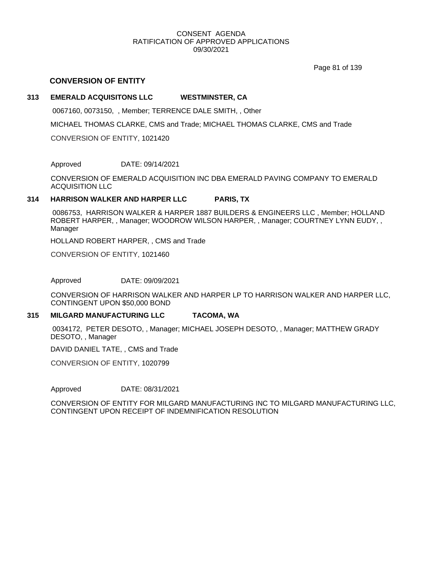Page 81 of 139

# **CONVERSION OF ENTITY**

# **313 EMERALD ACQUISITONS LLC WESTMINSTER, CA**

0067160, 0073150, , Member; TERRENCE DALE SMITH, , Other

MICHAEL THOMAS CLARKE, CMS and Trade; MICHAEL THOMAS CLARKE, CMS and Trade

CONVERSION OF ENTITY, 1021420

Approved DATE: 09/14/2021

CONVERSION OF EMERALD ACQUISITION INC DBA EMERALD PAVING COMPANY TO EMERALD ACQUISITION LLC

# **314 HARRISON WALKER AND HARPER LLC PARIS, TX**

0086753, HARRISON WALKER & HARPER 1887 BUILDERS & ENGINEERS LLC , Member; HOLLAND ROBERT HARPER, , Manager; WOODROW WILSON HARPER, , Manager; COURTNEY LYNN EUDY, , Manager

HOLLAND ROBERT HARPER, , CMS and Trade

CONVERSION OF ENTITY, 1021460

Approved DATE: 09/09/2021

CONVERSION OF HARRISON WALKER AND HARPER LP TO HARRISON WALKER AND HARPER LLC, CONTINGENT UPON \$50,000 BOND

#### **315 MILGARD MANUFACTURING LLC TACOMA, WA**

0034172, PETER DESOTO, , Manager; MICHAEL JOSEPH DESOTO, , Manager; MATTHEW GRADY DESOTO, , Manager

DAVID DANIEL TATE, , CMS and Trade

CONVERSION OF ENTITY, 1020799

Approved DATE: 08/31/2021

CONVERSION OF ENTITY FOR MILGARD MANUFACTURING INC TO MILGARD MANUFACTURING LLC, CONTINGENT UPON RECEIPT OF INDEMNIFICATION RESOLUTION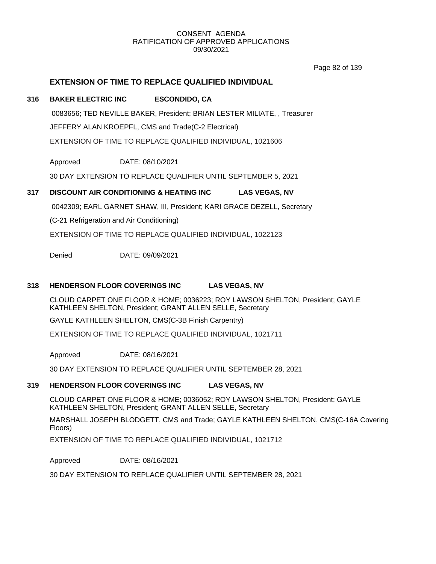Page 82 of 139

# **EXTENSION OF TIME TO REPLACE QUALIFIED INDIVIDUAL**

### **316 BAKER ELECTRIC INC ESCONDIDO, CA**

0083656; TED NEVILLE BAKER, President; BRIAN LESTER MILIATE, , Treasurer JEFFERY ALAN KROEPFL, CMS and Trade(C-2 Electrical) EXTENSION OF TIME TO REPLACE QUALIFIED INDIVIDUAL, 1021606

Approved DATE: 08/10/2021

30 DAY EXTENSION TO REPLACE QUALIFIER UNTIL SEPTEMBER 5, 2021

# **317 DISCOUNT AIR CONDITIONING & HEATING INC LAS VEGAS, NV**

0042309; EARL GARNET SHAW, III, President; KARI GRACE DEZELL, Secretary

(C-21 Refrigeration and Air Conditioning)

EXTENSION OF TIME TO REPLACE QUALIFIED INDIVIDUAL, 1022123

Denied DATE: 09/09/2021

### **318 HENDERSON FLOOR COVERINGS INC LAS VEGAS, NV**

CLOUD CARPET ONE FLOOR & HOME; 0036223; ROY LAWSON SHELTON, President; GAYLE KATHLEEN SHELTON, President; GRANT ALLEN SELLE, Secretary

GAYLE KATHLEEN SHELTON, CMS(C-3B Finish Carpentry)

EXTENSION OF TIME TO REPLACE QUALIFIED INDIVIDUAL, 1021711

Approved DATE: 08/16/2021

30 DAY EXTENSION TO REPLACE QUALIFIER UNTIL SEPTEMBER 28, 2021

# **319 HENDERSON FLOOR COVERINGS INC LAS VEGAS, NV**

CLOUD CARPET ONE FLOOR & HOME; 0036052; ROY LAWSON SHELTON, President; GAYLE KATHLEEN SHELTON, President; GRANT ALLEN SELLE, Secretary

MARSHALL JOSEPH BLODGETT, CMS and Trade; GAYLE KATHLEEN SHELTON, CMS(C-16A Covering Floors)

EXTENSION OF TIME TO REPLACE QUALIFIED INDIVIDUAL, 1021712

Approved DATE: 08/16/2021

30 DAY EXTENSION TO REPLACE QUALIFIER UNTIL SEPTEMBER 28, 2021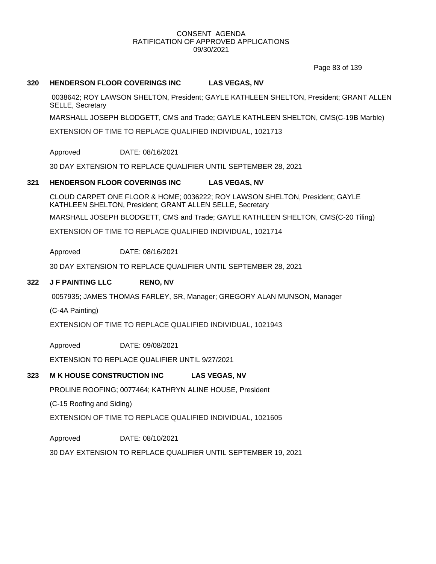Page 83 of 139

# **320 HENDERSON FLOOR COVERINGS INC LAS VEGAS, NV**

0038642; ROY LAWSON SHELTON, President; GAYLE KATHLEEN SHELTON, President; GRANT ALLEN SELLE, Secretary

MARSHALL JOSEPH BLODGETT, CMS and Trade; GAYLE KATHLEEN SHELTON, CMS(C-19B Marble)

EXTENSION OF TIME TO REPLACE QUALIFIED INDIVIDUAL, 1021713

#### Approved DATE: 08/16/2021

30 DAY EXTENSION TO REPLACE QUALIFIER UNTIL SEPTEMBER 28, 2021

#### **321 HENDERSON FLOOR COVERINGS INC LAS VEGAS, NV**

CLOUD CARPET ONE FLOOR & HOME; 0036222; ROY LAWSON SHELTON, President; GAYLE KATHLEEN SHELTON, President; GRANT ALLEN SELLE, Secretary

MARSHALL JOSEPH BLODGETT, CMS and Trade; GAYLE KATHLEEN SHELTON, CMS(C-20 Tiling)

EXTENSION OF TIME TO REPLACE QUALIFIED INDIVIDUAL, 1021714

Approved DATE: 08/16/2021

30 DAY EXTENSION TO REPLACE QUALIFIER UNTIL SEPTEMBER 28, 2021

### **322 J F PAINTING LLC RENO, NV**

0057935; JAMES THOMAS FARLEY, SR, Manager; GREGORY ALAN MUNSON, Manager

(C-4A Painting)

EXTENSION OF TIME TO REPLACE QUALIFIED INDIVIDUAL, 1021943

Approved DATE: 09/08/2021

EXTENSION TO REPLACE QUALIFIER UNTIL 9/27/2021

#### **323 M K HOUSE CONSTRUCTION INC LAS VEGAS, NV**

PROLINE ROOFING; 0077464; KATHRYN ALINE HOUSE, President

(C-15 Roofing and Siding)

EXTENSION OF TIME TO REPLACE QUALIFIED INDIVIDUAL, 1021605

Approved DATE: 08/10/2021

30 DAY EXTENSION TO REPLACE QUALIFIER UNTIL SEPTEMBER 19, 2021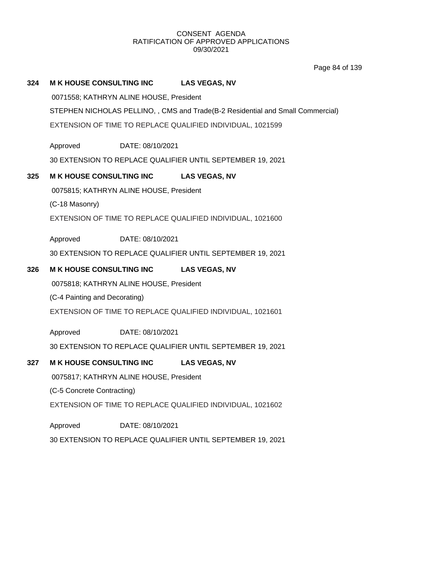Page 84 of 139

# **324 M K HOUSE CONSULTING INC LAS VEGAS, NV**

0071558; KATHRYN ALINE HOUSE, President

STEPHEN NICHOLAS PELLINO, , CMS and Trade(B-2 Residential and Small Commercial)

EXTENSION OF TIME TO REPLACE QUALIFIED INDIVIDUAL, 1021599

Approved DATE: 08/10/2021

30 EXTENSION TO REPLACE QUALIFIER UNTIL SEPTEMBER 19, 2021

# **325 M K HOUSE CONSULTING INC LAS VEGAS, NV**

0075815; KATHRYN ALINE HOUSE, President

(C-18 Masonry)

EXTENSION OF TIME TO REPLACE QUALIFIED INDIVIDUAL, 1021600

Approved DATE: 08/10/2021

30 EXTENSION TO REPLACE QUALIFIER UNTIL SEPTEMBER 19, 2021

# **326 M K HOUSE CONSULTING INC LAS VEGAS, NV**

0075818; KATHRYN ALINE HOUSE, President

(C-4 Painting and Decorating)

EXTENSION OF TIME TO REPLACE QUALIFIED INDIVIDUAL, 1021601

Approved DATE: 08/10/2021

30 EXTENSION TO REPLACE QUALIFIER UNTIL SEPTEMBER 19, 2021

# **327 M K HOUSE CONSULTING INC LAS VEGAS, NV**

0075817; KATHRYN ALINE HOUSE, President

(C-5 Concrete Contracting)

EXTENSION OF TIME TO REPLACE QUALIFIED INDIVIDUAL, 1021602

Approved 30 EXTENSION TO REPLACE QUALIFIER UNTIL SEPTEMBER 19, 2021 DATE: 08/10/2021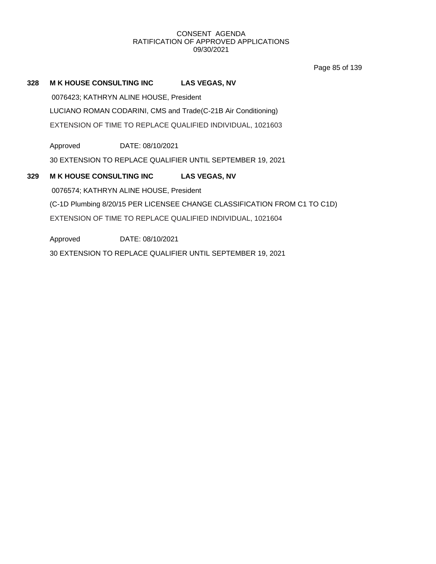Page 85 of 139

# **328 M K HOUSE CONSULTING INC LAS VEGAS, NV**

0076423; KATHRYN ALINE HOUSE, President

LUCIANO ROMAN CODARINI, CMS and Trade(C-21B Air Conditioning)

EXTENSION OF TIME TO REPLACE QUALIFIED INDIVIDUAL, 1021603

Approved DATE: 08/10/2021

30 EXTENSION TO REPLACE QUALIFIER UNTIL SEPTEMBER 19, 2021

# **329 M K HOUSE CONSULTING INC LAS VEGAS, NV** 0076574; KATHRYN ALINE HOUSE, President (C-1D Plumbing 8/20/15 PER LICENSEE CHANGE CLASSIFICATION FROM C1 TO C1D) EXTENSION OF TIME TO REPLACE QUALIFIED INDIVIDUAL, 1021604

Approved 30 EXTENSION TO REPLACE QUALIFIER UNTIL SEPTEMBER 19, 2021 DATE: 08/10/2021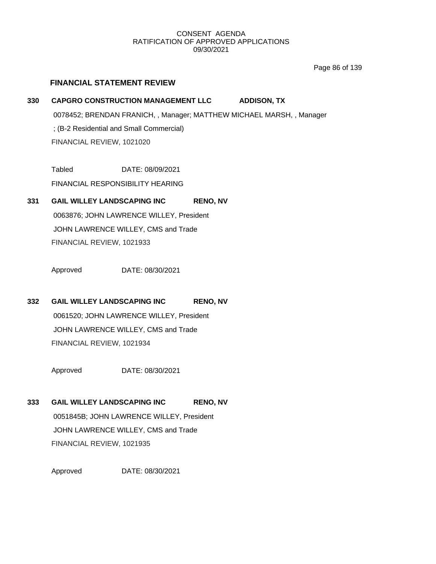Page 86 of 139

# **FINANCIAL STATEMENT REVIEW**

**330 CAPGRO CONSTRUCTION MANAGEMENT LLC ADDISON, TX** 0078452; BRENDAN FRANICH, , Manager; MATTHEW MICHAEL MARSH, , Manager ; (B-2 Residential and Small Commercial)

FINANCIAL REVIEW, 1021020

Tabled DATE: 08/09/2021

FINANCIAL RESPONSIBILITY HEARING

# **331 GAIL WILLEY LANDSCAPING INC RENO, NV**

0063876; JOHN LAWRENCE WILLEY, President JOHN LAWRENCE WILLEY, CMS and Trade FINANCIAL REVIEW, 1021933

Approved DATE: 08/30/2021

# **332 GAIL WILLEY LANDSCAPING INC RENO, NV**

0061520; JOHN LAWRENCE WILLEY, President JOHN LAWRENCE WILLEY, CMS and Trade FINANCIAL REVIEW, 1021934

Approved DATE: 08/30/2021

# **333 GAIL WILLEY LANDSCAPING INC RENO, NV**

0051845B; JOHN LAWRENCE WILLEY, President JOHN LAWRENCE WILLEY, CMS and Trade FINANCIAL REVIEW, 1021935

Approved DATE: 08/30/2021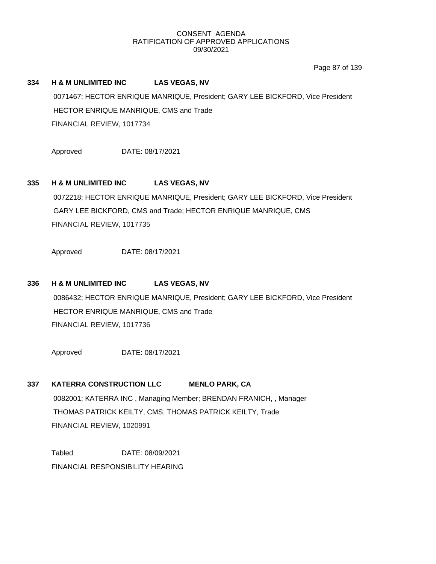Page 87 of 139

# **334 H & M UNLIMITED INC LAS VEGAS, NV**

0071467; HECTOR ENRIQUE MANRIQUE, President; GARY LEE BICKFORD, Vice President HECTOR ENRIQUE MANRIQUE, CMS and Trade FINANCIAL REVIEW, 1017734

Approved DATE: 08/17/2021

# **335 H & M UNLIMITED INC LAS VEGAS, NV**

0072218; HECTOR ENRIQUE MANRIQUE, President; GARY LEE BICKFORD, Vice President GARY LEE BICKFORD, CMS and Trade; HECTOR ENRIQUE MANRIQUE, CMS FINANCIAL REVIEW, 1017735

Approved DATE: 08/17/2021

### **336 H & M UNLIMITED INC LAS VEGAS, NV**

0086432; HECTOR ENRIQUE MANRIQUE, President; GARY LEE BICKFORD, Vice President HECTOR ENRIQUE MANRIQUE, CMS and Trade FINANCIAL REVIEW, 1017736

Approved DATE: 08/17/2021

# **337 KATERRA CONSTRUCTION LLC MENLO PARK, CA**

0082001; KATERRA INC , Managing Member; BRENDAN FRANICH, , Manager THOMAS PATRICK KEILTY, CMS; THOMAS PATRICK KEILTY, Trade FINANCIAL REVIEW, 1020991

Tabled DATE: 08/09/2021 FINANCIAL RESPONSIBILITY HEARING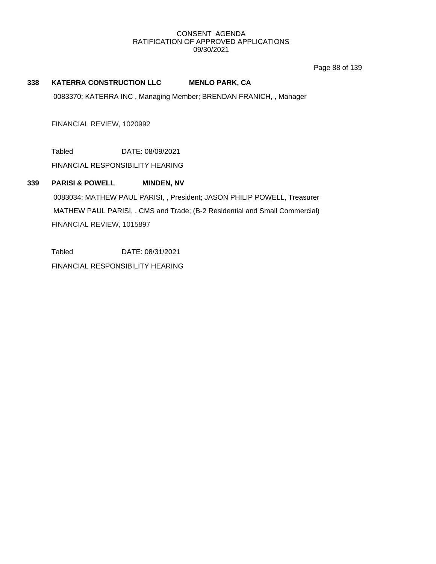Page 88 of 139

# **338 KATERRA CONSTRUCTION LLC MENLO PARK, CA**

0083370; KATERRA INC , Managing Member; BRENDAN FRANICH, , Manager

FINANCIAL REVIEW, 1020992

Tabled DATE: 08/09/2021

FINANCIAL RESPONSIBILITY HEARING

# **339 PARISI & POWELL MINDEN, NV**

0083034; MATHEW PAUL PARISI, , President; JASON PHILIP POWELL, Treasurer MATHEW PAUL PARISI, , CMS and Trade; (B-2 Residential and Small Commercial) FINANCIAL REVIEW, 1015897

Tabled DATE: 08/31/2021 FINANCIAL RESPONSIBILITY HEARING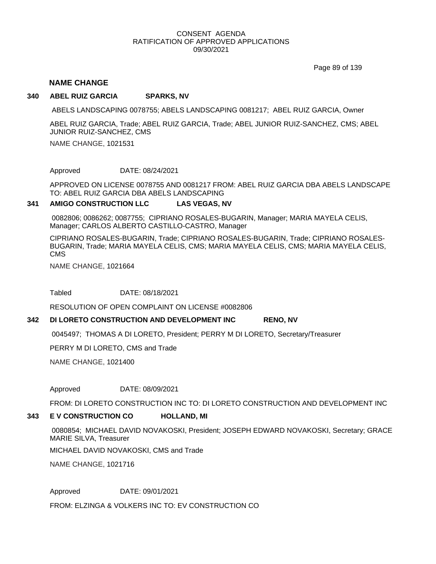Page 89 of 139

# **NAME CHANGE**

#### **340 ABEL RUIZ GARCIA SPARKS, NV**

ABELS LANDSCAPING 0078755; ABELS LANDSCAPING 0081217; ABEL RUIZ GARCIA, Owner

ABEL RUIZ GARCIA, Trade; ABEL RUIZ GARCIA, Trade; ABEL JUNIOR RUIZ-SANCHEZ, CMS; ABEL JUNIOR RUIZ-SANCHEZ, CMS

NAME CHANGE, 1021531

Approved DATE: 08/24/2021

APPROVED ON LICENSE 0078755 AND 0081217 FROM: ABEL RUIZ GARCIA DBA ABELS LANDSCAPE TO: ABEL RUIZ GARCIA DBA ABELS LANDSCAPING

#### **341 AMIGO CONSTRUCTION LLC LAS VEGAS, NV**

0082806; 0086262; 0087755; CIPRIANO ROSALES-BUGARIN, Manager; MARIA MAYELA CELIS, Manager; CARLOS ALBERTO CASTILLO-CASTRO, Manager

CIPRIANO ROSALES-BUGARIN, Trade; CIPRIANO ROSALES-BUGARIN, Trade; CIPRIANO ROSALES-BUGARIN, Trade; MARIA MAYELA CELIS, CMS; MARIA MAYELA CELIS, CMS; MARIA MAYELA CELIS, CMS

NAME CHANGE, 1021664

Tabled DATE: 08/18/2021

RESOLUTION OF OPEN COMPLAINT ON LICENSE #0082806

#### **342 DI LORETO CONSTRUCTION AND DEVELOPMENT INC RENO, NV**

0045497; THOMAS A DI LORETO, President; PERRY M DI LORETO, Secretary/Treasurer

PERRY M DI LORETO, CMS and Trade

NAME CHANGE, 1021400

Approved DATE: 08/09/2021

FROM: DI LORETO CONSTRUCTION INC TO: DI LORETO CONSTRUCTION AND DEVELOPMENT INC

#### **343 E V CONSTRUCTION CO HOLLAND, MI**

0080854; MICHAEL DAVID NOVAKOSKI, President; JOSEPH EDWARD NOVAKOSKI, Secretary; GRACE MARIE SILVA, Treasurer

MICHAEL DAVID NOVAKOSKI, CMS and Trade

NAME CHANGE, 1021716

Approved DATE: 09/01/2021

FROM: ELZINGA & VOLKERS INC TO: EV CONSTRUCTION CO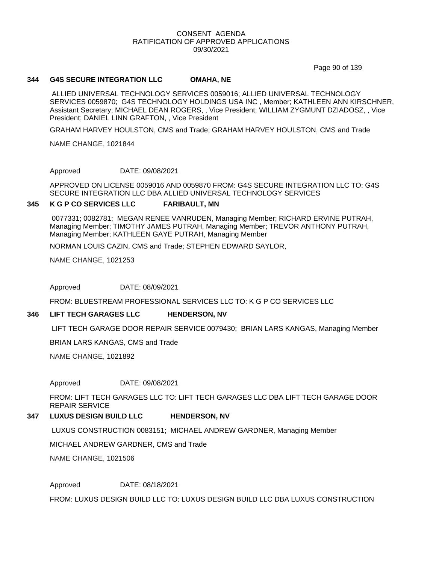Page 90 of 139

#### **344 G4S SECURE INTEGRATION LLC OMAHA, NE**

ALLIED UNIVERSAL TECHNOLOGY SERVICES 0059016; ALLIED UNIVERSAL TECHNOLOGY SERVICES 0059870; G4S TECHNOLOGY HOLDINGS USA INC , Member; KATHLEEN ANN KIRSCHNER, Assistant Secretary; MICHAEL DEAN ROGERS, , Vice President; WILLIAM ZYGMUNT DZIADOSZ, , Vice President; DANIEL LINN GRAFTON, , Vice President

GRAHAM HARVEY HOULSTON, CMS and Trade; GRAHAM HARVEY HOULSTON, CMS and Trade

NAME CHANGE, 1021844

Approved DATE: 09/08/2021

APPROVED ON LICENSE 0059016 AND 0059870 FROM: G4S SECURE INTEGRATION LLC TO: G4S SECURE INTEGRATION LLC DBA ALLIED UNIVERSAL TECHNOLOGY SERVICES

#### **345 K G P CO SERVICES LLC FARIBAULT, MN**

0077331; 0082781; MEGAN RENEE VANRUDEN, Managing Member; RICHARD ERVINE PUTRAH, Managing Member; TIMOTHY JAMES PUTRAH, Managing Member; TREVOR ANTHONY PUTRAH, Managing Member; KATHLEEN GAYE PUTRAH, Managing Member

NORMAN LOUIS CAZIN, CMS and Trade; STEPHEN EDWARD SAYLOR,

NAME CHANGE, 1021253

Approved DATE: 08/09/2021

FROM: BLUESTREAM PROFESSIONAL SERVICES LLC TO: K G P CO SERVICES LLC

#### **346 LIFT TECH GARAGES LLC HENDERSON, NV**

LIFT TECH GARAGE DOOR REPAIR SERVICE 0079430; BRIAN LARS KANGAS, Managing Member

BRIAN LARS KANGAS, CMS and Trade

NAME CHANGE, 1021892

Approved DATE: 09/08/2021

FROM: LIFT TECH GARAGES LLC TO: LIFT TECH GARAGES LLC DBA LIFT TECH GARAGE DOOR REPAIR SERVICE

**347 LUXUS DESIGN BUILD LLC HENDERSON, NV**

LUXUS CONSTRUCTION 0083151; MICHAEL ANDREW GARDNER, Managing Member

MICHAEL ANDREW GARDNER, CMS and Trade

NAME CHANGE, 1021506

Approved DATE: 08/18/2021

FROM: LUXUS DESIGN BUILD LLC TO: LUXUS DESIGN BUILD LLC DBA LUXUS CONSTRUCTION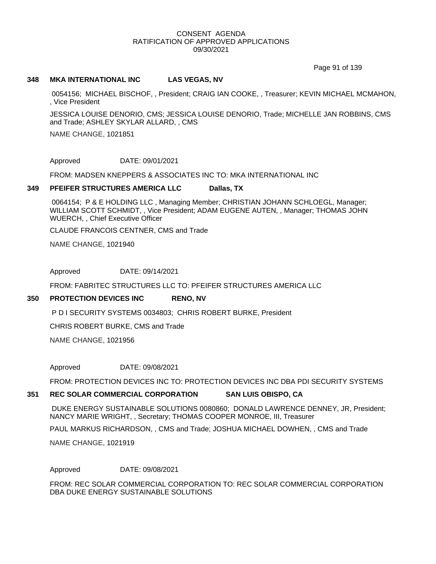Page 91 of 139

#### **348 MKA INTERNATIONAL INC LAS VEGAS, NV**

0054156; MICHAEL BISCHOF, , President; CRAIG IAN COOKE, , Treasurer; KEVIN MICHAEL MCMAHON, , Vice President

JESSICA LOUISE DENORIO, CMS; JESSICA LOUISE DENORIO, Trade; MICHELLE JAN ROBBINS, CMS and Trade; ASHLEY SKYLAR ALLARD, , CMS

NAME CHANGE, 1021851

Approved DATE: 09/01/2021

FROM: MADSEN KNEPPERS & ASSOCIATES INC TO: MKA INTERNATIONAL INC

#### **349 PFEIFER STRUCTURES AMERICA LLC Dallas, TX**

0064154; P & E HOLDING LLC , Managing Member; CHRISTIAN JOHANN SCHLOEGL, Manager; WILLIAM SCOTT SCHMIDT, , Vice President; ADAM EUGENE AUTEN, , Manager; THOMAS JOHN WUERCH, , Chief Executive Officer

CLAUDE FRANCOIS CENTNER, CMS and Trade

NAME CHANGE, 1021940

Approved DATE: 09/14/2021

FROM: FABRITEC STRUCTURES LLC TO: PFEIFER STRUCTURES AMERICA LLC

#### **350 PROTECTION DEVICES INC RENO, NV**

P D I SECURITY SYSTEMS 0034803; CHRIS ROBERT BURKE, President

CHRIS ROBERT BURKE, CMS and Trade

NAME CHANGE, 1021956

Approved DATE: 09/08/2021

FROM: PROTECTION DEVICES INC TO: PROTECTION DEVICES INC DBA PDI SECURITY SYSTEMS

#### **351 REC SOLAR COMMERCIAL CORPORATION SAN LUIS OBISPO, CA**

DUKE ENERGY SUSTAINABLE SOLUTIONS 0080860; DONALD LAWRENCE DENNEY, JR, President; NANCY MARIE WRIGHT, , Secretary; THOMAS COOPER MONROE, III, Treasurer

PAUL MARKUS RICHARDSON, , CMS and Trade; JOSHUA MICHAEL DOWHEN, , CMS and Trade

NAME CHANGE, 1021919

Approved DATE: 09/08/2021

FROM: REC SOLAR COMMERCIAL CORPORATION TO: REC SOLAR COMMERCIAL CORPORATION DBA DUKE ENERGY SUSTAINABLE SOLUTIONS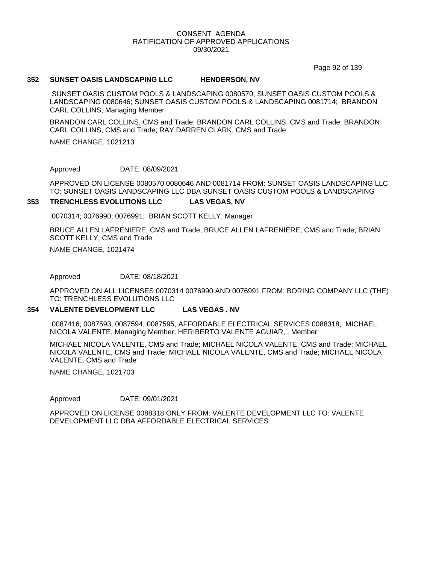Page 92 of 139

#### **352 SUNSET OASIS LANDSCAPING LLC HENDERSON, NV**

SUNSET OASIS CUSTOM POOLS & LANDSCAPING 0080570; SUNSET OASIS CUSTOM POOLS & LANDSCAPING 0080646; SUNSET OASIS CUSTOM POOLS & LANDSCAPING 0081714; BRANDON CARL COLLINS, Managing Member

BRANDON CARL COLLINS, CMS and Trade; BRANDON CARL COLLINS, CMS and Trade; BRANDON CARL COLLINS, CMS and Trade; RAY DARREN CLARK, CMS and Trade

NAME CHANGE, 1021213

Approved DATE: 08/09/2021

APPROVED ON LICENSE 0080570 0080646 AND 0081714 FROM: SUNSET OASIS LANDSCAPING LLC TO: SUNSET OASIS LANDSCAPING LLC DBA SUNSET OASIS CUSTOM POOLS & LANDSCAPING

#### **353 TRENCHLESS EVOLUTIONS LLC LAS VEGAS, NV**

0070314; 0076990; 0076991; BRIAN SCOTT KELLY, Manager

BRUCE ALLEN LAFRENIERE, CMS and Trade; BRUCE ALLEN LAFRENIERE, CMS and Trade; BRIAN SCOTT KELLY, CMS and Trade

NAME CHANGE, 1021474

Approved DATE: 08/18/2021

APPROVED ON ALL LICENSES 0070314 0076990 AND 0076991 FROM: BORING COMPANY LLC (THE) TO: TRENCHLESS EVOLUTIONS LLC

#### **354 VALENTE DEVELOPMENT LLC LAS VEGAS , NV**

0087416; 0087593; 0087594; 0087595; AFFORDABLE ELECTRICAL SERVICES 0088318; MICHAEL NICOLA VALENTE, Managing Member; HERIBERTO VALENTE AGUIAR, , Member

MICHAEL NICOLA VALENTE, CMS and Trade; MICHAEL NICOLA VALENTE, CMS and Trade; MICHAEL NICOLA VALENTE, CMS and Trade; MICHAEL NICOLA VALENTE, CMS and Trade; MICHAEL NICOLA VALENTE, CMS and Trade

NAME CHANGE, 1021703

Approved DATE: 09/01/2021

APPROVED ON LICENSE 0088318 ONLY FROM: VALENTE DEVELOPMENT LLC TO: VALENTE DEVELOPMENT LLC DBA AFFORDABLE ELECTRICAL SERVICES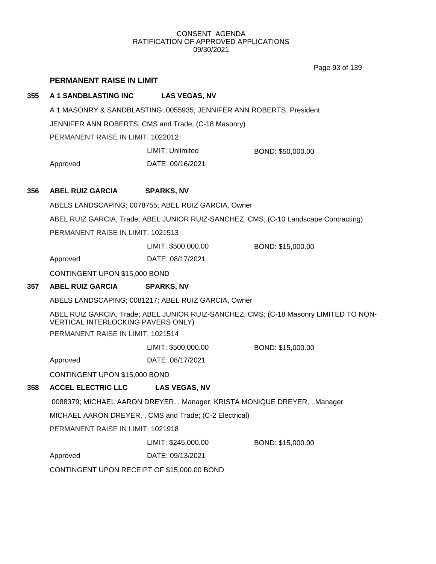Page 93 of 139

# **PERMANENT RAISE IN LIMIT**

# **355 A 1 SANDBLASTING INC LAS VEGAS, NV**

A 1 MASONRY & SANDBLASTING; 0055935; JENNIFER ANN ROBERTS, President

JENNIFER ANN ROBERTS, CMS and Trade; (C-18 Masonry)

PERMANENT RAISE IN LIMIT, 1022012

LIMIT: Unlimited BOND: \$50,000.00

Approved DATE: 09/16/2021

# **356 ABEL RUIZ GARCIA SPARKS, NV**

ABELS LANDSCAPING; 0078755; ABEL RUIZ GARCIA, Owner

ABEL RUIZ GARCIA, Trade; ABEL JUNIOR RUIZ-SANCHEZ, CMS; (C-10 Landscape Contracting)

PERMANENT RAISE IN LIMIT, 1021513

LIMIT: \$500,000.00 BOND: \$15,000.00

Approved DATE: 08/17/2021

CONTINGENT UPON \$15,000 BOND

# **357 ABEL RUIZ GARCIA SPARKS, NV**

ABELS LANDSCAPING; 0081217; ABEL RUIZ GARCIA, Owner

ABEL RUIZ GARCIA, Trade; ABEL JUNIOR RUIZ-SANCHEZ, CMS; (C-18 Masonry LIMITED TO NON-VERTICAL INTERLOCKING PAVERS ONLY)

PERMANENT RAISE IN LIMIT, 1021514

LIMIT: \$500,000.00 BOND: \$15,000.00

Approved DATE: 08/17/2021

CONTINGENT UPON \$15,000 BOND

# **358 ACCEL ELECTRIC LLC LAS VEGAS, NV**

0088379; MICHAEL AARON DREYER, , Manager; KRISTA MONIQUE DREYER, , Manager

MICHAEL AARON DREYER, , CMS and Trade; (C-2 Electrical)

PERMANENT RAISE IN LIMIT, 1021918

LIMIT: \$245,000.00 BOND: \$15,000.00

Approved DATE: 09/13/2021

CONTINGENT UPON RECEIPT OF \$15,000.00 BOND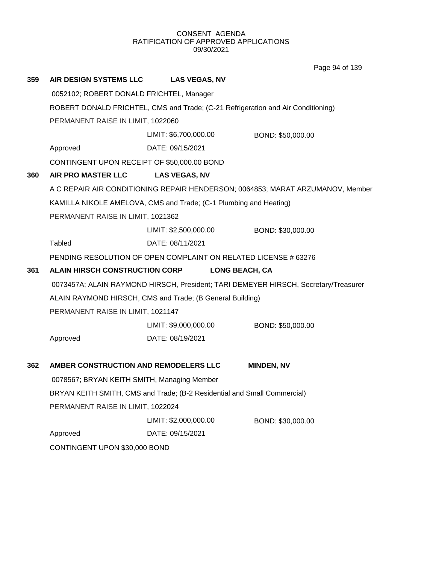Page 94 of 139

| 359                                          | <b>AIR DESIGN SYSTEMS LLC</b>               | <b>LAS VEGAS, NV</b>                                                             |                                                                                     |  |  |
|----------------------------------------------|---------------------------------------------|----------------------------------------------------------------------------------|-------------------------------------------------------------------------------------|--|--|
|                                              | 0052102; ROBERT DONALD FRICHTEL, Manager    |                                                                                  |                                                                                     |  |  |
|                                              |                                             | ROBERT DONALD FRICHTEL, CMS and Trade; (C-21 Refrigeration and Air Conditioning) |                                                                                     |  |  |
|                                              | PERMANENT RAISE IN LIMIT, 1022060           |                                                                                  |                                                                                     |  |  |
|                                              |                                             | LIMIT: \$6,700,000.00                                                            | BOND: \$50,000.00                                                                   |  |  |
|                                              | Approved                                    | DATE: 09/15/2021                                                                 |                                                                                     |  |  |
|                                              | CONTINGENT UPON RECEIPT OF \$50,000.00 BOND |                                                                                  |                                                                                     |  |  |
| 360                                          | AIR PRO MASTER LLC                          | <b>LAS VEGAS, NV</b>                                                             |                                                                                     |  |  |
|                                              |                                             |                                                                                  | A C REPAIR AIR CONDITIONING REPAIR HENDERSON; 0064853; MARAT ARZUMANOV, Member      |  |  |
|                                              |                                             | KAMILLA NIKOLE AMELOVA, CMS and Trade; (C-1 Plumbing and Heating)                |                                                                                     |  |  |
|                                              | PERMANENT RAISE IN LIMIT, 1021362           |                                                                                  |                                                                                     |  |  |
|                                              |                                             | LIMIT: \$2,500,000.00                                                            | BOND: \$30,000.00                                                                   |  |  |
|                                              | <b>Tabled</b>                               | DATE: 08/11/2021                                                                 |                                                                                     |  |  |
|                                              |                                             | PENDING RESOLUTION OF OPEN COMPLAINT ON RELATED LICENSE # 63276                  |                                                                                     |  |  |
| <b>ALAIN HIRSCH CONSTRUCTION CORP</b><br>361 |                                             |                                                                                  | <b>LONG BEACH, CA</b>                                                               |  |  |
|                                              |                                             |                                                                                  | 0073457A; ALAIN RAYMOND HIRSCH, President; TARI DEMEYER HIRSCH, Secretary/Treasurer |  |  |
|                                              |                                             | ALAIN RAYMOND HIRSCH, CMS and Trade; (B General Building)                        |                                                                                     |  |  |
|                                              | PERMANENT RAISE IN LIMIT, 1021147           |                                                                                  |                                                                                     |  |  |
|                                              |                                             | LIMIT: \$9,000,000.00                                                            | BOND: \$50,000.00                                                                   |  |  |
|                                              | Approved                                    | DATE: 08/19/2021                                                                 |                                                                                     |  |  |
| 362                                          | AMBER CONSTRUCTION AND REMODELERS LLC       |                                                                                  | <b>MINDEN, NV</b>                                                                   |  |  |
|                                              | 0078567; BRYAN KEITH SMITH, Managing Member |                                                                                  |                                                                                     |  |  |
|                                              |                                             | BRYAN KEITH SMITH, CMS and Trade; (B-2 Residential and Small Commercial)         |                                                                                     |  |  |
|                                              | PERMANENT RAISE IN LIMIT, 1022024           |                                                                                  |                                                                                     |  |  |
|                                              |                                             | LIMIT: \$2,000,000.00                                                            | BOND: \$30,000.00                                                                   |  |  |
|                                              | Approved                                    | DATE: 09/15/2021                                                                 |                                                                                     |  |  |
|                                              |                                             | CONTINGENT UPON \$30,000 BOND                                                    |                                                                                     |  |  |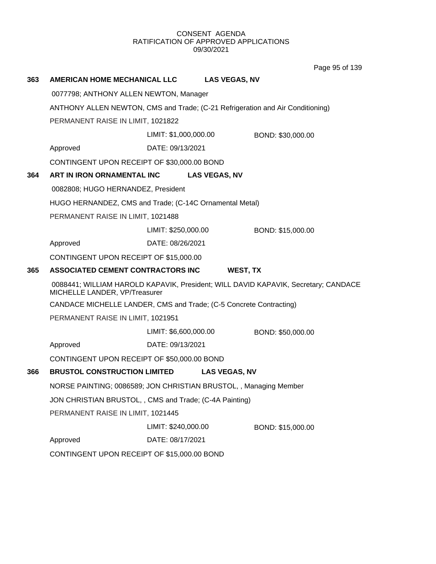Page 95 of 139

| 363 | <b>AMERICAN HOME MECHANICAL LLC</b>                                            |                       | <b>LAS VEGAS, NV</b> |                                                                                    |  |
|-----|--------------------------------------------------------------------------------|-----------------------|----------------------|------------------------------------------------------------------------------------|--|
|     | 0077798; ANTHONY ALLEN NEWTON, Manager                                         |                       |                      |                                                                                    |  |
|     | ANTHONY ALLEN NEWTON, CMS and Trade; (C-21 Refrigeration and Air Conditioning) |                       |                      |                                                                                    |  |
|     | PERMANENT RAISE IN LIMIT, 1021822                                              |                       |                      |                                                                                    |  |
|     | LIMIT: \$1,000,000.00<br>BOND: \$30,000.00                                     |                       |                      |                                                                                    |  |
|     | Approved                                                                       | DATE: 09/13/2021      |                      |                                                                                    |  |
|     | CONTINGENT UPON RECEIPT OF \$30,000.00 BOND                                    |                       |                      |                                                                                    |  |
| 364 | ART IN IRON ORNAMENTAL INC                                                     |                       | <b>LAS VEGAS, NV</b> |                                                                                    |  |
|     | 0082808; HUGO HERNANDEZ, President                                             |                       |                      |                                                                                    |  |
|     | HUGO HERNANDEZ, CMS and Trade; (C-14C Ornamental Metal)                        |                       |                      |                                                                                    |  |
|     | PERMANENT RAISE IN LIMIT, 1021488                                              |                       |                      |                                                                                    |  |
|     |                                                                                | LIMIT: \$250,000.00   |                      | BOND: \$15,000.00                                                                  |  |
|     | Approved                                                                       | DATE: 08/26/2021      |                      |                                                                                    |  |
|     | CONTINGENT UPON RECEIPT OF \$15,000.00                                         |                       |                      |                                                                                    |  |
| 365 | ASSOCIATED CEMENT CONTRACTORS INC                                              |                       | WEST, TX             |                                                                                    |  |
|     | MICHELLE LANDER, VP/Treasurer                                                  |                       |                      | 0088441; WILLIAM HAROLD KAPAVIK, President; WILL DAVID KAPAVIK, Secretary; CANDACE |  |
|     | CANDACE MICHELLE LANDER, CMS and Trade; (C-5 Concrete Contracting)             |                       |                      |                                                                                    |  |
|     | PERMANENT RAISE IN LIMIT, 1021951                                              |                       |                      |                                                                                    |  |
|     |                                                                                | LIMIT: \$6,600,000.00 |                      | BOND: \$50,000.00                                                                  |  |
|     | Approved                                                                       | DATE: 09/13/2021      |                      |                                                                                    |  |
|     | CONTINGENT UPON RECEIPT OF \$50,000.00 BOND                                    |                       |                      |                                                                                    |  |
| 366 | <b>BRUSTOL CONSTRUCTION LIMITED</b>                                            |                       | <b>LAS VEGAS, NV</b> |                                                                                    |  |
|     | NORSE PAINTING; 0086589; JON CHRISTIAN BRUSTOL,, Managing Member               |                       |                      |                                                                                    |  |
|     | JON CHRISTIAN BRUSTOL,, CMS and Trade; (C-4A Painting)                         |                       |                      |                                                                                    |  |
|     | PERMANENT RAISE IN LIMIT, 1021445                                              |                       |                      |                                                                                    |  |
|     |                                                                                | LIMIT: \$240,000.00   |                      | BOND: \$15,000.00                                                                  |  |
|     | Approved                                                                       | DATE: 08/17/2021      |                      |                                                                                    |  |
|     | CONTINGENT UPON RECEIPT OF \$15,000.00 BOND                                    |                       |                      |                                                                                    |  |
|     |                                                                                |                       |                      |                                                                                    |  |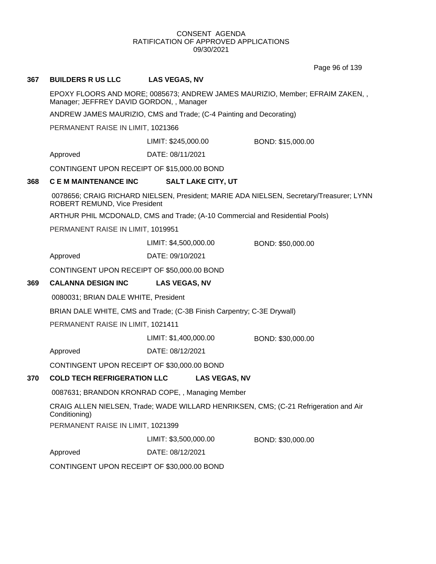Page 96 of 139

# **367 BUILDERS R US LLC LAS VEGAS, NV**

EPOXY FLOORS AND MORE; 0085673; ANDREW JAMES MAURIZIO, Member; EFRAIM ZAKEN, , Manager; JEFFREY DAVID GORDON, , Manager

ANDREW JAMES MAURIZIO, CMS and Trade; (C-4 Painting and Decorating)

PERMANENT RAISE IN LIMIT, 1021366

LIMIT: \$245,000.00 BOND: \$15,000.00

Approved DATE: 08/11/2021

CONTINGENT UPON RECEIPT OF \$15,000.00 BOND

#### **368 C E M MAINTENANCE INC SALT LAKE CITY, UT**

0078656; CRAIG RICHARD NIELSEN, President; MARIE ADA NIELSEN, Secretary/Treasurer; LYNN ROBERT REMUND, Vice President

ARTHUR PHIL MCDONALD, CMS and Trade; (A-10 Commercial and Residential Pools)

PERMANENT RAISE IN LIMIT, 1019951

LIMIT: \$4,500,000.00 BOND: \$50,000.00

Approved DATE: 09/10/2021

CONTINGENT UPON RECEIPT OF \$50,000.00 BOND

#### **369 CALANNA DESIGN INC LAS VEGAS, NV**

0080031; BRIAN DALE WHITE, President

BRIAN DALE WHITE, CMS and Trade; (C-3B Finish Carpentry; C-3E Drywall)

PERMANENT RAISE IN LIMIT, 1021411

LIMIT: \$1,400,000.00 BOND: \$30,000.00

Approved DATE: 08/12/2021

CONTINGENT UPON RECEIPT OF \$30,000.00 BOND

#### **370 COLD TECH REFRIGERATION LLC LAS VEGAS, NV**

0087631; BRANDON KRONRAD COPE, , Managing Member

CRAIG ALLEN NIELSEN, Trade; WADE WILLARD HENRIKSEN, CMS; (C-21 Refrigeration and Air Conditioning)

PERMANENT RAISE IN LIMIT, 1021399

LIMIT: \$3,500,000.00 BOND: \$30,000.00

Approved DATE: 08/12/2021

CONTINGENT UPON RECEIPT OF \$30,000.00 BOND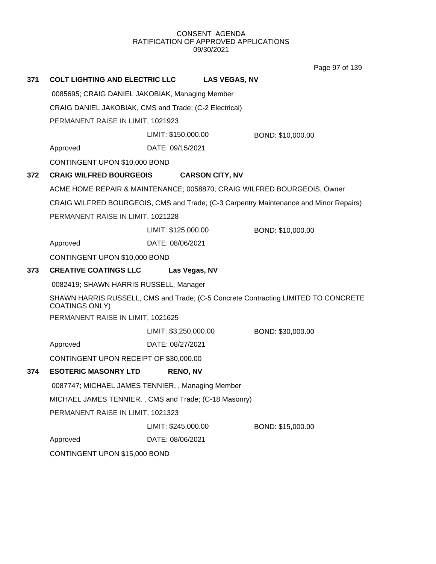Page 97 of 139

| 371 | <b>COLT LIGHTING AND ELECTRIC LLC</b>                                   |                       | <b>LAS VEGAS, NV</b>   |                                                                                       |
|-----|-------------------------------------------------------------------------|-----------------------|------------------------|---------------------------------------------------------------------------------------|
|     | 0085695; CRAIG DANIEL JAKOBIAK, Managing Member                         |                       |                        |                                                                                       |
|     | CRAIG DANIEL JAKOBIAK, CMS and Trade; (C-2 Electrical)                  |                       |                        |                                                                                       |
|     | PERMANENT RAISE IN LIMIT, 1021923                                       |                       |                        |                                                                                       |
|     |                                                                         | LIMIT: \$150,000.00   |                        | BOND: \$10,000.00                                                                     |
|     | Approved                                                                | DATE: 09/15/2021      |                        |                                                                                       |
|     | CONTINGENT UPON \$10,000 BOND                                           |                       |                        |                                                                                       |
| 372 | <b>CRAIG WILFRED BOURGEOIS</b>                                          |                       | <b>CARSON CITY, NV</b> |                                                                                       |
|     | ACME HOME REPAIR & MAINTENANCE; 0058870; CRAIG WILFRED BOURGEOIS, Owner |                       |                        |                                                                                       |
|     |                                                                         |                       |                        | CRAIG WILFRED BOURGEOIS, CMS and Trade; (C-3 Carpentry Maintenance and Minor Repairs) |
|     | PERMANENT RAISE IN LIMIT, 1021228                                       |                       |                        |                                                                                       |
|     |                                                                         | LIMIT: \$125,000.00   |                        | BOND: \$10,000.00                                                                     |
|     | Approved                                                                | DATE: 08/06/2021      |                        |                                                                                       |
|     | CONTINGENT UPON \$10,000 BOND                                           |                       |                        |                                                                                       |
| 373 | <b>CREATIVE COATINGS LLC</b>                                            | Las Vegas, NV         |                        |                                                                                       |
|     | 0082419; SHAWN HARRIS RUSSELL, Manager                                  |                       |                        |                                                                                       |
|     | <b>COATINGS ONLY)</b>                                                   |                       |                        | SHAWN HARRIS RUSSELL, CMS and Trade; (C-5 Concrete Contracting LIMITED TO CONCRETE    |
|     | PERMANENT RAISE IN LIMIT, 1021625                                       |                       |                        |                                                                                       |
|     |                                                                         | LIMIT: \$3,250,000.00 |                        | BOND: \$30,000.00                                                                     |
|     | Approved                                                                | DATE: 08/27/2021      |                        |                                                                                       |
|     | CONTINGENT UPON RECEIPT OF \$30,000.00                                  |                       |                        |                                                                                       |
| 374 | <b>ESOTERIC MASONRY LTD</b>                                             | <b>RENO, NV</b>       |                        |                                                                                       |
|     | 0087747; MICHAEL JAMES TENNIER, , Managing Member                       |                       |                        |                                                                                       |
|     | MICHAEL JAMES TENNIER, , CMS and Trade; (C-18 Masonry)                  |                       |                        |                                                                                       |
|     | PERMANENT RAISE IN LIMIT, 1021323                                       |                       |                        |                                                                                       |
|     |                                                                         | LIMIT: \$245,000.00   |                        | BOND: \$15,000.00                                                                     |
|     | Approved                                                                | DATE: 08/06/2021      |                        |                                                                                       |
|     | CONTINGENT UPON \$15,000 BOND                                           |                       |                        |                                                                                       |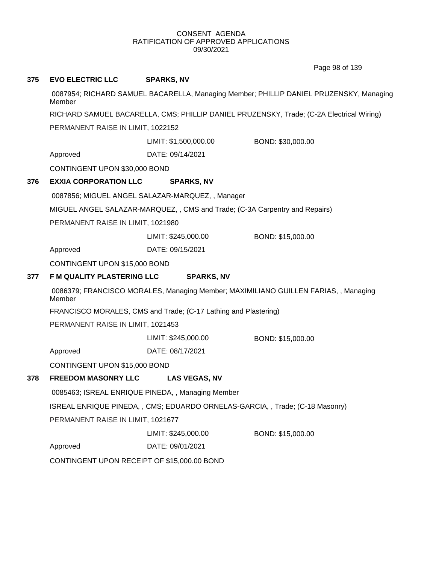Page 98 of 139

| 375 | <b>EVO ELECTRIC LLC</b>                                                                          | <b>SPARKS, NV</b>                                                           |                                                                                          |  |
|-----|--------------------------------------------------------------------------------------------------|-----------------------------------------------------------------------------|------------------------------------------------------------------------------------------|--|
|     | 0087954; RICHARD SAMUEL BACARELLA, Managing Member; PHILLIP DANIEL PRUZENSKY, Managing<br>Member |                                                                             |                                                                                          |  |
|     |                                                                                                  |                                                                             | RICHARD SAMUEL BACARELLA, CMS; PHILLIP DANIEL PRUZENSKY, Trade; (C-2A Electrical Wiring) |  |
|     | PERMANENT RAISE IN LIMIT, 1022152                                                                |                                                                             |                                                                                          |  |
|     |                                                                                                  | LIMIT: \$1,500,000.00                                                       | BOND: \$30,000.00                                                                        |  |
|     | Approved                                                                                         | DATE: 09/14/2021                                                            |                                                                                          |  |
|     | CONTINGENT UPON \$30,000 BOND                                                                    |                                                                             |                                                                                          |  |
| 376 | <b>EXXIA CORPORATION LLC</b>                                                                     | <b>SPARKS, NV</b>                                                           |                                                                                          |  |
|     |                                                                                                  | 0087856; MIGUEL ANGEL SALAZAR-MARQUEZ, , Manager                            |                                                                                          |  |
|     |                                                                                                  | MIGUEL ANGEL SALAZAR-MARQUEZ, , CMS and Trade; (C-3A Carpentry and Repairs) |                                                                                          |  |
|     | PERMANENT RAISE IN LIMIT, 1021980                                                                |                                                                             |                                                                                          |  |
|     |                                                                                                  | LIMIT: \$245,000.00                                                         | BOND: \$15,000.00                                                                        |  |
|     | Approved                                                                                         | DATE: 09/15/2021                                                            |                                                                                          |  |
|     | CONTINGENT UPON \$15,000 BOND                                                                    |                                                                             |                                                                                          |  |
| 377 | F M QUALITY PLASTERING LLC                                                                       | <b>SPARKS, NV</b>                                                           |                                                                                          |  |
|     | 0086379; FRANCISCO MORALES, Managing Member; MAXIMILIANO GUILLEN FARIAS, , Managing<br>Member    |                                                                             |                                                                                          |  |
|     |                                                                                                  | FRANCISCO MORALES, CMS and Trade; (C-17 Lathing and Plastering)             |                                                                                          |  |
|     | PERMANENT RAISE IN LIMIT, 1021453                                                                |                                                                             |                                                                                          |  |
|     |                                                                                                  | LIMIT: \$245,000.00                                                         | BOND: \$15,000.00                                                                        |  |
|     | Approved                                                                                         | DATE: 08/17/2021                                                            |                                                                                          |  |
|     | CONTINGENT UPON \$15,000 BOND                                                                    |                                                                             |                                                                                          |  |
| 378 | <b>FREEDOM MASONRY LLC</b>                                                                       | <b>LAS VEGAS, NV</b>                                                        |                                                                                          |  |
|     |                                                                                                  | 0085463; ISREAL ENRIQUE PINEDA,, Managing Member                            |                                                                                          |  |
|     |                                                                                                  | ISREAL ENRIQUE PINEDA,, CMS; EDUARDO ORNELAS-GARCIA,, Trade; (C-18 Masonry) |                                                                                          |  |
|     | PERMANENT RAISE IN LIMIT, 1021677                                                                |                                                                             |                                                                                          |  |
|     |                                                                                                  | LIMIT: \$245,000.00                                                         | BOND: \$15,000.00                                                                        |  |
|     | Approved                                                                                         | DATE: 09/01/2021                                                            |                                                                                          |  |
|     | CONTINGENT UPON RECEIPT OF \$15,000.00 BOND                                                      |                                                                             |                                                                                          |  |
|     |                                                                                                  |                                                                             |                                                                                          |  |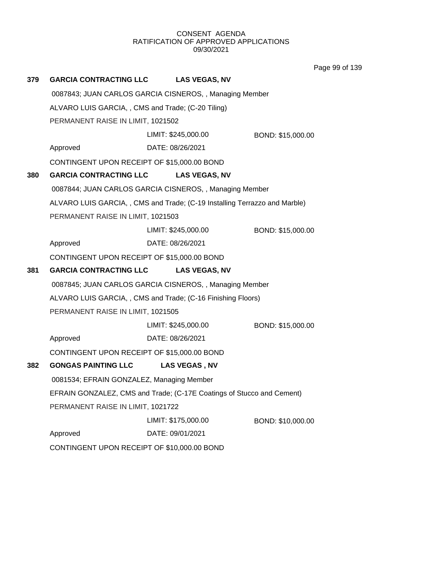Page 99 of 139

| 379 | <b>GARCIA CONTRACTING LLC</b>                     | <b>LAS VEGAS, NV</b>                                                      |                   |
|-----|---------------------------------------------------|---------------------------------------------------------------------------|-------------------|
|     |                                                   | 0087843; JUAN CARLOS GARCIA CISNEROS, , Managing Member                   |                   |
|     | ALVARO LUIS GARCIA,, CMS and Trade; (C-20 Tiling) |                                                                           |                   |
|     | PERMANENT RAISE IN LIMIT, 1021502                 |                                                                           |                   |
|     |                                                   | LIMIT: \$245,000.00                                                       | BOND: \$15,000.00 |
|     | Approved                                          | DATE: 08/26/2021                                                          |                   |
|     | CONTINGENT UPON RECEIPT OF \$15,000.00 BOND       |                                                                           |                   |
| 380 | <b>GARCIA CONTRACTING LLC</b>                     | <b>LAS VEGAS, NV</b>                                                      |                   |
|     |                                                   | 0087844; JUAN CARLOS GARCIA CISNEROS,, Managing Member                    |                   |
|     |                                                   | ALVARO LUIS GARCIA,, CMS and Trade; (C-19 Installing Terrazzo and Marble) |                   |
|     | PERMANENT RAISE IN LIMIT, 1021503                 |                                                                           |                   |
|     |                                                   | LIMIT: \$245,000.00                                                       | BOND: \$15,000.00 |
|     | Approved                                          | DATE: 08/26/2021                                                          |                   |
|     | CONTINGENT UPON RECEIPT OF \$15,000.00 BOND       |                                                                           |                   |
| 381 | <b>GARCIA CONTRACTING LLC</b>                     | <b>LAS VEGAS, NV</b>                                                      |                   |
|     |                                                   | 0087845; JUAN CARLOS GARCIA CISNEROS,, Managing Member                    |                   |
|     |                                                   | ALVARO LUIS GARCIA, , CMS and Trade; (C-16 Finishing Floors)              |                   |
|     | PERMANENT RAISE IN LIMIT, 1021505                 |                                                                           |                   |
|     |                                                   | LIMIT: \$245,000.00                                                       | BOND: \$15,000.00 |
|     | Approved                                          | DATE: 08/26/2021                                                          |                   |
|     | CONTINGENT UPON RECEIPT OF \$15,000.00 BOND       |                                                                           |                   |
| 382 | <b>GONGAS PAINTING LLC</b>                        | LAS VEGAS, NV                                                             |                   |
|     | 0081534; EFRAIN GONZALEZ, Managing Member         |                                                                           |                   |
|     |                                                   | EFRAIN GONZALEZ, CMS and Trade; (C-17E Coatings of Stucco and Cement)     |                   |
|     | PERMANENT RAISE IN LIMIT, 1021722                 |                                                                           |                   |
|     |                                                   | LIMIT: \$175,000.00                                                       | BOND: \$10,000.00 |
|     | Approved                                          | DATE: 09/01/2021                                                          |                   |
|     | CONTINGENT UPON RECEIPT OF \$10,000.00 BOND       |                                                                           |                   |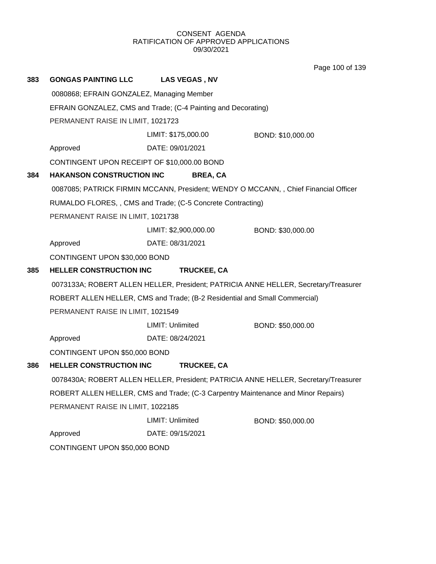Page 100 of 139

| 383 | <b>GONGAS PAINTING LLC</b>                                    | <b>LAS VEGAS, NV</b>                                                              |                                                                                      |  |  |
|-----|---------------------------------------------------------------|-----------------------------------------------------------------------------------|--------------------------------------------------------------------------------------|--|--|
|     | 0080868; EFRAIN GONZALEZ, Managing Member                     |                                                                                   |                                                                                      |  |  |
|     | EFRAIN GONZALEZ, CMS and Trade; (C-4 Painting and Decorating) |                                                                                   |                                                                                      |  |  |
|     | PERMANENT RAISE IN LIMIT, 1021723                             |                                                                                   |                                                                                      |  |  |
|     |                                                               | LIMIT: \$175,000.00                                                               | BOND: \$10,000.00                                                                    |  |  |
|     | Approved                                                      | DATE: 09/01/2021                                                                  |                                                                                      |  |  |
|     | CONTINGENT UPON RECEIPT OF \$10,000.00 BOND                   |                                                                                   |                                                                                      |  |  |
| 384 | <b>HAKANSON CONSTRUCTION INC</b>                              | <b>BREA, CA</b>                                                                   |                                                                                      |  |  |
|     |                                                               |                                                                                   | 0087085; PATRICK FIRMIN MCCANN, President; WENDY O MCCANN, , Chief Financial Officer |  |  |
|     |                                                               | RUMALDO FLORES, , CMS and Trade; (C-5 Concrete Contracting)                       |                                                                                      |  |  |
|     | PERMANENT RAISE IN LIMIT, 1021738                             |                                                                                   |                                                                                      |  |  |
|     |                                                               | LIMIT: \$2,900,000.00                                                             | BOND: \$30,000.00                                                                    |  |  |
|     | Approved                                                      | DATE: 08/31/2021                                                                  |                                                                                      |  |  |
|     | CONTINGENT UPON \$30,000 BOND                                 |                                                                                   |                                                                                      |  |  |
| 385 | <b>HELLER CONSTRUCTION INC</b>                                | TRUCKEE, CA                                                                       |                                                                                      |  |  |
|     |                                                               |                                                                                   | 0073133A; ROBERT ALLEN HELLER, President; PATRICIA ANNE HELLER, Secretary/Treasurer  |  |  |
|     |                                                               | ROBERT ALLEN HELLER, CMS and Trade; (B-2 Residential and Small Commercial)        |                                                                                      |  |  |
|     | PERMANENT RAISE IN LIMIT, 1021549                             |                                                                                   |                                                                                      |  |  |
|     |                                                               | LIMIT: Unlimited                                                                  | BOND: \$50,000.00                                                                    |  |  |
|     | Approved                                                      | DATE: 08/24/2021                                                                  |                                                                                      |  |  |
|     | CONTINGENT UPON \$50,000 BOND                                 |                                                                                   |                                                                                      |  |  |
| 386 | <b>HELLER CONSTRUCTION INC</b>                                | <b>TRUCKEE, CA</b>                                                                |                                                                                      |  |  |
|     |                                                               |                                                                                   | 0078430A; ROBERT ALLEN HELLER, President; PATRICIA ANNE HELLER, Secretary/Treasurer  |  |  |
|     |                                                               | ROBERT ALLEN HELLER, CMS and Trade; (C-3 Carpentry Maintenance and Minor Repairs) |                                                                                      |  |  |
|     | PERMANENT RAISE IN LIMIT, 1022185                             |                                                                                   |                                                                                      |  |  |
|     |                                                               | LIMIT: Unlimited                                                                  | BOND: \$50,000.00                                                                    |  |  |
|     | Approved                                                      | DATE: 09/15/2021                                                                  |                                                                                      |  |  |
|     | CONTINGENT UPON \$50,000 BOND                                 |                                                                                   |                                                                                      |  |  |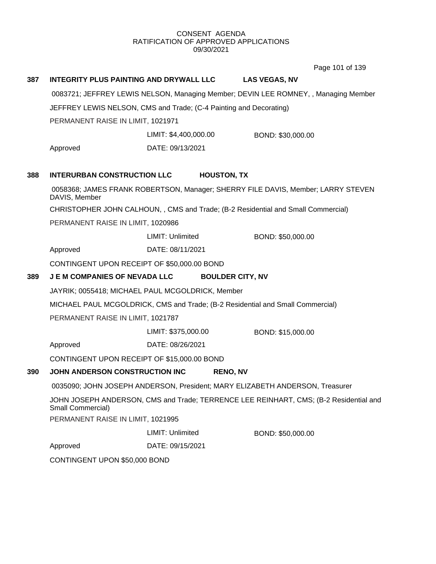Page 101 of 139

| 387 | INTEGRITY PLUS PAINTING AND DRYWALL LLC                                                                    |                                                                    | <b>LAS VEGAS, NV</b>                                                                |  |
|-----|------------------------------------------------------------------------------------------------------------|--------------------------------------------------------------------|-------------------------------------------------------------------------------------|--|
|     |                                                                                                            |                                                                    | 0083721; JEFFREY LEWIS NELSON, Managing Member; DEVIN LEE ROMNEY, , Managing Member |  |
|     |                                                                                                            | JEFFREY LEWIS NELSON, CMS and Trade; (C-4 Painting and Decorating) |                                                                                     |  |
|     | PERMANENT RAISE IN LIMIT, 1021971                                                                          |                                                                    |                                                                                     |  |
|     |                                                                                                            | LIMIT: \$4,400,000.00                                              | BOND: \$30,000.00                                                                   |  |
|     | Approved                                                                                                   | DATE: 09/13/2021                                                   |                                                                                     |  |
| 388 | <b>INTERURBAN CONSTRUCTION LLC</b>                                                                         | <b>HOUSTON, TX</b>                                                 |                                                                                     |  |
|     | DAVIS, Member                                                                                              |                                                                    | 0058368; JAMES FRANK ROBERTSON, Manager; SHERRY FILE DAVIS, Member; LARRY STEVEN    |  |
|     |                                                                                                            |                                                                    | CHRISTOPHER JOHN CALHOUN, , CMS and Trade; (B-2 Residential and Small Commercial)   |  |
|     | PERMANENT RAISE IN LIMIT, 1020986                                                                          |                                                                    |                                                                                     |  |
|     |                                                                                                            | LIMIT: Unlimited                                                   | BOND: \$50,000.00                                                                   |  |
|     | Approved                                                                                                   | DATE: 08/11/2021                                                   |                                                                                     |  |
|     | CONTINGENT UPON RECEIPT OF \$50,000.00 BOND                                                                |                                                                    |                                                                                     |  |
| 389 | <b>JEM COMPANIES OF NEVADA LLC</b>                                                                         | <b>BOULDER CITY, NV</b>                                            |                                                                                     |  |
|     |                                                                                                            | JAYRIK; 0055418; MICHAEL PAUL MCGOLDRICK, Member                   |                                                                                     |  |
|     |                                                                                                            |                                                                    | MICHAEL PAUL MCGOLDRICK, CMS and Trade; (B-2 Residential and Small Commercial)      |  |
|     | PERMANENT RAISE IN LIMIT, 1021787                                                                          |                                                                    |                                                                                     |  |
|     |                                                                                                            | LIMIT: \$375,000.00                                                | BOND: \$15,000.00                                                                   |  |
|     | Approved                                                                                                   | DATE: 08/26/2021                                                   |                                                                                     |  |
|     | CONTINGENT UPON RECEIPT OF \$15,000.00 BOND                                                                |                                                                    |                                                                                     |  |
| 390 | JOHN ANDERSON CONSTRUCTION INC                                                                             | <b>RENO, NV</b>                                                    |                                                                                     |  |
|     | 0035090; JOHN JOSEPH ANDERSON, President; MARY ELIZABETH ANDERSON, Treasurer                               |                                                                    |                                                                                     |  |
|     | JOHN JOSEPH ANDERSON, CMS and Trade; TERRENCE LEE REINHART, CMS; (B-2 Residential and<br>Small Commercial) |                                                                    |                                                                                     |  |
|     | PERMANENT RAISE IN LIMIT, 1021995                                                                          |                                                                    |                                                                                     |  |
|     |                                                                                                            | LIMIT: Unlimited                                                   | BOND: \$50,000.00                                                                   |  |
|     | Approved                                                                                                   | DATE: 09/15/2021                                                   |                                                                                     |  |
|     | CONTINGENT UPON \$50,000 BOND                                                                              |                                                                    |                                                                                     |  |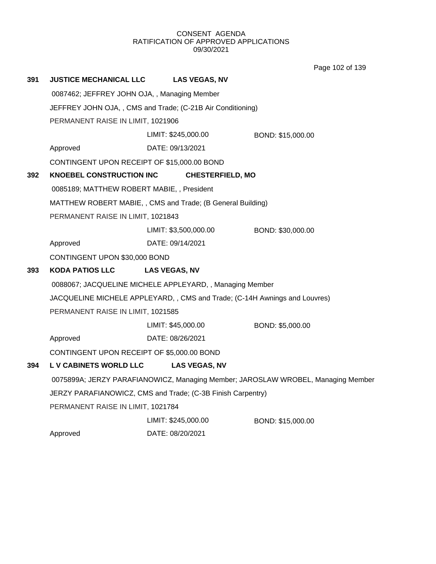Page 102 of 139

| 391 | <b>JUSTICE MECHANICAL LLC</b>                                                    | <b>LAS VEGAS, NV</b>                                        |                   |  |
|-----|----------------------------------------------------------------------------------|-------------------------------------------------------------|-------------------|--|
|     | 0087462; JEFFREY JOHN OJA,, Managing Member                                      |                                                             |                   |  |
|     |                                                                                  | JEFFREY JOHN OJA,, CMS and Trade; (C-21B Air Conditioning)  |                   |  |
|     | PERMANENT RAISE IN LIMIT, 1021906                                                |                                                             |                   |  |
|     |                                                                                  | LIMIT: \$245,000.00                                         | BOND: \$15,000.00 |  |
|     | Approved                                                                         | DATE: 09/13/2021                                            |                   |  |
|     | CONTINGENT UPON RECEIPT OF \$15,000.00 BOND                                      |                                                             |                   |  |
| 392 | <b>KNOEBEL CONSTRUCTION INC</b>                                                  | <b>CHESTERFIELD, MO</b>                                     |                   |  |
|     | 0085189; MATTHEW ROBERT MABIE, , President                                       |                                                             |                   |  |
|     |                                                                                  | MATTHEW ROBERT MABIE, , CMS and Trade; (B General Building) |                   |  |
|     | PERMANENT RAISE IN LIMIT, 1021843                                                |                                                             |                   |  |
|     |                                                                                  | LIMIT: \$3,500,000.00                                       | BOND: \$30,000.00 |  |
|     | Approved                                                                         | DATE: 09/14/2021                                            |                   |  |
|     | CONTINGENT UPON \$30,000 BOND                                                    |                                                             |                   |  |
| 393 | <b>KODA PATIOS LLC</b>                                                           | <b>LAS VEGAS, NV</b>                                        |                   |  |
|     |                                                                                  | 0088067; JACQUELINE MICHELE APPLEYARD, , Managing Member    |                   |  |
|     | JACQUELINE MICHELE APPLEYARD,, CMS and Trade; (C-14H Awnings and Louvres)        |                                                             |                   |  |
|     | PERMANENT RAISE IN LIMIT, 1021585                                                |                                                             |                   |  |
|     |                                                                                  | LIMIT: \$45,000.00                                          | BOND: \$5,000.00  |  |
|     | Approved                                                                         | DATE: 08/26/2021                                            |                   |  |
|     | CONTINGENT UPON RECEIPT OF \$5,000.00 BOND                                       |                                                             |                   |  |
| 394 | <b>L V CABINETS WORLD LLC</b>                                                    | <b>LAS VEGAS, NV</b>                                        |                   |  |
|     | 0075899A; JERZY PARAFIANOWICZ, Managing Member; JAROSLAW WROBEL, Managing Member |                                                             |                   |  |
|     | JERZY PARAFIANOWICZ, CMS and Trade; (C-3B Finish Carpentry)                      |                                                             |                   |  |
|     | PERMANENT RAISE IN LIMIT, 1021784                                                |                                                             |                   |  |
|     |                                                                                  | LIMIT: \$245,000.00                                         | BOND: \$15,000.00 |  |
|     | Approved                                                                         | DATE: 08/20/2021                                            |                   |  |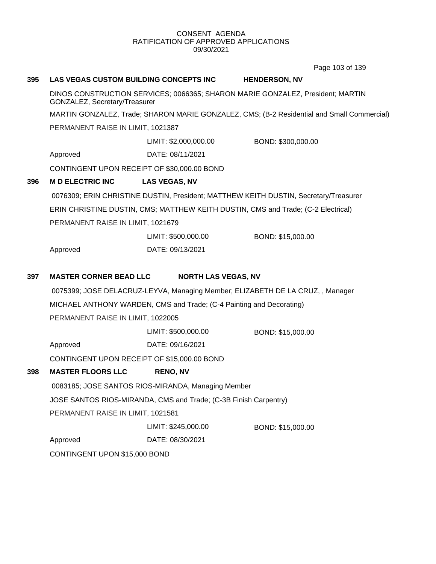Page 103 of 139

# **395 LAS VEGAS CUSTOM BUILDING CONCEPTS INC HENDERSON, NV**

DINOS CONSTRUCTION SERVICES; 0066365; SHARON MARIE GONZALEZ, President; MARTIN GONZALEZ, Secretary/Treasurer

MARTIN GONZALEZ, Trade; SHARON MARIE GONZALEZ, CMS; (B-2 Residential and Small Commercial)

PERMANENT RAISE IN LIMIT, 1021387

LIMIT: \$2,000,000.00 BOND: \$300,000.00

Approved DATE: 08/11/2021

CONTINGENT UPON RECEIPT OF \$30,000.00 BOND

# **396 M D ELECTRIC INC LAS VEGAS, NV**

0076309; ERIN CHRISTINE DUSTIN, President; MATTHEW KEITH DUSTIN, Secretary/Treasurer ERIN CHRISTINE DUSTIN, CMS; MATTHEW KEITH DUSTIN, CMS and Trade; (C-2 Electrical) PERMANENT RAISE IN LIMIT, 1021679

|          | LIMIT: \$500,000.00 | BOND: \$15,000.00 |
|----------|---------------------|-------------------|
| Approved | DATE: 09/13/2021    |                   |

# **397 MASTER CORNER BEAD LLC NORTH LAS VEGAS, NV**

0075399; JOSE DELACRUZ-LEYVA, Managing Member; ELIZABETH DE LA CRUZ, , Manager MICHAEL ANTHONY WARDEN, CMS and Trade; (C-4 Painting and Decorating) PERMANENT RAISE IN LIMIT, 1022005

LIMIT: \$500,000.00 BOND: \$15,000.00

Approved DATE: 09/16/2021

CONTINGENT UPON RECEIPT OF \$15,000.00 BOND

# **398 MASTER FLOORS LLC RENO, NV**

0083185; JOSE SANTOS RIOS-MIRANDA, Managing Member

JOSE SANTOS RIOS-MIRANDA, CMS and Trade; (C-3B Finish Carpentry)

PERMANENT RAISE IN LIMIT, 1021581

LIMIT: \$245,000.00 BOND: \$15,000.00

Approved DATE: 08/30/2021

CONTINGENT UPON \$15,000 BOND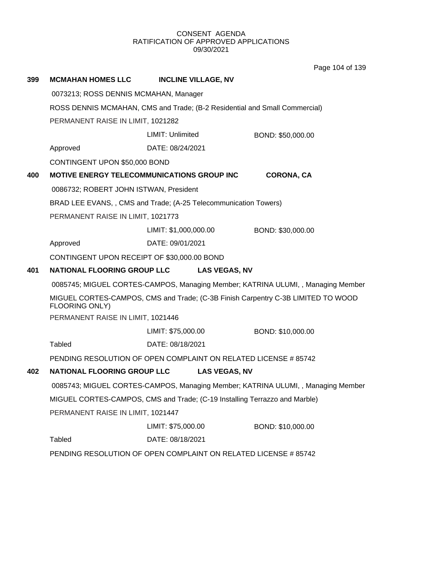Page 104 of 139

| 399 | <b>MCMAHAN HOMES LLC</b>                                                   | <b>INCLINE VILLAGE, NV</b>                                                 |                                                                                  |  |
|-----|----------------------------------------------------------------------------|----------------------------------------------------------------------------|----------------------------------------------------------------------------------|--|
|     | 0073213; ROSS DENNIS MCMAHAN, Manager                                      |                                                                            |                                                                                  |  |
|     | ROSS DENNIS MCMAHAN, CMS and Trade; (B-2 Residential and Small Commercial) |                                                                            |                                                                                  |  |
|     | PERMANENT RAISE IN LIMIT, 1021282                                          |                                                                            |                                                                                  |  |
|     |                                                                            | LIMIT: Unlimited                                                           | BOND: \$50,000.00                                                                |  |
|     | Approved                                                                   | DATE: 08/24/2021                                                           |                                                                                  |  |
|     | CONTINGENT UPON \$50,000 BOND                                              |                                                                            |                                                                                  |  |
| 400 |                                                                            | MOTIVE ENERGY TELECOMMUNICATIONS GROUP INC                                 | <b>CORONA, CA</b>                                                                |  |
|     | 0086732; ROBERT JOHN ISTWAN, President                                     |                                                                            |                                                                                  |  |
|     |                                                                            | BRAD LEE EVANS, , CMS and Trade; (A-25 Telecommunication Towers)           |                                                                                  |  |
|     | PERMANENT RAISE IN LIMIT, 1021773                                          |                                                                            |                                                                                  |  |
|     |                                                                            | LIMIT: \$1,000,000.00                                                      | BOND: \$30,000.00                                                                |  |
|     | Approved                                                                   | DATE: 09/01/2021                                                           |                                                                                  |  |
|     | CONTINGENT UPON RECEIPT OF \$30,000.00 BOND                                |                                                                            |                                                                                  |  |
| 401 | <b>NATIONAL FLOORING GROUP LLC</b>                                         | <b>LAS VEGAS, NV</b>                                                       |                                                                                  |  |
|     |                                                                            |                                                                            | 0085745; MIGUEL CORTES-CAMPOS, Managing Member; KATRINA ULUMI, , Managing Member |  |
|     | FLOORING ONLY)                                                             |                                                                            | MIGUEL CORTES-CAMPOS, CMS and Trade; (C-3B Finish Carpentry C-3B LIMITED TO WOOD |  |
|     | PERMANENT RAISE IN LIMIT, 1021446                                          |                                                                            |                                                                                  |  |
|     |                                                                            | LIMIT: \$75,000.00                                                         | BOND: \$10,000.00                                                                |  |
|     | <b>Tabled</b>                                                              | DATE: 08/18/2021                                                           |                                                                                  |  |
|     |                                                                            | PENDING RESOLUTION OF OPEN COMPLAINT ON RELATED LICENSE # 85742            |                                                                                  |  |
| 402 | <b>NATIONAL FLOORING GROUP LLC</b>                                         | <b>LAS VEGAS, NV</b>                                                       |                                                                                  |  |
|     |                                                                            |                                                                            | 0085743; MIGUEL CORTES-CAMPOS, Managing Member; KATRINA ULUMI, , Managing Member |  |
|     |                                                                            | MIGUEL CORTES-CAMPOS, CMS and Trade; (C-19 Installing Terrazzo and Marble) |                                                                                  |  |
|     | PERMANENT RAISE IN LIMIT, 1021447                                          |                                                                            |                                                                                  |  |
|     |                                                                            | LIMIT: \$75,000.00                                                         | BOND: \$10,000.00                                                                |  |
|     | <b>Tabled</b>                                                              | DATE: 08/18/2021                                                           |                                                                                  |  |
|     |                                                                            | PENDING RESOLUTION OF OPEN COMPLAINT ON RELATED LICENSE # 85742            |                                                                                  |  |
|     |                                                                            |                                                                            |                                                                                  |  |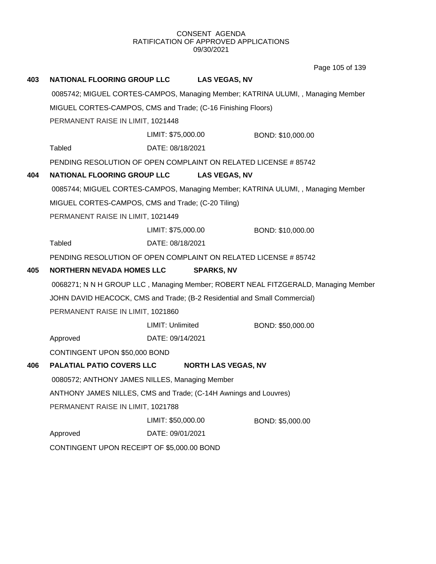Page 105 of 139

| 403 | <b>NATIONAL FLOORING GROUP LLC</b>                                        |                    | <b>LAS VEGAS, NV</b>       |                                                                                    |
|-----|---------------------------------------------------------------------------|--------------------|----------------------------|------------------------------------------------------------------------------------|
|     |                                                                           |                    |                            | 0085742; MIGUEL CORTES-CAMPOS, Managing Member; KATRINA ULUMI, , Managing Member   |
|     | MIGUEL CORTES-CAMPOS, CMS and Trade; (C-16 Finishing Floors)              |                    |                            |                                                                                    |
|     | PERMANENT RAISE IN LIMIT, 1021448                                         |                    |                            |                                                                                    |
|     |                                                                           | LIMIT: \$75,000.00 |                            | BOND: \$10,000.00                                                                  |
|     | <b>Tabled</b>                                                             | DATE: 08/18/2021   |                            |                                                                                    |
|     | PENDING RESOLUTION OF OPEN COMPLAINT ON RELATED LICENSE #85742            |                    |                            |                                                                                    |
| 404 | <b>NATIONAL FLOORING GROUP LLC</b>                                        |                    | <b>LAS VEGAS, NV</b>       |                                                                                    |
|     |                                                                           |                    |                            | 0085744; MIGUEL CORTES-CAMPOS, Managing Member; KATRINA ULUMI, , Managing Member   |
|     | MIGUEL CORTES-CAMPOS, CMS and Trade; (C-20 Tiling)                        |                    |                            |                                                                                    |
|     | PERMANENT RAISE IN LIMIT, 1021449                                         |                    |                            |                                                                                    |
|     |                                                                           | LIMIT: \$75,000.00 |                            | BOND: \$10,000.00                                                                  |
|     | <b>Tabled</b>                                                             | DATE: 08/18/2021   |                            |                                                                                    |
|     | PENDING RESOLUTION OF OPEN COMPLAINT ON RELATED LICENSE # 85742           |                    |                            |                                                                                    |
| 405 | <b>NORTHERN NEVADA HOMES LLC</b>                                          |                    | <b>SPARKS, NV</b>          |                                                                                    |
|     |                                                                           |                    |                            | 0068271; N N H GROUP LLC, Managing Member; ROBERT NEAL FITZGERALD, Managing Member |
|     | JOHN DAVID HEACOCK, CMS and Trade; (B-2 Residential and Small Commercial) |                    |                            |                                                                                    |
|     | PERMANENT RAISE IN LIMIT, 1021860                                         |                    |                            |                                                                                    |
|     |                                                                           | LIMIT: Unlimited   |                            | BOND: \$50,000.00                                                                  |
|     | Approved                                                                  | DATE: 09/14/2021   |                            |                                                                                    |
|     | CONTINGENT UPON \$50,000 BOND                                             |                    |                            |                                                                                    |
| 406 | <b>PALATIAL PATIO COVERS LLC</b>                                          |                    | <b>NORTH LAS VEGAS, NV</b> |                                                                                    |
|     | 0080572; ANTHONY JAMES NILLES, Managing Member                            |                    |                            |                                                                                    |
|     | ANTHONY JAMES NILLES, CMS and Trade; (C-14H Awnings and Louvres)          |                    |                            |                                                                                    |
|     | PERMANENT RAISE IN LIMIT, 1021788                                         |                    |                            |                                                                                    |
|     |                                                                           | LIMIT: \$50,000.00 |                            | BOND: \$5,000.00                                                                   |
|     | Approved                                                                  | DATE: 09/01/2021   |                            |                                                                                    |
|     | CONTINGENT UPON RECEIPT OF \$5,000.00 BOND                                |                    |                            |                                                                                    |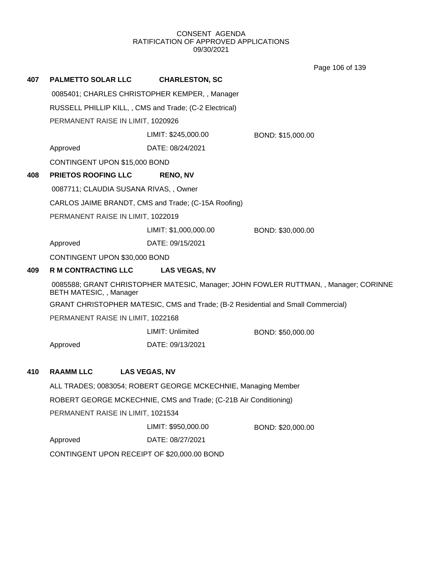Page 106 of 139

| 407 | <b>PALMETTO SOLAR LLC</b>                               | <b>CHARLESTON, SC</b>                                                            |                                                                                      |  |  |
|-----|---------------------------------------------------------|----------------------------------------------------------------------------------|--------------------------------------------------------------------------------------|--|--|
|     | 0085401; CHARLES CHRISTOPHER KEMPER, , Manager          |                                                                                  |                                                                                      |  |  |
|     | RUSSELL PHILLIP KILL, , CMS and Trade; (C-2 Electrical) |                                                                                  |                                                                                      |  |  |
|     | PERMANENT RAISE IN LIMIT, 1020926                       |                                                                                  |                                                                                      |  |  |
|     |                                                         | LIMIT: \$245,000.00                                                              | BOND: \$15,000.00                                                                    |  |  |
|     | Approved                                                | DATE: 08/24/2021                                                                 |                                                                                      |  |  |
|     | CONTINGENT UPON \$15,000 BOND                           |                                                                                  |                                                                                      |  |  |
| 408 | PRIETOS ROOFING LLC                                     | <b>RENO, NV</b>                                                                  |                                                                                      |  |  |
|     | 0087711; CLAUDIA SUSANA RIVAS, , Owner                  |                                                                                  |                                                                                      |  |  |
|     |                                                         | CARLOS JAIME BRANDT, CMS and Trade; (C-15A Roofing)                              |                                                                                      |  |  |
|     | PERMANENT RAISE IN LIMIT, 1022019                       |                                                                                  |                                                                                      |  |  |
|     |                                                         | LIMIT: \$1,000,000.00                                                            | BOND: \$30,000.00                                                                    |  |  |
|     | Approved                                                | DATE: 09/15/2021                                                                 |                                                                                      |  |  |
|     | CONTINGENT UPON \$30,000 BOND                           |                                                                                  |                                                                                      |  |  |
| 409 | <b>R M CONTRACTING LLC</b>                              | <b>LAS VEGAS, NV</b>                                                             |                                                                                      |  |  |
|     | BETH MATESIC, , Manager                                 |                                                                                  | 0085588; GRANT CHRISTOPHER MATESIC, Manager; JOHN FOWLER RUTTMAN, , Manager; CORINNE |  |  |
|     |                                                         | GRANT CHRISTOPHER MATESIC, CMS and Trade; (B-2 Residential and Small Commercial) |                                                                                      |  |  |
|     | PERMANENT RAISE IN LIMIT, 1022168                       |                                                                                  |                                                                                      |  |  |
|     |                                                         | LIMIT: Unlimited                                                                 | BOND: \$50,000.00                                                                    |  |  |
|     | Approved                                                | DATE: 09/13/2021                                                                 |                                                                                      |  |  |
|     |                                                         |                                                                                  |                                                                                      |  |  |
| 410 | <b>RAAMM LLC</b>                                        | <b>LAS VEGAS, NV</b>                                                             |                                                                                      |  |  |
|     |                                                         | ALL TRADES; 0083054; ROBERT GEORGE MCKECHNIE, Managing Member                    |                                                                                      |  |  |
|     |                                                         | ROBERT GEORGE MCKECHNIE, CMS and Trade; (C-21B Air Conditioning)                 |                                                                                      |  |  |
|     | PERMANENT RAISE IN LIMIT, 1021534                       |                                                                                  |                                                                                      |  |  |
|     |                                                         | LIMIT: \$950,000.00                                                              | BOND: \$20,000.00                                                                    |  |  |
|     | Approved                                                | DATE: 08/27/2021                                                                 |                                                                                      |  |  |
|     |                                                         | CONTINGENT UPON RECEIPT OF \$20,000.00 BOND                                      |                                                                                      |  |  |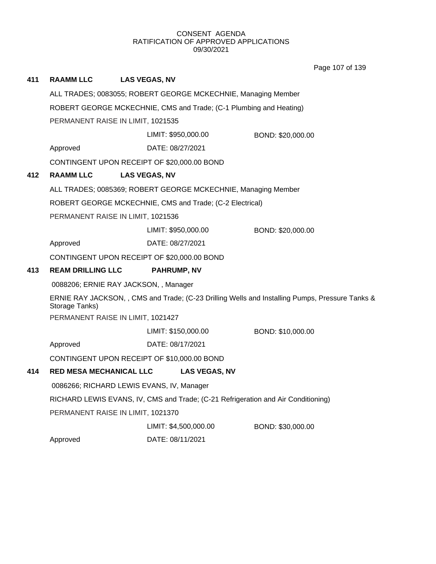Page 107 of 139

| 411                                                                | <b>RAAMM LLC</b>                                              | <b>LAS VEGAS, NV</b>                                          |                       |                                                                                                 |
|--------------------------------------------------------------------|---------------------------------------------------------------|---------------------------------------------------------------|-----------------------|-------------------------------------------------------------------------------------------------|
|                                                                    | ALL TRADES; 0083055; ROBERT GEORGE MCKECHNIE, Managing Member |                                                               |                       |                                                                                                 |
| ROBERT GEORGE MCKECHNIE, CMS and Trade; (C-1 Plumbing and Heating) |                                                               |                                                               |                       |                                                                                                 |
|                                                                    | PERMANENT RAISE IN LIMIT, 1021535                             |                                                               |                       |                                                                                                 |
|                                                                    |                                                               |                                                               | LIMIT: \$950,000.00   | BOND: \$20,000.00                                                                               |
|                                                                    | Approved                                                      | DATE: 08/27/2021                                              |                       |                                                                                                 |
|                                                                    |                                                               | CONTINGENT UPON RECEIPT OF \$20,000.00 BOND                   |                       |                                                                                                 |
| 412                                                                | <b>RAAMM LLC</b>                                              | <b>LAS VEGAS, NV</b>                                          |                       |                                                                                                 |
|                                                                    |                                                               | ALL TRADES; 0085369; ROBERT GEORGE MCKECHNIE, Managing Member |                       |                                                                                                 |
|                                                                    |                                                               | ROBERT GEORGE MCKECHNIE, CMS and Trade; (C-2 Electrical)      |                       |                                                                                                 |
|                                                                    |                                                               | PERMANENT RAISE IN LIMIT, 1021536                             |                       |                                                                                                 |
|                                                                    |                                                               | LIMIT: \$950,000.00                                           |                       | BOND: \$20,000.00                                                                               |
|                                                                    | Approved                                                      | DATE: 08/27/2021                                              |                       |                                                                                                 |
|                                                                    |                                                               | CONTINGENT UPON RECEIPT OF \$20,000.00 BOND                   |                       |                                                                                                 |
| 413                                                                | <b>REAM DRILLING LLC</b>                                      | <b>PAHRUMP, NV</b>                                            |                       |                                                                                                 |
|                                                                    |                                                               | 0088206; ERNIE RAY JACKSON, , Manager                         |                       |                                                                                                 |
|                                                                    | Storage Tanks)                                                |                                                               |                       | ERNIE RAY JACKSON, , CMS and Trade; (C-23 Drilling Wells and Installing Pumps, Pressure Tanks & |
|                                                                    |                                                               | PERMANENT RAISE IN LIMIT, 1021427                             |                       |                                                                                                 |
|                                                                    |                                                               | LIMIT: \$150,000.00                                           |                       | BOND: \$10,000.00                                                                               |
|                                                                    | Approved                                                      | DATE: 08/17/2021                                              |                       |                                                                                                 |
|                                                                    |                                                               | CONTINGENT UPON RECEIPT OF \$10,000.00 BOND                   |                       |                                                                                                 |
| 414                                                                |                                                               | <b>RED MESA MECHANICAL LLC</b>                                | <b>LAS VEGAS, NV</b>  |                                                                                                 |
|                                                                    |                                                               | 0086266; RICHARD LEWIS EVANS, IV, Manager                     |                       |                                                                                                 |
|                                                                    |                                                               |                                                               |                       | RICHARD LEWIS EVANS, IV, CMS and Trade; (C-21 Refrigeration and Air Conditioning)               |
|                                                                    |                                                               | PERMANENT RAISE IN LIMIT, 1021370                             |                       |                                                                                                 |
|                                                                    |                                                               |                                                               | LIMIT: \$4,500,000.00 | BOND: \$30,000.00                                                                               |
|                                                                    | Approved                                                      | DATE: 08/11/2021                                              |                       |                                                                                                 |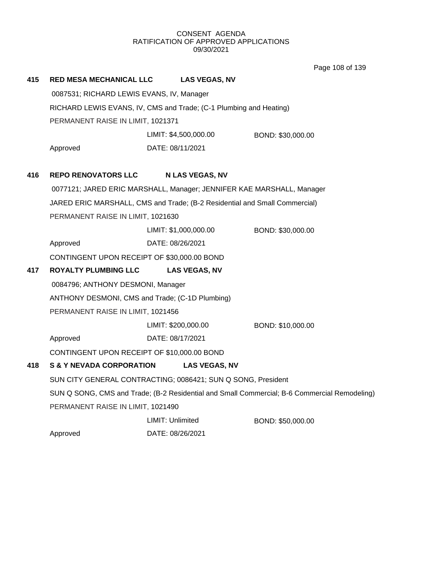Page 108 of 139

| 415 | <b>RED MESA MECHANICAL LLC</b>                                             |                       | <b>LAS VEGAS, NV</b>   |                                                                                              |  |
|-----|----------------------------------------------------------------------------|-----------------------|------------------------|----------------------------------------------------------------------------------------------|--|
|     | 0087531; RICHARD LEWIS EVANS, IV, Manager                                  |                       |                        |                                                                                              |  |
|     | RICHARD LEWIS EVANS, IV, CMS and Trade; (C-1 Plumbing and Heating)         |                       |                        |                                                                                              |  |
|     | PERMANENT RAISE IN LIMIT, 1021371                                          |                       |                        |                                                                                              |  |
|     |                                                                            | LIMIT: \$4,500,000.00 |                        | BOND: \$30,000.00                                                                            |  |
|     | Approved                                                                   | DATE: 08/11/2021      |                        |                                                                                              |  |
|     |                                                                            |                       |                        |                                                                                              |  |
| 416 | <b>REPO RENOVATORS LLC</b>                                                 |                       | <b>N LAS VEGAS, NV</b> |                                                                                              |  |
|     | 0077121; JARED ERIC MARSHALL, Manager; JENNIFER KAE MARSHALL, Manager      |                       |                        |                                                                                              |  |
|     | JARED ERIC MARSHALL, CMS and Trade; (B-2 Residential and Small Commercial) |                       |                        |                                                                                              |  |
|     | PERMANENT RAISE IN LIMIT, 1021630                                          |                       |                        |                                                                                              |  |
|     |                                                                            | LIMIT: \$1,000,000.00 |                        | BOND: \$30,000.00                                                                            |  |
|     | Approved                                                                   | DATE: 08/26/2021      |                        |                                                                                              |  |
|     | CONTINGENT UPON RECEIPT OF \$30,000.00 BOND                                |                       |                        |                                                                                              |  |
| 417 | <b>ROYALTY PLUMBING LLC</b>                                                |                       | <b>LAS VEGAS, NV</b>   |                                                                                              |  |
|     | 0084796; ANTHONY DESMONI, Manager                                          |                       |                        |                                                                                              |  |
|     | ANTHONY DESMONI, CMS and Trade; (C-1D Plumbing)                            |                       |                        |                                                                                              |  |
|     | PERMANENT RAISE IN LIMIT, 1021456                                          |                       |                        |                                                                                              |  |
|     |                                                                            | LIMIT: \$200,000.00   |                        | BOND: \$10,000.00                                                                            |  |
|     | Approved                                                                   | DATE: 08/17/2021      |                        |                                                                                              |  |
|     | CONTINGENT UPON RECEIPT OF \$10,000.00 BOND                                |                       |                        |                                                                                              |  |
| 418 | <b>S &amp; Y NEVADA CORPORATION</b>                                        |                       | <b>LAS VEGAS, NV</b>   |                                                                                              |  |
|     | SUN CITY GENERAL CONTRACTING; 0086421; SUN Q SONG, President               |                       |                        |                                                                                              |  |
|     |                                                                            |                       |                        | SUN Q SONG, CMS and Trade; (B-2 Residential and Small Commercial; B-6 Commercial Remodeling) |  |
|     | PERMANENT RAISE IN LIMIT, 1021490                                          |                       |                        |                                                                                              |  |
|     |                                                                            | LIMIT: Unlimited      |                        | BOND: \$50,000.00                                                                            |  |
|     | Approved                                                                   | DATE: 08/26/2021      |                        |                                                                                              |  |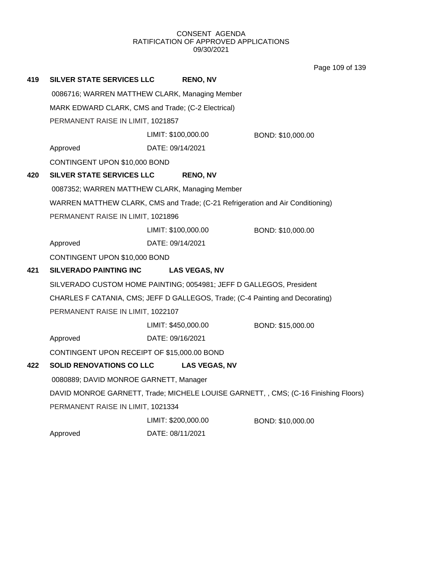Page 109 of 139

| 419 | SILVER STATE SERVICES LLC                                                      |                  | <b>RENO, NV</b>      |                                                                                     |  |
|-----|--------------------------------------------------------------------------------|------------------|----------------------|-------------------------------------------------------------------------------------|--|
|     | 0086716; WARREN MATTHEW CLARK, Managing Member                                 |                  |                      |                                                                                     |  |
|     | MARK EDWARD CLARK, CMS and Trade; (C-2 Electrical)                             |                  |                      |                                                                                     |  |
|     | PERMANENT RAISE IN LIMIT, 1021857                                              |                  |                      |                                                                                     |  |
|     |                                                                                |                  | LIMIT: \$100,000.00  | BOND: \$10,000.00                                                                   |  |
|     | Approved                                                                       | DATE: 09/14/2021 |                      |                                                                                     |  |
|     | CONTINGENT UPON \$10,000 BOND                                                  |                  |                      |                                                                                     |  |
| 420 | <b>SILVER STATE SERVICES LLC</b>                                               |                  | <b>RENO, NV</b>      |                                                                                     |  |
|     | 0087352; WARREN MATTHEW CLARK, Managing Member                                 |                  |                      |                                                                                     |  |
|     | WARREN MATTHEW CLARK, CMS and Trade; (C-21 Refrigeration and Air Conditioning) |                  |                      |                                                                                     |  |
|     | PERMANENT RAISE IN LIMIT, 1021896                                              |                  |                      |                                                                                     |  |
|     |                                                                                |                  | LIMIT: \$100,000.00  | BOND: \$10,000.00                                                                   |  |
|     | Approved                                                                       | DATE: 09/14/2021 |                      |                                                                                     |  |
|     | CONTINGENT UPON \$10,000 BOND                                                  |                  |                      |                                                                                     |  |
| 421 | <b>SILVERADO PAINTING INC</b>                                                  |                  | <b>LAS VEGAS, NV</b> |                                                                                     |  |
|     | SILVERADO CUSTOM HOME PAINTING; 0054981; JEFF D GALLEGOS, President            |                  |                      |                                                                                     |  |
|     | CHARLES F CATANIA, CMS; JEFF D GALLEGOS, Trade; (C-4 Painting and Decorating)  |                  |                      |                                                                                     |  |
|     | PERMANENT RAISE IN LIMIT, 1022107                                              |                  |                      |                                                                                     |  |
|     |                                                                                |                  | LIMIT: \$450,000.00  | BOND: \$15,000.00                                                                   |  |
|     | Approved                                                                       | DATE: 09/16/2021 |                      |                                                                                     |  |
|     | CONTINGENT UPON RECEIPT OF \$15,000.00 BOND                                    |                  |                      |                                                                                     |  |
| 422 | <b>SOLID RENOVATIONS CO LLC</b>                                                |                  | <b>LAS VEGAS, NV</b> |                                                                                     |  |
|     | 0080889; DAVID MONROE GARNETT, Manager                                         |                  |                      |                                                                                     |  |
|     |                                                                                |                  |                      | DAVID MONROE GARNETT, Trade; MICHELE LOUISE GARNETT, , CMS; (C-16 Finishing Floors) |  |
|     | PERMANENT RAISE IN LIMIT, 1021334                                              |                  |                      |                                                                                     |  |
|     |                                                                                |                  | LIMIT: \$200,000.00  | BOND: \$10,000.00                                                                   |  |
|     | Approved                                                                       | DATE: 08/11/2021 |                      |                                                                                     |  |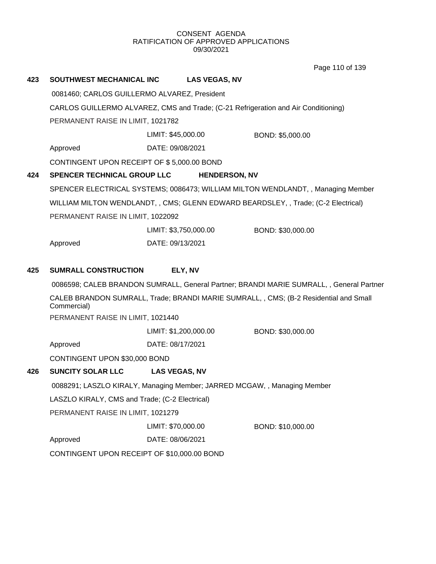Page 110 of 139

| 423 | SOUTHWEST MECHANICAL INC                                                                                                | <b>LAS VEGAS, NV</b>                                                     |                                                                                       |  |  |
|-----|-------------------------------------------------------------------------------------------------------------------------|--------------------------------------------------------------------------|---------------------------------------------------------------------------------------|--|--|
|     | 0081460; CARLOS GUILLERMO ALVAREZ, President                                                                            |                                                                          |                                                                                       |  |  |
|     | CARLOS GUILLERMO ALVAREZ, CMS and Trade; (C-21 Refrigeration and Air Conditioning)<br>PERMANENT RAISE IN LIMIT, 1021782 |                                                                          |                                                                                       |  |  |
|     |                                                                                                                         |                                                                          |                                                                                       |  |  |
|     |                                                                                                                         | LIMIT: \$45,000.00                                                       | BOND: \$5,000.00                                                                      |  |  |
|     | Approved                                                                                                                | DATE: 09/08/2021                                                         |                                                                                       |  |  |
|     | CONTINGENT UPON RECEIPT OF \$5,000.00 BOND                                                                              |                                                                          |                                                                                       |  |  |
| 424 | SPENCER TECHNICAL GROUP LLC                                                                                             | <b>HENDERSON, NV</b>                                                     |                                                                                       |  |  |
|     |                                                                                                                         |                                                                          | SPENCER ELECTRICAL SYSTEMS; 0086473; WILLIAM MILTON WENDLANDT, , Managing Member      |  |  |
|     |                                                                                                                         |                                                                          | WILLIAM MILTON WENDLANDT,, CMS; GLENN EDWARD BEARDSLEY,, Trade; (C-2 Electrical)      |  |  |
|     | PERMANENT RAISE IN LIMIT, 1022092                                                                                       |                                                                          |                                                                                       |  |  |
|     |                                                                                                                         | LIMIT: \$3,750,000.00                                                    | BOND: \$30,000.00                                                                     |  |  |
|     | Approved                                                                                                                | DATE: 09/13/2021                                                         |                                                                                       |  |  |
|     |                                                                                                                         |                                                                          |                                                                                       |  |  |
| 425 | <b>SUMRALL CONSTRUCTION</b>                                                                                             | ELY, NV                                                                  |                                                                                       |  |  |
|     | 0086598; CALEB BRANDON SUMRALL, General Partner; BRANDI MARIE SUMRALL, , General Partner                                |                                                                          |                                                                                       |  |  |
|     | Commercial)                                                                                                             |                                                                          | CALEB BRANDON SUMRALL, Trade; BRANDI MARIE SUMRALL, , CMS; (B-2 Residential and Small |  |  |
|     | PERMANENT RAISE IN LIMIT, 1021440                                                                                       |                                                                          |                                                                                       |  |  |
|     |                                                                                                                         | LIMIT: \$1,200,000.00                                                    | BOND: \$30,000.00                                                                     |  |  |
|     | Approved                                                                                                                | DATE: 08/17/2021                                                         |                                                                                       |  |  |
|     | CONTINGENT UPON \$30,000 BOND                                                                                           |                                                                          |                                                                                       |  |  |
| 426 | <b>SUNCITY SOLAR LLC</b>                                                                                                | <b>LAS VEGAS, NV</b>                                                     |                                                                                       |  |  |
|     |                                                                                                                         | 0088291; LASZLO KIRALY, Managing Member; JARRED MCGAW, , Managing Member |                                                                                       |  |  |
|     | LASZLO KIRALY, CMS and Trade; (C-2 Electrical)                                                                          |                                                                          |                                                                                       |  |  |
|     | PERMANENT RAISE IN LIMIT, 1021279                                                                                       |                                                                          |                                                                                       |  |  |
|     |                                                                                                                         | LIMIT: \$70,000.00                                                       | BOND: \$10,000.00                                                                     |  |  |
|     | Approved                                                                                                                | DATE: 08/06/2021                                                         |                                                                                       |  |  |
|     | CONTINGENT UPON RECEIPT OF \$10,000.00 BOND                                                                             |                                                                          |                                                                                       |  |  |
|     |                                                                                                                         |                                                                          |                                                                                       |  |  |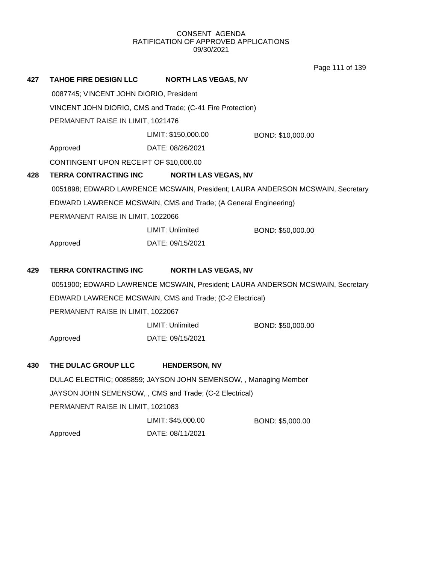Page 111 of 139

| 427 | <b>TAHOE FIRE DESIGN LLC</b>                               | <b>NORTH LAS VEGAS, NV</b>                                       |                                                                                |  |  |
|-----|------------------------------------------------------------|------------------------------------------------------------------|--------------------------------------------------------------------------------|--|--|
|     | 0087745; VINCENT JOHN DIORIO, President                    |                                                                  |                                                                                |  |  |
|     | VINCENT JOHN DIORIO, CMS and Trade; (C-41 Fire Protection) |                                                                  |                                                                                |  |  |
|     | PERMANENT RAISE IN LIMIT, 1021476                          |                                                                  |                                                                                |  |  |
|     |                                                            | LIMIT: \$150,000.00                                              | BOND: \$10,000.00                                                              |  |  |
|     | Approved                                                   | DATE: 08/26/2021                                                 |                                                                                |  |  |
|     | CONTINGENT UPON RECEIPT OF \$10,000.00                     |                                                                  |                                                                                |  |  |
| 428 | <b>TERRA CONTRACTING INC</b>                               | <b>NORTH LAS VEGAS, NV</b>                                       |                                                                                |  |  |
|     |                                                            |                                                                  | 0051898; EDWARD LAWRENCE MCSWAIN, President; LAURA ANDERSON MCSWAIN, Secretary |  |  |
|     |                                                            | EDWARD LAWRENCE MCSWAIN, CMS and Trade; (A General Engineering)  |                                                                                |  |  |
|     | PERMANENT RAISE IN LIMIT, 1022066                          |                                                                  |                                                                                |  |  |
|     |                                                            | LIMIT: Unlimited                                                 | BOND: \$50,000.00                                                              |  |  |
|     | Approved                                                   | DATE: 09/15/2021                                                 |                                                                                |  |  |
| 429 | TERRA CONTRACTING INC                                      | <b>NORTH LAS VEGAS, NV</b>                                       |                                                                                |  |  |
|     |                                                            |                                                                  | 0051900; EDWARD LAWRENCE MCSWAIN, President; LAURA ANDERSON MCSWAIN, Secretary |  |  |
|     | EDWARD LAWRENCE MCSWAIN, CMS and Trade; (C-2 Electrical)   |                                                                  |                                                                                |  |  |
|     | PERMANENT RAISE IN LIMIT, 1022067                          |                                                                  |                                                                                |  |  |
|     |                                                            | LIMIT: Unlimited                                                 | BOND: \$50,000.00                                                              |  |  |
|     | Approved                                                   | DATE: 09/15/2021                                                 |                                                                                |  |  |
| 430 | THE DULAC GROUP LLC                                        | <b>HENDERSON, NV</b>                                             |                                                                                |  |  |
|     |                                                            | DULAC ELECTRIC; 0085859; JAYSON JOHN SEMENSOW, , Managing Member |                                                                                |  |  |
|     | JAYSON JOHN SEMENSOW, , CMS and Trade; (C-2 Electrical)    |                                                                  |                                                                                |  |  |
|     | PERMANENT RAISE IN LIMIT, 1021083                          |                                                                  |                                                                                |  |  |
|     |                                                            | LIMIT: \$45,000.00                                               | BOND: \$5,000.00                                                               |  |  |
|     | Approved                                                   | DATE: 08/11/2021                                                 |                                                                                |  |  |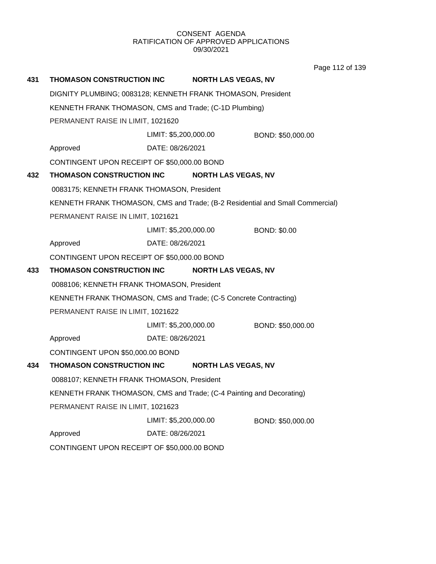Page 112 of 139

| 431                                                    | THOMASON CONSTRUCTION INC                                                     |                       | <b>NORTH LAS VEGAS, NV</b> |                     |
|--------------------------------------------------------|-------------------------------------------------------------------------------|-----------------------|----------------------------|---------------------|
|                                                        | DIGNITY PLUMBING; 0083128; KENNETH FRANK THOMASON, President                  |                       |                            |                     |
| KENNETH FRANK THOMASON, CMS and Trade; (C-1D Plumbing) |                                                                               |                       |                            |                     |
|                                                        | PERMANENT RAISE IN LIMIT, 1021620                                             |                       |                            |                     |
|                                                        |                                                                               | LIMIT: \$5,200,000.00 |                            | BOND: \$50,000.00   |
|                                                        | Approved                                                                      | DATE: 08/26/2021      |                            |                     |
|                                                        | CONTINGENT UPON RECEIPT OF \$50,000.00 BOND                                   |                       |                            |                     |
| 432                                                    | THOMASON CONSTRUCTION INC NORTH LAS VEGAS, NV                                 |                       |                            |                     |
|                                                        | 0083175; KENNETH FRANK THOMASON, President                                    |                       |                            |                     |
|                                                        | KENNETH FRANK THOMASON, CMS and Trade; (B-2 Residential and Small Commercial) |                       |                            |                     |
|                                                        | PERMANENT RAISE IN LIMIT, 1021621                                             |                       |                            |                     |
|                                                        |                                                                               | LIMIT: \$5,200,000.00 |                            | <b>BOND: \$0.00</b> |
|                                                        | Approved                                                                      | DATE: 08/26/2021      |                            |                     |
|                                                        | CONTINGENT UPON RECEIPT OF \$50,000.00 BOND                                   |                       |                            |                     |
| 433                                                    | THOMASON CONSTRUCTION INC                                                     |                       | <b>NORTH LAS VEGAS, NV</b> |                     |
|                                                        | 0088106; KENNETH FRANK THOMASON, President                                    |                       |                            |                     |
|                                                        |                                                                               |                       |                            |                     |
|                                                        | KENNETH FRANK THOMASON, CMS and Trade; (C-5 Concrete Contracting)             |                       |                            |                     |
|                                                        | PERMANENT RAISE IN LIMIT, 1021622                                             |                       |                            |                     |
|                                                        |                                                                               | LIMIT: \$5,200,000.00 |                            | BOND: \$50,000.00   |
|                                                        | Approved                                                                      | DATE: 08/26/2021      |                            |                     |
|                                                        | CONTINGENT UPON \$50,000.00 BOND                                              |                       |                            |                     |
| 434                                                    | THOMASON CONSTRUCTION INC                                                     |                       | <b>NORTH LAS VEGAS, NV</b> |                     |
|                                                        | 0088107; KENNETH FRANK THOMASON, President                                    |                       |                            |                     |
|                                                        | KENNETH FRANK THOMASON, CMS and Trade; (C-4 Painting and Decorating)          |                       |                            |                     |
|                                                        | PERMANENT RAISE IN LIMIT, 1021623                                             |                       |                            |                     |
|                                                        |                                                                               | LIMIT: \$5,200,000.00 |                            | BOND: \$50,000.00   |
|                                                        | Approved                                                                      | DATE: 08/26/2021      |                            |                     |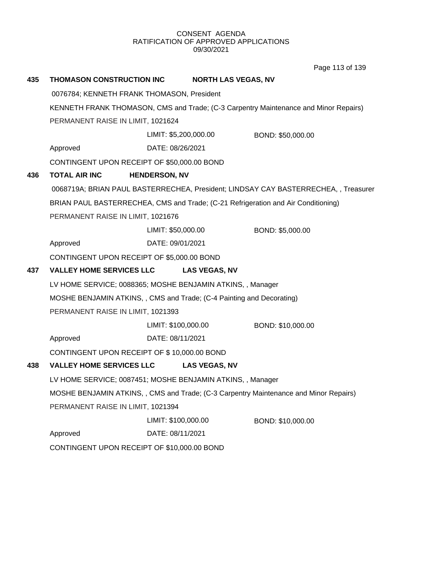Page 113 of 139

| 435 | THOMASON CONSTRUCTION INC                                                             |                      |                       | <b>NORTH LAS VEGAS, NV</b>                                                           |  |
|-----|---------------------------------------------------------------------------------------|----------------------|-----------------------|--------------------------------------------------------------------------------------|--|
|     | 0076784; KENNETH FRANK THOMASON, President                                            |                      |                       |                                                                                      |  |
|     |                                                                                       |                      |                       | KENNETH FRANK THOMASON, CMS and Trade; (C-3 Carpentry Maintenance and Minor Repairs) |  |
|     | PERMANENT RAISE IN LIMIT, 1021624                                                     |                      |                       |                                                                                      |  |
|     |                                                                                       |                      | LIMIT: \$5,200,000.00 | BOND: \$50,000.00                                                                    |  |
|     | Approved                                                                              |                      | DATE: 08/26/2021      |                                                                                      |  |
|     | CONTINGENT UPON RECEIPT OF \$50,000.00 BOND                                           |                      |                       |                                                                                      |  |
| 436 | <b>TOTAL AIR INC</b>                                                                  | <b>HENDERSON, NV</b> |                       |                                                                                      |  |
|     |                                                                                       |                      |                       | 0068719A; BRIAN PAUL BASTERRECHEA, President; LINDSAY CAY BASTERRECHEA, , Treasurer  |  |
|     |                                                                                       |                      |                       | BRIAN PAUL BASTERRECHEA, CMS and Trade; (C-21 Refrigeration and Air Conditioning)    |  |
|     | PERMANENT RAISE IN LIMIT, 1021676                                                     |                      |                       |                                                                                      |  |
|     |                                                                                       |                      | LIMIT: \$50,000.00    | BOND: \$5,000.00                                                                     |  |
|     | Approved                                                                              |                      | DATE: 09/01/2021      |                                                                                      |  |
|     | CONTINGENT UPON RECEIPT OF \$5,000.00 BOND                                            |                      |                       |                                                                                      |  |
| 437 | <b>VALLEY HOME SERVICES LLC</b>                                                       |                      | <b>LAS VEGAS, NV</b>  |                                                                                      |  |
|     | LV HOME SERVICE; 0088365; MOSHE BENJAMIN ATKINS, , Manager                            |                      |                       |                                                                                      |  |
|     | MOSHE BENJAMIN ATKINS, , CMS and Trade; (C-4 Painting and Decorating)                 |                      |                       |                                                                                      |  |
|     | PERMANENT RAISE IN LIMIT, 1021393                                                     |                      |                       |                                                                                      |  |
|     |                                                                                       |                      | LIMIT: \$100,000.00   | BOND: \$10,000.00                                                                    |  |
|     | Approved                                                                              |                      | DATE: 08/11/2021      |                                                                                      |  |
|     | CONTINGENT UPON RECEIPT OF \$10,000.00 BOND                                           |                      |                       |                                                                                      |  |
| 438 | <b>VALLEY HOME SERVICES LLC</b>                                                       |                      | <b>LAS VEGAS, NV</b>  |                                                                                      |  |
|     | LV HOME SERVICE; 0087451; MOSHE BENJAMIN ATKINS, , Manager                            |                      |                       |                                                                                      |  |
|     | MOSHE BENJAMIN ATKINS, , CMS and Trade; (C-3 Carpentry Maintenance and Minor Repairs) |                      |                       |                                                                                      |  |
|     | PERMANENT RAISE IN LIMIT, 1021394                                                     |                      |                       |                                                                                      |  |
|     |                                                                                       |                      | LIMIT: \$100,000.00   | BOND: \$10,000.00                                                                    |  |
|     | Approved                                                                              |                      | DATE: 08/11/2021      |                                                                                      |  |
|     | CONTINGENT UPON RECEIPT OF \$10,000.00 BOND                                           |                      |                       |                                                                                      |  |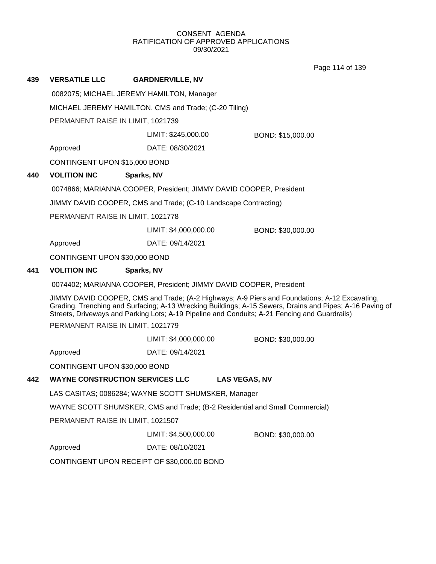Page 114 of 139

| 439 | <b>VERSATILE LLC</b>                                  | <b>GARDNERVILLE, NV</b>                                            |                                                                                                                                                                                                                                                                                                            |  |  |  |
|-----|-------------------------------------------------------|--------------------------------------------------------------------|------------------------------------------------------------------------------------------------------------------------------------------------------------------------------------------------------------------------------------------------------------------------------------------------------------|--|--|--|
|     | 0082075; MICHAEL JEREMY HAMILTON, Manager             |                                                                    |                                                                                                                                                                                                                                                                                                            |  |  |  |
|     | MICHAEL JEREMY HAMILTON, CMS and Trade; (C-20 Tiling) |                                                                    |                                                                                                                                                                                                                                                                                                            |  |  |  |
|     |                                                       | PERMANENT RAISE IN LIMIT, 1021739                                  |                                                                                                                                                                                                                                                                                                            |  |  |  |
|     |                                                       | LIMIT: \$245,000.00                                                | BOND: \$15,000.00                                                                                                                                                                                                                                                                                          |  |  |  |
|     | Approved                                              | DATE: 08/30/2021                                                   |                                                                                                                                                                                                                                                                                                            |  |  |  |
|     | CONTINGENT UPON \$15,000 BOND                         |                                                                    |                                                                                                                                                                                                                                                                                                            |  |  |  |
| 440 | <b>VOLITION INC</b>                                   | Sparks, NV                                                         |                                                                                                                                                                                                                                                                                                            |  |  |  |
|     |                                                       | 0074866; MARIANNA COOPER, President; JIMMY DAVID COOPER, President |                                                                                                                                                                                                                                                                                                            |  |  |  |
|     |                                                       | JIMMY DAVID COOPER, CMS and Trade; (C-10 Landscape Contracting)    |                                                                                                                                                                                                                                                                                                            |  |  |  |
|     | PERMANENT RAISE IN LIMIT, 1021778                     |                                                                    |                                                                                                                                                                                                                                                                                                            |  |  |  |
|     |                                                       | LIMIT: \$4,000,000.00                                              | BOND: \$30,000.00                                                                                                                                                                                                                                                                                          |  |  |  |
|     | Approved                                              | DATE: 09/14/2021                                                   |                                                                                                                                                                                                                                                                                                            |  |  |  |
|     | CONTINGENT UPON \$30,000 BOND                         |                                                                    |                                                                                                                                                                                                                                                                                                            |  |  |  |
| 441 | <b>VOLITION INC</b>                                   | Sparks, NV                                                         |                                                                                                                                                                                                                                                                                                            |  |  |  |
|     |                                                       | 0074402; MARIANNA COOPER, President; JIMMY DAVID COOPER, President |                                                                                                                                                                                                                                                                                                            |  |  |  |
|     | PERMANENT RAISE IN LIMIT, 1021779                     |                                                                    | JIMMY DAVID COOPER, CMS and Trade; (A-2 Highways; A-9 Piers and Foundations; A-12 Excavating,<br>Grading, Trenching and Surfacing; A-13 Wrecking Buildings; A-15 Sewers, Drains and Pipes; A-16 Paving of<br>Streets, Driveways and Parking Lots; A-19 Pipeline and Conduits; A-21 Fencing and Guardrails) |  |  |  |
|     |                                                       | LIMIT: \$4,000,000.00                                              | BOND: \$30,000.00                                                                                                                                                                                                                                                                                          |  |  |  |
|     | Approved                                              | DATE: 09/14/2021                                                   |                                                                                                                                                                                                                                                                                                            |  |  |  |
|     | CONTINGENT UPON \$30,000 BOND                         |                                                                    |                                                                                                                                                                                                                                                                                                            |  |  |  |
| 442 | <b>WAYNE CONSTRUCTION SERVICES LLC</b>                |                                                                    | <b>LAS VEGAS, NV</b>                                                                                                                                                                                                                                                                                       |  |  |  |
|     |                                                       | LAS CASITAS; 0086284; WAYNE SCOTT SHUMSKER, Manager                |                                                                                                                                                                                                                                                                                                            |  |  |  |
|     |                                                       |                                                                    | WAYNE SCOTT SHUMSKER, CMS and Trade; (B-2 Residential and Small Commercial)                                                                                                                                                                                                                                |  |  |  |
|     | PERMANENT RAISE IN LIMIT, 1021507                     |                                                                    |                                                                                                                                                                                                                                                                                                            |  |  |  |
|     |                                                       | LIMIT: \$4,500,000.00                                              | BOND: \$30,000.00                                                                                                                                                                                                                                                                                          |  |  |  |
|     | Approved                                              | DATE: 08/10/2021                                                   |                                                                                                                                                                                                                                                                                                            |  |  |  |
|     |                                                       | CONTINGENT UPON RECEIPT OF \$30,000.00 BOND                        |                                                                                                                                                                                                                                                                                                            |  |  |  |
|     |                                                       |                                                                    |                                                                                                                                                                                                                                                                                                            |  |  |  |
|     |                                                       |                                                                    |                                                                                                                                                                                                                                                                                                            |  |  |  |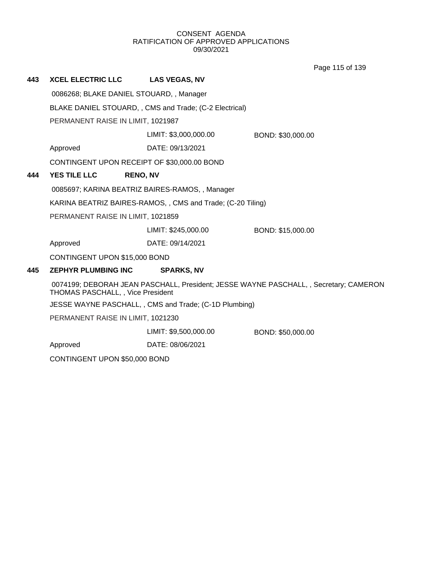Page 115 of 139

| 443 | <b>XCEL ELECTRIC LLC</b>                                                                                                   | <b>LAS VEGAS, NV</b>                                       |                   |  |
|-----|----------------------------------------------------------------------------------------------------------------------------|------------------------------------------------------------|-------------------|--|
|     | 0086268; BLAKE DANIEL STOUARD, , Manager                                                                                   |                                                            |                   |  |
|     | BLAKE DANIEL STOUARD, , CMS and Trade; (C-2 Electrical)                                                                    |                                                            |                   |  |
|     | PERMANENT RAISE IN LIMIT, 1021987                                                                                          |                                                            |                   |  |
|     |                                                                                                                            | LIMIT: \$3,000,000.00                                      | BOND: \$30,000.00 |  |
|     | Approved                                                                                                                   | DATE: 09/13/2021                                           |                   |  |
|     | CONTINGENT UPON RECEIPT OF \$30,000.00 BOND                                                                                |                                                            |                   |  |
| 444 | <b>YES TILE LLC</b><br><b>RENO, NV</b>                                                                                     |                                                            |                   |  |
|     | 0085697; KARINA BEATRIZ BAIRES-RAMOS, , Manager                                                                            |                                                            |                   |  |
|     |                                                                                                                            | KARINA BEATRIZ BAIRES-RAMOS,, CMS and Trade; (C-20 Tiling) |                   |  |
|     | PERMANENT RAISE IN LIMIT, 1021859                                                                                          |                                                            |                   |  |
|     |                                                                                                                            | LIMIT: \$245,000.00                                        | BOND: \$15,000.00 |  |
|     | Approved                                                                                                                   | DATE: 09/14/2021                                           |                   |  |
|     | CONTINGENT UPON \$15,000 BOND                                                                                              |                                                            |                   |  |
| 445 | <b>ZEPHYR PLUMBING INC</b>                                                                                                 | <b>SPARKS, NV</b>                                          |                   |  |
|     | 0074199; DEBORAH JEAN PASCHALL, President; JESSE WAYNE PASCHALL, , Secretary; CAMERON<br>THOMAS PASCHALL, , Vice President |                                                            |                   |  |
|     |                                                                                                                            | JESSE WAYNE PASCHALL, , CMS and Trade; (C-1D Plumbing)     |                   |  |
|     | PERMANENT RAISE IN LIMIT, 1021230                                                                                          |                                                            |                   |  |
|     |                                                                                                                            | LIMIT: \$9,500,000.00                                      | BOND: \$50,000.00 |  |
|     | Approved                                                                                                                   | DATE: 08/06/2021                                           |                   |  |
|     | CONTINGENT UPON \$50,000 BOND                                                                                              |                                                            |                   |  |
|     |                                                                                                                            |                                                            |                   |  |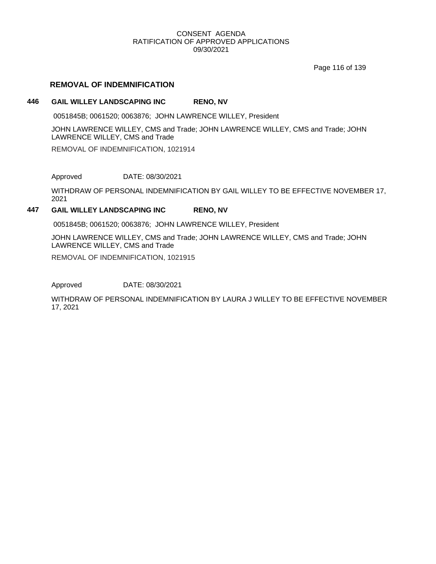Page 116 of 139

## **REMOVAL OF INDEMNIFICATION**

#### **446 GAIL WILLEY LANDSCAPING INC RENO, NV**

0051845B; 0061520; 0063876; JOHN LAWRENCE WILLEY, President

JOHN LAWRENCE WILLEY, CMS and Trade; JOHN LAWRENCE WILLEY, CMS and Trade; JOHN LAWRENCE WILLEY, CMS and Trade

REMOVAL OF INDEMNIFICATION, 1021914

Approved DATE: 08/30/2021

WITHDRAW OF PERSONAL INDEMNIFICATION BY GAIL WILLEY TO BE EFFECTIVE NOVEMBER 17, 2021

#### **447 GAIL WILLEY LANDSCAPING INC RENO, NV**

0051845B; 0061520; 0063876; JOHN LAWRENCE WILLEY, President

JOHN LAWRENCE WILLEY, CMS and Trade; JOHN LAWRENCE WILLEY, CMS and Trade; JOHN LAWRENCE WILLEY, CMS and Trade

REMOVAL OF INDEMNIFICATION, 1021915

Approved DATE: 08/30/2021

WITHDRAW OF PERSONAL INDEMNIFICATION BY LAURA J WILLEY TO BE EFFECTIVE NOVEMBER 17, 2021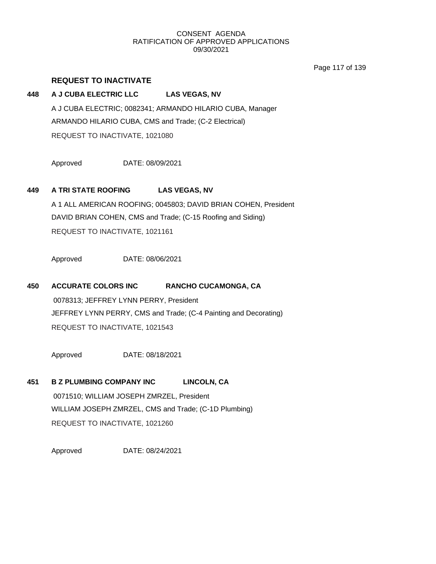Page 117 of 139

## **REQUEST TO INACTIVATE**

## **448 A J CUBA ELECTRIC LLC LAS VEGAS, NV**

A J CUBA ELECTRIC; 0082341; ARMANDO HILARIO CUBA, Manager ARMANDO HILARIO CUBA, CMS and Trade; (C-2 Electrical) REQUEST TO INACTIVATE, 1021080

Approved DATE: 08/09/2021

## **449 A TRI STATE ROOFING LAS VEGAS, NV**

A 1 ALL AMERICAN ROOFING; 0045803; DAVID BRIAN COHEN, President DAVID BRIAN COHEN, CMS and Trade; (C-15 Roofing and Siding) REQUEST TO INACTIVATE, 1021161

Approved DATE: 08/06/2021

## **450 ACCURATE COLORS INC RANCHO CUCAMONGA, CA**

0078313; JEFFREY LYNN PERRY, President JEFFREY LYNN PERRY, CMS and Trade; (C-4 Painting and Decorating) REQUEST TO INACTIVATE, 1021543

Approved DATE: 08/18/2021

**451 B Z PLUMBING COMPANY INC LINCOLN, CA** 0071510; WILLIAM JOSEPH ZMRZEL, President WILLIAM JOSEPH ZMRZEL, CMS and Trade; (C-1D Plumbing) REQUEST TO INACTIVATE, 1021260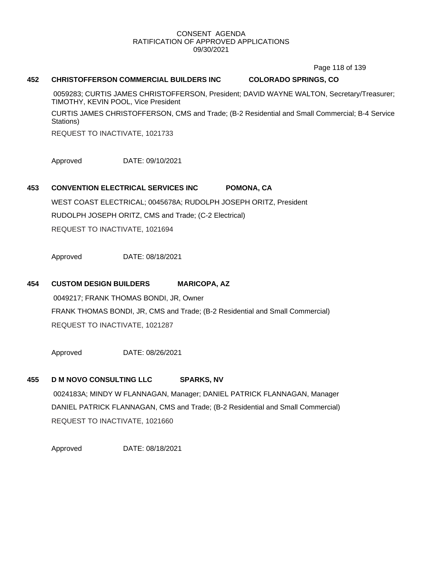Page 118 of 139

### **452 CHRISTOFFERSON COMMERCIAL BUILDERS INC COLORADO SPRINGS, CO**

0059283; CURTIS JAMES CHRISTOFFERSON, President; DAVID WAYNE WALTON, Secretary/Treasurer; TIMOTHY, KEVIN POOL, Vice President

CURTIS JAMES CHRISTOFFERSON, CMS and Trade; (B-2 Residential and Small Commercial; B-4 Service Stations)

REQUEST TO INACTIVATE, 1021733

Approved DATE: 09/10/2021

## **453 CONVENTION ELECTRICAL SERVICES INC POMONA, CA**

WEST COAST ELECTRICAL; 0045678A; RUDOLPH JOSEPH ORITZ, President RUDOLPH JOSEPH ORITZ, CMS and Trade; (C-2 Electrical) REQUEST TO INACTIVATE, 1021694

Approved DATE: 08/18/2021

## **454 CUSTOM DESIGN BUILDERS MARICOPA, AZ**

0049217; FRANK THOMAS BONDI, JR, Owner FRANK THOMAS BONDI, JR, CMS and Trade; (B-2 Residential and Small Commercial) REQUEST TO INACTIVATE, 1021287

Approved DATE: 08/26/2021

# **455 D M NOVO CONSULTING LLC SPARKS, NV**

0024183A; MINDY W FLANNAGAN, Manager; DANIEL PATRICK FLANNAGAN, Manager DANIEL PATRICK FLANNAGAN, CMS and Trade; (B-2 Residential and Small Commercial) REQUEST TO INACTIVATE, 1021660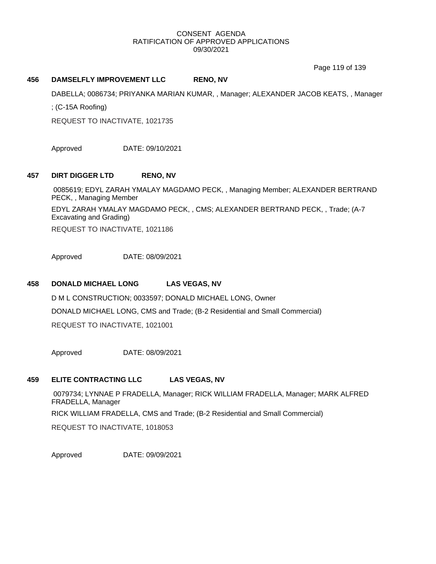Page 119 of 139

#### **456 DAMSELFLY IMPROVEMENT LLC RENO, NV**

DABELLA; 0086734; PRIYANKA MARIAN KUMAR, , Manager; ALEXANDER JACOB KEATS, , Manager

; (C-15A Roofing)

REQUEST TO INACTIVATE, 1021735

Approved DATE: 09/10/2021

## **457 DIRT DIGGER LTD RENO, NV**

0085619; EDYL ZARAH YMALAY MAGDAMO PECK, , Managing Member; ALEXANDER BERTRAND PECK, , Managing Member

EDYL ZARAH YMALAY MAGDAMO PECK, , CMS; ALEXANDER BERTRAND PECK, , Trade; (A-7 Excavating and Grading)

REQUEST TO INACTIVATE, 1021186

Approved DATE: 08/09/2021

## **458 DONALD MICHAEL LONG LAS VEGAS, NV**

D M L CONSTRUCTION; 0033597; DONALD MICHAEL LONG, Owner DONALD MICHAEL LONG, CMS and Trade; (B-2 Residential and Small Commercial) REQUEST TO INACTIVATE, 1021001

Approved DATE: 08/09/2021

# **459 ELITE CONTRACTING LLC LAS VEGAS, NV**

0079734; LYNNAE P FRADELLA, Manager; RICK WILLIAM FRADELLA, Manager; MARK ALFRED FRADELLA, Manager RICK WILLIAM FRADELLA, CMS and Trade; (B-2 Residential and Small Commercial) REQUEST TO INACTIVATE, 1018053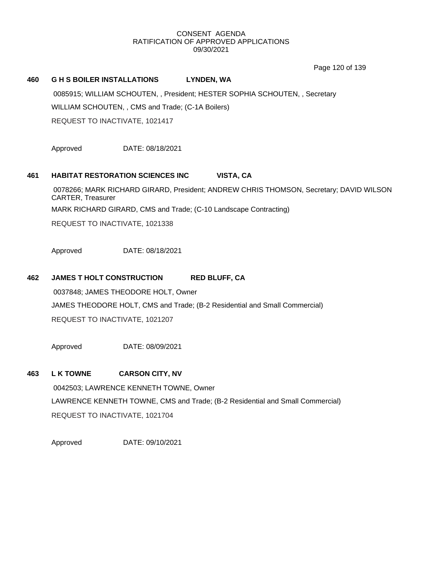Page 120 of 139

### **460 G H S BOILER INSTALLATIONS LYNDEN, WA**

0085915; WILLIAM SCHOUTEN, , President; HESTER SOPHIA SCHOUTEN, , Secretary WILLIAM SCHOUTEN, , CMS and Trade; (C-1A Boilers)

REQUEST TO INACTIVATE, 1021417

Approved DATE: 08/18/2021

## **461 HABITAT RESTORATION SCIENCES INC VISTA, CA**

0078266; MARK RICHARD GIRARD, President; ANDREW CHRIS THOMSON, Secretary; DAVID WILSON CARTER, Treasurer MARK RICHARD GIRARD, CMS and Trade; (C-10 Landscape Contracting)

REQUEST TO INACTIVATE, 1021338

Approved DATE: 08/18/2021

## **462 JAMES T HOLT CONSTRUCTION RED BLUFF, CA**

0037848; JAMES THEODORE HOLT, Owner JAMES THEODORE HOLT, CMS and Trade; (B-2 Residential and Small Commercial) REQUEST TO INACTIVATE, 1021207

Approved DATE: 08/09/2021

# **463 L K TOWNE CARSON CITY, NV**

0042503; LAWRENCE KENNETH TOWNE, Owner LAWRENCE KENNETH TOWNE, CMS and Trade; (B-2 Residential and Small Commercial) REQUEST TO INACTIVATE, 1021704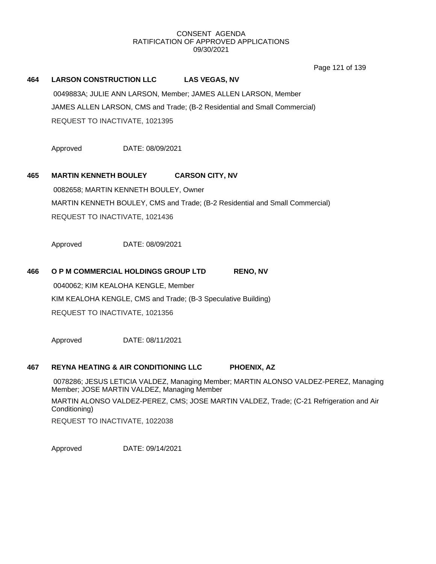Page 121 of 139

### **464 LARSON CONSTRUCTION LLC LAS VEGAS, NV**

0049883A; JULIE ANN LARSON, Member; JAMES ALLEN LARSON, Member JAMES ALLEN LARSON, CMS and Trade; (B-2 Residential and Small Commercial) REQUEST TO INACTIVATE, 1021395

Approved DATE: 08/09/2021

## **465 MARTIN KENNETH BOULEY CARSON CITY, NV**

0082658; MARTIN KENNETH BOULEY, Owner MARTIN KENNETH BOULEY, CMS and Trade; (B-2 Residential and Small Commercial) REQUEST TO INACTIVATE, 1021436

Approved DATE: 08/09/2021

#### **466 O P M COMMERCIAL HOLDINGS GROUP LTD RENO, NV**

0040062; KIM KEALOHA KENGLE, Member KIM KEALOHA KENGLE, CMS and Trade; (B-3 Speculative Building) REQUEST TO INACTIVATE, 1021356

Approved DATE: 08/11/2021

#### **467 REYNA HEATING & AIR CONDITIONING LLC PHOENIX, AZ**

0078286; JESUS LETICIA VALDEZ, Managing Member; MARTIN ALONSO VALDEZ-PEREZ, Managing Member; JOSE MARTIN VALDEZ, Managing Member MARTIN ALONSO VALDEZ-PEREZ, CMS; JOSE MARTIN VALDEZ, Trade; (C-21 Refrigeration and Air Conditioning) REQUEST TO INACTIVATE, 1022038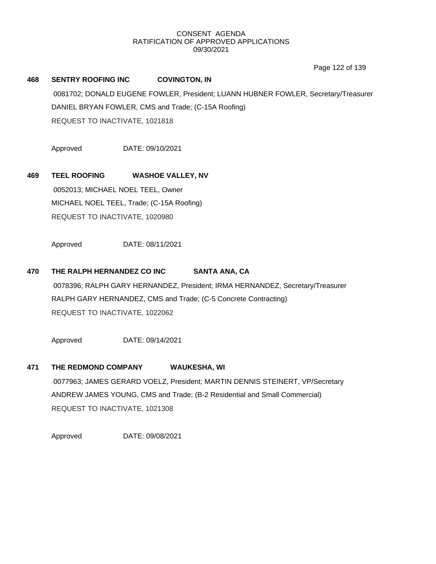Page 122 of 139

# **468 SENTRY ROOFING INC COVINGTON, IN** 0081702; DONALD EUGENE FOWLER, President; LUANN HUBNER FOWLER, Secretary/Treasurer DANIEL BRYAN FOWLER, CMS and Trade; (C-15A Roofing) REQUEST TO INACTIVATE, 1021818

Approved DATE: 09/10/2021

## **469 TEEL ROOFING WASHOE VALLEY, NV**

0052013; MICHAEL NOEL TEEL, Owner MICHAEL NOEL TEEL, Trade; (C-15A Roofing) REQUEST TO INACTIVATE, 1020980

Approved DATE: 08/11/2021

## **470 THE RALPH HERNANDEZ CO INC SANTA ANA, CA**

0078396; RALPH GARY HERNANDEZ, President; IRMA HERNANDEZ, Secretary/Treasurer RALPH GARY HERNANDEZ, CMS and Trade; (C-5 Concrete Contracting) REQUEST TO INACTIVATE, 1022062

Approved DATE: 09/14/2021

#### **471 THE REDMOND COMPANY WAUKESHA, WI**

0077963; JAMES GERARD VOELZ, President; MARTIN DENNIS STEINERT, VP/Secretary ANDREW JAMES YOUNG, CMS and Trade; (B-2 Residential and Small Commercial) REQUEST TO INACTIVATE, 1021308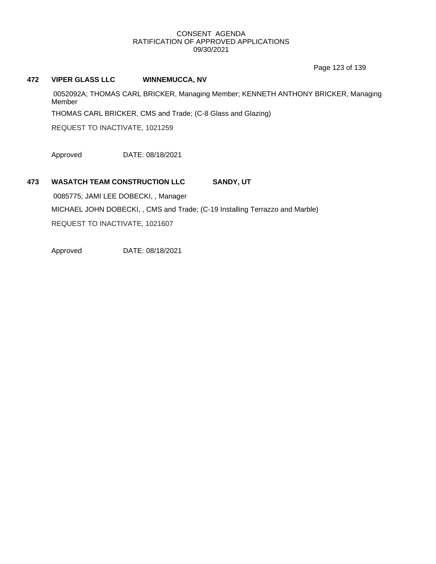Page 123 of 139

### **472 VIPER GLASS LLC WINNEMUCCA, NV**

0052092A; THOMAS CARL BRICKER, Managing Member; KENNETH ANTHONY BRICKER, Managing Member

THOMAS CARL BRICKER, CMS and Trade; (C-8 Glass and Glazing)

REQUEST TO INACTIVATE, 1021259

Approved DATE: 08/18/2021

## **473 WASATCH TEAM CONSTRUCTION LLC SANDY, UT**

0085775; JAMI LEE DOBECKI, , Manager MICHAEL JOHN DOBECKI, , CMS and Trade; (C-19 Installing Terrazzo and Marble)

REQUEST TO INACTIVATE, 1021607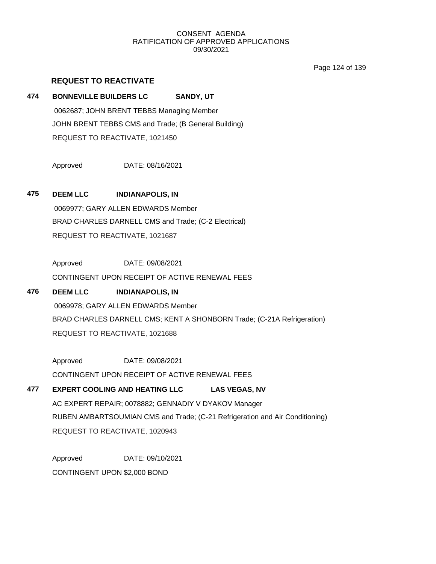Page 124 of 139

## **REQUEST TO REACTIVATE**

## **474 BONNEVILLE BUILDERS LC SANDY, UT**

0062687; JOHN BRENT TEBBS Managing Member JOHN BRENT TEBBS CMS and Trade; (B General Building) REQUEST TO REACTIVATE, 1021450

Approved DATE: 08/16/2021

**475 DEEM LLC INDIANAPOLIS, IN** 0069977; GARY ALLEN EDWARDS Member BRAD CHARLES DARNELL CMS and Trade; (C-2 Electrical) REQUEST TO REACTIVATE, 1021687

> Approved DATE: 09/08/2021 CONTINGENT UPON RECEIPT OF ACTIVE RENEWAL FEES

# **476 DEEM LLC INDIANAPOLIS, IN** 0069978; GARY ALLEN EDWARDS Member BRAD CHARLES DARNELL CMS; KENT A SHONBORN Trade; (C-21A Refrigeration) REQUEST TO REACTIVATE, 1021688

Approved DATE: 09/08/2021 CONTINGENT UPON RECEIPT OF ACTIVE RENEWAL FEES

# **477 EXPERT COOLING AND HEATING LLC LAS VEGAS, NV** AC EXPERT REPAIR; 0078882; GENNADIY V DYAKOV Manager RUBEN AMBARTSOUMIAN CMS and Trade; (C-21 Refrigeration and Air Conditioning) REQUEST TO REACTIVATE, 1020943

Approved DATE: 09/10/2021 CONTINGENT UPON \$2,000 BOND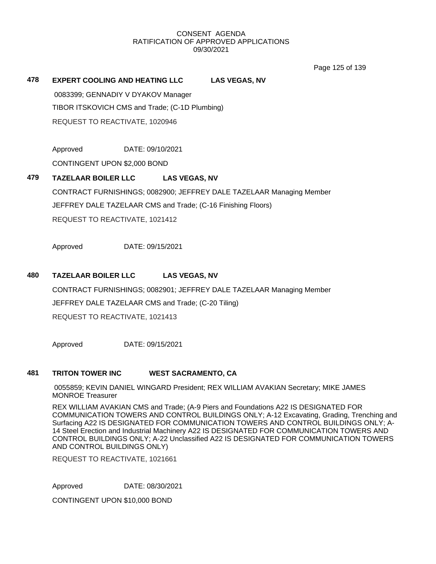Page 125 of 139

## **478 EXPERT COOLING AND HEATING LLC LAS VEGAS, NV**

0083399; GENNADIY V DYAKOV Manager TIBOR ITSKOVICH CMS and Trade; (C-1D Plumbing) REQUEST TO REACTIVATE, 1020946

Approved DATE: 09/10/2021

CONTINGENT UPON \$2,000 BOND

## **479 TAZELAAR BOILER LLC LAS VEGAS, NV**

CONTRACT FURNISHINGS; 0082900; JEFFREY DALE TAZELAAR Managing Member JEFFREY DALE TAZELAAR CMS and Trade; (C-16 Finishing Floors) REQUEST TO REACTIVATE, 1021412

Approved DATE: 09/15/2021

## **480 TAZELAAR BOILER LLC LAS VEGAS, NV**

CONTRACT FURNISHINGS; 0082901; JEFFREY DALE TAZELAAR Managing Member JEFFREY DALE TAZELAAR CMS and Trade; (C-20 Tiling)

REQUEST TO REACTIVATE, 1021413

Approved DATE: 09/15/2021

## **481 TRITON TOWER INC WEST SACRAMENTO, CA**

0055859; KEVIN DANIEL WINGARD President; REX WILLIAM AVAKIAN Secretary; MIKE JAMES MONROE Treasurer

REX WILLIAM AVAKIAN CMS and Trade; (A-9 Piers and Foundations A22 IS DESIGNATED FOR COMMUNICATION TOWERS AND CONTROL BUILDINGS ONLY; A-12 Excavating, Grading, Trenching and Surfacing A22 IS DESIGNATED FOR COMMUNICATION TOWERS AND CONTROL BUILDINGS ONLY; A-14 Steel Erection and Industrial Machinery A22 IS DESIGNATED FOR COMMUNICATION TOWERS AND CONTROL BUILDINGS ONLY; A-22 Unclassified A22 IS DESIGNATED FOR COMMUNICATION TOWERS AND CONTROL BUILDINGS ONLY)

REQUEST TO REACTIVATE, 1021661

Approved DATE: 08/30/2021

CONTINGENT UPON \$10,000 BOND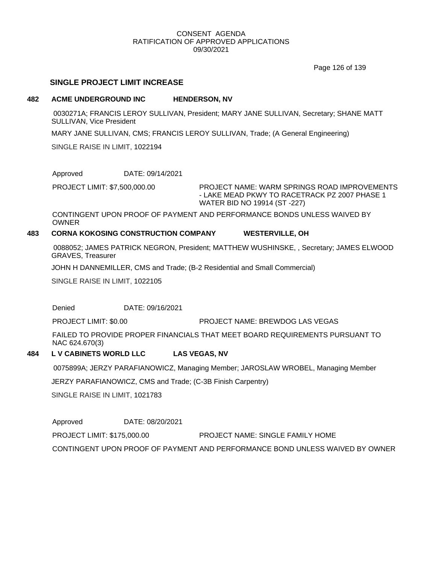Page 126 of 139

## **SINGLE PROJECT LIMIT INCREASE**

#### **482 ACME UNDERGROUND INC HENDERSON, NV**

0030271A; FRANCIS LEROY SULLIVAN, President; MARY JANE SULLIVAN, Secretary; SHANE MATT SULLIVAN, Vice President

MARY JANE SULLIVAN, CMS; FRANCIS LEROY SULLIVAN, Trade; (A General Engineering)

SINGLE RAISE IN LIMIT, 1022194

Approved DATE: 09/14/2021

PROJECT LIMIT: \$7,500,000.00

PROJECT NAME: WARM SPRINGS ROAD IMPROVEMENTS - LAKE MEAD PKWY TO RACETRACK PZ 2007 PHASE 1 WATER BID NO 19914 (ST -227)

CONTINGENT UPON PROOF OF PAYMENT AND PERFORMANCE BONDS UNLESS WAIVED BY **OWNER** 

#### **483 CORNA KOKOSING CONSTRUCTION COMPANY WESTERVILLE, OH**

0088052; JAMES PATRICK NEGRON, President; MATTHEW WUSHINSKE, , Secretary; JAMES ELWOOD GRAVES, Treasurer

JOHN H DANNEMILLER, CMS and Trade; (B-2 Residential and Small Commercial)

SINGLE RAISE IN LIMIT, 1022105

Denied DATE: 09/16/2021

PROJECT LIMIT: \$0.00 PROJECT NAME: BREWDOG LAS VEGAS

FAILED TO PROVIDE PROPER FINANCIALS THAT MEET BOARD REQUIREMENTS PURSUANT TO NAC 624.670(3)

#### **484 L V CABINETS WORLD LLC LAS VEGAS, NV**

0075899A; JERZY PARAFIANOWICZ, Managing Member; JAROSLAW WROBEL, Managing Member

JERZY PARAFIANOWICZ, CMS and Trade; (C-3B Finish Carpentry)

SINGLE RAISE IN LIMIT, 1021783

Approved DATE: 08/20/2021

PROJECT LIMIT: \$175,000.00 PROJECT NAME: SINGLE FAMILY HOME

CONTINGENT UPON PROOF OF PAYMENT AND PERFORMANCE BOND UNLESS WAIVED BY OWNER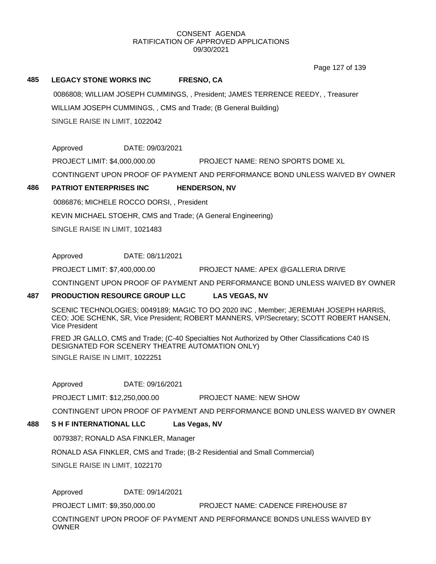Page 127 of 139

### **485 LEGACY STONE WORKS INC FRESNO, CA**

0086808; WILLIAM JOSEPH CUMMINGS, , President; JAMES TERRENCE REEDY, , Treasurer

WILLIAM JOSEPH CUMMINGS, , CMS and Trade; (B General Building)

SINGLE RAISE IN LIMIT, 1022042

Approved DATE: 09/03/2021 PROJECT LIMIT: \$4,000,000.00 PROJECT NAME: RENO SPORTS DOME XL CONTINGENT UPON PROOF OF PAYMENT AND PERFORMANCE BOND UNLESS WAIVED BY OWNER

## **486 PATRIOT ENTERPRISES INC HENDERSON, NV**

0086876; MICHELE ROCCO DORSI, , President KEVIN MICHAEL STOEHR, CMS and Trade; (A General Engineering)

SINGLE RAISE IN LIMIT, 1021483

Approved DATE: 08/11/2021

PROJECT LIMIT: \$7,400,000.00 PROJECT NAME: APEX @GALLERIA DRIVE

CONTINGENT UPON PROOF OF PAYMENT AND PERFORMANCE BOND UNLESS WAIVED BY OWNER

## **487 PRODUCTION RESOURCE GROUP LLC LAS VEGAS, NV**

SCENIC TECHNOLOGIES; 0049189; MAGIC TO DO 2020 INC , Member; JEREMIAH JOSEPH HARRIS, CEO; JOE SCHENK, SR, Vice President; ROBERT MANNERS, VP/Secretary; SCOTT ROBERT HANSEN, Vice President

FRED JR GALLO, CMS and Trade; (C-40 Specialties Not Authorized by Other Classifications C40 IS DESIGNATED FOR SCENERY THEATRE AUTOMATION ONLY)

SINGLE RAISE IN LIMIT, 1022251

Approved DATE: 09/16/2021

PROJECT LIMIT: \$12,250,000.00 PROJECT NAME: NEW SHOW

CONTINGENT UPON PROOF OF PAYMENT AND PERFORMANCE BOND UNLESS WAIVED BY OWNER

# **488 S H F INTERNATIONAL LLC Las Vegas, NV**

0079387; RONALD ASA FINKLER, Manager

RONALD ASA FINKLER, CMS and Trade; (B-2 Residential and Small Commercial)

SINGLE RAISE IN LIMIT, 1022170

Approved DATE: 09/14/2021

PROJECT LIMIT: \$9,350,000.00 PROJECT NAME: CADENCE FIREHOUSE 87

CONTINGENT UPON PROOF OF PAYMENT AND PERFORMANCE BONDS UNLESS WAIVED BY **OWNER**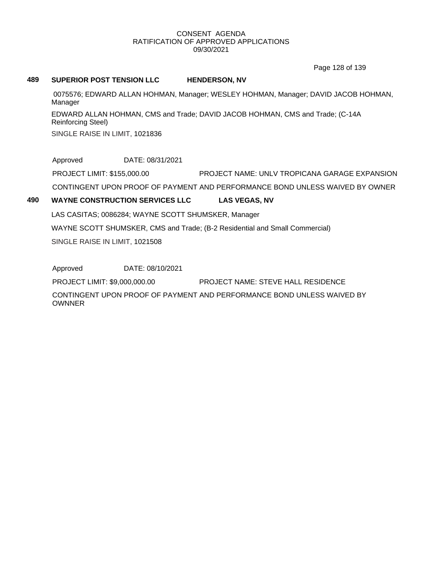Page 128 of 139

#### **489 SUPERIOR POST TENSION LLC HENDERSON, NV**

0075576; EDWARD ALLAN HOHMAN, Manager; WESLEY HOHMAN, Manager; DAVID JACOB HOHMAN, Manager

EDWARD ALLAN HOHMAN, CMS and Trade; DAVID JACOB HOHMAN, CMS and Trade; (C-14A Reinforcing Steel)

SINGLE RAISE IN LIMIT, 1021836

Approved DATE: 08/31/2021

PROJECT LIMIT: \$155,000.00 PROJECT NAME: UNLV TROPICANA GARAGE EXPANSION

CONTINGENT UPON PROOF OF PAYMENT AND PERFORMANCE BOND UNLESS WAIVED BY OWNER

## **490 WAYNE CONSTRUCTION SERVICES LLC LAS VEGAS, NV**

LAS CASITAS; 0086284; WAYNE SCOTT SHUMSKER, Manager

WAYNE SCOTT SHUMSKER, CMS and Trade; (B-2 Residential and Small Commercial)

SINGLE RAISE IN LIMIT, 1021508

Approved DATE: 08/10/2021

PROJECT LIMIT: \$9,000,000.00 PROJECT NAME: STEVE HALL RESIDENCE

CONTINGENT UPON PROOF OF PAYMENT AND PERFORMANCE BOND UNLESS WAIVED BY **OWNNER**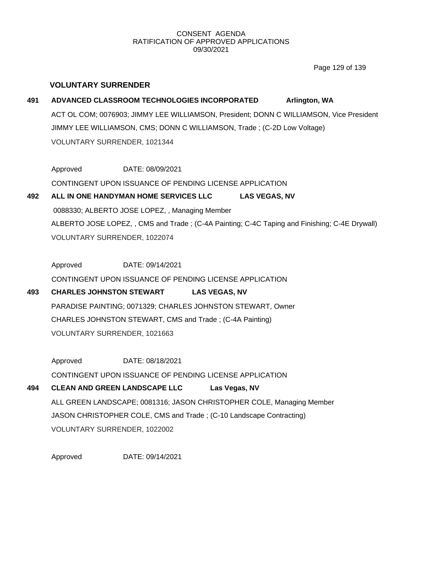Page 129 of 139

## **VOLUNTARY SURRENDER**

**491 ADVANCED CLASSROOM TECHNOLOGIES INCORPORATED Arlington, WA** ACT OL COM; 0076903; JIMMY LEE WILLIAMSON, President; DONN C WILLIAMSON, Vice President JIMMY LEE WILLIAMSON, CMS; DONN C WILLIAMSON, Trade ; (C-2D Low Voltage) VOLUNTARY SURRENDER, 1021344

Approved DATE: 08/09/2021 CONTINGENT UPON ISSUANCE OF PENDING LICENSE APPLICATION

**492 ALL IN ONE HANDYMAN HOME SERVICES LLC LAS VEGAS, NV** 0088330; ALBERTO JOSE LOPEZ, , Managing Member ALBERTO JOSE LOPEZ, , CMS and Trade ; (C-4A Painting; C-4C Taping and Finishing; C-4E Drywall) VOLUNTARY SURRENDER, 1022074

Approved DATE: 09/14/2021 CONTINGENT UPON ISSUANCE OF PENDING LICENSE APPLICATION

**493 CHARLES JOHNSTON STEWART LAS VEGAS, NV** PARADISE PAINTING; 0071329; CHARLES JOHNSTON STEWART, Owner CHARLES JOHNSTON STEWART, CMS and Trade ; (C-4A Painting) VOLUNTARY SURRENDER, 1021663

Approved DATE: 08/18/2021 CONTINGENT UPON ISSUANCE OF PENDING LICENSE APPLICATION

# **494 CLEAN AND GREEN LANDSCAPE LLC Las Vegas, NV** ALL GREEN LANDSCAPE; 0081316; JASON CHRISTOPHER COLE, Managing Member JASON CHRISTOPHER COLE, CMS and Trade ; (C-10 Landscape Contracting) VOLUNTARY SURRENDER, 1022002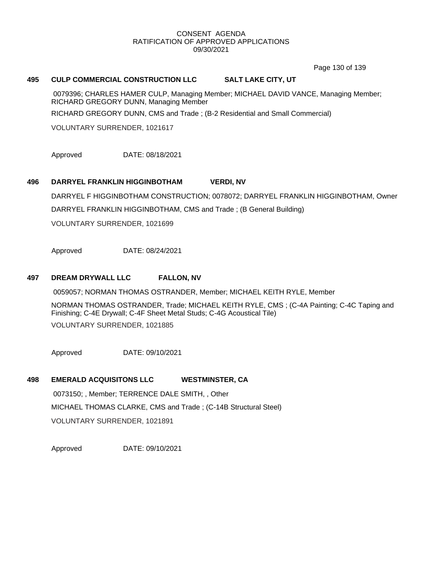Page 130 of 139

### **495 CULP COMMERCIAL CONSTRUCTION LLC SALT LAKE CITY, UT**

0079396; CHARLES HAMER CULP, Managing Member; MICHAEL DAVID VANCE, Managing Member; RICHARD GREGORY DUNN, Managing Member

RICHARD GREGORY DUNN, CMS and Trade ; (B-2 Residential and Small Commercial)

VOLUNTARY SURRENDER, 1021617

Approved DATE: 08/18/2021

#### **496 DARRYEL FRANKLIN HIGGINBOTHAM VERDI, NV**

DARRYEL F HIGGINBOTHAM CONSTRUCTION; 0078072; DARRYEL FRANKLIN HIGGINBOTHAM, Owner DARRYEL FRANKLIN HIGGINBOTHAM, CMS and Trade ; (B General Building)

VOLUNTARY SURRENDER, 1021699

Approved DATE: 08/24/2021

### **497 DREAM DRYWALL LLC FALLON, NV**

0059057; NORMAN THOMAS OSTRANDER, Member; MICHAEL KEITH RYLE, Member

NORMAN THOMAS OSTRANDER, Trade; MICHAEL KEITH RYLE, CMS ; (C-4A Painting; C-4C Taping and Finishing; C-4E Drywall; C-4F Sheet Metal Studs; C-4G Acoustical Tile)

VOLUNTARY SURRENDER, 1021885

Approved DATE: 09/10/2021

## **498 EMERALD ACQUISITONS LLC WESTMINSTER, CA**

0073150; , Member; TERRENCE DALE SMITH, , Other MICHAEL THOMAS CLARKE, CMS and Trade ; (C-14B Structural Steel) VOLUNTARY SURRENDER, 1021891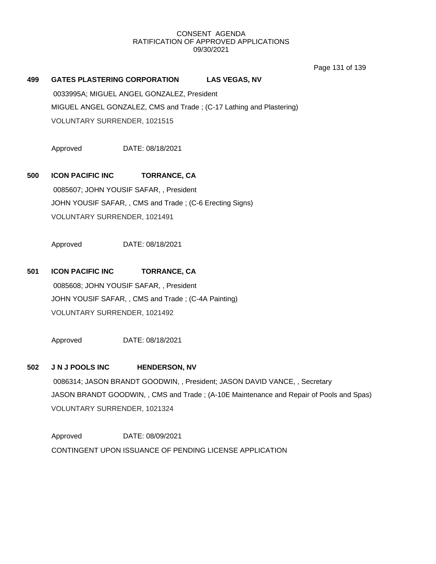Page 131 of 139

| 499 | <b>GATES PLASTERING CORPORATION</b>                                 | <b>LAS VEGAS, NV</b> |
|-----|---------------------------------------------------------------------|----------------------|
|     | 0033995A; MIGUEL ANGEL GONZALEZ, President                          |                      |
|     | MIGUEL ANGEL GONZALEZ, CMS and Trade; (C-17 Lathing and Plastering) |                      |
|     | VOLUNTARY SURRENDER, 1021515                                        |                      |

Approved DATE: 08/18/2021

# **500 ICON PACIFIC INC TORRANCE, CA**

0085607; JOHN YOUSIF SAFAR, , President JOHN YOUSIF SAFAR, , CMS and Trade ; (C-6 Erecting Signs) VOLUNTARY SURRENDER, 1021491

Approved DATE: 08/18/2021

## **501 ICON PACIFIC INC TORRANCE, CA**

0085608; JOHN YOUSIF SAFAR, , President JOHN YOUSIF SAFAR, , CMS and Trade ; (C-4A Painting) VOLUNTARY SURRENDER, 1021492

Approved DATE: 08/18/2021

#### **502 J N J POOLS INC HENDERSON, NV**

0086314; JASON BRANDT GOODWIN, , President; JASON DAVID VANCE, , Secretary JASON BRANDT GOODWIN, , CMS and Trade ; (A-10E Maintenance and Repair of Pools and Spas) VOLUNTARY SURRENDER, 1021324

Approved DATE: 08/09/2021 CONTINGENT UPON ISSUANCE OF PENDING LICENSE APPLICATION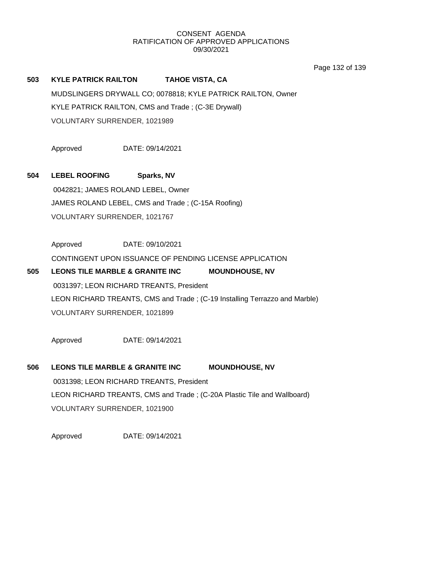Page 132 of 139

# **503 KYLE PATRICK RAILTON TAHOE VISTA, CA** MUDSLINGERS DRYWALL CO; 0078818; KYLE PATRICK RAILTON, Owner KYLE PATRICK RAILTON, CMS and Trade ; (C-3E Drywall) VOLUNTARY SURRENDER, 1021989

Approved DATE: 09/14/2021

## **504 LEBEL ROOFING Sparks, NV**

0042821; JAMES ROLAND LEBEL, Owner JAMES ROLAND LEBEL, CMS and Trade ; (C-15A Roofing) VOLUNTARY SURRENDER, 1021767

Approved DATE: 09/10/2021

CONTINGENT UPON ISSUANCE OF PENDING LICENSE APPLICATION

# **505 LEONS TILE MARBLE & GRANITE INC MOUNDHOUSE, NV** 0031397; LEON RICHARD TREANTS, President LEON RICHARD TREANTS, CMS and Trade ; (C-19 Installing Terrazzo and Marble) VOLUNTARY SURRENDER, 1021899

Approved DATE: 09/14/2021

# **506 LEONS TILE MARBLE & GRANITE INC MOUNDHOUSE, NV** 0031398; LEON RICHARD TREANTS, President LEON RICHARD TREANTS, CMS and Trade ; (C-20A Plastic Tile and Wallboard) VOLUNTARY SURRENDER, 1021900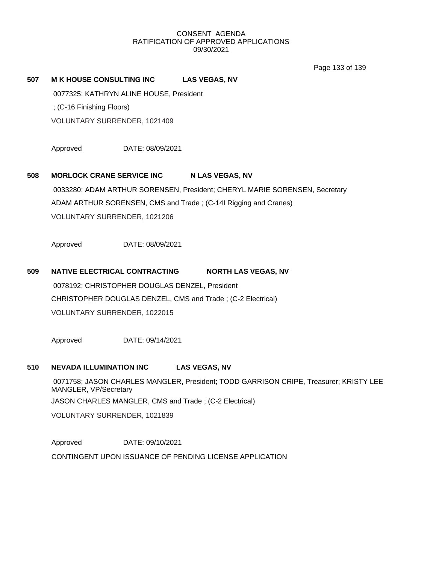Page 133 of 139

## **507 M K HOUSE CONSULTING INC LAS VEGAS, NV**

0077325; KATHRYN ALINE HOUSE, President

; (C-16 Finishing Floors)

VOLUNTARY SURRENDER, 1021409

Approved DATE: 08/09/2021

## **508 MORLOCK CRANE SERVICE INC N LAS VEGAS, NV**

0033280; ADAM ARTHUR SORENSEN, President; CHERYL MARIE SORENSEN, Secretary ADAM ARTHUR SORENSEN, CMS and Trade ; (C-14I Rigging and Cranes) VOLUNTARY SURRENDER, 1021206

Approved DATE: 08/09/2021

# **509 NATIVE ELECTRICAL CONTRACTING NORTH LAS VEGAS, NV** 0078192; CHRISTOPHER DOUGLAS DENZEL, President CHRISTOPHER DOUGLAS DENZEL, CMS and Trade ; (C-2 Electrical) VOLUNTARY SURRENDER, 1022015

Approved DATE: 09/14/2021

#### **510 NEVADA ILLUMINATION INC LAS VEGAS, NV**

0071758; JASON CHARLES MANGLER, President; TODD GARRISON CRIPE, Treasurer; KRISTY LEE MANGLER, VP/Secretary JASON CHARLES MANGLER, CMS and Trade ; (C-2 Electrical) VOLUNTARY SURRENDER, 1021839

Approved DATE: 09/10/2021 CONTINGENT UPON ISSUANCE OF PENDING LICENSE APPLICATION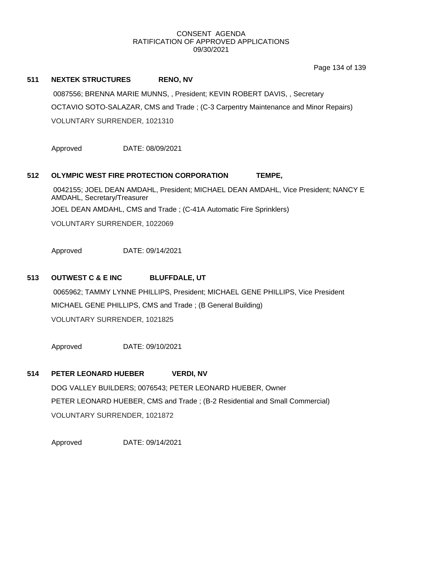Page 134 of 139

## **511 NEXTEK STRUCTURES RENO, NV**

0087556; BRENNA MARIE MUNNS, , President; KEVIN ROBERT DAVIS, , Secretary OCTAVIO SOTO-SALAZAR, CMS and Trade ; (C-3 Carpentry Maintenance and Minor Repairs) VOLUNTARY SURRENDER, 1021310

Approved DATE: 08/09/2021

## **512 OLYMPIC WEST FIRE PROTECTION CORPORATION TEMPE,**

0042155; JOEL DEAN AMDAHL, President; MICHAEL DEAN AMDAHL, Vice President; NANCY E AMDAHL, Secretary/Treasurer

JOEL DEAN AMDAHL, CMS and Trade ; (C-41A Automatic Fire Sprinklers)

VOLUNTARY SURRENDER, 1022069

Approved DATE: 09/14/2021

## **513 OUTWEST C & E INC BLUFFDALE, UT**

0065962; TAMMY LYNNE PHILLIPS, President; MICHAEL GENE PHILLIPS, Vice President MICHAEL GENE PHILLIPS, CMS and Trade ; (B General Building) VOLUNTARY SURRENDER, 1021825

Approved DATE: 09/10/2021

## **514 PETER LEONARD HUEBER VERDI, NV**

DOG VALLEY BUILDERS; 0076543; PETER LEONARD HUEBER, Owner PETER LEONARD HUEBER, CMS and Trade ; (B-2 Residential and Small Commercial) VOLUNTARY SURRENDER, 1021872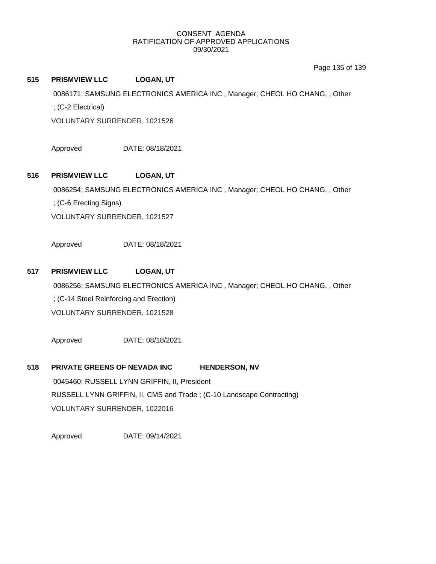Page 135 of 139

### **515 PRISMVIEW LLC LOGAN, UT**

0086171; SAMSUNG ELECTRONICS AMERICA INC , Manager; CHEOL HO CHANG, , Other ; (C-2 Electrical)

VOLUNTARY SURRENDER, 1021526

Approved DATE: 08/18/2021

## **516 PRISMVIEW LLC LOGAN, UT**

0086254; SAMSUNG ELECTRONICS AMERICA INC , Manager; CHEOL HO CHANG, , Other

; (C-6 Erecting Signs)

VOLUNTARY SURRENDER, 1021527

Approved DATE: 08/18/2021

## **517 PRISMVIEW LLC LOGAN, UT**

0086256; SAMSUNG ELECTRONICS AMERICA INC , Manager; CHEOL HO CHANG, , Other ; (C-14 Steel Reinforcing and Erection) VOLUNTARY SURRENDER, 1021528

Approved DATE: 08/18/2021

# **518 PRIVATE GREENS OF NEVADA INC HENDERSON, NV**

0045460; RUSSELL LYNN GRIFFIN, II, President RUSSELL LYNN GRIFFIN, II, CMS and Trade ; (C-10 Landscape Contracting) VOLUNTARY SURRENDER, 1022016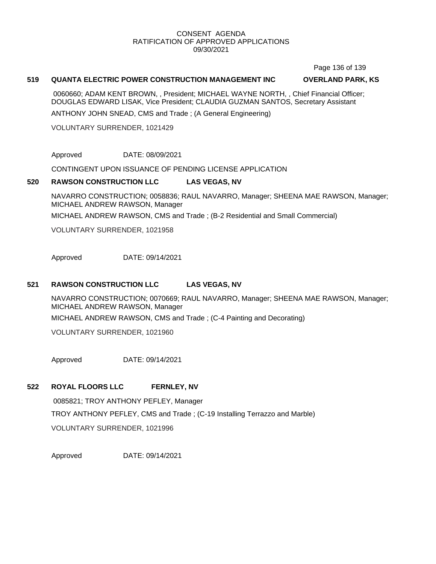Page 136 of 139

#### **519 QUANTA ELECTRIC POWER CONSTRUCTION MANAGEMENT INC OVERLAND PARK, KS**

0060660; ADAM KENT BROWN, , President; MICHAEL WAYNE NORTH, , Chief Financial Officer; DOUGLAS EDWARD LISAK, Vice President; CLAUDIA GUZMAN SANTOS, Secretary Assistant

ANTHONY JOHN SNEAD, CMS and Trade ; (A General Engineering)

VOLUNTARY SURRENDER, 1021429

Approved DATE: 08/09/2021

CONTINGENT UPON ISSUANCE OF PENDING LICENSE APPLICATION

### **520 RAWSON CONSTRUCTION LLC LAS VEGAS, NV**

NAVARRO CONSTRUCTION; 0058836; RAUL NAVARRO, Manager; SHEENA MAE RAWSON, Manager; MICHAEL ANDREW RAWSON, Manager

MICHAEL ANDREW RAWSON, CMS and Trade ; (B-2 Residential and Small Commercial)

VOLUNTARY SURRENDER, 1021958

Approved DATE: 09/14/2021

## **521 RAWSON CONSTRUCTION LLC LAS VEGAS, NV**

NAVARRO CONSTRUCTION; 0070669; RAUL NAVARRO, Manager; SHEENA MAE RAWSON, Manager; MICHAEL ANDREW RAWSON, Manager MICHAEL ANDREW RAWSON, CMS and Trade ; (C-4 Painting and Decorating)

VOLUNTARY SURRENDER, 1021960

Approved DATE: 09/14/2021

# **522 ROYAL FLOORS LLC FERNLEY, NV**

0085821; TROY ANTHONY PEFLEY, Manager TROY ANTHONY PEFLEY, CMS and Trade ; (C-19 Installing Terrazzo and Marble) VOLUNTARY SURRENDER, 1021996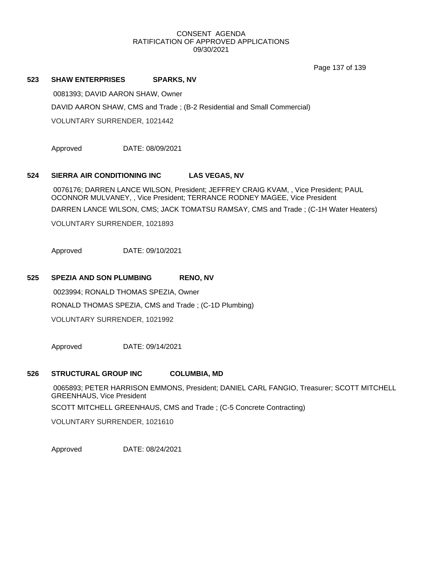Page 137 of 139

#### **523 SHAW ENTERPRISES SPARKS, NV**

0081393; DAVID AARON SHAW, Owner DAVID AARON SHAW, CMS and Trade ; (B-2 Residential and Small Commercial) VOLUNTARY SURRENDER, 1021442

Approved DATE: 08/09/2021

### **524 SIERRA AIR CONDITIONING INC LAS VEGAS, NV**

0076176; DARREN LANCE WILSON, President; JEFFREY CRAIG KVAM, , Vice President; PAUL OCONNOR MULVANEY, , Vice President; TERRANCE RODNEY MAGEE, Vice President DARREN LANCE WILSON, CMS; JACK TOMATSU RAMSAY, CMS and Trade ; (C-1H Water Heaters)

VOLUNTARY SURRENDER, 1021893

Approved DATE: 09/10/2021

## **525 SPEZIA AND SON PLUMBING RENO, NV**

0023994; RONALD THOMAS SPEZIA, Owner RONALD THOMAS SPEZIA, CMS and Trade ; (C-1D Plumbing) VOLUNTARY SURRENDER, 1021992

Approved DATE: 09/14/2021

## **526 STRUCTURAL GROUP INC COLUMBIA, MD**

0065893; PETER HARRISON EMMONS, President; DANIEL CARL FANGIO, Treasurer; SCOTT MITCHELL GREENHAUS, Vice President

SCOTT MITCHELL GREENHAUS, CMS and Trade ; (C-5 Concrete Contracting)

VOLUNTARY SURRENDER, 1021610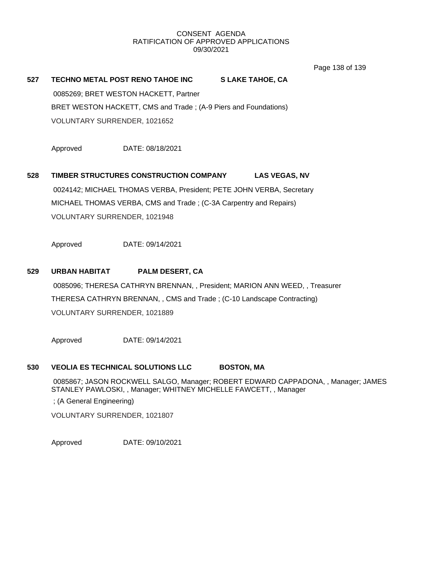Page 138 of 139

# **527 TECHNO METAL POST RENO TAHOE INC S LAKE TAHOE, CA** 0085269; BRET WESTON HACKETT, Partner BRET WESTON HACKETT, CMS and Trade ; (A-9 Piers and Foundations)

VOLUNTARY SURRENDER, 1021652

Approved DATE: 08/18/2021

# **528 TIMBER STRUCTURES CONSTRUCTION COMPANY LAS VEGAS, NV** 0024142; MICHAEL THOMAS VERBA, President; PETE JOHN VERBA, Secretary MICHAEL THOMAS VERBA, CMS and Trade ; (C-3A Carpentry and Repairs) VOLUNTARY SURRENDER, 1021948

Approved DATE: 09/14/2021

## **529 URBAN HABITAT PALM DESERT, CA**

0085096; THERESA CATHRYN BRENNAN, , President; MARION ANN WEED, , Treasurer THERESA CATHRYN BRENNAN, , CMS and Trade ; (C-10 Landscape Contracting) VOLUNTARY SURRENDER, 1021889

Approved DATE: 09/14/2021

## **530 VEOLIA ES TECHNICAL SOLUTIONS LLC BOSTON, MA**

0085867; JASON ROCKWELL SALGO, Manager; ROBERT EDWARD CAPPADONA, , Manager; JAMES STANLEY PAWLOSKI, , Manager; WHITNEY MICHELLE FAWCETT, , Manager

; (A General Engineering)

VOLUNTARY SURRENDER, 1021807